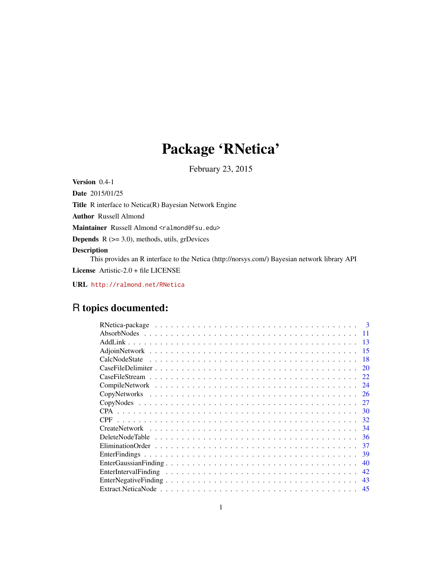# Package 'RNetica'

February 23, 2015

<span id="page-0-0"></span>Version 0.4-1

Date 2015/01/25

Title R interface to Netica(R) Bayesian Network Engine

Author Russell Almond

Maintainer Russell Almond <ralmond@fsu.edu>

**Depends**  $R$  ( $>= 3.0$ ), methods, utils, grDevices

# Description

This provides an R interface to the Netica (http://norsys.com/) Bayesian network library API License Artistic-2.0 + file LICENSE

URL <http://ralmond.net/RNetica>

# R topics documented:

| $\mathbf{3}$ |
|--------------|
|              |
| 13           |
| 15           |
| -18          |
| 20           |
| 22           |
| 24           |
| 26           |
| 27           |
| 30           |
| 32           |
| 34           |
| 36           |
| 37           |
| 39           |
| 40           |
| 42           |
| 43           |
| 45           |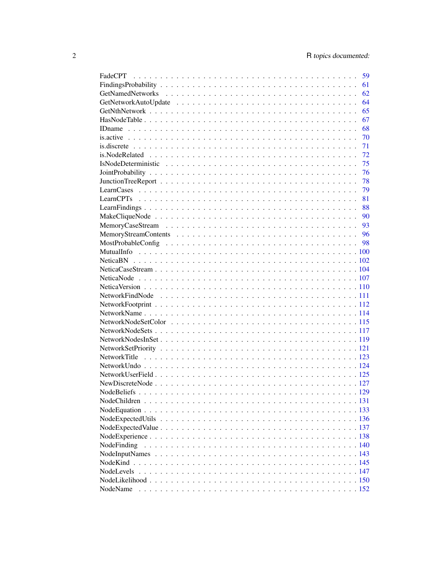|                                                                                                               | 59 |
|---------------------------------------------------------------------------------------------------------------|----|
|                                                                                                               | 61 |
|                                                                                                               | 62 |
|                                                                                                               | 64 |
|                                                                                                               | 65 |
|                                                                                                               | 67 |
|                                                                                                               | 68 |
|                                                                                                               | 70 |
|                                                                                                               | 71 |
| is. Node Related $\ldots \ldots \ldots \ldots \ldots \ldots \ldots \ldots \ldots \ldots \ldots \ldots \ldots$ | 72 |
|                                                                                                               | 75 |
|                                                                                                               | 76 |
|                                                                                                               | 78 |
|                                                                                                               | 79 |
|                                                                                                               | 81 |
|                                                                                                               | 88 |
|                                                                                                               |    |
|                                                                                                               |    |
|                                                                                                               |    |
|                                                                                                               |    |
|                                                                                                               |    |
|                                                                                                               |    |
|                                                                                                               |    |
|                                                                                                               |    |
|                                                                                                               |    |
|                                                                                                               |    |
|                                                                                                               |    |
|                                                                                                               |    |
|                                                                                                               |    |
|                                                                                                               |    |
|                                                                                                               |    |
|                                                                                                               |    |
|                                                                                                               |    |
|                                                                                                               |    |
|                                                                                                               |    |
|                                                                                                               |    |
|                                                                                                               |    |
|                                                                                                               |    |
|                                                                                                               |    |
|                                                                                                               |    |
|                                                                                                               |    |
|                                                                                                               |    |
| NodeFinding                                                                                                   |    |
|                                                                                                               |    |
|                                                                                                               |    |
| NodeLevels                                                                                                    |    |
|                                                                                                               |    |
|                                                                                                               |    |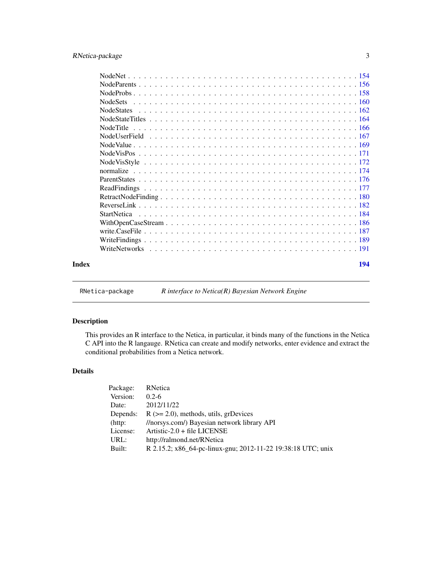# <span id="page-2-0"></span>RNetica-package 3

RNetica-package *R interface to Netica(R) Bayesian Network Engine*

# Description

This provides an R interface to the Netica, in particular, it binds many of the functions in the Netica C API into the R langauge. RNetica can create and modify networks, enter evidence and extract the conditional probabilities from a Netica network.

# Details

| Package:   | RNetica                                                      |
|------------|--------------------------------------------------------------|
| Version:   | $0.2 - 6$                                                    |
| Date:      | 2012/11/22                                                   |
| Depends:   | $R$ ( $>= 2.0$ ), methods, utils, grDevices                  |
| $(http)$ : | //norsys.com/) Bayesian network library API                  |
| License:   | Artistic- $2.0 +$ file LICENSE                               |
| URL:       | http://ralmond.net/RNetica                                   |
| Built:     | R 2.15.2; x86_64-pc-linux-gnu; 2012-11-22 19:38:18 UTC; unix |
|            |                                                              |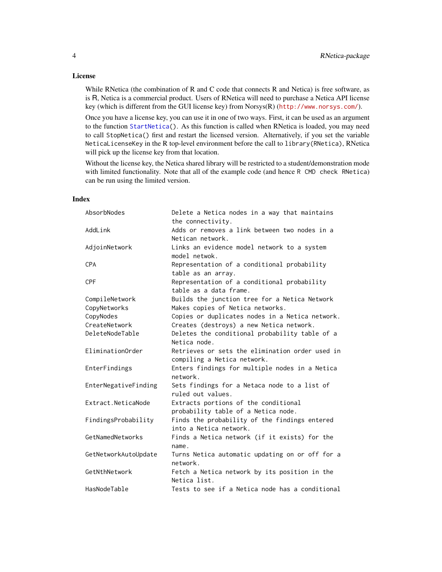# License

While RNetica (the combination of R and C code that connects R and Netica) is free software, as is R, Netica is a commercial product. Users of RNetica will need to purchase a Netica API license key (which is different from the GUI license key) from Norsys(R) (<http://www.norsys.com/>).

Once you have a license key, you can use it in one of two ways. First, it can be used as an argument to the function [StartNetica\(](#page-183-1)). As this function is called when RNetica is loaded, you may need to call StopNetica() first and restart the licensed version. Alternatively, if you set the variable NeticaLicenseKey in the R top-level environment before the call to library(RNetica), RNetica will pick up the license key from that location.

Without the license key, the Netica shared library will be restricted to a student/demonstration mode with limited functionality. Note that all of the example code (and hence R CMD check RNetica) can be run using the limited version.

# Index

| AbsorbNodes          | Delete a Netica nodes in a way that maintains<br>the connectivity.             |
|----------------------|--------------------------------------------------------------------------------|
| AddLink              | Adds or removes a link between two nodes in a<br>Netican network.              |
| AdjoinNetwork        | Links an evidence model network to a system<br>model netwok.                   |
| <b>CPA</b>           | Representation of a conditional probability<br>table as an array.              |
| <b>CPF</b>           | Representation of a conditional probability<br>table as a data frame.          |
| CompileNetwork       | Builds the junction tree for a Netica Network                                  |
| CopyNetworks         | Makes copies of Netica networks.                                               |
| CopyNodes            | Copies or duplicates nodes in a Netica network.                                |
| CreateNetwork        | Creates (destroys) a new Netica network.                                       |
| DeleteNodeTable      | Deletes the conditional probability table of a<br>Netica node.                 |
| EliminationOrder     | Retrieves or sets the elimination order used in<br>compiling a Netica network. |
| EnterFindings        | Enters findings for multiple nodes in a Netica<br>network.                     |
| EnterNegativeFinding | Sets findings for a Netaca node to a list of<br>ruled out values.              |
| Extract.NeticaNode   | Extracts portions of the conditional<br>probability table of a Netica node.    |
| FindingsProbability  | Finds the probability of the findings entered<br>into a Netica network.        |
| GetNamedNetworks     | Finds a Netica network (if it exists) for the<br>name.                         |
| GetNetworkAutoUpdate | Turns Netica automatic updating on or off for a<br>network.                    |
| GetNthNetwork        | Fetch a Netica network by its position in the<br>Netica list.                  |
| HasNodeTable         | Tests to see if a Netica node has a conditional                                |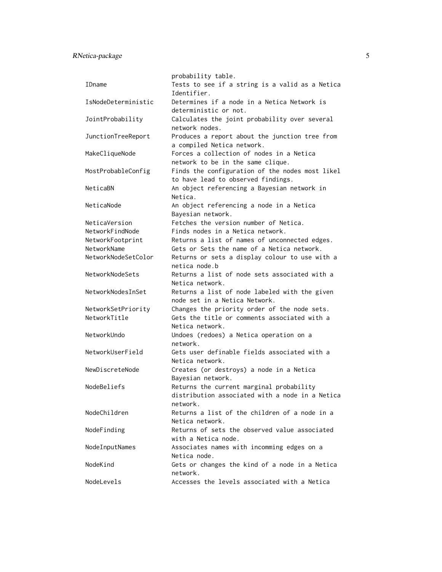RNetica-package 5

|                     | probability table.                                                                    |
|---------------------|---------------------------------------------------------------------------------------|
| IDname              | Tests to see if a string is a valid as a Netica                                       |
|                     | Identifier.                                                                           |
| IsNodeDeterministic | Determines if a node in a Netica Network is<br>deterministic or not.                  |
| JointProbability    | Calculates the joint probability over several                                         |
|                     | network nodes.                                                                        |
| JunctionTreeReport  | Produces a report about the junction tree from                                        |
|                     | a compiled Netica network.                                                            |
| MakeCliqueNode      | Forces a collection of nodes in a Netica                                              |
|                     | network to be in the same clique.                                                     |
|                     |                                                                                       |
| MostProbableConfig  | Finds the configuration of the nodes most likel<br>to have lead to observed findings. |
| NeticaBN            | An object referencing a Bayesian network in                                           |
|                     | Netica.                                                                               |
| NeticaNode          | An object referencing a node in a Netica                                              |
|                     | Bayesian network.                                                                     |
| NeticaVersion       | Fetches the version number of Netica.                                                 |
| NetworkFindNode     | Finds nodes in a Netica network.                                                      |
|                     |                                                                                       |
| NetworkFootprint    | Returns a list of names of unconnected edges.                                         |
| NetworkName         | Gets or Sets the name of a Netica network.                                            |
| NetworkNodeSetColor | Returns or sets a display colour to use with a<br>netica node b                       |
| NetworkNodeSets     | Returns a list of node sets associated with a                                         |
|                     | Netica network.                                                                       |
| NetworkNodesInSet   | Returns a list of node labeled with the given                                         |
|                     | node set in a Netica Network.                                                         |
| NetworkSetPriority  | Changes the priority order of the node sets.                                          |
| NetworkTitle        | Gets the title or comments associated with a                                          |
|                     | Netica network.                                                                       |
| NetworkUndo         | Undoes (redoes) a Netica operation on a                                               |
|                     | network.                                                                              |
| NetworkUserField    | Gets user definable fields associated with a                                          |
|                     | Netica network.                                                                       |
| NewDiscreteNode     | Creates (or destroys) a node in a Netica                                              |
|                     | Bayesian network.                                                                     |
| NodeBeliefs         | Returns the current marginal probability                                              |
|                     | distribution associated with a node in a Netica                                       |
|                     | network.                                                                              |
| NodeChildren        | Returns a list of the children of a node in a                                         |
|                     | Netica network.                                                                       |
| NodeFinding         | Returns of sets the observed value associated                                         |
|                     | with a Netica node.                                                                   |
|                     |                                                                                       |
| NodeInputNames      | Associates names with incomming edges on a                                            |
|                     | Netica node.                                                                          |
| NodeKind            | Gets or changes the kind of a node in a Netica                                        |
|                     | network.                                                                              |
| NodeLevels          | Accesses the levels associated with a Netica                                          |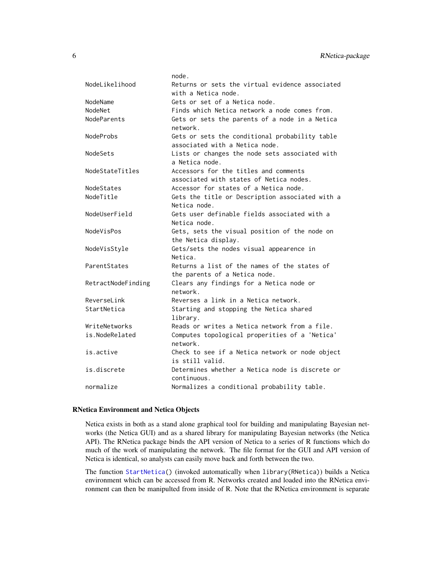|                    | node.                                                                  |
|--------------------|------------------------------------------------------------------------|
| NodeLikelihood     | Returns or sets the virtual evidence associated<br>with a Netica node. |
| NodeName           | Gets or set of a Netica node.                                          |
| NodeNet            | Finds which Netica network a node comes from.                          |
| NodeParents        | Gets or sets the parents of a node in a Netica                         |
|                    | network.                                                               |
| NodeProbs          | Gets or sets the conditional probability table                         |
|                    | associated with a Netica node.                                         |
| NodeSets           | Lists or changes the node sets associated with<br>a Netica node.       |
|                    | Accessors for the titles and comments                                  |
| NodeStateTitles    | associated with states of Netica nodes.                                |
| NodeStates         | Accessor for states of a Netica node.                                  |
| NodeTitle          | Gets the title or Description associated with a                        |
|                    | Netica node.                                                           |
| NodeUserField      | Gets user definable fields associated with a                           |
|                    | Netica node.                                                           |
| NodeVisPos         | Gets, sets the visual position of the node on                          |
|                    | the Netica display.                                                    |
| NodeVisStyle       | Gets/sets the nodes visual appearence in                               |
|                    | Netica.                                                                |
| ParentStates       | Returns a list of the names of the states of                           |
|                    | the parents of a Netica node.                                          |
| RetractNodeFinding | Clears any findings for a Netica node or                               |
|                    | network.                                                               |
| ReverseLink        | Reverses a link in a Netica network.                                   |
| StartNetica        | Starting and stopping the Netica shared                                |
|                    | library.                                                               |
| WriteNetworks      | Reads or writes a Netica network from a file.                          |
| is.NodeRelated     | Computes topological properities of a 'Netica'                         |
|                    | network.                                                               |
| is.active          | Check to see if a Netica network or node object                        |
|                    | is still valid.                                                        |
| is.discrete        | Determines whether a Netica node is discrete or                        |
|                    | continuous.                                                            |
| normalize          | Normalizes a conditional probability table.                            |

# RNetica Environment and Netica Objects

Netica exists in both as a stand alone graphical tool for building and manipulating Bayesian networks (the Netica GUI) and as a shared library for manipulating Bayesian networks (the Netica API). The RNetica package binds the API version of Netica to a series of R functions which do much of the work of manipulating the network. The file format for the GUI and API version of Netica is identical, so analysts can easily move back and forth between the two.

The function [StartNetica\(](#page-183-1)) (invoked automatically when library(RNetica)) builds a Netica environment which can be accessed from R. Networks created and loaded into the RNetica environment can then be manipulted from inside of R. Note that the RNetica environment is separate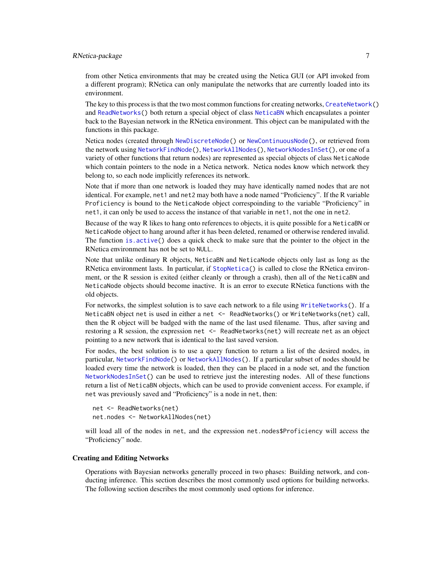# RNetica-package 7

from other Netica environments that may be created using the Netica GUI (or API invoked from a different program); RNetica can only manipulate the networks that are currently loaded into its environment.

The key to this process is that the two most common functions for creating networks, [CreateNetwork\(](#page-33-1)) and [ReadNetworks\(](#page-190-1)) both return a special object of class [NeticaBN](#page-101-1) which encapsulates a pointer back to the Bayesian network in the RNetica environment. This object can be manipulated with the functions in this package.

Netica nodes (created through [NewDiscreteNode\(](#page-126-1)) or [NewContinuousNode\(](#page-126-2)), or retrieved from the network using [NetworkFindNode\(](#page-110-1)), [NetworkAllNodes\(](#page-110-2)), [NetworkNodesInSet\(](#page-118-1)), or one of a variety of other functions that return nodes) are represented as special objects of class NeticaNode which contain pointers to the node in a Netica network. Netica nodes know which network they belong to, so each node implicitly references its network.

Note that if more than one network is loaded they may have identically named nodes that are not identical. For example, net1 and net2 may both have a node named "Proficiency". If the R variable Proficiency is bound to the NeticaNode object correspoinding to the variable "Proficiency" in net1, it can only be used to access the instance of that variable in net1, not the one in net2.

Because of the way R likes to hang onto references to objects, it is quite possible for a NeticaBN or NeticaNode object to hang around after it has been deleted, renamed or otherwise rendered invalid. The function [is.active\(](#page-69-1)) does a quick check to make sure that the pointer to the object in the RNetica environment has not be set to NULL.

Note that unlike ordinary R objects, NeticaBN and NeticaNode objects only last as long as the RNetica environment lasts. In particular, if [StopNetica\(](#page-183-2)) is called to close the RNetica environment, or the R session is exited (either cleanly or through a crash), then all of the NeticaBN and NeticaNode objects should become inactive. It is an error to execute RNetica functions with the old objects.

For networks, the simplest solution is to save each network to a file using [WriteNetworks\(](#page-190-2)). If a NeticaBN object net is used in either a net <- ReadNetworks() or WriteNetworks(net) call, then the R object will be badged with the name of the last used filename. Thus, after saving and restoring a R session, the expression net <- ReadNetworks(net) will recreate net as an object pointing to a new network that is identical to the last saved version.

For nodes, the best solution is to use a query function to return a list of the desired nodes, in particular, [NetworkFindNode\(](#page-110-1)) or [NetworkAllNodes\(](#page-110-2)). If a particular subset of nodes should be loaded every time the network is loaded, then they can be placed in a node set, and the function [NetworkNodesInSet\(](#page-118-1)) can be used to retrieve just the interesting nodes. All of these functions return a list of NeticaBN objects, which can be used to provide convenient access. For example, if net was previously saved and "Proficiency" is a node in net, then:

```
net <- ReadNetworks(net)
net.nodes <- NetworkAllNodes(net)
```
will load all of the nodes in net, and the expression net.nodes\$Proficiency will access the "Proficiency" node.

# Creating and Editing Networks

Operations with Bayesian networks generally proceed in two phases: Building network, and conducting inference. This section describes the most commonly used options for building networks. The following section describes the most commonly used options for inference.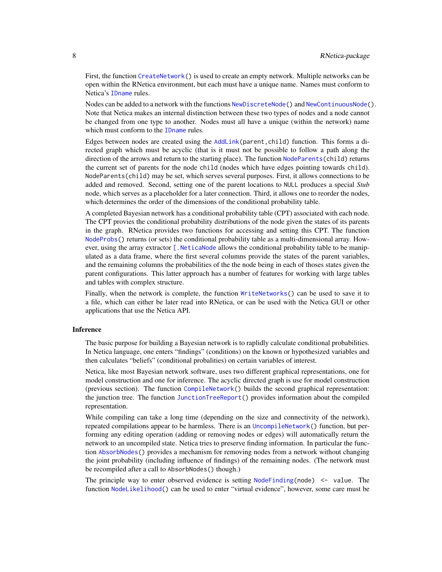First, the function [CreateNetwork\(](#page-33-1)) is used to create an empty network. Multiple networks can be open within the RNetica environment, but each must have a unique name. Names must conform to Netica's [IDname](#page-67-1) rules.

Nodes can be added to a network with the functions [NewDiscreteNode\(](#page-126-1)) and [NewContinuousNode\(](#page-126-2)). Note that Netica makes an internal distinction between these two types of nodes and a node cannot be changed from one type to another. Nodes must all have a unique (within the network) name which must conform to the [IDname](#page-67-1) rules.

Edges between nodes are created using the [AddLink\(](#page-12-1)parent,child) function. This forms a directed graph which must be acyclic (that is it must not be possible to follow a path along the direction of the arrows and return to the starting place). The function [NodeParents\(](#page-155-1)child) returns the current set of parents for the node child (nodes which have edges pointing towards child). NodeParents(child) may be set, which serves several purposes. First, it allows connections to be added and removed. Second, setting one of the parent locations to NULL produces a special *Stub* node, which serves as a placeholder for a later connection. Third, it allows one to reorder the nodes, which determines the order of the dimensions of the conditional probability table.

A completed Bayesian network has a conditional probability table (CPT) associated with each node. The CPT provies the conditional probability distributions of the node given the states of its parents in the graph. RNetica provides two functions for accessing and setting this CPT. The function [NodeProbs\(](#page-157-1)) returns (or sets) the conditional probability table as a multi-dimensional array. However, using the array extractor  $\lceil$ . NeticaNode allows the conditional probability table to be manipulated as a data frame, where the first several columns provide the states of the parent variables, and the remaining columns the probabilities of the the node being in each of thoses states given the parent configurations. This latter approach has a number of features for working with large tables and tables with complex structure.

Finally, when the network is complete, the function [WriteNetworks\(](#page-190-2)) can be used to save it to a file, which can either be later read into RNetica, or can be used with the Netica GUI or other applications that use the Netica API.

#### Inference

The basic purpose for building a Bayesian network is to raplidly calculate conditional probabilities. In Netica language, one enters "findings" (conditions) on the known or hypothesized variables and then calculates "beliefs" (conditional probalities) on certain variables of interest.

Netica, like most Bayesian network software, uses two different graphical representations, one for model construction and one for inference. The acyclic directed graph is use for model construction (previous section). The function [CompileNetwork\(](#page-23-1)) builds the second graphical representation: the junction tree. The function [JunctionTreeReport\(](#page-77-1)) provides information about the compiled representation.

While compiling can take a long time (depending on the size and connectivity of the network), repeated compilations appear to be harmless. There is an [UncompileNetwork\(](#page-23-2)) function, but performing any editing operation (adding or removing nodes or edges) will automatically return the network to an uncompiled state. Netica tries to preserve finding information. In particular the function [AbsorbNodes\(](#page-10-1)) provides a mechanism for removing nodes from a network without changing the joint probability (including influence of findings) of the remaining nodes. (The network must be recompiled after a call to AbsorbNodes() though.)

The principle way to enter observed evidence is setting  $NodeFinding(node) \leq$  $NodeFinding(node) \leq$  value. The function [NodeLikelihood\(](#page-149-1)) can be used to enter "virtual evidence", however, some care must be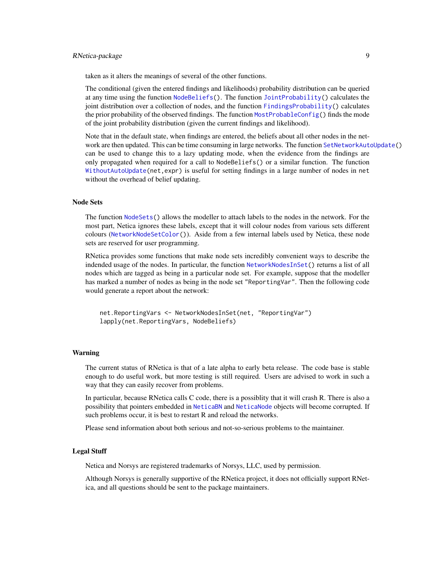# RNetica-package 9

taken as it alters the meanings of several of the other functions.

The conditional (given the entered findings and likelihoods) probability distribution can be queried at any time using the function  $NodeBeliefs()$  $NodeBeliefs()$ . The function [JointProbability\(](#page-75-1)) calculates the joint distribution over a collection of nodes, and the function [FindingsProbability\(](#page-60-1)) calculates the prior probability of the observed findings. The function [MostProbableConfig\(](#page-97-1)) finds the mode of the joint probability distribution (given the current findings and likelihood).

Note that in the default state, when findings are entered, the beliefs about all other nodes in the network are then updated. This can be time consuming in large networks. The function [SetNetworkAutoUpdate\(](#page-63-1)) can be used to change this to a lazy updating mode, when the evidence from the findings are only propagated when required for a call to NodeBeliefs() or a similar function. The function [WithoutAutoUpdate\(](#page-63-1)net,expr) is useful for setting findings in a large number of nodes in net without the overhead of belief updating.

# Node Sets

The function [NodeSets\(](#page-159-1)) allows the modeller to attach labels to the nodes in the network. For the most part, Netica ignores these labels, except that it will colour nodes from various sets different colours ([NetworkNodeSetColor\(](#page-114-1))). Aside from a few internal labels used by Netica, these node sets are reserved for user programming.

RNetica provides some functions that make node sets incredibly convenient ways to describe the indended usage of the nodes. In particular, the function [NetworkNodesInSet\(](#page-118-1)) returns a list of all nodes which are tagged as being in a particular node set. For example, suppose that the modeller has marked a number of nodes as being in the node set "ReportingVar". Then the following code would generate a report about the network:

```
net.ReportingVars <- NetworkNodesInSet(net, "ReportingVar")
lapply(net.ReportingVars, NodeBeliefs)
```
#### Warning

The current status of RNetica is that of a late alpha to early beta release. The code base is stable enough to do useful work, but more testing is still required. Users are advised to work in such a way that they can easily recover from problems.

In particular, because RNetica calls C code, there is a possiblity that it will crash R. There is also a possibility that pointers embedded in [NeticaBN](#page-101-1) and [NeticaNode](#page-106-1) objects will become corrupted. If such problems occur, it is best to restart R and reload the networks.

Please send information about both serious and not-so-serious problems to the maintainer.

#### Legal Stuff

Netica and Norsys are registered trademarks of Norsys, LLC, used by permission.

Although Norsys is generally supportive of the RNetica project, it does not officially support RNetica, and all questions should be sent to the package maintainers.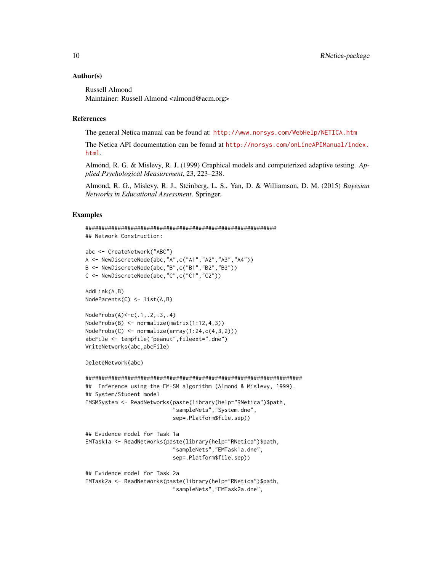#### Author(s)

Russell Almond Maintainer: Russell Almond <almond@acm.org>

# References

The general Netica manual can be found at: <http://www.norsys.com/WebHelp/NETICA.htm>

The Netica API documentation can be found at [http://norsys.com/onLineAPIManual/index.](http://norsys.com/onLineAPIManual/index.html) [html](http://norsys.com/onLineAPIManual/index.html).

Almond, R. G. & Mislevy, R. J. (1999) Graphical models and computerized adaptive testing. *Applied Psychological Measurement*, 23, 223–238.

Almond, R. G., Mislevy, R. J., Steinberg, L. S., Yan, D. & Williamson, D. M. (2015) *Bayesian Networks in Educational Assessment*. Springer.

#### Examples

```
###########################################################
## Network Construction:
abc <- CreateNetwork("ABC")
A <- NewDiscreteNode(abc,"A",c("A1","A2","A3","A4"))
B <- NewDiscreteNode(abc,"B",c("B1","B2","B3"))
C <- NewDiscreteNode(abc,"C",c("C1","C2"))
AddLink(A,B)
NodeParents(C) <- list(A,B)
NodeProbs(A)<-c(.1,.2,.3,.4)
NodeProbs(B) <- normalize(matrix(1:12,4,3))
NodeProbs(C) <- normalize(array(1:24,c(4,3,2)))
abcFile <- tempfile("peanut",fileext=".dne")
WriteNetworks(abc,abcFile)
DeleteNetwork(abc)
###################################################################
## Inference using the EM-SM algorithm (Almond & Mislevy, 1999).
## System/Student model
EMSMSystem <- ReadNetworks(paste(library(help="RNetica")$path,
                           "sampleNets","System.dne",
                           sep=.Platform$file.sep))
## Evidence model for Task 1a
EMTask1a <- ReadNetworks(paste(library(help="RNetica")$path,
                           "sampleNets","EMTask1a.dne",
                           sep=.Platform$file.sep))
## Evidence model for Task 2a
EMTask2a <- ReadNetworks(paste(library(help="RNetica")$path,
```
"sampleNets","EMTask2a.dne",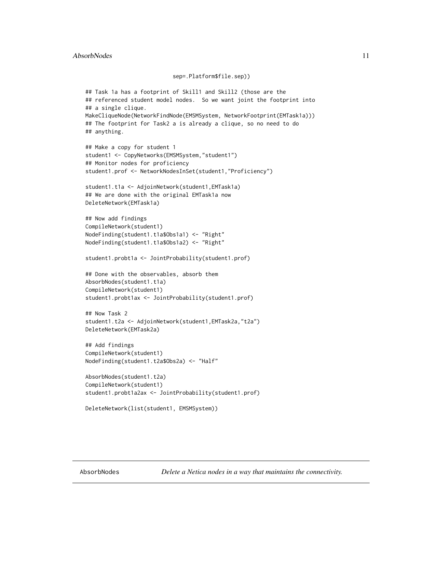# <span id="page-10-0"></span>AbsorbNodes 11

#### sep=.Platform\$file.sep))

```
## Task 1a has a footprint of Skill1 and Skill2 (those are the
## referenced student model nodes. So we want joint the footprint into
## a single clique.
MakeCliqueNode(NetworkFindNode(EMSMSystem, NetworkFootprint(EMTask1a)))
## The footprint for Task2 a is already a clique, so no need to do
## anything.
## Make a copy for student 1
student1 <- CopyNetworks(EMSMSystem,"student1")
## Monitor nodes for proficiency
student1.prof <- NetworkNodesInSet(student1,"Proficiency")
student1.t1a <- AdjoinNetwork(student1,EMTask1a)
## We are done with the original EMTask1a now
DeleteNetwork(EMTask1a)
## Now add findings
CompileNetwork(student1)
NodeFinding(student1.t1a$Obs1a1) <- "Right"
NodeFinding(student1.t1a$Obs1a2) <- "Right"
student1.probt1a <- JointProbability(student1.prof)
## Done with the observables, absorb them
AbsorbNodes(student1.t1a)
CompileNetwork(student1)
student1.probt1ax <- JointProbability(student1.prof)
## Now Task 2
student1.t2a <- AdjoinNetwork(student1,EMTask2a,"t2a")
DeleteNetwork(EMTask2a)
## Add findings
CompileNetwork(student1)
NodeFinding(student1.t2a$Obs2a) <- "Half"
AbsorbNodes(student1.t2a)
CompileNetwork(student1)
student1.probt1a2ax <- JointProbability(student1.prof)
```

```
DeleteNetwork(list(student1, EMSMSystem))
```
<span id="page-10-1"></span>AbsorbNodes *Delete a Netica nodes in a way that maintains the connectivity.*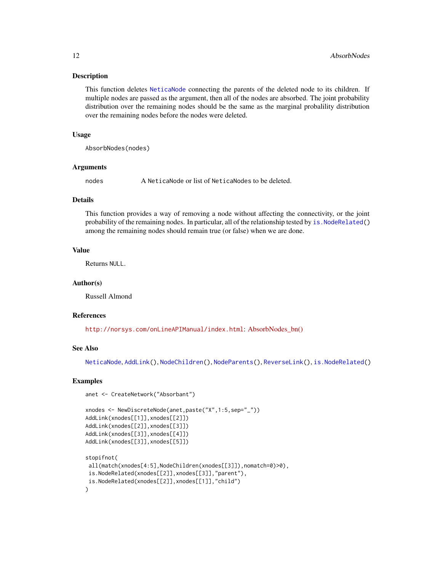#### Description

This function deletes [NeticaNode](#page-106-1) connecting the parents of the deleted node to its children. If multiple nodes are passed as the argument, then all of the nodes are absorbed. The joint probability distribution over the remaining nodes should be the same as the marginal probalility distribution over the remaining nodes before the nodes were deleted.

#### Usage

AbsorbNodes(nodes)

#### Arguments

nodes A NeticaNode or list of NeticaNodes to be deleted.

#### Details

This function provides a way of removing a node without affecting the connectivity, or the joint probability of the remaining nodes. In particular, all of the relationship tested by is. NodeRelated() among the remaining nodes should remain true (or false) when we are done.

# Value

Returns NULL.

#### Author(s)

Russell Almond

#### References

<http://norsys.com/onLineAPIManual/index.html>: [AbsorbNodes\\_bn\(\)](http://norsys.com/onLineAPIManual/functions/AbsorbNodes_bn.html)

#### See Also

[NeticaNode](#page-106-1), [AddLink\(](#page-12-1)), [NodeChildren\(](#page-130-1)), [NodeParents\(](#page-155-1)), [ReverseLink\(](#page-181-1)), [is.NodeRelated\(](#page-71-1))

#### Examples

```
anet <- CreateNetwork("Absorbant")
```

```
xnodes <- NewDiscreteNode(anet,paste("X",1:5,sep="_"))
AddLink(xnodes[[1]],xnodes[[2]])
AddLink(xnodes[[2]],xnodes[[3]])
AddLink(xnodes[[3]],xnodes[[4]])
AddLink(xnodes[[3]],xnodes[[5]])
stopifnot(
```

```
all(match(xnodes[4:5],NodeChildren(xnodes[[3]]),nomatch=0)>0),
is.NodeRelated(xnodes[[2]],xnodes[[3]],"parent"),
is.NodeRelated(xnodes[[2]],xnodes[[1]],"child")
)
```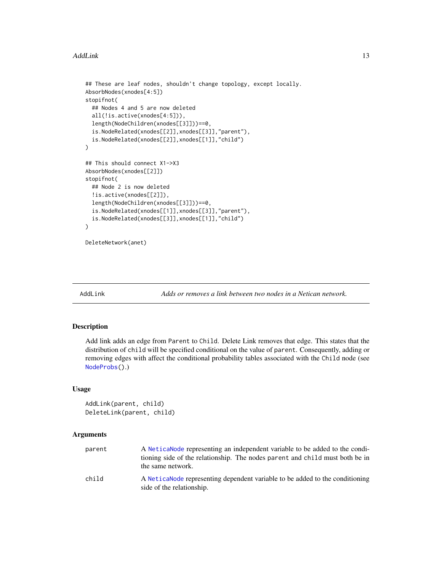#### <span id="page-12-0"></span>AddLink 13

```
## These are leaf nodes, shouldn't change topology, except locally.
AbsorbNodes(xnodes[4:5])
stopifnot(
 ## Nodes 4 and 5 are now deleted
 all(!is.active(xnodes[4:5])),
 length(NodeChildren(xnodes[[3]]))==0,
 is.NodeRelated(xnodes[[2]],xnodes[[3]],"parent"),
 is.NodeRelated(xnodes[[2]],xnodes[[1]],"child")
\mathcal{L}## This should connect X1->X3
AbsorbNodes(xnodes[[2]])
stopifnot(
 ## Node 2 is now deleted
 !is.active(xnodes[[2]]),
 length(NodeChildren(xnodes[[3]]))==0,
 is.NodeRelated(xnodes[[1]],xnodes[[3]],"parent"),
 is.NodeRelated(xnodes[[3]],xnodes[[1]],"child")
)
```
DeleteNetwork(anet)

<span id="page-12-1"></span>

AddLink *Adds or removes a link between two nodes in a Netican network.*

# Description

Add link adds an edge from Parent to Child. Delete Link removes that edge. This states that the distribution of child will be specified conditional on the value of parent. Consequently, adding or removing edges with affect the conditional probability tables associated with the Child node (see [NodeProbs\(](#page-157-1)).)

#### Usage

```
AddLink(parent, child)
DeleteLink(parent, child)
```
#### **Arguments**

| parent | A Netica Node representing an independent variable to be added to the condi-<br>tioning side of the relationship. The nodes parent and child must both be in<br>the same network. |
|--------|-----------------------------------------------------------------------------------------------------------------------------------------------------------------------------------|
| child  | A Netica Node representing dependent variable to be added to the conditioning<br>side of the relationship.                                                                        |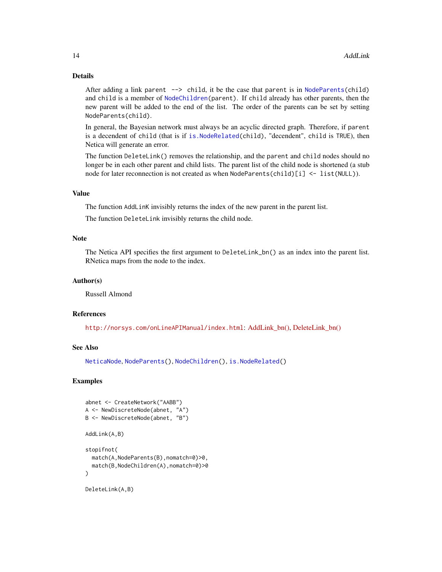# Details

After adding a link parent --> child, it be the case that parent is in [NodeParents\(](#page-155-1)child) and child is a member of [NodeChildren\(](#page-130-1)parent). If child already has other parents, then the new parent will be added to the end of the list. The order of the parents can be set by setting NodeParents(child).

In general, the Bayesian network must always be an acyclic directed graph. Therefore, if parent is a decendent of child (that is if [is.NodeRelated\(](#page-71-1)child), "decendent", child is TRUE), then Netica will generate an error.

The function DeleteLink() removes the relationship, and the parent and child nodes should no longer be in each other parent and child lists. The parent list of the child node is shortened (a stub node for later reconnection is not created as when NodeParents(child)[i] <- list(NULL)).

# Value

The function AddLinK invisibly returns the index of the new parent in the parent list.

The function DeleteLink invisibly returns the child node.

#### Note

The Netica API specifies the first argument to DeleteLink\_bn() as an index into the parent list. RNetica maps from the node to the index.

# Author(s)

Russell Almond

#### References

<http://norsys.com/onLineAPIManual/index.html>: AddLink bn(), DeleteLink bn()

#### See Also

[NeticaNode](#page-106-1), [NodeParents\(](#page-155-1)), [NodeChildren\(](#page-130-1)), [is.NodeRelated\(](#page-71-1))

#### Examples

```
abnet <- CreateNetwork("AABB")
A <- NewDiscreteNode(abnet, "A")
B <- NewDiscreteNode(abnet, "B")
AddLink(A,B)
stopifnot(
 match(A,NodeParents(B),nomatch=0)>0,
 match(B,NodeChildren(A),nomatch=0)>0
)
DeleteLink(A,B)
```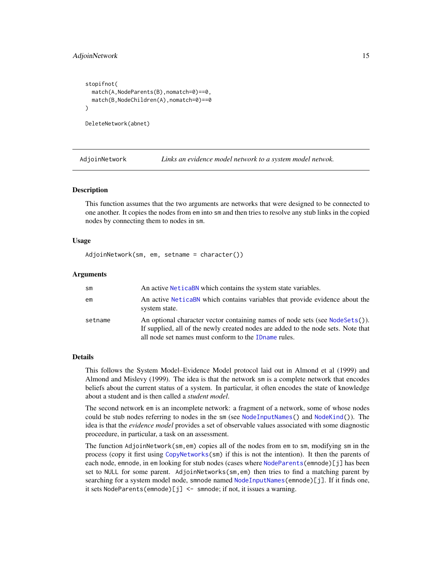#### <span id="page-14-0"></span>AdjoinNetwork 15

```
stopifnot(
 match(A,NodeParents(B),nomatch=0)==0,
 match(B,NodeChildren(A),nomatch=0)==0
)
```
DeleteNetwork(abnet)

AdjoinNetwork *Links an evidence model network to a system model netwok.*

#### Description

This function assumes that the two arguments are networks that were designed to be connected to one another. It copies the nodes from em into sm and then tries to resolve any stub links in the copied nodes by connecting them to nodes in sm.

#### Usage

AdjoinNetwork(sm, em, setname = character())

#### Arguments

| sm      | An active NeticaBN which contains the system state variables.                                                                                                                                                              |
|---------|----------------------------------------------------------------------------------------------------------------------------------------------------------------------------------------------------------------------------|
| em      | An active NeticaBN which contains variables that provide evidence about the<br>system state.                                                                                                                               |
| setname | An optional character vector containing names of node sets (see NodeSets()).<br>If supplied, all of the newly created nodes are added to the node sets. Note that<br>all node set names must conform to the ID name rules. |

# Details

This follows the System Model–Evidence Model protocol laid out in Almond et al (1999) and Almond and Mislevy (1999). The idea is that the network sm is a complete network that encodes beliefs about the current status of a system. In particular, it often encodes the state of knowledge about a student and is then called a *student model*.

The second network em is an incomplete network: a fragment of a network, some of whose nodes could be stub nodes referring to nodes in the sm (see [NodeInputNames\(](#page-142-1)) and [NodeKind\(](#page-144-1))). The idea is that the *evidence model* provides a set of observable values associated with some diagnostic proceedure, in particular, a task on an assessment.

The function AdjoinNetwork(sm,em) copies all of the nodes from em to sm, modifying sm in the process (copy it first using [CopyNetworks\(](#page-25-1)sm) if this is not the intention). It then the parents of each node, emnode, in em looking for stub nodes (cases where [NodeParents\(](#page-155-1)emnode)[j] has been set to NULL for some parent. AdjoinNetworks(sm,em) then tries to find a matching parent by searching for a system model node, smnode named [NodeInputNames\(](#page-142-1)emnode)[j]. If it finds one, it sets NodeParents(emnode)[j] <- smnode; if not, it issues a warning.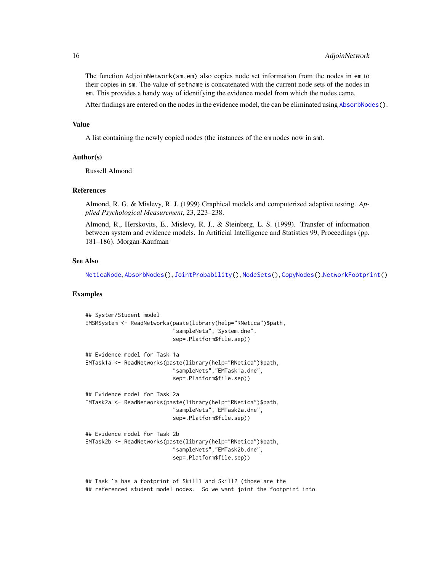The function AdjoinNetwork(sm,em) also copies node set information from the nodes in em to their copies in sm. The value of setname is concatenated with the current node sets of the nodes in em. This provides a handy way of identifying the evidence model from which the nodes came.

After findings are entered on the nodes in the evidence model, the can be eliminated using [AbsorbNodes\(](#page-10-1)).

#### Value

A list containing the newly copied nodes (the instances of the em nodes now in sm).

#### Author(s)

Russell Almond

#### References

Almond, R. G. & Mislevy, R. J. (1999) Graphical models and computerized adaptive testing. *Applied Psychological Measurement*, 23, 223–238.

Almond, R., Herskovits, E., Mislevy, R. J., & Steinberg, L. S. (1999). Transfer of information between system and evidence models. In Artificial Intelligence and Statistics 99, Proceedings (pp. 181–186). Morgan-Kaufman

#### See Also

[NeticaNode](#page-106-1), [AbsorbNodes\(](#page-10-1)), [JointProbability\(](#page-75-1)), [NodeSets\(](#page-159-1)), [CopyNodes\(](#page-26-1)),[NetworkFootprint\(](#page-111-1))

# Examples

```
## System/Student model
EMSMSystem <- ReadNetworks(paste(library(help="RNetica")$path,
                           "sampleNets","System.dne",
                           sep=.Platform$file.sep))
## Evidence model for Task 1a
EMTask1a <- ReadNetworks(paste(library(help="RNetica")$path,
                           "sampleNets","EMTask1a.dne",
                           sep=.Platform$file.sep))
## Evidence model for Task 2a
EMTask2a <- ReadNetworks(paste(library(help="RNetica")$path,
                           "sampleNets","EMTask2a.dne",
                           sep=.Platform$file.sep))
## Evidence model for Task 2b
EMTask2b <- ReadNetworks(paste(library(help="RNetica")$path,
                           "sampleNets","EMTask2b.dne",
                           sep=.Platform$file.sep))
```
## Task 1a has a footprint of Skill1 and Skill2 (those are the ## referenced student model nodes. So we want joint the footprint into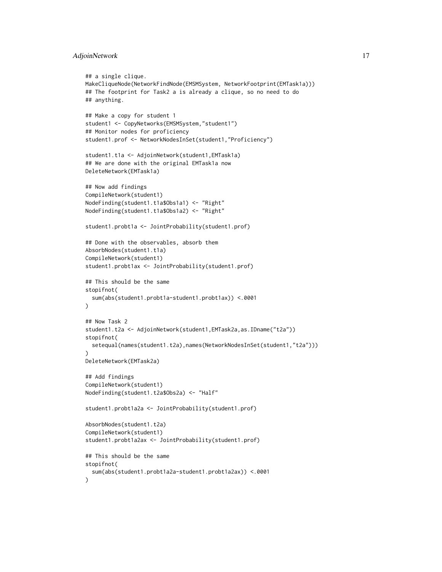# AdjoinNetwork 17

```
## a single clique.
MakeCliqueNode(NetworkFindNode(EMSMSystem, NetworkFootprint(EMTask1a)))
## The footprint for Task2 a is already a clique, so no need to do
## anything.
## Make a copy for student 1
student1 <- CopyNetworks(EMSMSystem,"student1")
## Monitor nodes for proficiency
student1.prof <- NetworkNodesInSet(student1,"Proficiency")
student1.t1a <- AdjoinNetwork(student1,EMTask1a)
## We are done with the original EMTask1a now
DeleteNetwork(EMTask1a)
## Now add findings
CompileNetwork(student1)
NodeFinding(student1.t1a$Obs1a1) <- "Right"
NodeFinding(student1.t1a$Obs1a2) <- "Right"
student1.probt1a <- JointProbability(student1.prof)
## Done with the observables, absorb them
AbsorbNodes(student1.t1a)
CompileNetwork(student1)
student1.probt1ax <- JointProbability(student1.prof)
## This should be the same
stopifnot(
 sum(abs(student1.probt1a-student1.probt1ax)) <.0001
)
## Now Task 2
student1.t2a <- AdjoinNetwork(student1,EMTask2a,as.IDname("t2a"))
stopifnot(
 setequal(names(student1.t2a),names(NetworkNodesInSet(student1,"t2a")))
\lambdaDeleteNetwork(EMTask2a)
## Add findings
CompileNetwork(student1)
NodeFinding(student1.t2a$Obs2a) <- "Half"
student1.probt1a2a <- JointProbability(student1.prof)
AbsorbNodes(student1.t2a)
CompileNetwork(student1)
student1.probt1a2ax <- JointProbability(student1.prof)
## This should be the same
stopifnot(
 sum(abs(student1.probt1a2a-student1.probt1a2ax)) <.0001
)
```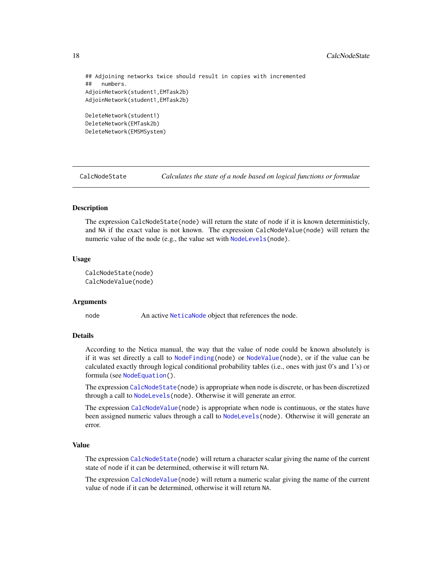# <span id="page-17-0"></span>18 CalcNodeState **CalcNodeState**

```
## Adjoining networks twice should result in copies with incremented
## numbers.
AdjoinNetwork(student1,EMTask2b)
AdjoinNetwork(student1,EMTask2b)
```

```
DeleteNetwork(student1)
DeleteNetwork(EMTask2b)
DeleteNetwork(EMSMSystem)
```
<span id="page-17-1"></span>CalcNodeState *Calculates the state of a node based on logical functions or formulae*

# <span id="page-17-2"></span>**Description**

The expression CalcNodeState(node) will return the state of node if it is known deterministicly, and NA if the exact value is not known. The expression CalcNodeValue(node) will return the numeric value of the node (e.g., the value set with [NodeLevels\(](#page-146-1)node).

#### Usage

```
CalcNodeState(node)
CalcNodeValue(node)
```
#### Arguments

node An active [NeticaNode](#page-106-1) object that references the node.

#### Details

According to the Netica manual, the way that the value of node could be known absolutely is if it was set directly a call to [NodeFinding\(](#page-139-1)node) or [NodeValue\(](#page-168-1)node), or if the value can be calculated exactly through logical conditional probability tables (i.e., ones with just 0's and 1's) or formula (see [NodeEquation\(](#page-132-1)).

The expression [CalcNodeState\(](#page-17-1)node) is appropriate when node is discrete, or has been discretized through a call to [NodeLevels\(](#page-146-1)node). Otherwise it will generate an error.

The expression [CalcNodeValue\(](#page-17-2)node) is appropriate when node is continuous, or the states have been assigned numeric values through a call to [NodeLevels\(](#page-146-1)node). Otherwise it will generate an error.

# Value

The expression [CalcNodeState\(](#page-17-1)node) will return a character scalar giving the name of the current state of node if it can be determined, otherwise it will return NA.

The expression [CalcNodeValue\(](#page-17-2)node) will return a numeric scalar giving the name of the current value of node if it can be determined, otherwise it will return NA.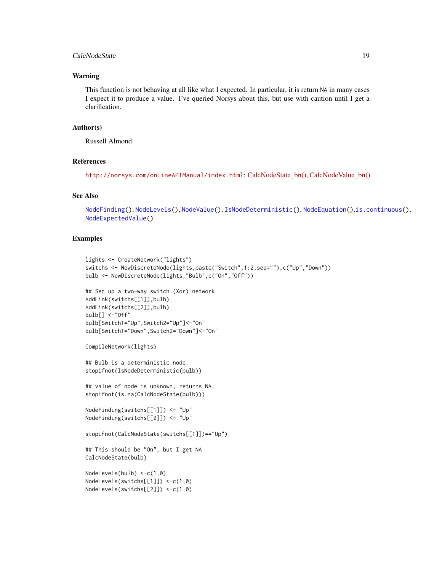# CalcNodeState 19

#### Warning

This function is not behaving at all like what I expected. In particular, it is return NA in many cases I expect it to produce a value. I've queried Norsys about this, but use with caution until I get a clarification.

#### Author(s)

Russell Almond

#### References

<http://norsys.com/onLineAPIManual/index.html>: [CalcNodeState\\_bn\(\),](http://norsys.com/onLineAPIManual/functions/CalcNodeState_bn.html) [CalcNodeValue\\_bn\(\)](http://norsys.com/onLineAPIManual/functions/CalcNodeValue_bn.html)

# See Also

```
NodeFinding(), NodeLevels(), NodeValue(), IsNodeDeterministic(), NodeEquation(),is.continuous(),
NodeExpectedValue()
```
#### Examples

```
lights <- CreateNetwork("lights")
switchs <- NewDiscreteNode(lights,paste("Switch",1:2,sep=""),c("Up","Down"))
bulb <- NewDiscreteNode(lights,"Bulb",c("On","Off"))
```

```
## Set up a two-way switch (Xor) network
AddLink(switchs[[1]],bulb)
AddLink(switchs[[2]],bulb)
bulb[] <-"Off"
bulb[Switch1="Up",Switch2="Up"]<-"On"
bulb[Switch1="Down",Switch2="Down"]<-"On"
```

```
CompileNetwork(lights)
```

```
## Bulb is a deterministic node.
stopifnot(IsNodeDeterministic(bulb))
```

```
## value of node is unknown, returns NA
stopifnot(is.na(CalcNodeState(bulb)))
```

```
NodeFinding(switchs[[1]]) <- "Up"
NodeFinding(switchs[[2]]) <- "Up"
```

```
stopifnot(CalcNodeState(switchs[[1]])=="Up")
```

```
## This should be "On", but I get NA
CalcNodeState(bulb)
```

```
NodeLevels(bulb) <-c(1,0)
NodeLevels(switchs[[1]]) <-c(1,0)
NodeLevels(switchs[[2]]) <-c(1,0)
```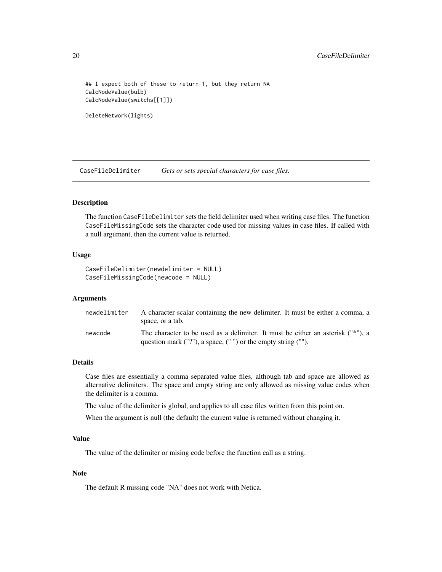## I expect both of these to return 1, but they return NA CalcNodeValue(bulb) CalcNodeValue(switchs[[1]])

```
DeleteNetwork(lights)
```
<span id="page-19-1"></span>CaseFileDelimiter *Gets or sets special characters for case files.*

# <span id="page-19-2"></span>Description

The function CaseFileDelimiter sets the field delimiter used when writing case files. The function CaseFileMissingCode sets the character code used for missing values in case files. If called with a null argument, then the current value is returned.

#### Usage

```
CaseFileDelimiter(newdelimiter = NULL)
CaseFileMissingCode(newcode = NULL)
```
# Arguments

| newdelimiter | A character scalar containing the new delimiter. It must be either a comma, a<br>space, or a tab.                                                       |
|--------------|---------------------------------------------------------------------------------------------------------------------------------------------------------|
| newcode      | The character to be used as a delimiter. It must be either an asterisk ("*"), a<br>question mark $("?")$ , a space, $("")$ or the empty string $("")$ . |

#### Details

Case files are essentially a comma separated value files, although tab and space are allowed as alternative delimiters. The space and empty string are only allowed as missing value codes when the delimiter is a comma.

The value of the delimiter is global, and applies to all case files written from this point on.

When the argument is null (the default) the current value is returned without changing it.

#### Value

The value of the delimiter or mising code before the function call as a string.

# Note

The default R missing code "NA" does not work with Netica.

<span id="page-19-0"></span>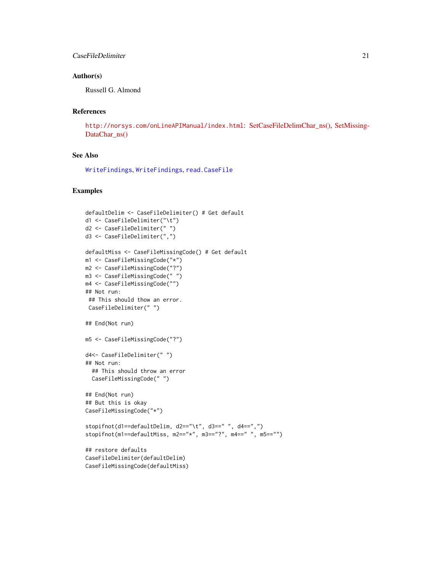# CaseFileDelimiter 21

# Author(s)

Russell G. Almond

# References

<http://norsys.com/onLineAPIManual/index.html>: [SetCaseFileDelimChar\\_ns\(\),](http://norsys.com/onLineAPIManual/functions/SetCaseFileDelimChar_ns.html) [SetMissing-](http://norsys.com/onLineAPIManual/functions/SetMissingDataChar_ns.html)[DataChar\\_ns\(\)](http://norsys.com/onLineAPIManual/functions/SetMissingDataChar_ns.html)

# See Also

[WriteFindings](#page-188-1), [WriteFindings](#page-188-1), [read.CaseFile](#page-186-1)

# Examples

```
defaultDelim <- CaseFileDelimiter() # Get default
d1 <- CaseFileDelimiter("\t")
d2 <- CaseFileDelimiter(" ")
d3 <- CaseFileDelimiter(",")
defaultMiss <- CaseFileMissingCode() # Get default
m1 <- CaseFileMissingCode("*")
m2 <- CaseFileMissingCode("?")
m3 <- CaseFileMissingCode(" ")
m4 <- CaseFileMissingCode("")
## Not run:
## This should thow an error.
CaseFileDelimiter(" ")
## End(Not run)
m5 <- CaseFileMissingCode("?")
d4<- CaseFileDelimiter(" ")
## Not run:
  ## This should throw an error
  CaseFileMissingCode(" ")
## End(Not run)
## But this is okay
CaseFileMissingCode("*")
stopifnot(d1==defaultDelim, d2=="\t", d3==" ", d4==",")
stopifnot(m1==defaultMiss, m2=="*", m3=="?", m4==" ", m5=="")
## restore defaults
CaseFileDelimiter(defaultDelim)
CaseFileMissingCode(defaultMiss)
```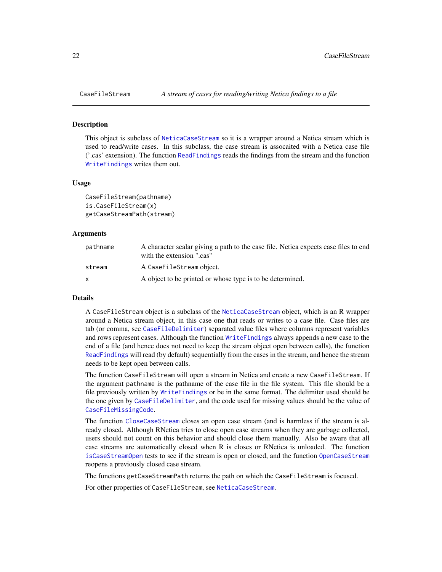#### Description

This object is subclass of [NeticaCaseStream](#page-103-1) so it is a wrapper around a Netica stream which is used to read/write cases. In this subclass, the case stream is assocaited with a Netica case file ('.cas' extension). The function [ReadFindings](#page-176-1) reads the findings from the stream and the function [WriteFindings](#page-188-1) writes them out.

#### Usage

```
CaseFileStream(pathname)
is.CaseFileStream(x)
getCaseStreamPath(stream)
```
#### Arguments

| pathname | A character scalar giving a path to the case file. Netica expects case files to end<br>with the extension ".cas" |
|----------|------------------------------------------------------------------------------------------------------------------|
| stream   | A CaseFileStream object.                                                                                         |
| X        | A object to be printed or whose type is to be determined.                                                        |

#### Details

A CaseFileStream object is a subclass of the [NeticaCaseStream](#page-103-1) object, which is an R wrapper around a Netica stream object, in this case one that reads or writes to a case file. Case files are tab (or comma, see [CaseFileDelimiter](#page-19-1)) separated value files where columns represent variables and rows represent cases. Although the function [WriteFindings](#page-188-1) always appends a new case to the end of a file (and hence does not need to keep the stream object open between calls), the function [ReadFindings](#page-176-1) will read (by default) sequentially from the cases in the stream, and hence the stream needs to be kept open between calls.

The function CaseFileStream will open a stream in Netica and create a new CaseFileStream. If the argument pathname is the pathname of the case file in the file system. This file should be a file previously written by [WriteFindings](#page-188-1) or be in the same format. The delimiter used should be the one given by [CaseFileDelimiter](#page-19-1), and the code used for missing values should be the value of [CaseFileMissingCode](#page-19-2).

The function [CloseCaseStream](#page-103-2) closes an open case stream (and is harmless if the stream is already closed. Although RNetica tries to close open case streams when they are garbage collected, users should not count on this behavior and should close them manually. Also be aware that all case streams are automatically closed when R is closes or RNetica is unloaded. The function [isCaseStreamOpen](#page-103-2) tests to see if the stream is open or closed, and the function [OpenCaseStream](#page-103-2) reopens a previously closed case stream.

The functions getCaseStreamPath returns the path on which the CaseFileStream is focused.

For other properties of CaseFileStream, see [NeticaCaseStream](#page-103-1).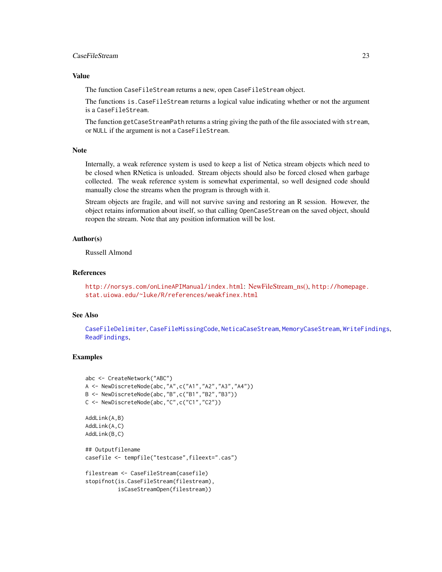# CaseFileStream 23

# Value

The function CaseFileStream returns a new, open CaseFileStream object.

The functions is.CaseFileStream returns a logical value indicating whether or not the argument is a CaseFileStream.

The function getCaseStreamPath returns a string giving the path of the file associated with stream, or NULL if the argument is not a CaseFileStream.

#### Note

Internally, a weak reference system is used to keep a list of Netica stream objects which need to be closed when RNetica is unloaded. Stream objects should also be forced closed when garbage collected. The weak reference system is somewhat experimental, so well designed code should manually close the streams when the program is through with it.

Stream objects are fragile, and will not survive saving and restoring an R session. However, the object retains information about itself, so that calling OpenCaseStream on the saved object, should reopen the stream. Note that any position information will be lost.

# Author(s)

Russell Almond

# References

<http://norsys.com/onLineAPIManual/index.html>: [NewFileStream\\_ns\(\),](http://norsys.com/onLineAPIManual/functions/NewFileStream_ns.html) [http://homepage.](http://homepage.stat.uiowa.edu/~luke/R/references/weakfinex.html) [stat.uiowa.edu/~luke/R/references/weakfinex.html](http://homepage.stat.uiowa.edu/~luke/R/references/weakfinex.html)

#### See Also

[CaseFileDelimiter](#page-19-1), [CaseFileMissingCode](#page-19-2), [NeticaCaseStream](#page-103-1), [MemoryCaseStream](#page-92-1), [WriteFindings](#page-188-1), [ReadFindings](#page-176-1),

# Examples

```
abc <- CreateNetwork("ABC")
A <- NewDiscreteNode(abc,"A",c("A1","A2","A3","A4"))
B <- NewDiscreteNode(abc,"B",c("B1","B2","B3"))
C <- NewDiscreteNode(abc,"C",c("C1","C2"))
AddLink(A,B)
AddLink(A,C)
AddLink(B,C)
## Outputfilename
casefile <- tempfile("testcase",fileext=".cas")
filestream <- CaseFileStream(casefile)
stopifnot(is.CaseFileStream(filestream),
          isCaseStreamOpen(filestream))
```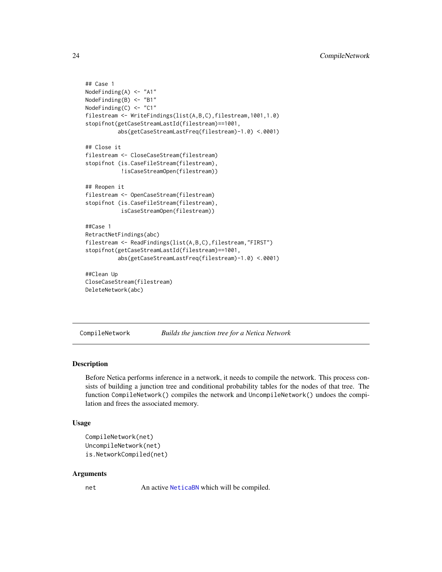```
## Case 1
NodeFinding(A) <- "A1"
NodeFinding(B) <- "B1"
NodeFinding(C) <- "C1"
filestream <- WriteFindings(list(A,B,C),filestream,1001,1.0)
stopifnot(getCaseStreamLastId(filestream)==1001,
          abs(getCaseStreamLastFreq(filestream)-1.0) <.0001)
## Close it
filestream <- CloseCaseStream(filestream)
stopifnot (is.CaseFileStream(filestream),
           !isCaseStreamOpen(filestream))
## Reopen it
filestream <- OpenCaseStream(filestream)
stopifnot (is.CaseFileStream(filestream),
           isCaseStreamOpen(filestream))
##Case 1
RetractNetFindings(abc)
filestream <- ReadFindings(list(A,B,C),filestream,"FIRST")
stopifnot(getCaseStreamLastId(filestream)==1001,
          abs(getCaseStreamLastFreq(filestream)-1.0) <.0001)
##Clean Up
CloseCaseStream(filestream)
DeleteNetwork(abc)
```
<span id="page-23-1"></span>CompileNetwork *Builds the junction tree for a Netica Network*

#### <span id="page-23-2"></span>Description

Before Netica performs inference in a network, it needs to compile the network. This process consists of building a junction tree and conditional probability tables for the nodes of that tree. The function CompileNetwork() compiles the network and UncompileNetwork() undoes the compilation and frees the associated memory.

#### Usage

```
CompileNetwork(net)
UncompileNetwork(net)
is.NetworkCompiled(net)
```
#### Arguments

net An active [NeticaBN](#page-101-1) which will be compiled.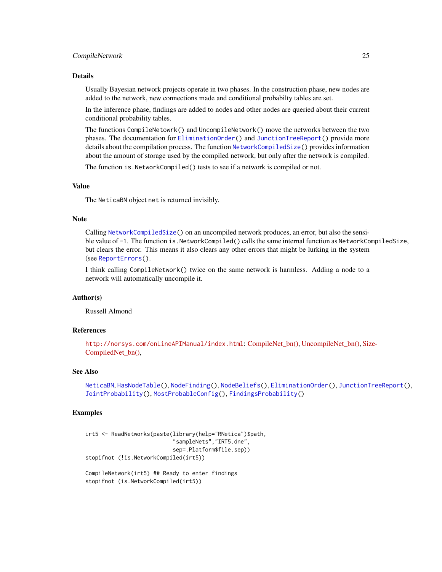#### CompileNetwork 25

#### Details

Usually Bayesian network projects operate in two phases. In the construction phase, new nodes are added to the network, new connections made and conditional probabilty tables are set.

In the inference phase, findings are added to nodes and other nodes are queried about their current conditional probability tables.

The functions CompileNetowrk() and UncompileNetwork() move the networks between the two phases. The documentation for [EliminationOrder\(](#page-36-1)) and [JunctionTreeReport\(](#page-77-1)) provide more details about the compilation process. The function [NetworkCompiledSize\(](#page-77-2)) provides information about the amount of storage used by the compiled network, but only after the network is compiled.

The function is.NetworkCompiled() tests to see if a network is compiled or not.

# Value

The NeticaBN object net is returned invisibly.

#### Note

Calling [NetworkCompiledSize\(](#page-77-2)) on an uncompiled network produces, an error, but also the sensible value of -1. The function is. NetworkCompiled() calls the same internal function as NetworkCompiledSize, but clears the error. This means it also clears any other errors that might be lurking in the system (see [ReportErrors\(](#page-0-0)).

I think calling CompileNetwork() twice on the same network is harmless. Adding a node to a network will automatically uncompile it.

# Author(s)

Russell Almond

#### References

<http://norsys.com/onLineAPIManual/index.html>: [CompileNet\\_bn\(\),](http://norsys.com/onLineAPIManual/functions/CompileNet_bn.html) [UncompileNet\\_bn\(\),](http://norsys.com/onLineAPIManual/functions/UncompileNet_bn.html) [Siz](http://norsys.com/onLineAPIManual/functions/SizeCompiledNet_bn.html)e-[CompiledNet\\_bn\(\),](http://norsys.com/onLineAPIManual/functions/SizeCompiledNet_bn.html)

#### See Also

[NeticaBN](#page-101-1), [HasNodeTable\(](#page-66-1)), [NodeFinding\(](#page-139-1)), [NodeBeliefs\(](#page-128-1)), [EliminationOrder\(](#page-36-1)), [JunctionTreeReport\(](#page-77-1)), [JointProbability\(](#page-75-1)), [MostProbableConfig\(](#page-97-1)), [FindingsProbability\(](#page-60-1))

#### Examples

```
irt5 <- ReadNetworks(paste(library(help="RNetica")$path,
                           "sampleNets","IRT5.dne",
                           sep=.Platform$file.sep))
stopifnot (!is.NetworkCompiled(irt5))
CompileNetwork(irt5) ## Ready to enter findings
```
stopifnot (is.NetworkCompiled(irt5))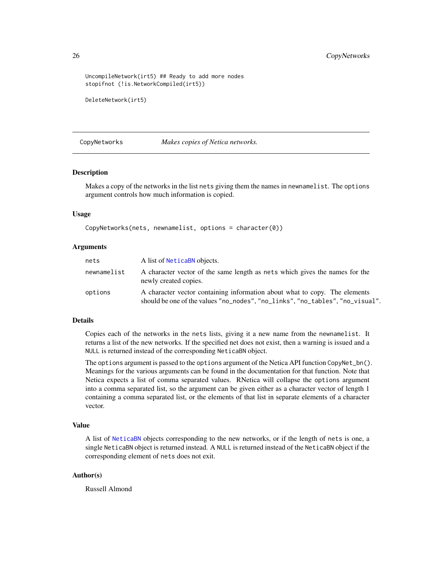```
UncompileNetwork(irt5) ## Ready to add more nodes
stopifnot (!is.NetworkCompiled(irt5))
```

```
DeleteNetwork(irt5)
```
<span id="page-25-1"></span>CopyNetworks *Makes copies of Netica networks.*

#### **Description**

Makes a copy of the networks in the list nets giving them the names in newnamelist. The options argument controls how much information is copied.

#### Usage

CopyNetworks(nets, newnamelist, options = character(0))

#### Arguments

| nets        | A list of NeticaBN objects.                                                                                                                                 |
|-------------|-------------------------------------------------------------------------------------------------------------------------------------------------------------|
| newnamelist | A character vector of the same length as nets which gives the names for the<br>newly created copies.                                                        |
| options     | A character vector containing information about what to copy. The elements<br>should be one of the values "no_nodes", "no_links", "no_tables", "no_visual". |

## Details

Copies each of the networks in the nets lists, giving it a new name from the newnamelist. It returns a list of the new networks. If the specified net does not exist, then a warning is issued and a NULL is returned instead of the corresponding NeticaBN object.

The options argument is passed to the options argument of the Netica API function CopyNet\_bn(). Meanings for the various arguments can be found in the documentation for that function. Note that Netica expects a list of comma separated values. RNetica will collapse the options argument into a comma separated list, so the argument can be given either as a character vector of length 1 containing a comma separated list, or the elements of that list in separate elements of a character vector.

#### Value

A list of [NeticaBN](#page-101-1) objects corresponding to the new networks, or if the length of nets is one, a single NeticaBN object is returned instead. A NULL is returned instead of the NeticaBN object if the corresponding element of nets does not exit.

#### Author(s)

Russell Almond

<span id="page-25-0"></span>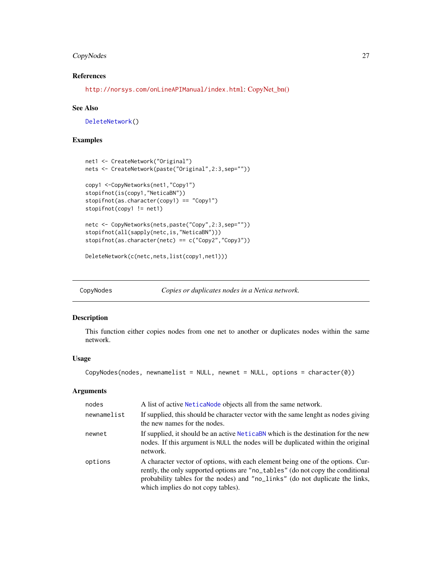# <span id="page-26-0"></span>CopyNodes 27

# References

<http://norsys.com/onLineAPIManual/index.html>: [CopyNet\\_bn\(\)](http://norsys.com/onLineAPIManual/functions/CopyNet_bn.html)

#### See Also

[DeleteNetwork\(](#page-33-2))

# Examples

```
net1 <- CreateNetwork("Original")
nets <- CreateNetwork(paste("Original",2:3,sep=""))
copy1 <-CopyNetworks(net1,"Copy1")
stopifnot(is(copy1,"NeticaBN"))
stopifnot(as.character(copy1) == "Copy1")
stopifnot(copy1 != net1)
netc <- CopyNetworks(nets,paste("Copy",2:3,sep=""))
stopifnot(all(sapply(netc,is,"NeticaBN")))
stopifnot(as.character(netc) == c("Copy2","Copy3"))
```

```
DeleteNetwork(c(netc,nets,list(copy1,net1)))
```
<span id="page-26-1"></span>CopyNodes *Copies or duplicates nodes in a Netica network.*

# Description

This function either copies nodes from one net to another or duplicates nodes within the same network.

# Usage

CopyNodes(nodes, newnamelist = NULL, newnet = NULL, options = character(0))

### Arguments

| nodes       | A list of active Neticalode objects all from the same network.                                                                                                                                                                                                                            |
|-------------|-------------------------------------------------------------------------------------------------------------------------------------------------------------------------------------------------------------------------------------------------------------------------------------------|
| newnamelist | If supplied, this should be character vector with the same lenght as nodes giving<br>the new names for the nodes.                                                                                                                                                                         |
| newnet      | If supplied, it should be an active NeticaBN which is the destination for the new<br>nodes. If this argument is NULL the nodes will be duplicated within the original<br>network.                                                                                                         |
| options     | A character vector of options, with each element being one of the options. Cur-<br>rently, the only supported options are "no_tables" (do not copy the conditional<br>probability tables for the nodes) and "no_links" (do not duplicate the links,<br>which implies do not copy tables). |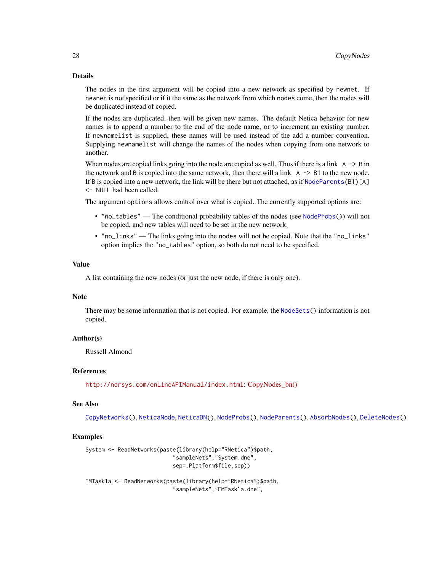#### Details

The nodes in the first argument will be copied into a new network as specified by newnet. If newnet is not specified or if it the same as the network from which nodes come, then the nodes will be duplicated instead of copied.

If the nodes are duplicated, then will be given new names. The default Netica behavior for new names is to append a number to the end of the node name, or to increment an existing number. If newnamelist is supplied, these names will be used instead of the add a number convention. Supplying newnamelist will change the names of the nodes when copying from one network to another.

When nodes are copied links going into the node are copied as well. Thus if there is a link  $A \rightarrow B$  in the network and B is copied into the same network, then there will a link  $\land \rightarrow$  B1 to the new node. If B is copied into a new network, the link will be there but not attached, as if [NodeParents\(](#page-155-1)B1)[A] <- NULL had been called.

The argument options allows control over what is copied. The currently supported options are:

- "no\_tables" The conditional probability tables of the nodes (see [NodeProbs\(](#page-157-1))) will not be copied, and new tables will need to be set in the new network.
- "no\_links" The links going into the nodes will not be copied. Note that the "no\_links" option implies the "no\_tables" option, so both do not need to be specified.

#### Value

A list containing the new nodes (or just the new node, if there is only one).

#### Note

There may be some information that is not copied. For example, the [NodeSets\(](#page-159-1)) information is not copied.

## Author(s)

Russell Almond

# References

<http://norsys.com/onLineAPIManual/index.html>: [CopyNodes\\_bn\(\)](http://norsys.com/onLineAPIManual/functions/CopyNodes_bn.html)

#### See Also

[CopyNetworks\(](#page-25-1)), [NeticaNode](#page-106-1), [NeticaBN\(](#page-101-1)), [NodeProbs\(](#page-157-1)), [NodeParents\(](#page-155-1)), [AbsorbNodes\(](#page-10-1)), [DeleteNodes\(](#page-126-2))

#### Examples

```
System <- ReadNetworks(paste(library(help="RNetica")$path,
                           "sampleNets","System.dne",
                           sep=.Platform$file.sep))
```
EMTask1a <- ReadNetworks(paste(library(help="RNetica")\$path, "sampleNets","EMTask1a.dne",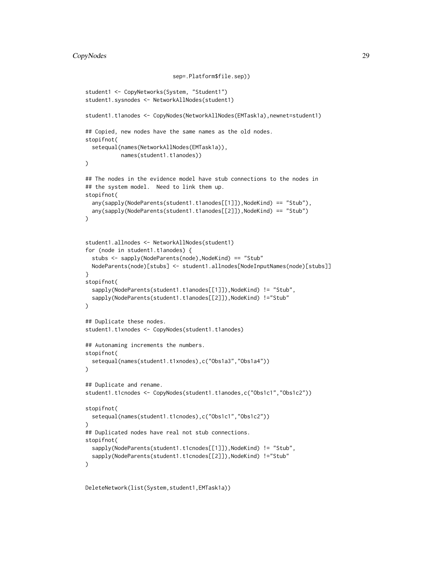```
sep=.Platform$file.sep))
student1 <- CopyNetworks(System, "Student1")
student1.sysnodes <- NetworkAllNodes(student1)
student1.t1anodes <- CopyNodes(NetworkAllNodes(EMTask1a),newnet=student1)
## Copied, new nodes have the same names as the old nodes.
stopifnot(
 setequal(names(NetworkAllNodes(EMTask1a)),
           names(student1.t1anodes))
)
## The nodes in the evidence model have stub connections to the nodes in
## the system model. Need to link them up.
stopifnot(
 any(sapply(NodeParents(student1.t1anodes[[1]]),NodeKind) == "Stub"),
 any(sapply(NodeParents(student1.t1anodes[[2]]),NodeKind) == "Stub")
)
student1.allnodes <- NetworkAllNodes(student1)
for (node in student1.t1anodes) {
 stubs <- sapply(NodeParents(node),NodeKind) == "Stub"
 NodeParents(node)[stubs] <- student1.allnodes[NodeInputNames(node)[stubs]]
}
stopifnot(
 sapply(NodeParents(student1.t1anodes[[1]]),NodeKind) != "Stub",
 sapply(NodeParents(student1.t1anodes[[2]]),NodeKind) !="Stub"
\lambda## Duplicate these nodes.
student1.t1xnodes <- CopyNodes(student1.t1anodes)
## Autonaming increments the numbers.
stopifnot(
 setequal(names(student1.t1xnodes),c("Obs1a3","Obs1a4"))
)
## Duplicate and rename.
student1.t1cnodes <- CopyNodes(student1.t1anodes,c("Obs1c1","Obs1c2"))
stopifnot(
 setequal(names(student1.t1cnodes),c("Obs1c1","Obs1c2"))
)
## Duplicated nodes have real not stub connections.
stopifnot(
 sapply(NodeParents(student1.t1cnodes[[1]]),NodeKind) != "Stub",
 sapply(NodeParents(student1.t1cnodes[[2]]),NodeKind) !="Stub"
\mathcal{L}
```
DeleteNetwork(list(System,student1,EMTask1a))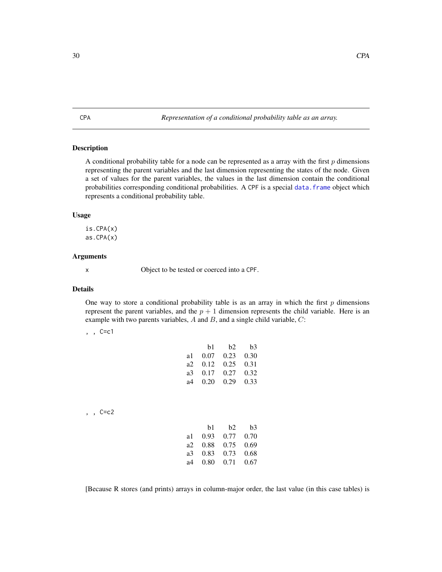<span id="page-29-1"></span><span id="page-29-0"></span>CPA *Representation of a conditional probability table as an array.*

# Description

A conditional probability table for a node can be represented as a array with the first  $p$  dimensions representing the parent variables and the last dimension representing the states of the node. Given a set of values for the parent variables, the values in the last dimension contain the conditional probabilities corresponding conditional probabilities. A CPF is a special [data.frame](#page-0-0) object which represents a conditional probability table.

#### Usage

is.CPA(x)  $as.CPA(x)$ 

#### Arguments

x Object to be tested or coerced into a CPF.

#### Details

One way to store a conditional probability table is as an array in which the first  $p$  dimensions represent the parent variables, and the  $p + 1$  dimension represents the child variable. Here is an example with two parents variables,  $A$  and  $B$ , and a single child variable,  $C$ :

# , , C=c1

|    | b1   | b2   | b <sub>3</sub> |
|----|------|------|----------------|
| a1 | 0.07 | 0.23 | 0.30           |
| a2 | 0.12 | 0.25 | 0.31           |
| a3 | 0.17 | 0.27 | 0.32           |
| а4 | 0.20 | 0.29 | 0.33           |
|    |      |      |                |

, , C=c2

|     | b1   | b2   | b3   |
|-----|------|------|------|
| a1  | 0.93 | 0.77 | 0.70 |
| a2. | 0.88 | 0.75 | 0.69 |
| a3  | 0.83 | 0.73 | 0.68 |
| а4  | 0.80 | 0.71 | 0.67 |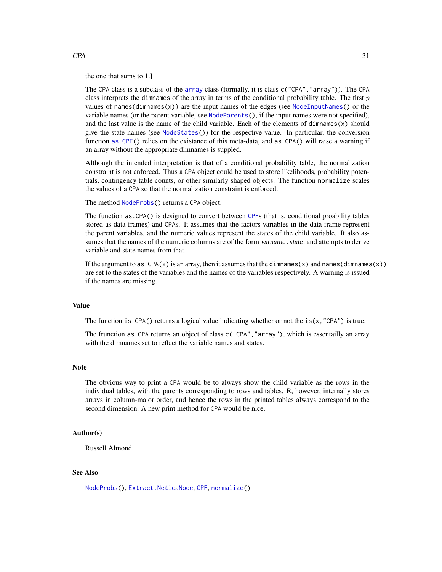#### the one that sums to 1.]

The CPA class is a subclass of the [array](#page-0-0) class (formally, it is class c("CPA","array")). The CPA class interprets the dimnames of the array in terms of the conditional probability table. The first  $p$ values of names(dimnames(x)) are the input names of the edges (see [NodeInputNames\(](#page-142-1)) or the variable names (or the parent variable, see [NodeParents\(](#page-155-1)), if the input names were not specified), and the last value is the name of the child variable. Each of the elements of dimnames $(x)$  should give the state names (see [NodeStates\(](#page-161-1))) for the respective value. In particular, the conversion function [as.CPF\(](#page-31-1)) relies on the existance of this meta-data, and as.CPA() will raise a warning if an array without the appropriate dimnames is suppled.

Although the intended interpretation is that of a conditional probability table, the normalization constraint is not enforced. Thus a CPA object could be used to store likelihoods, probability potentials, contingency table counts, or other similarly shaped objects. The function normalize scales the values of a CPA so that the normalization constraint is enforced.

The method [NodeProbs\(](#page-157-1)) returns a CPA object.

The function as.CPA() is designed to convert between [CPF](#page-31-2)s (that is, conditional proability tables stored as data frames) and CPAs. It assumes that the factors variables in the data frame represent the parent variables, and the numeric values represent the states of the child variable. It also assumes that the names of the numeric columns are of the form varname. state, and attempts to derive variable and state names from that.

If the argument to as.  $CPA(x)$  is an array, then it assumes that the dimnames(x) and names(dimnames(x)) are set to the states of the variables and the names of the variables respectively. A warning is issued if the names are missing.

# Value

The function is. CPA() returns a logical value indicating whether or not the  $is(x, "CPA")$  is true.

The frunction as.CPA returns an object of class c("CPA","array"), which is essentailly an array with the dimnames set to reflect the variable names and states.

#### **Note**

The obvious way to print a CPA would be to always show the child variable as the rows in the individual tables, with the parents corresponding to rows and tables. R, however, internally stores arrays in column-major order, and hence the rows in the printed tables always correspond to the second dimension. A new print method for CPA would be nice.

#### Author(s)

Russell Almond

#### See Also

[NodeProbs\(](#page-157-1)), [Extract.NeticaNode](#page-44-2), [CPF](#page-31-2), [normalize\(](#page-173-1))

#### $CPA$  31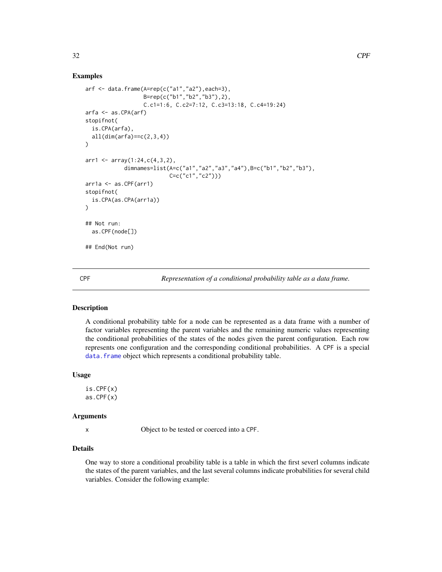#### Examples

```
arf < - data.frame(A=rep(c("a1", "a2"), each=3),B=rep(c("b1","b2","b3"),2),
                  C.c1=1:6, C.c2=7:12, C.c3=13:18, C.c4=19:24)
arfa <- as.CPA(arf)
stopifnot(
 is.CPA(arfa),
 all(dim(arfa)==c(2,3,4))
)
arr1 \leftarrow array(1:24, c(4, 3, 2),dimnames=list(A=c("a1","a2","a3","a4"),B=c("b1","b2","b3"),
                          C=c("c1","c2")))
arr1a <- as.CPF(arr1)
stopifnot(
 is.CPA(as.CPA(arr1a))
)
## Not run:
 as.CPF(node[])
## End(Not run)
```
<span id="page-31-2"></span>CPF *Representation of a conditional probability table as a data frame.*

# <span id="page-31-1"></span>**Description**

A conditional probability table for a node can be represented as a data frame with a number of factor variables representing the parent variables and the remaining numeric values representing the conditional probabilities of the states of the nodes given the parent configuration. Each row represents one configuration and the corresponding conditional probabilities. A CPF is a special data. frame object which represents a conditional probability table.

#### Usage

is.CPF(x) as.CPF(x)

# Arguments

x Object to be tested or coerced into a CPF.

# Details

One way to store a conditional proability table is a table in which the first severl columns indicate the states of the parent variables, and the last several columns indicate probabilities for several child variables. Consider the following example:

<span id="page-31-0"></span>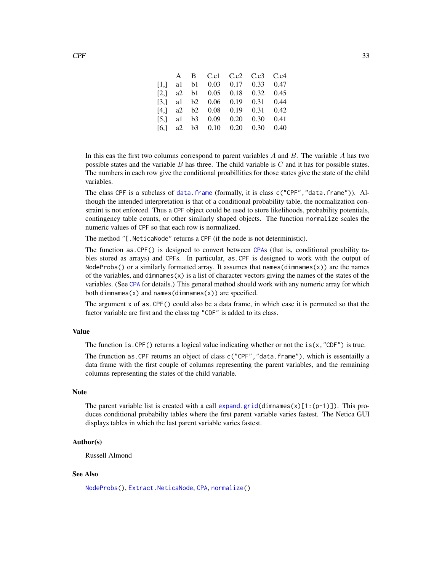|  |  | A B C.c1 C.c2 C.c3 C.c4                                        |  |
|--|--|----------------------------------------------------------------|--|
|  |  | $[1,]$ al b1 0.03 0.17 0.33 0.47                               |  |
|  |  | $[2,]$ a 2 b 1 0.05 0.18 0.32 0.45                             |  |
|  |  | $[3,]$ al b2 0.06 0.19 0.31 0.44                               |  |
|  |  | $[4,]$ a 2 b 2 0.08 0.19 0.31 0.42                             |  |
|  |  | [5,] a1 b3 $0.09$ $0.20$ $0.30$ $0.41$                         |  |
|  |  | [6,] $a2 \quad b3 \quad 0.10 \quad 0.20 \quad 0.30 \quad 0.40$ |  |
|  |  |                                                                |  |

In this cas the first two columns correspond to parent variables  $A$  and  $B$ . The variable  $A$  has two possible states and the variable  $B$  has three. The child variable is  $C$  and it has for possible states. The numbers in each row give the conditional proabillities for those states give the state of the child variables.

The class CPF is a subclass of [data.frame](#page-0-0) (formally, it is class c("CPF","data.frame")). Although the intended interpretation is that of a conditional probability table, the normalization constraint is not enforced. Thus a CPF object could be used to store likelihoods, probability potentials, contingency table counts, or other similarly shaped objects. The function normalize scales the numeric values of CPF so that each row is normalized.

The method "[.NeticaNode" returns a CPF (if the node is not deterministic).

The function as.CPF() is designed to convert between [CPA](#page-29-1)s (that is, conditional proability tables stored as arrays) and CPFs. In particular, as.CPF is designed to work with the output of NodeProbs() or a similarly formatted array. It assumes that names(dimnames(x)) are the names of the variables, and dimnames $(x)$  is a list of character vectors giving the names of the states of the variables. (See [CPA](#page-29-1) for details.) This general method should work with any numeric array for which both dimnames(x) and names(dimnames(x)) are specified.

The argument x of as.CPF() could also be a data frame, in which case it is permuted so that the factor variable are first and the class tag "CDF" is added to its class.

#### Value

The function is. CPF() returns a logical value indicating whether or not the  $is(x, "CDF")$  is true.

The frunction as. CPF returns an object of class  $c("CPF", "data-frame"), which is essentially a$ data frame with the first couple of columns representing the parent variables, and the remaining columns representing the states of the child variable.

#### Note

The parent variable list is created with a call [expand.grid\(](#page-0-0)dimnames(x)[1:(p-1)]). This produces conditional probabilty tables where the first parent variable varies fastest. The Netica GUI displays tables in which the last parent variable varies fastest.

#### Author(s)

Russell Almond

#### See Also

[NodeProbs\(](#page-157-1)), [Extract.NeticaNode](#page-44-2), [CPA](#page-29-1), [normalize\(](#page-173-1))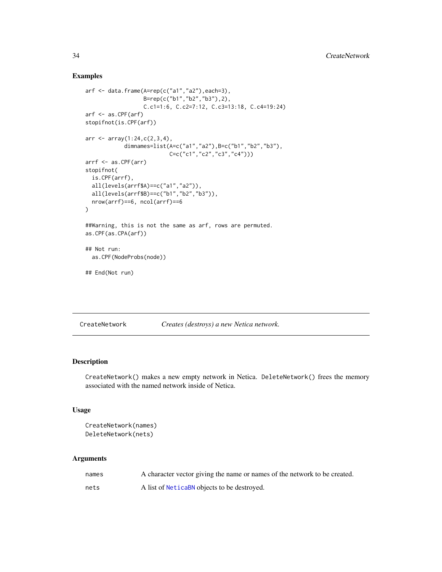#### Examples

```
arf <- data.frame(A=rep(c("a1","a2"),each=3),
                  B=rep(c("b1","b2","b3"),2),
                  C.c1=1:6, C.c2=7:12, C.c3=13:18, C.c4=19:24)
arf <- as.CPF(arf)
stopifnot(is.CPF(arf))
arr <- array(1:24,c(2,3,4),
            dimnames=list(A=c("a1","a2"),B=c("b1","b2","b3"),
                          C=c("c1","c2","c3","c4")))
arrf <- as.CPF(arr)
stopifnot(
  is.CPF(arrf),
  all(levels(arrf$A)==c("a1","a2")),
  all(levels(arrf$B)==c("b1","b2","b3")),
  nrow(arrf)==6, ncol(arrf)==6
)
##Warning, this is not the same as arf, rows are permuted.
as.CPF(as.CPA(arf))
## Not run:
  as.CPF(NodeProbs(node))
## End(Not run)
```
<span id="page-33-1"></span>CreateNetwork *Creates (destroys) a new Netica network.*

# <span id="page-33-2"></span>Description

CreateNetwork() makes a new empty network in Netica. DeleteNetwork() frees the memory associated with the named network inside of Netica.

#### Usage

```
CreateNetwork(names)
DeleteNetwork(nets)
```
#### Arguments

| names | A character vector giving the name or names of the network to be created. |
|-------|---------------------------------------------------------------------------|
| nets  | A list of <b>Netical</b> objects to be destroyed.                         |

<span id="page-33-0"></span>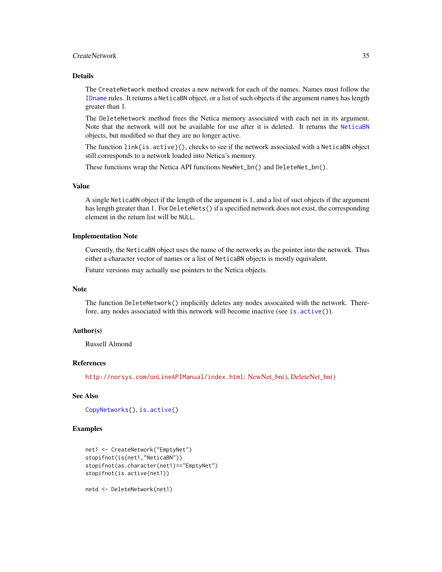# CreateNetwork 35

# **Details**

The CreateNetwork method creates a new network for each of the names. Names must follow the [IDname](#page-67-1) rules. It returns a NeticaBN object, or a list of such objects if the argument names has length greater than 1.

The DeleteNetwork method frees the Netica memory associated with each net in its argument. Note that the network will not be available for use after it is deleted. It returns the [NeticaBN](#page-101-1) objects, but modified so that they are no longer active.

The function link{is.active}(), checks to see if the network associated with a NeticaBN object still corresponds to a network loaded into Netica's memory.

These functions wrap the Netica API functions NewNet\_bn() and DeleteNet\_bn().

# Value

A single NeticaBN object if the length of the argument is 1, and a list of suct objects if the argument has length greater than 1. For DeleteNets () if a specified network does not exist, the corresponding element in the return list will be NULL.

# Implementation Note

Currently, the NeticaBN object uses the name of the networks as the pointer into the network. Thus either a character vector of names or a list of NeticaBN objects is mostly equivalent.

Future versions may actually use pointers to the Netica objects.

#### **Note**

The function DeleteNetwork() implicitly deletes any nodes assocaited with the network. Therefore, any nodes associated with this network will become inactive (see is. active()).

# Author(s)

Russell Almond

#### References

<http://norsys.com/onLineAPIManual/index.html>: [NewNet\\_bn\(\),](http://norsys.com/onLineAPIManual/functions/NewNet_bn().html) [DeleteNet\\_bn\(\)](http://norsys.com/onLineAPIManual/functions/DeleteNet_bn().html)

# See Also

```
CopyNetworks(), is.active()
```
# Examples

```
net1 <- CreateNetwork("EmptyNet")
stopifnot(is(net1,"NeticaBN"))
stopifnot(as.character(net1)=="EmptyNet")
stopifnot(is.active(net1))
```
netd <- DeleteNetwork(net1)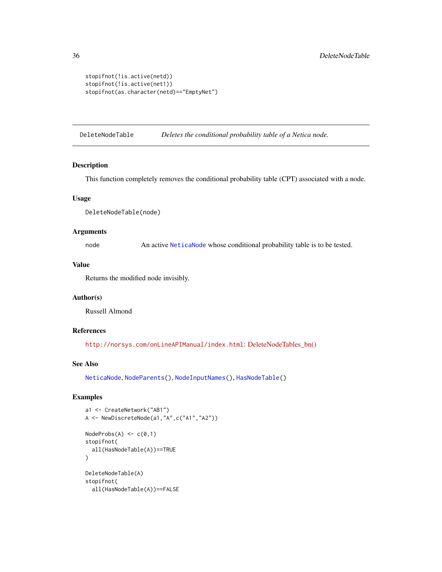```
stopifnot(!is.active(netd))
stopifnot(!is.active(net1))
stopifnot(as.character(netd)=="EmptyNet")
```
DeleteNodeTable *Deletes the conditional probability table of a Netica node.*

#### Description

This function completely removes the conditional probability table (CPT) associated with a node.

# Usage

```
DeleteNodeTable(node)
```
#### Arguments

node An active [NeticaNode](#page-106-1) whose conditional probability table is to be tested.

#### Value

Returns the modified node invisibly.

# Author(s)

Russell Almond

# References

<http://norsys.com/onLineAPIManual/index.html>: [DeleteNodeTables\\_bn\(\)](http://norsys.com/onLineAPIManual/functions/DeleteNodeTables_bn.html)

#### See Also

[NeticaNode](#page-106-1), [NodeParents\(](#page-155-1)), [NodeInputNames\(](#page-142-1)), [HasNodeTable\(](#page-66-1))

# Examples

```
a1 <- CreateNetwork("AB1")
A <- NewDiscreteNode(a1,"A",c("A1","A2"))
NodeProbs(A) < -c(0,1)stopifnot(
  all(HasNodeTable(A))==TRUE
)
DeleteNodeTable(A)
stopifnot(
  all(HasNodeTable(A))==FALSE
```
<span id="page-35-0"></span>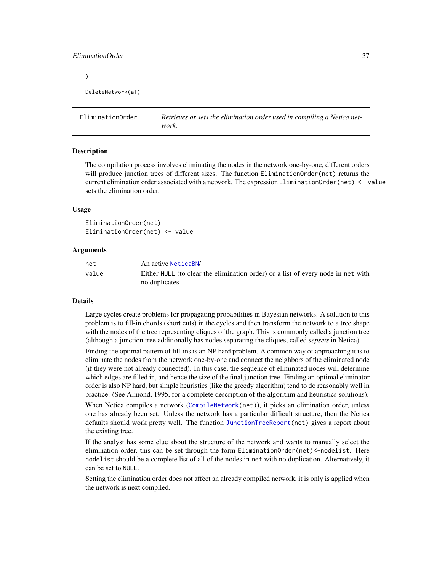# EliminationOrder 37

 $\lambda$ 

```
DeleteNetwork(a1)
```
EliminationOrder *Retrieves or sets the elimination order used in compiling a Netica network.*

#### Description

The compilation process involves eliminating the nodes in the network one-by-one, different orders will produce junction trees of different sizes. The function EliminationOrder(net) returns the current elimination order associated with a network. The expression EliminationOrder(net) <- value sets the elimination order.

### Usage

EliminationOrder(net) EliminationOrder(net) <- value

# Arguments

| net   | An active NeticaBN/                                                              |
|-------|----------------------------------------------------------------------------------|
| value | Either NULL (to clear the elimination order) or a list of every node in net with |
|       | no duplicates.                                                                   |

#### Details

Large cycles create problems for propagating probabilities in Bayesian networks. A solution to this problem is to fill-in chords (short cuts) in the cycles and then transform the network to a tree shape with the nodes of the tree representing cliques of the graph. This is commonly called a junction tree (although a junction tree additionally has nodes separating the cliques, called *sepsets* in Netica).

Finding the optimal pattern of fill-ins is an NP hard problem. A common way of approaching it is to eliminate the nodes from the network one-by-one and connect the neighbors of the eliminated node (if they were not already connected). In this case, the sequence of eliminated nodes will determine which edges are filled in, and hence the size of the final junction tree. Finding an optimal eliminator order is also NP hard, but simple heuristics (like the greedy algorithm) tend to do reasonably well in practice. (See Almond, 1995, for a complete description of the algorithm and heuristics solutions).

When Netica compiles a network ([CompileNetwork\(](#page-23-0)net)), it picks an elimination order, unless one has already been set. Unless the network has a particular difficult structure, then the Netica defaults should work pretty well. The function [JunctionTreeReport\(](#page-77-0)net) gives a report about the existing tree.

If the analyst has some clue about the structure of the network and wants to manually select the elimination order, this can be set through the form EliminationOrder(net)<-nodelist. Here nodelist should be a complete list of all of the nodes in net with no duplication. Alternatively, it can be set to NULL.

Setting the elimination order does not affect an already compiled network, it is only is applied when the network is next compiled.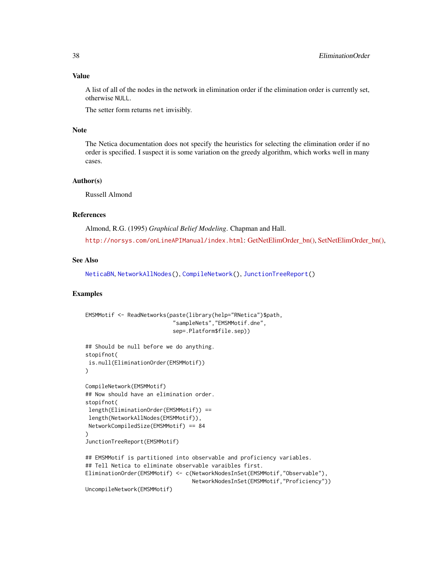## Value

A list of all of the nodes in the network in elimination order if the elimination order is currently set, otherwise NULL.

The setter form returns net invisibly.

# Note

The Netica documentation does not specify the heuristics for selecting the elimination order if no order is specified. I suspect it is some variation on the greedy algorithm, which works well in many cases.

## Author(s)

Russell Almond

# References

Almond, R.G. (1995) *Graphical Belief Modeling*. Chapman and Hall. <http://norsys.com/onLineAPIManual/index.html>: GetNetElimOrder bn(), SetNetElimOrder bn(),

## See Also

[NeticaBN](#page-101-0), [NetworkAllNodes\(](#page-110-0)), [CompileNetwork\(](#page-23-0)), [JunctionTreeReport\(](#page-77-0))

# Examples

```
EMSMMotif <- ReadNetworks(paste(library(help="RNetica")$path,
                           "sampleNets","EMSMMotif.dne",
                           sep=.Platform$file.sep))
## Should be null before we do anything.
stopifnot(
is.null(EliminationOrder(EMSMMotif))
)
CompileNetwork(EMSMMotif)
## Now should have an elimination order.
stopifnot(
length(EliminationOrder(EMSMMotif)) ==
length(NetworkAllNodes(EMSMMotif)),
NetworkCompiledSize(EMSMMotif) == 84
)
JunctionTreeReport(EMSMMotif)
## EMSMMotif is partitioned into observable and proficiency variables.
## Tell Netica to eliminate observable varaibles first.
EliminationOrder(EMSMMotif) <- c(NetworkNodesInSet(EMSMMotif,"Observable"),
                                 NetworkNodesInSet(EMSMMotif,"Proficiency"))
UncompileNetwork(EMSMMotif)
```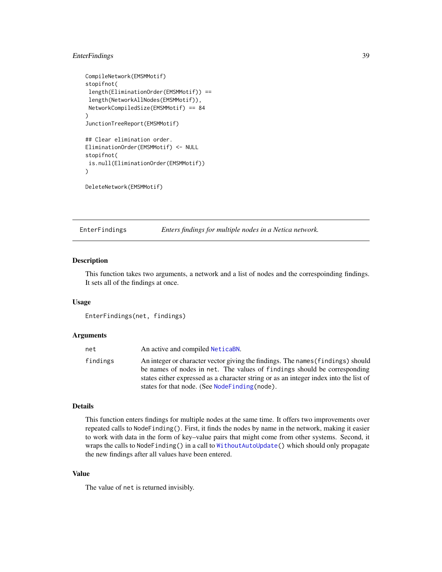# EnterFindings 39

```
CompileNetwork(EMSMMotif)
stopifnot(
length(EliminationOrder(EMSMMotif)) ==
length(NetworkAllNodes(EMSMMotif)),
NetworkCompiledSize(EMSMMotif) == 84
\mathcal{L}JunctionTreeReport(EMSMMotif)
## Clear elimination order.
EliminationOrder(EMSMMotif) <- NULL
stopifnot(
is.null(EliminationOrder(EMSMMotif))
)
```
DeleteNetwork(EMSMMotif)

<span id="page-38-0"></span>EnterFindings *Enters findings for multiple nodes in a Netica network.*

#### Description

This function takes two arguments, a network and a list of nodes and the correspoinding findings. It sets all of the findings at once.

#### Usage

```
EnterFindings(net, findings)
```
#### Arguments

| net      | An active and compiled NeticaBN.                                                                                                                                                                                                                                                                        |
|----------|---------------------------------------------------------------------------------------------------------------------------------------------------------------------------------------------------------------------------------------------------------------------------------------------------------|
| findings | An integer or character vector giving the findings. The names (findings) should<br>be names of nodes in net. The values of findings should be corresponding<br>states either expressed as a character string or as an integer index into the list of<br>states for that node. (See Node Finding (node). |

#### Details

This function enters findings for multiple nodes at the same time. It offers two improvements over repeated calls to NodeFinding(). First, it finds the nodes by name in the network, making it easier to work with data in the form of key–value pairs that might come from other systems. Second, it wraps the calls to NodeFinding() in a call to [WithoutAutoUpdate\(](#page-63-0)) which should only propagate the new findings after all values have been entered.

# Value

The value of net is returned invisibly.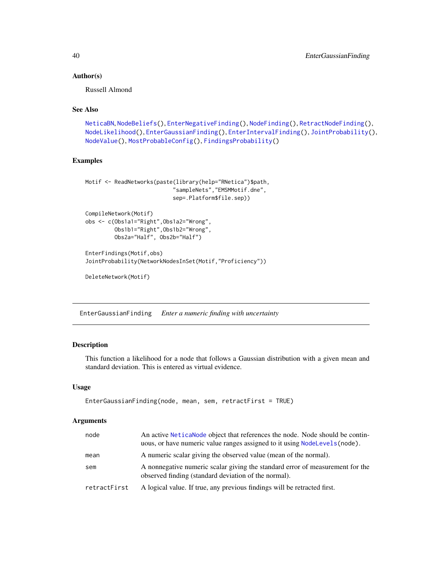## Author(s)

Russell Almond

# See Also

```
NeticaBN, NodeBeliefs(), EnterNegativeFinding(), NodeFinding(), RetractNodeFinding(),
NodeLikelihood(), EnterGaussianFinding(), EnterIntervalFinding(), JointProbability(),
NodeValue(), MostProbableConfig(), FindingsProbability()
```
# Examples

```
Motif <- ReadNetworks(paste(library(help="RNetica")$path,
                           "sampleNets","EMSMMotif.dne",
                           sep=.Platform$file.sep))
CompileNetwork(Motif)
obs <- c(Obs1a1="Right",Obs1a2="Wrong",
         Obs1b1="Right",Obs1b2="Wrong",
         Obs2a="Half", Obs2b="Half")
```

```
EnterFindings(Motif,obs)
JointProbability(NetworkNodesInSet(Motif,"Proficiency"))
```
DeleteNetwork(Motif)

<span id="page-39-0"></span>EnterGaussianFinding *Enter a numeric finding with uncertainty*

# Description

This function a likelihood for a node that follows a Gaussian distribution with a given mean and standard deviation. This is entered as virtual evidence.

#### Usage

```
EnterGaussianFinding(node, mean, sem, retractFirst = TRUE)
```
# Arguments

| node         | An active Netical Node object that references the node. Node should be contin-<br>uous, or have numeric value ranges assigned to it using NodeLevels (node). |
|--------------|--------------------------------------------------------------------------------------------------------------------------------------------------------------|
| mean         | A numeric scalar giving the observed value (mean of the normal).                                                                                             |
| sem          | A nonnegative numeric scalar giving the standard error of measurement for the<br>observed finding (standard deviation of the normal).                        |
| retractFirst | A logical value. If true, any previous findings will be retracted first.                                                                                     |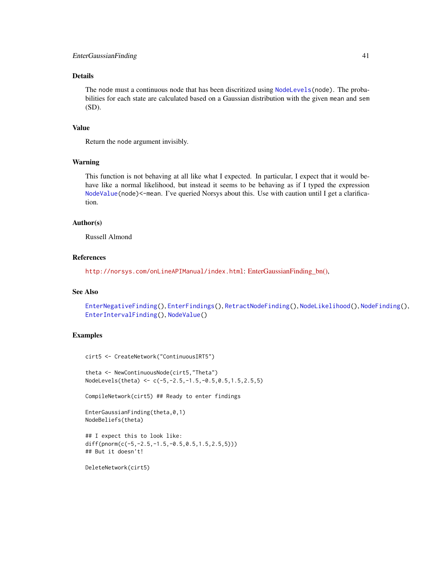# Details

The node must a continuous node that has been discritized using [NodeLevels\(](#page-146-0)node). The probabilities for each state are calculated based on a Gaussian distribution with the given mean and sem (SD).

# Value

Return the node argument invisibly.

# Warning

This function is not behaving at all like what I expected. In particular, I expect that it would behave like a normal likelihood, but instead it seems to be behaving as if I typed the expression [NodeValue\(](#page-168-0)node)<-mean. I've queried Norsys about this. Use with caution until I get a clarification.

# Author(s)

Russell Almond

# References

<http://norsys.com/onLineAPIManual/index.html>: [EnterGaussianFinding\\_bn\(\),](http://norsys.com/onLineAPIManual/functions/EnterGaussianFinding_bn.html)

## See Also

[EnterNegativeFinding\(](#page-42-0)), [EnterFindings\(](#page-38-0)), [RetractNodeFinding\(](#page-179-0)), [NodeLikelihood\(](#page-149-0)), [NodeFinding\(](#page-139-0)), [EnterIntervalFinding\(](#page-41-0)), [NodeValue\(](#page-168-0))

## Examples

cirt5 <- CreateNetwork("ContinuousIRT5")

theta <- NewContinuousNode(cirt5,"Theta") NodeLevels(theta) <- c(-5,-2.5,-1.5,-0.5,0.5,1.5,2.5,5)

CompileNetwork(cirt5) ## Ready to enter findings

```
EnterGaussianFinding(theta,0,1)
NodeBeliefs(theta)
```

```
## I expect this to look like:
diff(pnorm(c(-5,-2.5,-1.5,-0.5,0.5,1.5,2.5,5)))
## But it doesn't!
```
DeleteNetwork(cirt5)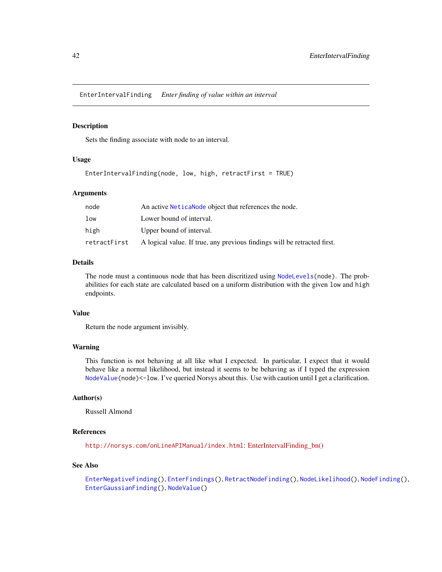<span id="page-41-0"></span>EnterIntervalFinding *Enter finding of value within an interval*

## Description

Sets the finding associate with node to an interval.

# Usage

```
EnterIntervalFinding(node, low, high, retractFirst = TRUE)
```
## Arguments

| node            | An active Netica Node object that references the node.                   |
|-----------------|--------------------------------------------------------------------------|
| 1 <sub>ow</sub> | Lower bound of interval.                                                 |
| high            | Upper bound of interval.                                                 |
| retractFirst    | A logical value. If true, any previous findings will be retracted first. |

# Details

The node must a continuous node that has been discritized using [NodeLevels\(](#page-146-0)node). The probabilities for each state are calculated based on a uniform distribution with the given low and high endpoints.

# Value

Return the node argument invisibly.

# Warning

This function is not behaving at all like what I expected. In particular, I expect that it would behave like a normal likelihood, but instead it seems to be behaving as if I typed the expression [NodeValue\(](#page-168-0)node)<-low. I've queried Norsys about this. Use with caution until I get a clarification.

# Author(s)

Russell Almond

# References

<http://norsys.com/onLineAPIManual/index.html>: [EnterIntervalFinding\\_bn\(\)](http://norsys.com/onLineAPIManual/functions/EnterIntervalFinding_bn.html)

# See Also

```
EnterNegativeFinding(), EnterFindings(), RetractNodeFinding(), NodeLikelihood(), NodeFinding(),
EnterGaussianFinding(), NodeValue()
```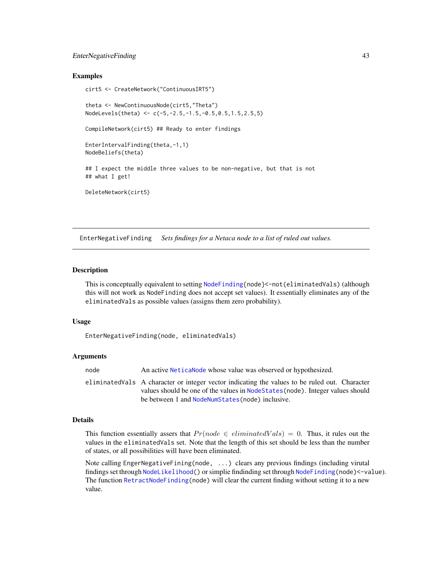# EnterNegativeFinding 43

## Examples

```
cirt5 <- CreateNetwork("ContinuousIRT5")
theta <- NewContinuousNode(cirt5,"Theta")
NodeLevels(theta) <- c(-5,-2.5,-1.5,-0.5,0.5,1.5,2.5,5)
CompileNetwork(cirt5) ## Ready to enter findings
EnterIntervalFinding(theta,-1,1)
NodeBeliefs(theta)
## I expect the middle three values to be non-negative, but that is not
## what I get!
DeleteNetwork(cirt5)
```
<span id="page-42-0"></span>EnterNegativeFinding *Sets findings for a Netaca node to a list of ruled out values.*

#### Description

This is conceptually equivalent to setting [NodeFinding{](#page-139-0)node}<-not(eliminatedVals) (although this will not work as NodeFinding does not accept set values). It essentially eliminates any of the eliminatedVals as possible values (assigns them zero probability).

# Usage

```
EnterNegativeFinding(node, eliminatedVals)
```
#### Arguments

node An active [NeticaNode](#page-106-0) whose value was observed or hypothesized. eliminatedVals A character or integer vector indicating the values to be ruled out. Character values should be one of the values in [NodeStates\(](#page-161-0)node). Integer values should be between 1 and [NodeNumStates\(](#page-161-1)node) inclusive.

## Details

This function essentially assers that  $Pr(node \in eliminated Vals) = 0$ . Thus, it rules out the values in the eliminatedVals set. Note that the length of this set should be less than the number of states, or all possibilities will have been eliminated.

Note calling EngerNegativeFining(node, ...) clears any previous findings (including virutal findings set through [NodeLikelihood\(](#page-149-0)) or simplie findinding set through [NodeFinding\(](#page-139-0)node)<-value). The function [RetractNodeFinding\(](#page-179-0)node) will clear the current finding without setting it to a new value.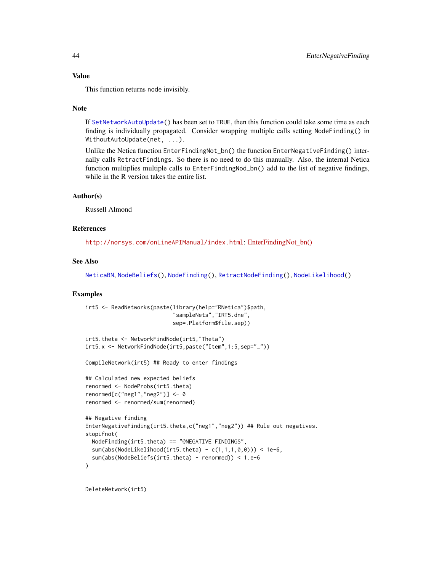#### Value

This function returns node invisibly.

#### Note

If [SetNetworkAutoUpdate\(](#page-63-0)) has been set to TRUE, then this function could take some time as each finding is individually propagated. Consider wrapping multiple calls setting NodeFinding() in WithoutAutoUpdate(net, ...).

Unlike the Netica function EnterFindingNot\_bn() the function EnterNegativeFinding() internally calls RetractFindings. So there is no need to do this manually. Also, the internal Netica function multiplies multiple calls to EnterFindingNod\_bn() add to the list of negative findings, while in the R version takes the entire list.

#### Author(s)

Russell Almond

## References

<http://norsys.com/onLineAPIManual/index.html>: [EnterFindingNot\\_bn\(\)](http://norsys.com/onLineAPIManual/functions/EnterFindingNot_bn.html)

# See Also

```
NeticaBN, NodeBeliefs(), NodeFinding(), RetractNodeFinding(), NodeLikelihood()
```
# Examples

```
irt5 <- ReadNetworks(paste(library(help="RNetica")$path,
                           "sampleNets","IRT5.dne",
                           sep=.Platform$file.sep))
irt5.theta <- NetworkFindNode(irt5,"Theta")
irt5.x <- NetworkFindNode(irt5,paste("Item",1:5,sep="_"))
CompileNetwork(irt5) ## Ready to enter findings
## Calculated new expected beliefs
renormed <- NodeProbs(irt5.theta)
renormed[c("neg1","neg2")] \leftarrow \emptysetrenormed <- renormed/sum(renormed)
## Negative finding
EnterNegativeFinding(irt5.theta,c("neg1","neg2")) ## Rule out negatives.
stopifnot(
 NodeFinding(irt5.theta) == "@NEGATIVE FINDINGS",
 sum(abs(NodeLikelihood(irt5.theta) - c(1,1,1,0,0)) < 1e-6,
 sum(abs(NodeBeliefs(irt5.theta) - renormed)) < 1.e-6
)
```
DeleteNetwork(irt5)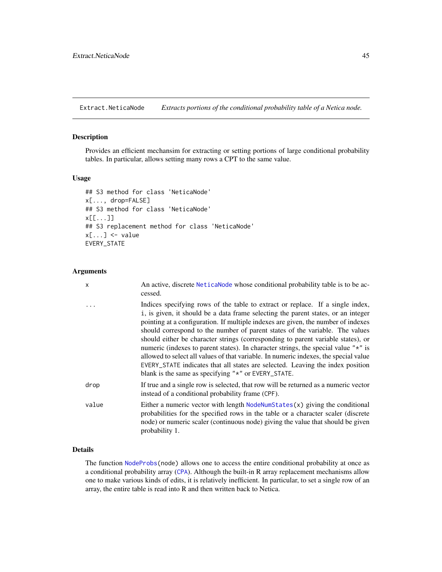Extract.NeticaNode *Extracts portions of the conditional probability table of a Netica node.*

#### Description

Provides an efficient mechansim for extracting or setting portions of large conditional probability tables. In particular, allows setting many rows a CPT to the same value.

# Usage

```
## S3 method for class 'NeticaNode'
x[..., drop=FALSE]
## S3 method for class 'NeticaNode'
x[[...]]
## S3 replacement method for class 'NeticaNode'
x[\ldots] <- value
EVERY_STATE
```
# Arguments

| $\mathsf{x}$ | An active, discrete NeticaNode whose conditional probability table is to be ac-<br>cessed.                                                                                                                                                                                                                                                                                                                                                                                                                                                                                                                                                                                                                                                                  |
|--------------|-------------------------------------------------------------------------------------------------------------------------------------------------------------------------------------------------------------------------------------------------------------------------------------------------------------------------------------------------------------------------------------------------------------------------------------------------------------------------------------------------------------------------------------------------------------------------------------------------------------------------------------------------------------------------------------------------------------------------------------------------------------|
|              | Indices specifying rows of the table to extract or replace. If a single index,<br>i, is given, it should be a data frame selecting the parent states, or an integer<br>pointing at a configuration. If multiple indexes are given, the number of indexes<br>should correspond to the number of parent states of the variable. The values<br>should either be character strings (corresponding to parent variable states), or<br>numeric (indexes to parent states). In character strings, the special value " $\star$ " is<br>allowed to select all values of that variable. In numeric indexes, the special value<br>EVERY_STATE indicates that all states are selected. Leaving the index position<br>blank is the same as specifying "*" or EVERY_STATE. |
| drop         | If true and a single row is selected, that row will be returned as a numeric vector<br>instead of a conditional probability frame (CPF).                                                                                                                                                                                                                                                                                                                                                                                                                                                                                                                                                                                                                    |
| value        | Either a numeric vector with length $N$ bode $N$ and $S(x)$ giving the conditional<br>probabilities for the specified rows in the table or a character scaler (discrete<br>node) or numeric scaler (continuous node) giving the value that should be given<br>probability 1.                                                                                                                                                                                                                                                                                                                                                                                                                                                                                |

# Details

The function [NodeProbs\(](#page-157-0)node) allows one to access the entire conditional probability at once as a conditional probability array ([CPA](#page-29-0)). Although the built-in R array replacement mechanisms allow one to make various kinds of edits, it is relatively inefficient. In particular, to set a single row of an array, the entire table is read into R and then written back to Netica.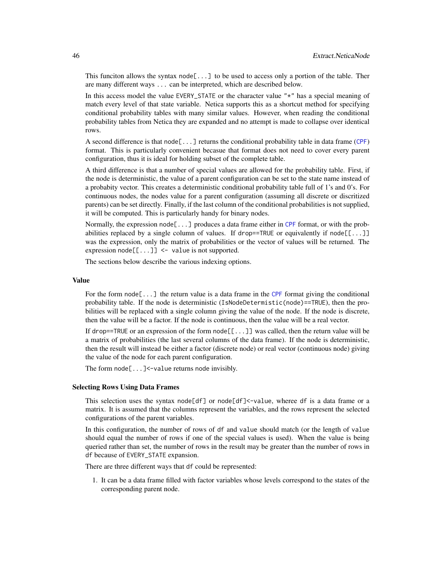This funciton allows the syntax node  $[\dots]$  to be used to access only a portion of the table. Ther are many different ways ... can be interpreted, which are described below.

In this access model the value EVERY\_STATE or the character value "\*" has a special meaning of match every level of that state variable. Netica supports this as a shortcut method for specifying conditional probability tables with many similar values. However, when reading the conditional probability tables from Netica they are expanded and no attempt is made to collapse over identical rows.

A second difference is that node[...] returns the conditional probability table in data frame ([CPF](#page-31-0)) format. This is particularly convenient becasue that format does not need to cover every parent configuration, thus it is ideal for holding subset of the complete table.

A third difference is that a number of special values are allowed for the probability table. First, if the node is deterministic, the value of a parent configuration can be set to the state name instead of a probabity vector. This creates a deterministic conditional probability table full of 1's and 0's. For continuous nodes, the nodes value for a parent configuration (assuming all discrete or discritized parents) can be set directly. Finally, if the last column of the conditional probabilities is not supplied, it will be computed. This is particularly handy for binary nodes.

Normally, the expression node[...] produces a data frame either in [CPF](#page-31-0) format, or with the probabilities replaced by a single column of values. If drop==TRUE or equivalently if node $[[...]]$ was the expression, only the matrix of probabilities or the vector of values will be returned. The expression  $node[[...]] \leq value$  is not supported.

The sections below describe the various indexing options.

#### Value

For the form  $node[\ldots]$  the return value is a data frame in the [CPF](#page-31-0) format giving the conditional probability table. If the node is deterministic (IsNodeDetermistic(node)==TRUE), then the probilities will be replaced with a single column giving the value of the node. If the node is discrete, then the value will be a factor. If the node is continuous, then the value will be a real vector.

If drop==TRUE or an expression of the form  $node[[...]]$  was called, then the return value will be a matrix of probabilities (the last several columns of the data frame). If the node is deterministic, then the result will instead be either a factor (discrete node) or real vector (continuous node) giving the value of the node for each parent configuration.

The form  $node[...]$  <-value returns node invisibly.

## Selecting Rows Using Data Frames

This selection uses the syntax node[df] or node[df]<-value, wheree df is a data frame or a matrix. It is assumed that the columns represent the variables, and the rows represent the selected configurations of the parent variables.

In this configuration, the number of rows of df and value should match (or the length of value should equal the number of rows if one of the special values is used). When the value is being queried rather than set, the number of rows in the result may be greater than the number of rows in df because of EVERY\_STATE expansion.

There are three different ways that df could be represented:

1. It can be a data frame filled with factor variables whose levels correspond to the states of the corresponding parent node.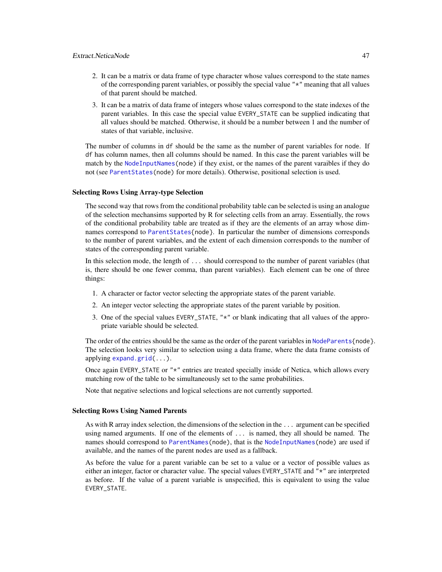- 2. It can be a matrix or data frame of type character whose values correspond to the state names of the corresponding parent variables, or possibly the special value "\*" meaning that all values of that parent should be matched.
- 3. It can be a matrix of data frame of integers whose values correspond to the state indexes of the parent variables. In this case the special value EVERY\_STATE can be supplied indicating that all values should be matched. Otherwise, it should be a number between 1 and the number of states of that variable, inclusive.

The number of columns in df should be the same as the number of parent variables for node. If df has column names, then all columns should be named. In this case the parent variables will be match by the [NodeInputNames\(](#page-142-0)node) if they exist, or the names of the parent varaibles if they do not (see [ParentStates\(](#page-175-0)node) for more details). Otherwise, positional selection is used.

#### Selecting Rows Using Array-type Selection

The second way that rows from the conditional probability table can be selected is using an analogue of the selection mechansims supported by R for selecting cells from an array. Essentially, the rows of the conditional probability table are treated as if they are the elements of an array whose dimnames correspond to [ParentStates{](#page-175-0)node}. In particular the number of dimensions corresponds to the number of parent variables, and the extent of each dimension corresponds to the number of states of the corresponding parent variable.

In this selection mode, the length of ... should correspond to the number of parent variables (that is, there should be one fewer comma, than parent variables). Each element can be one of three things:

- 1. A character or factor vector selecting the appropriate states of the parent variable.
- 2. An integer vector selecting the appropriate states of the parent variable by position.
- 3. One of the special values EVERY\_STATE, "\*" or blank indicating that all values of the appropriate variable should be selected.

The order of the entries should be the same as the order of the parent variables in [NodeParents{](#page-155-0)node}. The selection looks very similar to selection using a data frame, where the data frame consists of applying [expand.grid\(](#page-0-0)...).

Once again EVERY\_STATE or "\*" entries are treated specially inside of Netica, which allows every matching row of the table to be simultaneously set to the same probabilities.

Note that negative selections and logical selections are not currently supported.

#### Selecting Rows Using Named Parents

As with R array index selection, the dimensions of the selection in the ... argument can be specified using named arguments. If one of the elements of ... is named, they all should be named. The names should correspond to [ParentNames\(](#page-175-1)node), that is the [NodeInputNames\(](#page-142-0)node) are used if available, and the names of the parent nodes are used as a fallback.

As before the value for a parent variable can be set to a value or a vector of possible values as either an integer, factor or character value. The special values EVERY\_STATE and "\*" are interpreted as before. If the value of a parent variable is unspecified, this is equivalent to using the value EVERY\_STATE.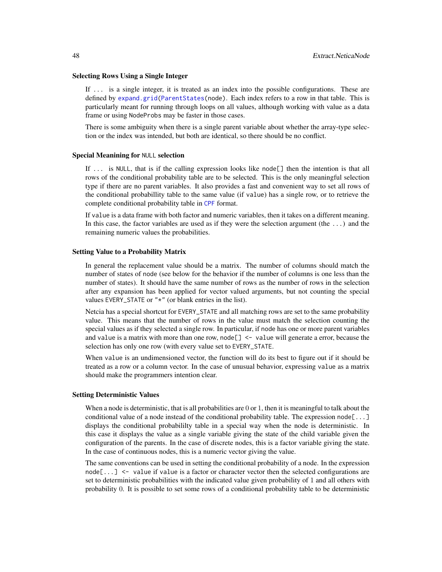#### Selecting Rows Using a Single Integer

If ... is a single integer, it is treated as an index into the possible configurations. These are defined by [expand.grid](#page-0-0)[\(ParentStates\(](#page-175-0)node). Each index refers to a row in that table. This is particularly meant for running through loops on all values, although working with value as a data frame or using NodeProbs may be faster in those cases.

There is some ambiguity when there is a single parent variable about whether the array-type selection or the index was intended, but both are identical, so there should be no conflict.

#### Special Meanining for NULL selection

If ... is NULL, that is if the calling expression looks like node[] then the intention is that all rows of the conditional probability table are to be selected. This is the only meaningful selection type if there are no parent variables. It also provides a fast and convenient way to set all rows of the conditional probabillity table to the same value (if value) has a single row, or to retrieve the complete conditional probability table in [CPF](#page-31-0) format.

If value is a data frame with both factor and numeric variables, then it takes on a different meaning. In this case, the factor variables are used as if they were the selection argument (the ...) and the remaining numeric values the probabilities.

#### Setting Value to a Probability Matrix

In general the replacement value should be a matrix. The number of columns should match the number of states of node (see below for the behavior if the number of columns is one less than the number of states). It should have the same number of rows as the number of rows in the selection after any expansion has been applied for vector valued arguments, but not counting the special values EVERY\_STATE or "\*" (or blank entries in the list).

Netcia has a special shortcut for EVERY\_STATE and all matching rows are set to the same probability value. This means that the number of rows in the value must match the selection counting the special values as if they selected a single row. In particular, if node has one or more parent variables and value is a matrix with more than one row, node[] <- value will generate a error, because the selection has only one row (with every value set to EVERY\_STATE.

When value is an undimensioned vector, the function will do its best to figure out if it should be treated as a row or a column vector. In the case of unusual behavior, expressing value as a matrix should make the programmers intention clear.

#### Setting Deterministic Values

When a node is deterministic, that is all probabilities are 0 or 1, then it is meaningful to talk about the conditional value of a node instead of the conditional probability table. The expression node[...] displays the conditional probabililty table in a special way when the node is deterministic. In this case it displays the value as a single variable giving the state of the child variable given the configuration of the parents. In the case of discrete nodes, this is a factor variable giving the state. In the case of continuous nodes, this is a numeric vector giving the value.

The same conventions can be used in setting the conditional probability of a node. In the expression node[...] <- value if value is a factor or character vector then the selected configurations are set to deterministic probabilities with the indicated value given probability of 1 and all others with probability 0. It is possible to set some rows of a conditional probability table to be deterministic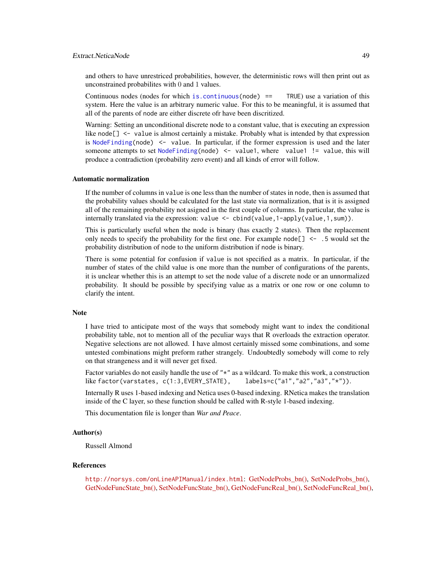# Extract.NeticaNode 49

and others to have unrestriced probabilities, however, the deterministic rows will then print out as unconstrained probabilites with 0 and 1 values.

Continuous nodes (nodes for which [is.continuous\(](#page-70-0)node)  $==$  TRUE) use a variation of this system. Here the value is an arbitrary numeric value. For this to be meaningful, it is assumed that all of the parents of node are either discrete ofr have been discritized.

Warning: Setting an unconditional discrete node to a constant value, that is executing an expression like node[] <- value is almost certainly a mistake. Probably what is intended by that expression is [NodeFinding\(](#page-139-0)node)  $\le$  value. In particular, if the former expression is used and the later someone attempts to set [NodeFinding\(](#page-139-0)node)  $\le$  value1, where value1 != value, this will produce a contradiction (probability zero event) and all kinds of error will follow.

#### Automatic normalization

If the number of columns in value is one less than the number of states in node, then is assumed that the probability values should be calculated for the last state via normalization, that is it is assigned all of the remaining probability not asigned in the first couple of columns. In particular, the value is internally translated via the expression: value <- cbind(value,1-apply(value,1,sum)).

This is particularly useful when the node is binary (has exactly 2 states). Then the replacement only needs to specify the probability for the first one. For example node $[$ ]  $\leq$  - .5 would set the probability distribution of node to the uniform distribution if node is binary.

There is some potential for confusion if value is not specified as a matrix. In particular, if the number of states of the child value is one more than the number of configurations of the parents, it is unclear whether this is an attempt to set the node value of a discrete node or an unnormalized probability. It should be possible by specifying value as a matrix or one row or one column to clarify the intent.

#### Note

I have tried to anticipate most of the ways that somebody might want to index the conditional probability table, not to mention all of the peculiar ways that R overloads the extraction operator. Negative selections are not allowed. I have almost certainly missed some combinations, and some untested combinations might preform rather strangely. Undoubtedly somebody will come to rely on that strangeness and it will never get fixed.

Factor variables do not easily handle the use of "\*" as a wildcard. To make this work, a construction like factor(varstates, c(1:3,EVERY\_STATE), labels=c("a1","a2","a3","\*")).

Internally R uses 1-based indexing and Netica uses 0-based indexing. RNetica makes the translation inside of the C layer, so these function should be called with R-style 1-based indexing.

This documentation file is longer than *War and Peace*.

## Author(s)

Russell Almond

## References

<http://norsys.com/onLineAPIManual/index.html>: [GetNodeProbs\\_bn\(\),](http://norsys.com/onLineAPIManual/functions/GetNodeProbs_bn.html) [SetNodeProbs\\_bn\(\),](http://norsys.com/onLineAPIManual/functions/SetNodeProbs_bn.html) [GetNodeFuncState\\_bn\(\),](http://norsys.com/onLineAPIManual/functions/GetNodeFuncState_bn.html) [SetNodeFuncState\\_bn\(\),](http://norsys.com/onLineAPIManual/functions/SetNodeFuncState_bn.html) [GetNodeFuncReal\\_bn\(\),](http://norsys.com/onLineAPIManual/functions/GetNodeFuncReal_bn.html) [SetNodeFuncReal\\_bn\(\),](http://norsys.com/onLineAPIManual/functions/SetNodeFuncReal_bn.html)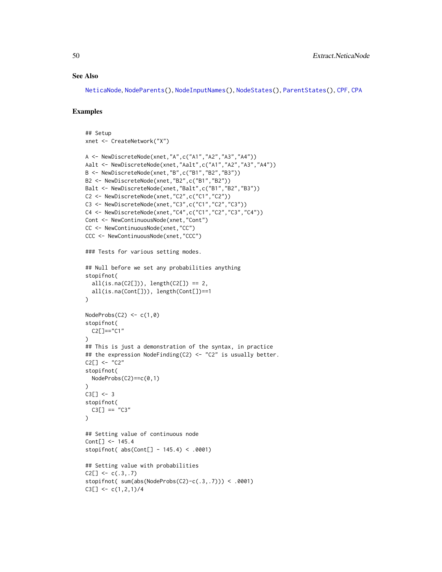## See Also

[NeticaNode](#page-106-0), [NodeParents\(](#page-155-0)), [NodeInputNames\(](#page-142-0)), [NodeStates\(](#page-161-0)), [ParentStates\(](#page-175-0)), [CPF](#page-31-0), [CPA](#page-29-0)

## Examples

```
## Setup
xnet <- CreateNetwork("X")
A <- NewDiscreteNode(xnet,"A",c("A1","A2","A3","A4"))
Aalt <- NewDiscreteNode(xnet,"Aalt",c("A1","A2","A3","A4"))
B <- NewDiscreteNode(xnet,"B",c("B1","B2","B3"))
B2 <- NewDiscreteNode(xnet,"B2",c("B1","B2"))
Balt <- NewDiscreteNode(xnet,"Balt",c("B1","B2","B3"))
C2 <- NewDiscreteNode(xnet,"C2",c("C1","C2"))
C3 <- NewDiscreteNode(xnet,"C3",c("C1","C2","C3"))
C4 <- NewDiscreteNode(xnet,"C4",c("C1","C2","C3","C4"))
Cont <- NewContinuousNode(xnet,"Cont")
CC <- NewContinuousNode(xnet,"CC")
CCC <- NewContinuousNode(xnet,"CCC")
### Tests for various setting modes.
## Null before we set any probabilities anything
stopifnot(
  all(is.na(C2[])), length(C2[]) == 2,
  all(is.na(Cont[])), length(Cont[])==1
\lambdaNodeProbs(C2) < -c(1,0)stopifnot(
  C2[]=="C1"
\lambda## This is just a demonstration of the syntax, in practice
## the expression NodeFinding(C2) <- "C2" is usually better.
C2[] < - "C2"
stopifnot(
  NodeProbs(C2)==c(0,1)
)
C3[] < -3stopifnot(
  C3[] == "C3"\mathcal{L}## Setting value of continuous node
Cont[] <- 145.4
stopifnot( abs(Cont[] - 145.4) < .0001)
## Setting value with probabilities
C2[] \leftarrow c(.3,.7)stopifnot( sum(abs(NodeProbs(C2)-c(.3,.7))) < .0001)
C3[] <- c(1,2,1)/4
```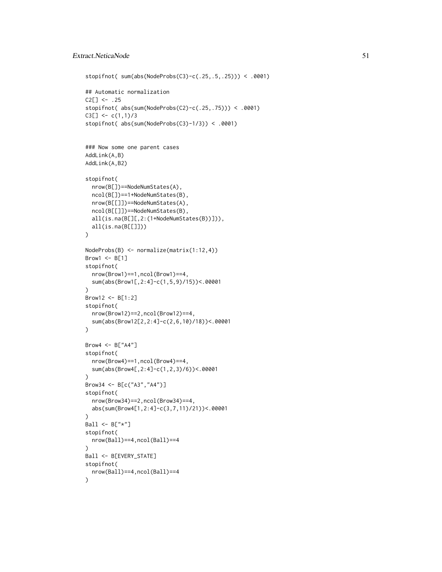# Extract.NeticaNode 51

```
stopifnot( sum(abs(NodeProbs(C3)-c(.25,.5,.25))) < .0001)
## Automatic normalization
C2[] \le - .25stopifnot( abs(sum(NodeProbs(C2)-c(.25,.75))) < .0001)
C3[] \leftarrow c(1,1)/3stopifnot( abs(sum(NodeProbs(C3)-1/3)) < .0001)
### Now some one parent cases
AddLink(A,B)
AddLink(A,B2)
stopifnot(
  nrow(B[])==NodeNumStates(A),
  ncol(B[])==1+NodeNumStates(B),
  nrow(B[[]])==NodeNumStates(A),
  ncol(B[[]])==NodeNumStates(B),
  all(is.na(B[][,2:(1+NodeNumStates(B))])),
  all(is.na(B[[]]))
)
NodeProbs(B) <- normalize(matrix(1:12,4))
Brow1 \leftarrow B[1]stopifnot(
  nrow(Brow1)==1,ncol(Brow1)==4,
  sum(abs(Brow1[,2:4]-c(1,5,9)/15))<.00001
)
Brow12 <- B[1:2]
stopifnot(
  nrow(Brow12)==2,ncol(Brow12)==4,
  sum(abs(Brow12[2,2:4]-c(2,6,10)/18))<.00001
\lambdaBrow4 \leq B["A4"]
stopifnot(
  nrow(Brow4)==1,ncol(Brow4)==4,
  sum(abs(Brow4[,2:4]-c(1,2,3)/6))<.00001
)
Brow34 <- B[c("A3","A4")]
stopifnot(
  nrow(Brow34)==2,ncol(Brow34)==4,
  abs(sum(Brow4[1,2:4]-c(3,7,11)/21))<.00001
)
Ball \leq B["\star"]
stopifnot(
  nrow(Ball)==4,ncol(Ball)==4
)
Ball <- B[EVERY_STATE]
stopifnot(
  nrow(Ball)==4,ncol(Ball)==4
)
```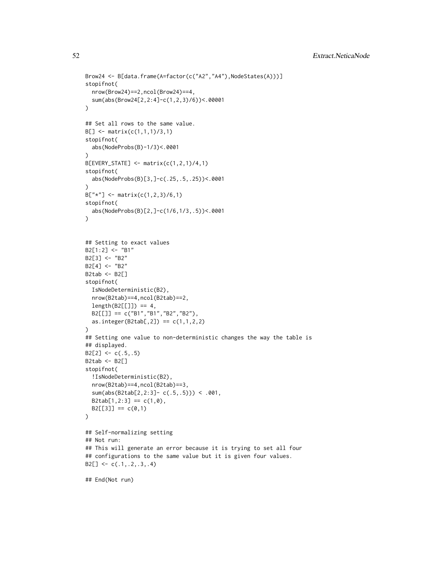```
Brow24 <- B[data.frame(A=factor(c("A2","A4"),NodeStates(A)))]
stopifnot(
  nrow(Brow24)==2,ncol(Brow24)==4,
  sum(abs(Brow24[2,2:4]-c(1,2,3)/6))<.00001
)
## Set all rows to the same value.
B[] <- matrix(c(1,1,1)/3,1)
stopifnot(
  abs(NodeProbs(B)-1/3)<.0001
)
B[EVERY_STATE] <- matrix(c(1,2,1)/4,1)
stopifnot(
  abs(NodeProbs(B)[3,]-c(.25,.5,.25))<.0001
)
B["*"] \leq max(ix(c(1,2,3)/6,1)stopifnot(
  abs(NodeProbs(B)[2,]-c(1/6,1/3,.5))<.0001
\lambda## Setting to exact values
B2[1:2] <- "B1"
B2[3] <- "B2"
B2[4] < - "B2"
B2tab <- B2[]
stopifnot(
  IsNodeDeterministic(B2),
  nrow(B2tab)==4,ncol(B2tab)==2,
  length(B2[[]]) == 4,
  B2[[]] == c("B1","B1","B2","B2"),
  as.integer(B2tab[, 2]) == c(1,1,2,2))
## Setting one value to non-deterministic changes the way the table is
## displayed.
B2[2] <- c(.5,.5)
B2tab <- B2[]
stopifnot(
  !IsNodeDeterministic(B2),
  nrow(B2tab)==4,ncol(B2tab)==3,
  sum(abs(B2tab[2,2:3]- c(.5,.5))) < .001,
  B2tab[1,2:3] == c(1,0),B2[[3]] == c(0,1))
## Self-normalizing setting
## Not run:
## This will generate an error because it is trying to set all four
## configurations to the same value but it is given four values.
B2[] \leftarrow c(.1,.2,.3,.4)
```
## End(Not run)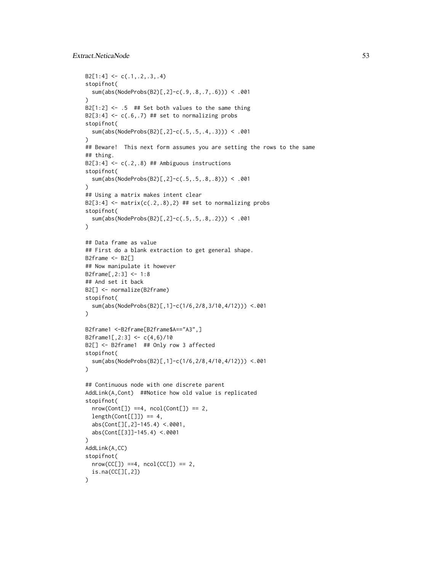# Extract.NeticaNode 53

```
B2[1:4] \leftarrow c(.1,.2,.3,.4)stopifnot(
  sum(abs(NodeProbs(B2)[,2]-c(.9,.8,.7,.6))) < .001
\lambdaB2[1:2] <- .5 ## Set both values to the same thing
B2[3:4] <- c(.6,.7) ## set to normalizing probs
stopifnot(
  sum(abs(NodeProbs(B2)[,2]-c(.5,.5,.4,.3))) < .001
\lambda## Beware! This next form assumes you are setting the rows to the same
## thing.
B2[3:4] \leftarrow c(.2,.8) ## Ambiguous instructions
stopifnot(
  sum(abs(NodeProbs(B2)[,2]-c(.5,.5,.8,.8))) < .001
)
## Using a matrix makes intent clear
B2[3:4] <- matrix(c(.2,.8),2) ## set to normalizing probs
stopifnot(
  sum(abs(NodeProbs(B2)[,2]-c(.5,.5,.8,.2))) < .001
\lambda## Data frame as value
## First do a blank extraction to get general shape.
B2frame <- B2[]
## Now manipulate it however
B2frame[,2:3] <- 1:8
## And set it back
B2[] <- normalize(B2frame)
stopifnot(
  sum(abs(NodeProbs(B2)[,1]-c(1/6,2/8,3/10,4/12))) <.001
\mathcal{L}B2frame1 <-B2frame[B2frame$A=="A3",]
B2frame1[,2:3] <- c(4,6)/10B2[] <- B2frame1 ## Only row 3 affected
stopifnot(
  sum(abs(NodeProbs(B2)[,1]-c(1/6,2/8,4/10,4/12))) <.001
)
## Continuous node with one discrete parent
AddLink(A,Cont) ##Notice how old value is replicated
stopifnot(
  nrow(Cont[]) == 4, ncol(Cont[]) == 2,length(Cont[[]]) == 4,abs(Cont[][,2]-145.4) <.0001,
  abs(Cont[[3]]-145.4) <.0001
)
AddLink(A,CC)
stopifnot(
  nrow(CC[]) == 4, ncol(CC[]) == 2,is.na(CC[][,2])
)
```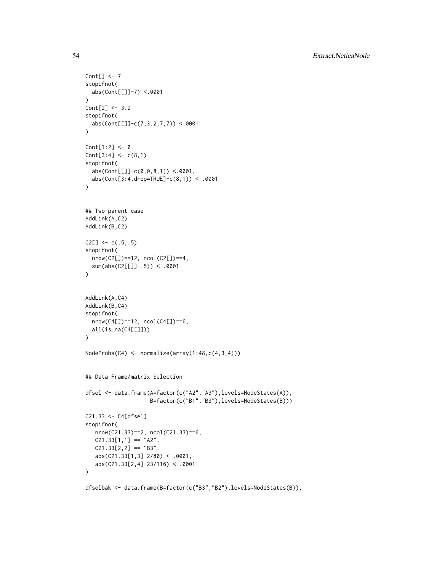```
Cont[] \leftarrow 7stopifnot(
 abs(Cont[[]]-7) <.0001
\lambdaCont[2] <- 3.2
stopifnot(
  abs(Cont[[]]-c(7,3.2,7,7)) <.0001
\mathcal{L}Cont[1:2] < -0Cont[3:4] < -c(8,1)stopifnot(
  abs(Cont[[]]-c(0,0,8,1)) <.0001,
  abs(Cont[3:4,drop=TRUE]-c(8,1)) < .0001
)
## Two parent case
AddLink(A,C2)
AddLink(B,C2)
C2[] \leftarrow c(.5,.5)stopifnot(
  nrow(C2[])==12, ncol(C2[])==4,
  sum(abs(C2[[]]-.5)) < .0001
)
AddLink(A,C4)
AddLink(B,C4)
stopifnot(
 nrow(C4[])==12, ncol(C4[])==6,
  all(is.na(C4[[]]))
\lambdaNodeProbs(C4) <- normalize(array(1:48,c(4,3,4)))
## Data Frame/matrix Selection
dfsel <- data.frame(A=factor(c("A2","A3"),levels=NodeStates(A)),
                     B=factor(c("B1","B3"),levels=NodeStates(B)))
C21.33 <- C4[dfsel]
stopifnot(
   nrow(C21.33)==2, ncol(C21.33)==6,
   C21.33[1,1] == "A2",C21.33[2,2] == "B3",abs(C21.33[1,3]-2/80) < .0001,
   abs(C21.33[2,4]-23/116) < .0001
)
```

```
dfselbak <- data.frame(B=factor(c("B3","B2"),levels=NodeStates(B)),
```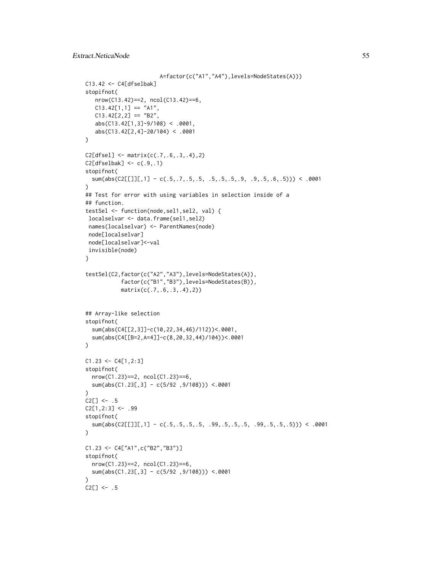```
A=factor(c("A1","A4"),levels=NodeStates(A)))
C13.42 \leftarrow C4[dfselbak]stopifnot(
  nrow(C13.42)==2, ncol(C13.42)==6,
   C13.42[1,1] == "A1",C13.42[2,2] == "B2",abs(C13.42[1,3]-9/108) < .0001,
   abs(C13.42[2,4]-20/104) < .0001
\lambdaC2[dfsel] <- matrix(c(.7,.6,.3,.4),2)
C2[dfselbak] < -c(.9,.1)stopifnot(
  sum(abs(C2[[]][,1] - c(.5,.7,.5,.5, .5,.5,.5,.9, .9,.5,.6,.5))) < .0001
)
## Test for error with using variables in selection inside of a
## function.
testSel <- function(node,sel1,sel2, val) {
localselvar <- data.frame(sel1,sel2)
 names(localselvar) <- ParentNames(node)
 node[localselvar]
 node[localselvar]<-val
invisible(node)
}
testSel(C2,factor(c("A2","A3"),levels=NodeStates(A)),
           factor(c("B1","B3"),levels=NodeStates(B)),
           matrix(c(.7,.6,.3,.4),2))
## Array-like selection
stopifnot(
  sum(abs(C4[[2,3]]-c(10,22,34,46)/112))<.0001,
  sum(abs(C4[[B=2,A=4]]-c(8,20,32,44)/104))<.0001
\lambdaC1.23 < -C4[1,2:3]stopifnot(
  nrow(C1.23)==2, ncol(C1.23)==6,
  sum(abs(C1.23[,3] - c(5/92 ,9/108))) <.0001
)
C2[] \leftarrow .5C2[1,2:3] <- .99
stopifnot(
  sum(abs(C2[[]][,1] - c(.5,.5,.5,.5, .99,.5,.5,.5, .99,.5,.5,.5))) < .0001
\lambdaC1.23 <- C4["A1",c("B2","B3")]
stopifnot(
  nrow(C1.23)==2, ncol(C1.23)==6,
  sum(abs(C1.23[,3] - c(5/92 ,9/108))) <.0001
)
C2[] \le - .5
```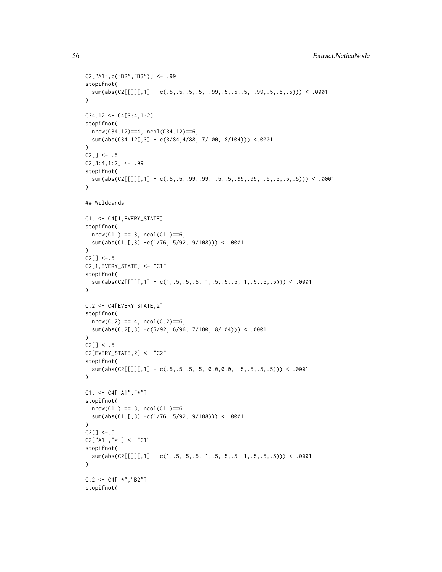```
C2["A1",c("B2","B3")] <- .99
stopifnot(
  sum(abs(C2[[]][,1] - c(.5,.5,.5,.5, .99,.5,.5,.5, .99,.5,.5,.5))) < .0001
\lambdaC34.12 < -C4[3:4,1:2]stopifnot(
  nrow(C34.12)==4, ncol(C34.12)==6,
  sum(abs(C34.12[,3] - c(3/84,4/88, 7/100, 8/104))) <.0001
\lambdaC2[] \le - .5C2[3:4,1:2] <- .99
stopifnot(
  sum(abs(C2[[]][,1] - c(.5,.5,.99,.99, .5,.5,.99,.99, .5,.5,.5,.5))) < .0001
)
## Wildcards
C1. <- C4[1,EVERY_STATE]
stopifnot(
  nrow(C1.) == 3, ncol(C1.) == 6,sum(abs(C1.[,3] -c(1/76, 5/92, 9/108))) < .0001
\lambdaC2[] < -.5C2[1,EVERY_STATE] <- "C1"
stopifnot(
  sum(abs(C2[[]][,1] - c(1,.5,.5,.5, 1,.5,.5, 1,.5,.5,.5,.5))) < .0001
)
C.2 <- C4[EVERY_STATE,2]
stopifnot(
  nrow(C.2) == 4, ncol(C.2)=5,sum(abs(C.2[,3] -c(5/92, 6/96, 7/100, 8/104)) < .0001
\lambdaC2[] < -.5C2[EVERY_STATE,2] <- "C2"
stopifnot(
  sum(abs(C2[[]][,1] - c(.5,.5,.5,.5, 0,0,0,0, .5,.5,.5,.5))) < .0001
\mathcal{L}C1. < - C4["A1","*"]
stopifnot(
  nrow(C1.) == 3, ncol(C1.) == 6,sum(abs(C1.[,3] -c(1/76, 5/92, 9/108))) < .0001
)
C2[] < -.5C2["A1","*"] <- "C1"
stopifnot(
  sum(abs(C2[[]][,1] - c(1,.5,.5,.5, 1,.5,.5,.5, 1,.5,.5,.5))) < .0001
\lambdaC.2 < - C4['' *'', ' ' B2'']stopifnot(
```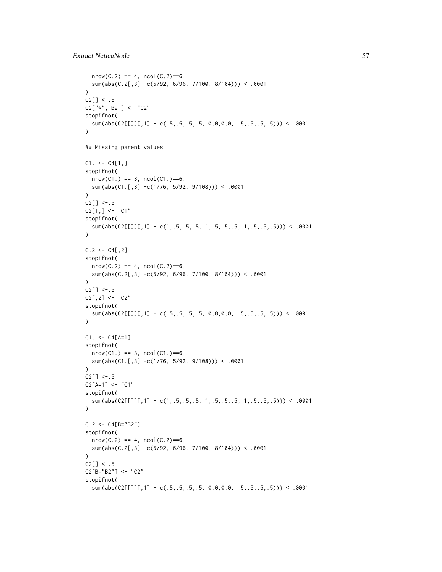```
nrow(C.2) == 4, ncol(C.2) == 6,sum(abs(C.2[,3] -c(5/92, 6/96, 7/100, 8/104))) < .0001
)
C2[] < -.5C2["*","B2"] <- "C2"
stopifnot(
  sum(abs(C2[[1][,1] - c(.5,.5,.5,.5, 0,0,0,0, .5,.5,.5,.5))) < .0001\lambda## Missing parent values
C1. < -C4[1,]stopifnot(
  nrow(C1.) == 3, ncol(C1.) == 6,sum(abs(C1.[,3] -c(1/76, 5/92, 9/108))) < .0001
)
C2[] \le -.5C2[1,] <- "C1"
stopifnot(
  sum(abs(C2[[]][,1] - c(1,.5,.5,.5, 1,.5,.5,.5, 1,.5,.5,.5))) < .0001
\lambdaC.2 < -C4[, 2]stopifnot(
  nrow(C.2) == 4, ncol(C.2)=5,sum(abs(C.2[,3] -c(5/92, 6/96, 7/100, 8/104))) < .0001
)
C2[] < -.5C2[, 2] <- "C2"
stopifnot(
  sum(abs(C2[[]][,1] - c(.5,.5,.5,.5, 0,0,0,0, .5,.5,.5,.5))) < .0001
)
C1. < -C4[A=1]stopifnot(
  nrow(C1.) == 3, ncol(C1.) == 6,sum(abs(C1.[,3] -c(1/76, 5/92, 9/108))) < .0001
\lambdaC2[] < -.5C2[A=1] <- "C1"
stopifnot(
  sum(abs(C2[[]][,1] - c(1,.5,.5,.5, 1,.5,.5,.5, 1,.5,.5,.5))) < .0001
\lambdaC.2 < - C4[Be''B2'']stopifnot(
  nrow(C.2) == 4, ncol(C.2) == 6,sum(abs(C.2[,3] -c(5/92, 6/96, 7/100, 8/104))) < .0001
\lambdaC2[] < -.5C2[B="B2"] <- "C2"
stopifnot(
  sum(abs(C2[[]][,1] - c(.5,.5,.5,.5, 0,0,0,0, .5,.5,.5,.5))) < .0001
```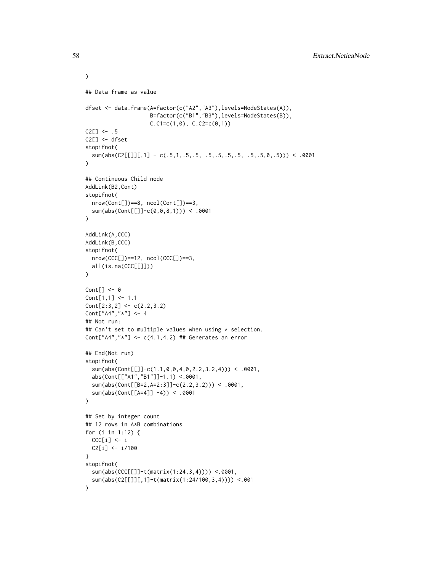```
)
## Data frame as value
dfset <- data.frame(A=factor(c("A2","A3"),levels=NodeStates(A)),
                    B=factor(c("B1","B3"),levels=NodeStates(B)),
                    C.C1=c(1,0), C.C2=c(0,1))C2[] \le - .5C2[] <- dfset
stopifnot(
  sum(abs(C2[[]][,1] - c(.5,1,.5,.5, .5,.5,.5,.5, .5,.5,0,.5))) < .0001
)
## Continuous Child node
AddLink(B2,Cont)
stopifnot(
  nrow(Cont[])==8, ncol(Cont[])==3,
  sum(abs(Cont[[]]-c(0,0,8,1))) < .0001
)
AddLink(A,CCC)
AddLink(B,CCC)
stopifnot(
  nrow(CCC[])==12, ncol(CCC[])==3,
  all(is.na(CCC[[]]))
)
Cont[] \leftarrow 0Cont[1,1] <- 1.1
Cont[2:3,2] <- c(2.2,3.2)
Cont["A4","*"] <- 4
## Not run:
## Can't set to multiple values when using * selection.
Cont["A4", "*"] <- c(4.1, 4.2) ## Generates an error
## End(Not run)
stopifnot(
  sum(abs(Cont[[]]-c(1.1,0,0,4,0,2.2,3.2,4))) < .0001,
  abs(Cont[["A1","B1"]]-1.1) <.0001,
  sum(abs(Cont[[B=2,A=2:3]]-c(2.2,3.2))) < .0001,
  sum(abs(Cont[[A=4]] -4)) < .0001
)
## Set by integer count
## 12 rows in A*B combinations
for (i in 1:12) {
  CCC[i] <- i
  C2[i] <- i/100
}
stopifnot(
  sum(abs(CCC[[]]-t(matrix(1:24,3,4)))) <.0001,
  sum(abs(C2[[]][,1]-t(matrix(1:24/100,3,4)))) <.001
\mathcal{L}
```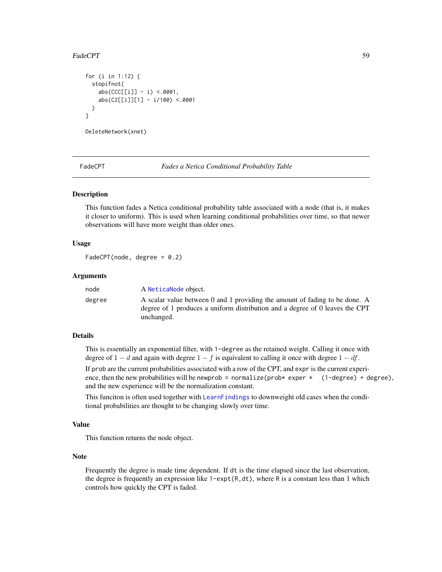## FadeCPT 59

```
for (i in 1:12) {
 stopifnot(
    abs(CCC[[i]] - i) <.0001,
    abs(C2[[i]][1] - i/100) <.0001
 )
}
DeleteNetwork(xnet)
```
FadeCPT *Fades a Netica Conditional Probability Table*

# Description

This function fades a Netica conditional probability table associated with a node (that is, it makes it closer to uniform). This is used when learning conditional probabilities over time, so that newer observations will have more weight than older ones.

#### Usage

```
FadeCPT(node, degree = 0.2)
```
#### Arguments

| node   | A NeticaNode object.                                                                                                                                                      |
|--------|---------------------------------------------------------------------------------------------------------------------------------------------------------------------------|
| degree | A scalar value between 0 and 1 providing the amount of fading to be done. A<br>degree of 1 produces a uniform distribution and a degree of 0 leaves the CPT<br>unchanged. |

## Details

This is essentially an exponential filter, with 1-degree as the retained weight. Calling it once with degree of  $1 - d$  and again with degree  $1 - f$  is equivalent to calling it once with degree  $1 - df$ .

If prob are the current probabilities associated with a row of the CPT, and expr is the current experience, then the new probabilities will be newprob = normalize(prob\* exper \*  $(1-\text{degree}) + \text{degree}$ ), and the new experience will be the normalization constant.

This funciton is often used together with [LearnFindings](#page-87-0) to downweight old cases when the conditional probabilities are thought to be changing slowly over time.

#### Value

This function returns the node object.

# Note

Frequently the degree is made time dependent. If dt is the time elapsed since the last observation, the degree is frequently an expression like  $1$ -expt(R,dt), where R is a constant less than 1 which controls how quickly the CPT is faded.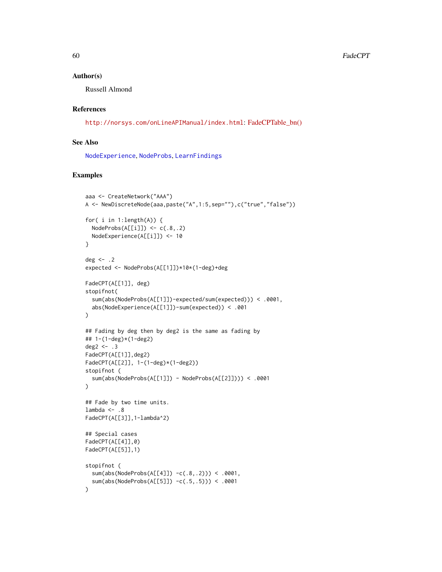#### Author(s)

Russell Almond

# References

<http://norsys.com/onLineAPIManual/index.html>: [FadeCPTable\\_bn\(\)](http://norsys.com/onLineAPIManual/functions/FadeCPTable_bn.html)

# See Also

[NodeExperience](#page-137-0), [NodeProbs](#page-157-0), [LearnFindings](#page-87-0)

# Examples

```
aaa <- CreateNetwork("AAA")
A <- NewDiscreteNode(aaa,paste("A",1:5,sep=""),c("true","false"))
for( i in 1:length(A)) {
  NodeProbs(A[[i]]) \leftarrow c(.8,.2)NodeExperience(A[[i]]) <- 10
}
deg \leq -2expected <- NodeProbs(A[[1]])*10*(1-deg)+deg
FadeCPT(A[[1]], deg)
stopifnot(
  sum(abs(NodeProbs(A[[1]])-expected/sum(expected))) < .0001,
  abs(NodeExperience(A[[1]])-sum(expected)) < .001
\mathcal{L}## Fading by deg then by deg2 is the same as fading by
## 1-(1-deg)*(1-deg2)
deg2 <-3FadeCPT(A[[1]],deg2)
FadeCPT(A[[2]], 1-(1-deg)*(1-deg2))
stopifnot (
  sum(abs(NodeProbs(A[[1]]) - NodeProbs(A[[2]]))) < .0001
)
## Fade by two time units.
lambda <-.8
FadeCPT(A[[3]],1-lambda^2)
## Special cases
FadeCPT(A[[4]],0)
FadeCPT(A[[5]],1)
stopifnot (
  sum(abs(NodeProbs(A[[4]]) -c(.8,.2))) < .0001,
  sum(abs(NodeProbs(A[[5]]) -c(.5,.5))) < .0001
)
```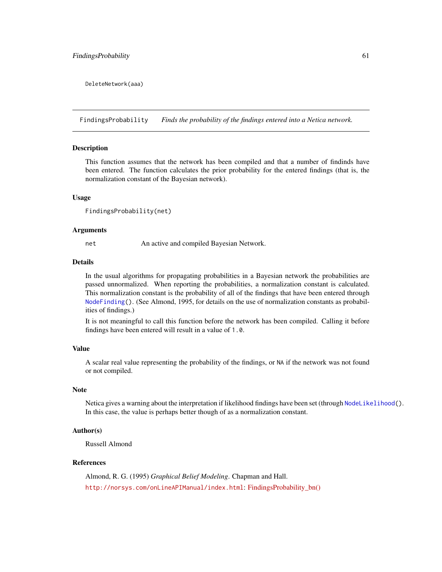DeleteNetwork(aaa)

<span id="page-60-0"></span>FindingsProbability *Finds the probability of the findings entered into a Netica network.*

## **Description**

This function assumes that the network has been compiled and that a number of findinds have been entered. The function calculates the prior probability for the entered findings (that is, the normalization constant of the Bayesian network).

#### Usage

```
FindingsProbability(net)
```
# Arguments

net An active and compiled Bayesian Network.

# Details

In the usual algorithms for propagating probabilities in a Bayesian network the probabilities are passed unnormalized. When reporting the probabilities, a normalization constant is calculated. This normalization constant is the probability of all of the findings that have been entered through [NodeFinding\(](#page-139-0)). (See Almond, 1995, for details on the use of normalization constants as probabilities of findings.)

It is not meaningful to call this function before the network has been compiled. Calling it before findings have been entered will result in a value of 1.0.

# Value

A scalar real value representing the probability of the findings, or NA if the network was not found or not compiled.

## Note

Netica gives a warning about the interpretation if likelihood findings have been set (through [NodeLikelihood\(](#page-149-0)). In this case, the value is perhaps better though of as a normalization constant.

#### Author(s)

Russell Almond

# References

Almond, R. G. (1995) *Graphical Belief Modeling*. Chapman and Hall. <http://norsys.com/onLineAPIManual/index.html>: [FindingsProbability\\_bn\(\)](http://norsys.com/onLineAPIManual/functions/FindingsProbability_bn.html)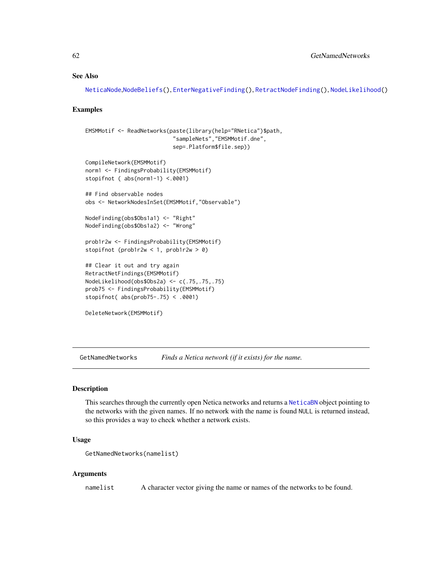## See Also

```
NeticaNode,NodeBeliefs(), EnterNegativeFinding(), RetractNodeFinding(), NodeLikelihood()
```
#### Examples

```
EMSMMotif <- ReadNetworks(paste(library(help="RNetica")$path,
                           "sampleNets","EMSMMotif.dne",
                           sep=.Platform$file.sep))
CompileNetwork(EMSMMotif)
norm1 <- FindingsProbability(EMSMMotif)
stopifnot ( abs(norm1-1) <.0001)
## Find observable nodes
obs <- NetworkNodesInSet(EMSMMotif,"Observable")
NodeFinding(obs$Obs1a1) <- "Right"
NodeFinding(obs$Obs1a2) <- "Wrong"
prob1r2w <- FindingsProbability(EMSMMotif)
stopifnot (prob1r2w < 1, prob1r2w > 0)
## Clear it out and try again
RetractNetFindings(EMSMMotif)
NodeLikelihood(obs$Obs2a) <- c(.75,.75,.75)
prob75 <- FindingsProbability(EMSMMotif)
stopifnot( abs(prob75-.75) < .0001)
DeleteNetwork(EMSMMotif)
```
<span id="page-61-0"></span>GetNamedNetworks *Finds a Netica network (if it exists) for the name.*

# **Description**

This searches through the currently open Netica networks and returns a [NeticaBN](#page-101-0) object pointing to the networks with the given names. If no network with the name is found NULL is returned instead, so this provides a way to check whether a network exists.

## Usage

```
GetNamedNetworks(namelist)
```
#### Arguments

namelist A character vector giving the name or names of the networks to be found.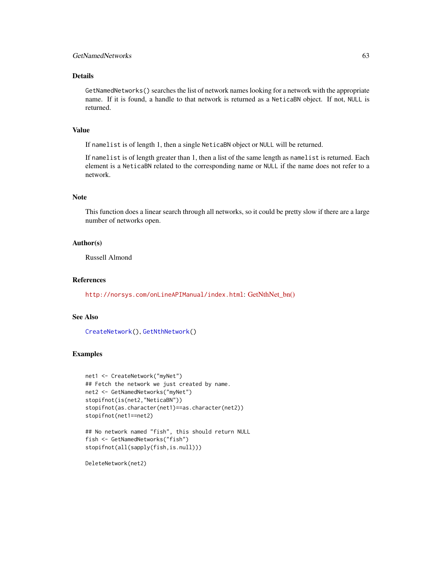# Details

GetNamedNetworks() searches the list of network names looking for a network with the appropriate name. If it is found, a handle to that network is returned as a NeticaBN object. If not, NULL is returned.

# Value

If namelist is of length 1, then a single NeticaBN object or NULL will be returned.

If namelist is of length greater than 1, then a list of the same length as namelist is returned. Each element is a NeticaBN related to the corresponding name or NULL if the name does not refer to a network.

# Note

This function does a linear search through all networks, so it could be pretty slow if there are a large number of networks open.

# Author(s)

Russell Almond

## References

<http://norsys.com/onLineAPIManual/index.html>: [GetNthNet\\_bn\(\)](http://norsys.com/onLineAPIManual/functions/GetNthNet_bn.html)

# See Also

[CreateNetwork\(](#page-33-0)), [GetNthNetwork\(](#page-64-0))

## Examples

```
net1 <- CreateNetwork("myNet")
## Fetch the network we just created by name.
net2 <- GetNamedNetworks("myNet")
stopifnot(is(net2,"NeticaBN"))
stopifnot(as.character(net1)==as.character(net2))
stopifnot(net1==net2)
```

```
## No network named "fish", this should return NULL
fish <- GetNamedNetworks("fish")
stopifnot(all(sapply(fish,is.null)))
```
DeleteNetwork(net2)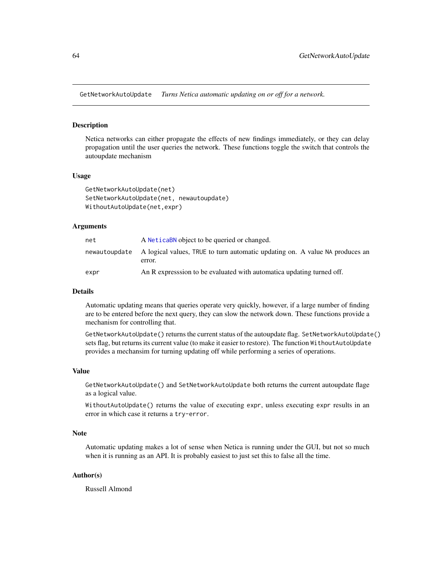GetNetworkAutoUpdate *Turns Netica automatic updating on or off for a network.*

## <span id="page-63-0"></span>Description

Netica networks can either propagate the effects of new findings immediately, or they can delay propagation until the user queries the network. These functions toggle the switch that controls the autoupdate mechanism

#### Usage

```
GetNetworkAutoUpdate(net)
SetNetworkAutoUpdate(net, newautoupdate)
WithoutAutoUpdate(net,expr)
```
# Arguments

| net  | A NeticaBN object to be queried or changed.                                                          |
|------|------------------------------------------------------------------------------------------------------|
|      | newautoupdate A logical values, TRUE to turn automatic updating on. A value NA produces an<br>error. |
| expr | An R expression to be evaluated with automatica updating turned off.                                 |

#### Details

Automatic updating means that queries operate very quickly, however, if a large number of finding are to be entered before the next query, they can slow the network down. These functions provide a mechanism for controlling that.

GetNetworkAutoUpdate() returns the current status of the autoupdate flag. SetNetworkAutoUpdate() sets flag, but returns its current value (to make it easier to restore). The function WithoutAutoUpdate provides a mechansim for turning updating off while performing a series of operations.

## Value

GetNetworkAutoUpdate() and SetNetworkAutoUpdate both returns the current autoupdate flage as a logical value.

WithoutAutoUpdate() returns the value of executing expr, unless executing expr results in an error in which case it returns a try-error.

# Note

Automatic updating makes a lot of sense when Netica is running under the GUI, but not so much when it is running as an API. It is probably easiest to just set this to false all the time.

# Author(s)

Russell Almond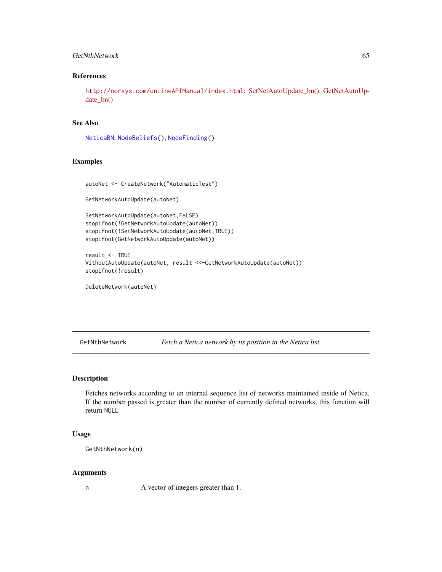# GetNthNetwork 65

# References

<http://norsys.com/onLineAPIManual/index.html>: [SetNetAutoUpdate\\_bn\(\),](http://norsys.com/onLineAPIManual/functions/SetNetAutoUpdate_bn.html) [GetNetAutoUp](http://norsys.com/onLineAPIManual/functions/GetNetAutoUpdate_bn.html)[date\\_bn\(\)](http://norsys.com/onLineAPIManual/functions/GetNetAutoUpdate_bn.html)

# See Also

[NeticaBN](#page-101-0), [NodeBeliefs\(](#page-128-0)), [NodeFinding\(](#page-139-0))

## Examples

```
autoNet <- CreateNetwork("AutomaticTest")
```
GetNetworkAutoUpdate(autoNet)

```
SetNetworkAutoUpdate(autoNet,FALSE)
stopifnot(!GetNetworkAutoUpdate(autoNet))
stopifnot(!SetNetworkAutoUpdate(autoNet,TRUE))
stopifnot(GetNetworkAutoUpdate(autoNet))
```

```
result <- TRUE
WithoutAutoUpdate(autoNet, result <<-GetNetworkAutoUpdate(autoNet))
stopifnot(!result)
```

```
DeleteNetwork(autoNet)
```
<span id="page-64-0"></span>GetNthNetwork *Fetch a Netica network by its position in the Netica list.*

# Description

Fetches networks according to an internal sequence list of networks maintained inside of Netica. If the number passed is greater than the number of currently defined networks, this function will return NULL

#### Usage

GetNthNetwork(n)

#### Arguments

n A vector of integers greater than 1.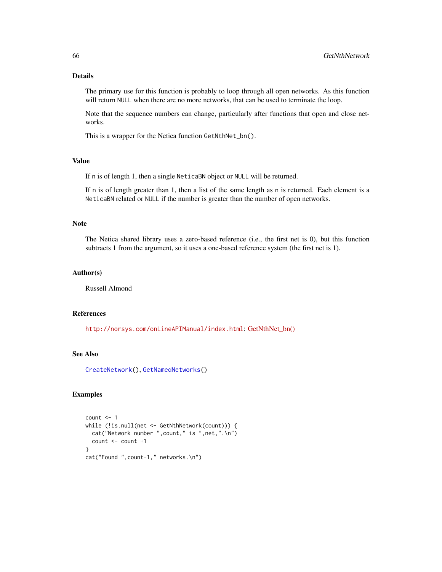# Details

The primary use for this function is probably to loop through all open networks. As this function will return NULL when there are no more networks, that can be used to terminate the loop.

Note that the sequence numbers can change, particularly after functions that open and close networks.

This is a wrapper for the Netica function GetNthNet\_bn().

# Value

If n is of length 1, then a single NeticaBN object or NULL will be returned.

If n is of length greater than 1, then a list of the same length as n is returned. Each element is a NeticaBN related or NULL if the number is greater than the number of open networks.

## Note

The Netica shared library uses a zero-based reference (i.e., the first net is 0), but this function subtracts 1 from the argument, so it uses a one-based reference system (the first net is 1).

## Author(s)

Russell Almond

# References

<http://norsys.com/onLineAPIManual/index.html>: [GetNthNet\\_bn\(\)](http://norsys.com/onLineAPIManual/functions/GetNthNet_bn.html)

# See Also

[CreateNetwork\(](#page-33-0)), [GetNamedNetworks\(](#page-61-0))

## Examples

```
count < -1while (!is.null(net <- GetNthNetwork(count))) {
 cat("Network number ",count," is ",net,".\n")
 count <- count +1
}
cat("Found ",count-1," networks.\n")
```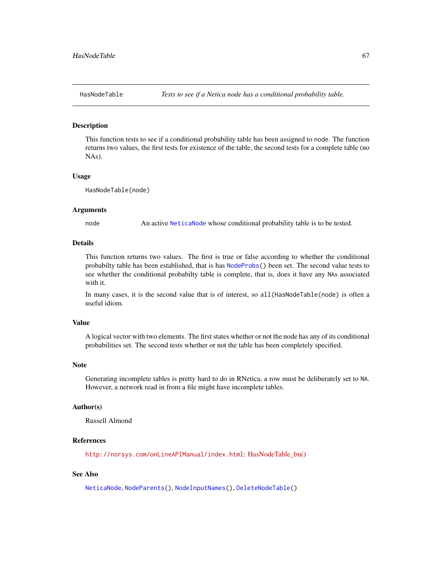#### Description

This function tests to see if a conditional probability table has been assigned to node. The function returns two values, the first tests for existence of the table, the second tests for a complete table (no NAs).

#### Usage

HasNodeTable(node)

## Arguments

node An active [NeticaNode](#page-106-0) whose conditional probability table is to be tested.

# Details

This function returns two values. The first is true or false according to whether the conditional probabilty table has been established, that is has [NodeProbs\(](#page-157-0)) been set. The second value tests to see whether the conditional probabilty table is complete, that is, does it have any NAs associated with it.

In many cases, it is the second value that is of interest, so all(HasNodeTable(node) is often a useful idiom.

# Value

A logical vector with two elements. The first states whether or not the node has any of its conditional probabilities set. The second tests whether or not the table has been completely specified.

#### Note

Generating incomplete tables is pretty hard to do in RNetica, a row must be deliberately set to NA. However, a network read in from a file might have incomplete tables.

#### Author(s)

Russell Almond

# References

<http://norsys.com/onLineAPIManual/index.html>: [HasNodeTable\\_bn\(\)](http://norsys.com/onLineAPIManual/functions/HasNodeTable_bn.html)

# See Also

[NeticaNode](#page-106-0), [NodeParents\(](#page-155-0)), [NodeInputNames\(](#page-142-0)), [DeleteNodeTable\(](#page-35-0))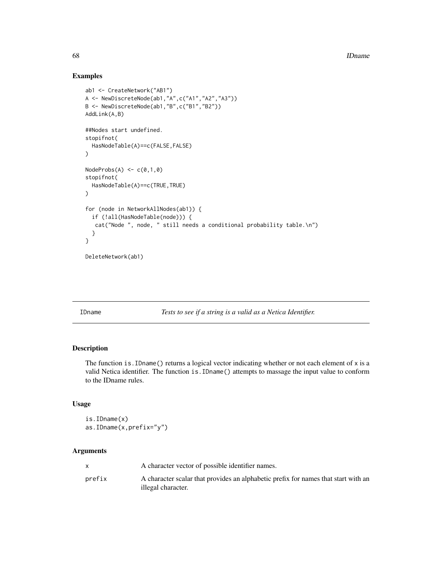# Examples

```
ab1 <- CreateNetwork("AB1")
A <- NewDiscreteNode(ab1,"A",c("A1","A2","A3"))
B <- NewDiscreteNode(ab1,"B",c("B1","B2"))
AddLink(A,B)
##Nodes start undefined.
stopifnot(
  HasNodeTable(A)==c(FALSE,FALSE)
)
NodeProbs(A) \leftarrow c(0,1,0)stopifnot(
  HasNodeTable(A)==c(TRUE,TRUE)
\mathcal{L}for (node in NetworkAllNodes(ab1)) {
  if (!all(HasNodeTable(node))) {
   cat("Node ", node, " still needs a conditional probability table.\n")
  }
}
DeleteNetwork(ab1)
```
IDname *Tests to see if a string is a valid as a Netica Identifier.*

# Description

The function is. IDname() returns a logical vector indicating whether or not each element of  $x$  is a valid Netica identifier. The function is.IDname() attempts to massage the input value to conform to the IDname rules.

## Usage

is.IDname(x) as.IDname(x,prefix="y")

# Arguments

|        | A character vector of possible identifier names.                                                         |
|--------|----------------------------------------------------------------------------------------------------------|
| prefix | A character scalar that provides an alphabetic prefix for names that start with an<br>illegal character. |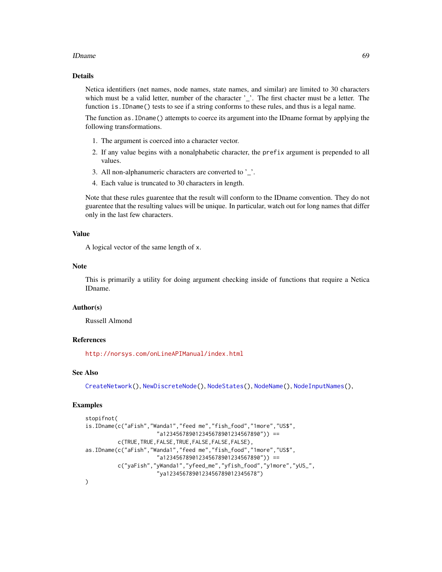#### IDname 69

# Details

Netica identifiers (net names, node names, state names, and similar) are limited to 30 characters which must be a valid letter, number of the character '\_'. The first chacter must be a letter. The function is.IDname() tests to see if a string conforms to these rules, and thus is a legal name.

The function as.IDname() attempts to coerce its argument into the IDname format by applying the following transformations.

- 1. The argument is coerced into a character vector.
- 2. If any value begins with a nonalphabetic character, the prefix argument is prepended to all values.
- 3. All non-alphanumeric characters are converted to '\_'.
- 4. Each value is truncated to 30 characters in length.

Note that these rules guarentee that the result will conform to the IDname convention. They do not guarentee that the resulting values will be unique. In particular, watch out for long names that differ only in the last few characters.

# Value

A logical vector of the same length of x.

# Note

This is primarily a utility for doing argument checking inside of functions that require a Netica IDname.

# Author(s)

Russell Almond

# References

<http://norsys.com/onLineAPIManual/index.html>

# See Also

[CreateNetwork\(](#page-33-0)), [NewDiscreteNode\(](#page-126-0)), [NodeStates\(](#page-161-0)), [NodeName\(](#page-151-0)), [NodeInputNames\(](#page-142-0)),

## Examples

```
stopifnot(
is.IDname(c("aFish","Wanda1","feed me","fish_food","1more","US$",
                      "a123456789012345678901234567890")) ==
          c(TRUE,TRUE,FALSE,TRUE,FALSE,FALSE,FALSE),
as.IDname(c("aFish","Wanda1","feed me","fish_food","1more","US$",
                      "a123456789012345678901234567890")) ==
          c("yaFish","yWanda1","yfeed_me","yfish_food","y1more","yUS_",
                      "ya1234567890123456789012345678")
)
```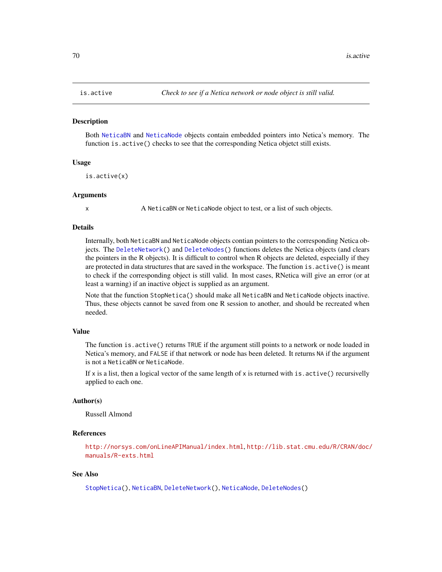#### **Description**

Both [NeticaBN](#page-101-0) and [NeticaNode](#page-106-0) objects contain embedded pointers into Netica's memory. The function is.active() checks to see that the corresponding Netica objetct still exists.

## Usage

is.active(x)

## Arguments

x A NeticaBN or NeticaNode object to test, or a list of such objects.

# Details

Internally, both NeticaBN and NeticaNode objects contian pointers to the corresponding Netica objects. The [DeleteNetwork\(](#page-33-1)) and [DeleteNodes\(](#page-126-1)) functions deletes the Netica objects (and clears the pointers in the R objects). It is difficult to control when R objects are deleted, especially if they are protected in data structures that are saved in the workspace. The function is.active() is meant to check if the corresponding object is still valid. In most cases, RNetica will give an error (or at least a warning) if an inactive object is supplied as an argument.

Note that the function StopNetica() should make all NeticaBN and NeticaNode objects inactive. Thus, these objects cannot be saved from one R session to another, and should be recreated when needed.

#### Value

The function is.active() returns TRUE if the argument still points to a network or node loaded in Netica's memory, and FALSE if that network or node has been deleted. It returns NA if the argument is not a NeticaBN or NeticaNode.

If x is a list, then a logical vector of the same length of x is returned with is.  $active()$  recursivelly applied to each one.

# Author(s)

Russell Almond

# References

<http://norsys.com/onLineAPIManual/index.html>, [http://lib.stat.cmu.edu/R/CRAN/doc/](http://lib.stat.cmu.edu/R/CRAN/doc/manuals/R-exts.html) [manuals/R-exts.html](http://lib.stat.cmu.edu/R/CRAN/doc/manuals/R-exts.html)

#### See Also

[StopNetica\(](#page-183-0)), [NeticaBN](#page-101-0), [DeleteNetwork\(](#page-33-1)), [NeticaNode](#page-106-0), [DeleteNodes\(](#page-126-1))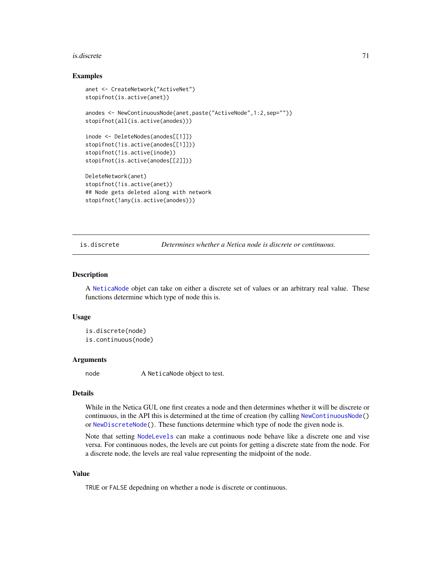#### is.discrete 71

## Examples

```
anet <- CreateNetwork("ActiveNet")
stopifnot(is.active(anet))
anodes <- NewContinuousNode(anet,paste("ActiveNode",1:2,sep=""))
stopifnot(all(is.active(anodes)))
inode <- DeleteNodes(anodes[[1]])
stopifnot(!is.active(anodes[[1]]))
stopifnot(!is.active(inode))
stopifnot(is.active(anodes[[2]]))
DeleteNetwork(anet)
stopifnot(!is.active(anet))
## Node gets deleted along with network
stopifnot(!any(is.active(anodes)))
```
is.discrete *Determines whether a Netica node is discrete or continuous.*

#### <span id="page-70-0"></span>Description

A [NeticaNode](#page-106-0) objet can take on either a discrete set of values or an arbitrary real value. These functions determine which type of node this is.

## Usage

```
is.discrete(node)
is.continuous(node)
```
#### Arguments

node A NeticaNode object to test.

## Details

While in the Netica GUI, one first creates a node and then determines whether it will be discrete or continuous, in the API this is determined at the time of creation (by calling [NewContinuousNode\(](#page-126-1)) or [NewDiscreteNode\(](#page-126-0)). These functions determine which type of node the given node is.

Note that setting [NodeLevels](#page-146-0) can make a continuous node behave like a discrete one and vise versa. For continuous nodes, the levels are cut points for getting a discrete state from the node. For a discrete node, the levels are real value representing the midpoint of the node.

# Value

TRUE or FALSE depedning on whether a node is discrete or continuous.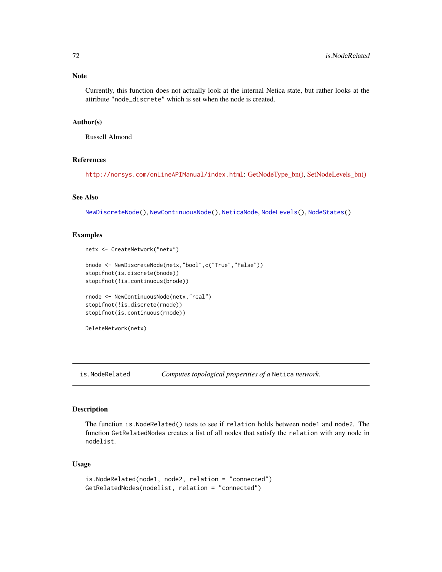Currently, this function does not actually look at the internal Netica state, but rather looks at the attribute "node\_discrete" which is set when the node is created.

#### Author(s)

Russell Almond

# References

<http://norsys.com/onLineAPIManual/index.html>: [GetNodeType\\_bn\(\),](http://norsys.com/onLineAPIManual/functions/GetNodeType_bn.html) [SetNodeLevels\\_bn\(\)](http://norsys.com/onLineAPIManual/functions/SetNodeLevels_bn.html)

## See Also

[NewDiscreteNode\(](#page-126-0)), [NewContinuousNode\(](#page-126-1)), [NeticaNode](#page-106-0), [NodeLevels\(](#page-146-0)), [NodeStates\(](#page-161-0))

# Examples

```
netx <- CreateNetwork("netx")
bnode <- NewDiscreteNode(netx,"bool",c("True","False"))
stopifnot(is.discrete(bnode))
stopifnot(!is.continuous(bnode))
rnode <- NewContinuousNode(netx,"real")
stopifnot(!is.discrete(rnode))
stopifnot(is.continuous(rnode))
DeleteNetwork(netx)
```
is.NodeRelated *Computes topological properities of a* Netica *network.*

# Description

The function is.NodeRelated() tests to see if relation holds between node1 and node2. The function GetRelatedNodes creates a list of all nodes that satisfy the relation with any node in nodelist.

# Usage

```
is.NodeRelated(node1, node2, relation = "connected")
GetRelatedNodes(nodelist, relation = "connected")
```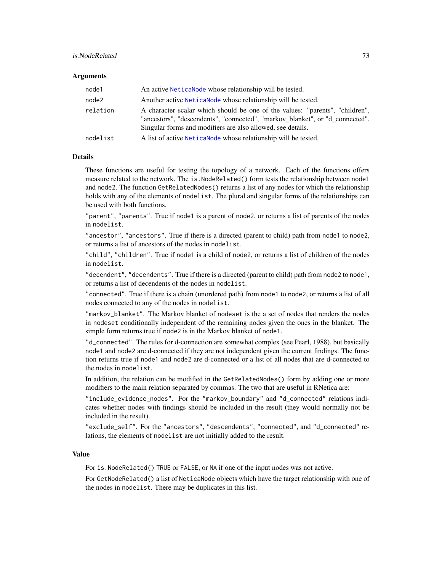# is.NodeRelated 73

## **Arguments**

| node1    | An active Netica Node whose relationship will be tested.                                                                                                                                                                    |
|----------|-----------------------------------------------------------------------------------------------------------------------------------------------------------------------------------------------------------------------------|
| node2    | Another active NeticaNode whose relationship will be tested.                                                                                                                                                                |
| relation | A character scalar which should be one of the values: "parents", "children",<br>"ancestors", "descendents", "connected", "markov blanket", or "d connected".<br>Singular forms and modifiers are also allowed, see details. |
| nodelist | A list of active Netica Node whose relationship will be tested.                                                                                                                                                             |

## Details

These functions are useful for testing the topology of a network. Each of the functions offers measure related to the network. The is. NodeRelated() form tests the relationship between node1 and node2. The function GetRelatedNodes() returns a list of any nodes for which the relationship holds with any of the elements of nodelist. The plural and singular forms of the relationships can be used with both functions.

"parent", "parents". True if node1 is a parent of node2, or returns a list of parents of the nodes in nodelist.

"ancestor", "ancestors". True if there is a directed (parent to child) path from node1 to node2, or returns a list of ancestors of the nodes in nodelist.

"child", "children". True if node1 is a child of node2, or returns a list of children of the nodes in nodelist.

"decendent", "decendents". True if there is a directed (parent to child) path from node2 to node1, or returns a list of decendents of the nodes in nodelist.

"connected". True if there is a chain (unordered path) from node1 to node2, or returns a list of all nodes connected to any of the nodes in nodelist.

"markov\_blanket". The Markov blanket of nodeset is the a set of nodes that renders the nodes in nodeset conditionally independent of the remaining nodes given the ones in the blanket. The simple form returns true if node2 is in the Markov blanket of node1.

"d\_connected". The rules for d-connection are somewhat complex (see Pearl, 1988), but basically node1 and node2 are d-connected if they are not independent given the current findings. The function returns true if node1 and node2 are d-connected or a list of all nodes that are d-connected to the nodes in nodelist.

In addition, the relation can be modified in the GetRelatedNodes() form by adding one or more modifiers to the main relation separated by commas. The two that are useful in RNetica are:

"include\_evidence\_nodes". For the "markov\_boundary" and "d\_connected" relations indicates whether nodes with findings should be included in the result (they would normally not be included in the result).

"exclude\_self". For the "ancestors", "descendents", "connected", and "d\_connected" relations, the elements of nodelist are not initially added to the result.

## Value

For is.NodeRelated() TRUE or FALSE, or NA if one of the input nodes was not active.

For GetNodeRelated() a list of NeticaNode objects which have the target relationship with one of the nodes in nodelist. There may be duplicates in this list.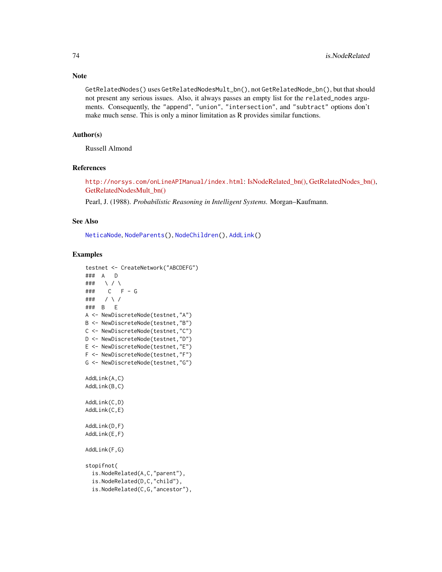GetRelatedNodes() uses GetRelatedNodesMult\_bn(), not GetRelatedNode\_bn(), but that should not present any serious issues. Also, it always passes an empty list for the related\_nodes arguments. Consequently, the "append", "union", "intersection", and "subtract" options don't make much sense. This is only a minor limitation as R provides similar functions.

# Author(s)

Russell Almond

## References

<http://norsys.com/onLineAPIManual/index.html>: [IsNodeRelated\\_bn\(\),](http://norsys.com/onLineAPIManual/functions/IsNodeRelated_bn.html) [GetRelatedNodes\\_bn\(\),](http://norsys.com/onLineAPIManual/functions/GetRelatedNodes_bn.html) [GetRelatedNodesMult\\_bn\(\)](http://norsys.com/onLineAPIManual/functions/GetRelatedNodesMult_bn.html)

Pearl, J. (1988). *Probabilistic Reasoning in Intelligent Systems.* Morgan–Kaufmann.

## See Also

[NeticaNode](#page-106-0), [NodeParents\(](#page-155-0)), [NodeChildren\(](#page-130-0)), [AddLink\(](#page-12-0))

```
testnet <- CreateNetwork("ABCDEFG")
### A D
### \ / \
### C F - G
### / \ /
### B E
A <- NewDiscreteNode(testnet,"A")
B <- NewDiscreteNode(testnet,"B")
C <- NewDiscreteNode(testnet,"C")
D <- NewDiscreteNode(testnet,"D")
E <- NewDiscreteNode(testnet,"E")
F <- NewDiscreteNode(testnet,"F")
G <- NewDiscreteNode(testnet,"G")
AddLink(A,C)
AddLink(B,C)
AddLink(C,D)
AddLink(C,E)
AddLink(D,F)
AddLink(E,F)
AddLink(F,G)
stopifnot(
 is.NodeRelated(A,C,"parent"),
 is.NodeRelated(D,C,"child"),
 is.NodeRelated(C,G,"ancestor"),
```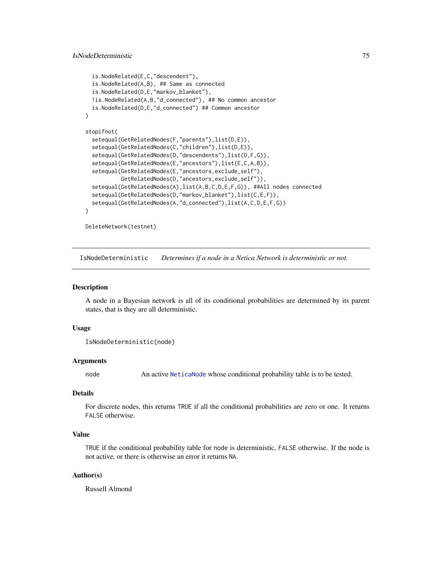```
is.NodeRelated(E,C,"descendent"),
 is.NodeRelated(A,B), ## Same as connected
 is.NodeRelated(D,E,"markov_blanket"),
 !is.NodeRelated(A,B,"d_connected"), ## No common ancestor
 is.NodeRelated(D,E,"d_connected") ## Common ancestor
)
stopifnot(
 setequal(GetRelatedNodes(F,"parents"),list(D,E)),
 setequal(GetRelatedNodes(C,"children"),list(D,E)),
 setequal(GetRelatedNodes(D,"descendents"),list(D,F,G)),
 setequal(GetRelatedNodes(E,"ancestors"),list(E,C,A,B)),
  setequal(GetRelatedNodes(E,"ancestors,exclude_self"),
           GetRelatedNodes(D,"ancestors,exclude_self")),
 setequal(GetRelatedNodes(A),list(A,B,C,D,E,F,G)), ##All nodes connected
 setequal(GetRelatedNodes(D,"markov_blanket"),list(C,E,F)),
 setequal(GetRelatedNodes(A,"d_connected"),list(A,C,D,E,F,G))
)
```
DeleteNetwork(testnet)

IsNodeDeterministic *Determines if a node in a Netica Network is deterministic or not.*

## Description

A node in a Bayesian network is all of its conditional probabilities are determined by its parent states, that is they are all deterministic.

# Usage

```
IsNodeDeterministic(node)
```
## Arguments

node An active [NeticaNode](#page-106-0) whose conditional probability table is to be tested.

# Details

For discrete nodes, this returns TRUE if all the conditional probabilities are zero or one. It returns FALSE otherwise.

## Value

TRUE if the conditional probability table for node is deterministic, FALSE otherwise. If the node is not active, or there is otherwise an error it returns NA.

# Author(s)

Russell Almond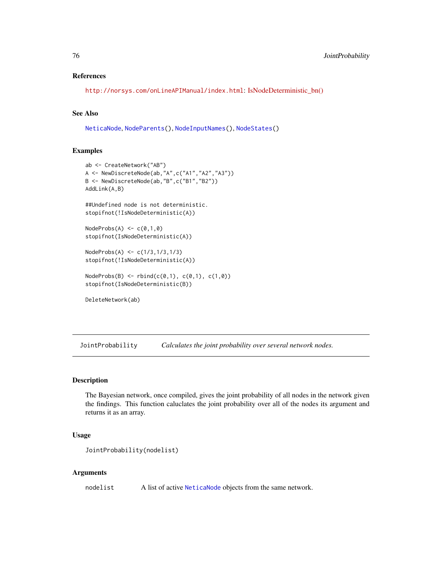# References

<http://norsys.com/onLineAPIManual/index.html>: [IsNodeDeterministic\\_bn\(\)](http://norsys.com/onLineAPIManual/functions/IsNodeDeterministic_bn.html)

# See Also

[NeticaNode](#page-106-0), [NodeParents\(](#page-155-0)), [NodeInputNames\(](#page-142-0)), [NodeStates\(](#page-161-0))

# Examples

```
ab <- CreateNetwork("AB")
A <- NewDiscreteNode(ab,"A",c("A1","A2","A3"))
B <- NewDiscreteNode(ab,"B",c("B1","B2"))
AddLink(A,B)
##Undefined node is not deterministic.
stopifnot(!IsNodeDeterministic(A))
NodeProbs(A) < -c(0,1,0)stopifnot(IsNodeDeterministic(A))
NodeProbs(A) <- c(1/3,1/3,1/3)
stopifnot(!IsNodeDeterministic(A))
NodeProbs(B) \leq rbind(c(0,1), c(0,1), c(1,0))stopifnot(IsNodeDeterministic(B))
DeleteNetwork(ab)
```
<span id="page-75-0"></span>JointProbability *Calculates the joint probability over several network nodes.*

# Description

The Bayesian network, once compiled, gives the joint probability of all nodes in the network given the findings. This function caluclates the joint probability over all of the nodes its argument and returns it as an array.

# Usage

```
JointProbability(nodelist)
```
## Arguments

nodelist A list of active [NeticaNode](#page-106-0) objects from the same network.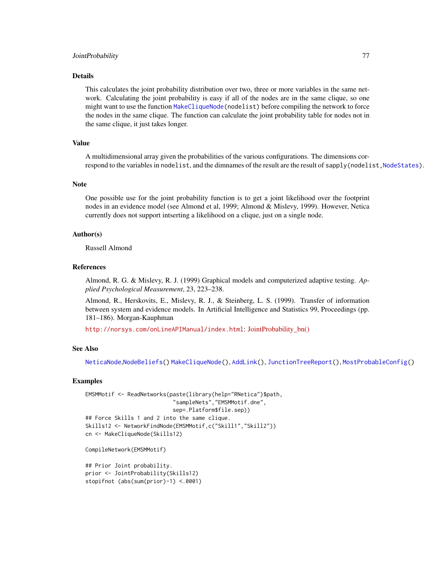## JointProbability 77

## Details

This calculates the joint probability distribution over two, three or more variables in the same network. Calculating the joint probability is easy if all of the nodes are in the same clique, so one might want to use the function [MakeCliqueNode\(](#page-89-0)nodelist) before compiling the network to force the nodes in the same clique. The function can calculate the joint probability table for nodes not in the same clique, it just takes longer.

# Value

A multidimensional array given the probabilities of the various configurations. The dimensions correspond to the variables in nodelist, and the dimnames of the result are the result of sapply(nodelist, NodeStates).

#### Note

One possible use for the joint probability function is to get a joint likelihood over the footprint nodes in an evidence model (see Almond et al, 1999; Almond & Mislevy, 1999). However, Netica currently does not support intserting a likelihood on a clique, just on a single node.

# Author(s)

Russell Almond

## References

Almond, R. G. & Mislevy, R. J. (1999) Graphical models and computerized adaptive testing. *Applied Psychological Measurement*, 23, 223–238.

Almond, R., Herskovits, E., Mislevy, R. J., & Steinberg, L. S. (1999). Transfer of information between system and evidence models. In Artificial Intelligence and Statistics 99, Proceedings (pp. 181–186). Morgan-Kauphman

<http://norsys.com/onLineAPIManual/index.html>: [JointProbability\\_bn\(\)](http://norsys.com/onLineAPIManual/functions/JointProbability_bn.html)

# See Also

[NeticaNode](#page-106-0),[NodeBeliefs\(](#page-128-0)) [MakeCliqueNode\(](#page-89-0)), [AddLink\(](#page-12-0)), [JunctionTreeReport\(](#page-77-0)), [MostProbableConfig\(](#page-97-0))

```
EMSMMotif <- ReadNetworks(paste(library(help="RNetica")$path,
                           "sampleNets","EMSMMotif.dne",
                           sep=.Platform$file.sep))
## Force Skills 1 and 2 into the same clique.
Skills12 <- NetworkFindNode(EMSMMotif,c("Skill1","Skill2"))
cn <- MakeCliqueNode(Skills12)
```

```
CompileNetwork(EMSMMotif)
```

```
## Prior Joint probability.
prior <- JointProbability(Skills12)
stopifnot (abs(sum(prior)-1) <.0001)
```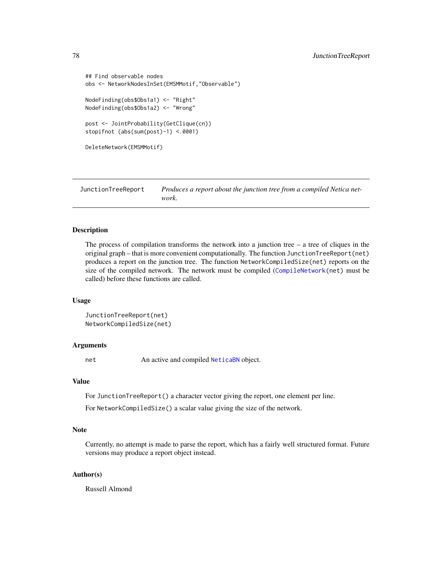```
## Find observable nodes
obs <- NetworkNodesInSet(EMSMMotif,"Observable")
NodeFinding(obs$Obs1a1) <- "Right"
NodeFinding(obs$Obs1a2) <- "Wrong"
post <- JointProbability(GetClique(cn))
stopifnot (abs(sum(post)-1) <.0001)
DeleteNetwork(EMSMMotif)
```
<span id="page-77-0"></span>JunctionTreeReport *Produces a report about the junction tree from a compiled Netica network.*

# Description

The process of compilation transforms the network into a junction tree  $-$  a tree of cliques in the original graph – that is more convenient computationally. The function JunctionTreeReport(net) produces a report on the junction tree. The function NetworkCompiledSize(net) reports on the size of the compiled network. The network must be compiled ([CompileNetwork\(](#page-23-0)net) must be called) before these functions are called.

# Usage

```
JunctionTreeReport(net)
NetworkCompiledSize(net)
```
# Arguments

net An active and compiled [NeticaBN](#page-101-0) object.

# Value

For JunctionTreeReport() a character vector giving the report, one element per line.

For NetworkCompiledSize() a scalar value giving the size of the network.

# Note

Currently, no attempt is made to parse the report, which has a fairly well structured format. Future versions may produce a report object instead.

# Author(s)

Russell Almond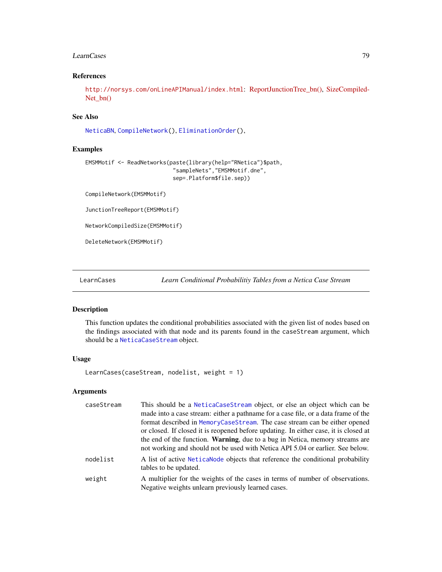## LearnCases 79

# References

<http://norsys.com/onLineAPIManual/index.html>: [ReportJunctionTree\\_bn\(\),](http://norsys.com/onLineAPIManual/functions/ReportJunctionTree_bn.html) [SizeCompiled-](http://norsys.com/onLineAPIManual/functions/SizeCompiledNet_bn.html)[Net\\_bn\(\)](http://norsys.com/onLineAPIManual/functions/SizeCompiledNet_bn.html)

# See Also

[NeticaBN](#page-101-0), [CompileNetwork\(](#page-23-0)), [EliminationOrder\(](#page-36-0)),

## Examples

```
EMSMMotif <- ReadNetworks(paste(library(help="RNetica")$path,
                           "sampleNets","EMSMMotif.dne",
                           sep=.Platform$file.sep))
```
CompileNetwork(EMSMMotif)

JunctionTreeReport(EMSMMotif)

NetworkCompiledSize(EMSMMotif)

DeleteNetwork(EMSMMotif)

<span id="page-78-0"></span>LearnCases *Learn Conditional Probabilitiy Tables from a Netica Case Stream*

# Description

This function updates the conditional probabilities associated with the given list of nodes based on the findings associated with that node and its parents found in the caseStream argument, which should be a [NeticaCaseStream](#page-103-0) object.

## Usage

LearnCases(caseStream, nodelist, weight = 1)

# Arguments

| caseStream | This should be a NeticaCaseStream object, or else an object which can be<br>made into a case stream: either a pathname for a case file, or a data frame of the<br>format described in MemoryCaseStream. The case stream can be either opened<br>or closed. If closed it is reopened before updating. In either case, it is closed at<br>the end of the function. <b>Warning</b> , due to a bug in Netica, memory streams are<br>not working and should not be used with Netica API 5.04 or earlier. See below. |
|------------|----------------------------------------------------------------------------------------------------------------------------------------------------------------------------------------------------------------------------------------------------------------------------------------------------------------------------------------------------------------------------------------------------------------------------------------------------------------------------------------------------------------|
| nodelist   | A list of active Netica Node objects that reference the conditional probability<br>tables to be updated.                                                                                                                                                                                                                                                                                                                                                                                                       |
| weight     | A multiplier for the weights of the cases in terms of number of observations.<br>Negative weights unlearn previously learned cases.                                                                                                                                                                                                                                                                                                                                                                            |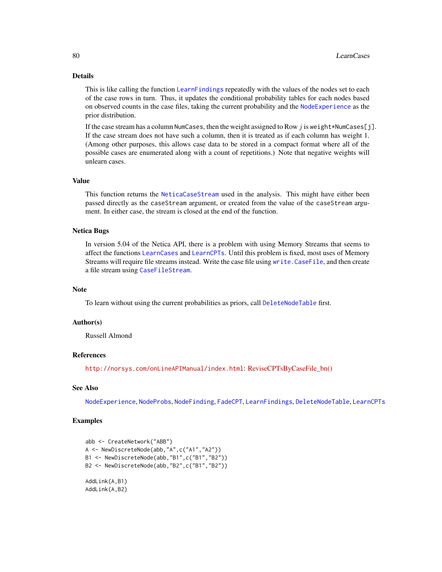## Details

This is like calling the function [LearnFindings](#page-87-0) repeatedly with the values of the nodes set to each of the case rows in turn. Thus, it updates the conditional probability tables for each nodes based on observed counts in the case files, taking the current probability and the [NodeExperience](#page-137-0) as the prior distribution.

If the case stream has a column NumCases, then the weight assigned to Row j is weight \*NumCases[j]. If the case stream does not have such a column, then it is treated as if each column has weight 1. (Among other purposes, this allows case data to be stored in a compact format where all of the possible cases are enumerated along with a count of repetitions.) Note that negative weights will unlearn cases.

# Value

This function returns the [NeticaCaseStream](#page-103-0) used in the analysis. This might have either been passed directly as the caseStream argument, or created from the value of the caseStream argument. In either case, the stream is closed at the end of the function.

# Netica Bugs

In version 5.04 of the Netica API, there is a problem with using Memory Streams that seems to affect the functions [LearnCases](#page-78-0) and [LearnCPTs](#page-80-0). Until this problem is fixed, most uses of Memory Streams will require file streams instead. Write the case file using [write.CaseFile](#page-186-0), and then create a file stream using [CaseFileStream](#page-21-0).

### Note

To learn without using the current probabilities as priors, call [DeleteNodeTable](#page-35-0) first.

## Author(s)

Russell Almond

# References

<http://norsys.com/onLineAPIManual/index.html>: [ReviseCPTsByCaseFile\\_bn\(\)](http://norsys.com/onLineAPIManual/functions/ReviseCPTsByCaseFile_bn.html)

## See Also

[NodeExperience](#page-137-0), [NodeProbs](#page-157-0), [NodeFinding](#page-139-0), [FadeCPT](#page-58-0), [LearnFindings](#page-87-0), [DeleteNodeTable](#page-35-0), [LearnCPTs](#page-80-0)

```
abb <- CreateNetwork("ABB")
A <- NewDiscreteNode(abb,"A",c("A1","A2"))
B1 <- NewDiscreteNode(abb,"B1",c("B1","B2"))
B2 <- NewDiscreteNode(abb,"B2",c("B1","B2"))
AddLink(A,B1)
AddLink(A,B2)
```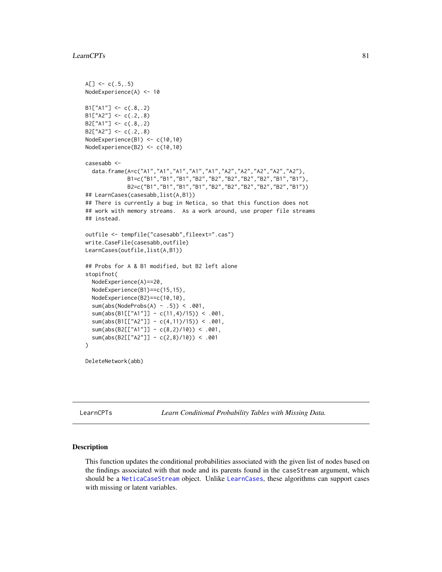```
A[\] <- c(.5,.5)
NodeExperience(A) <- 10
B1['A1"] \leftarrow c(.8,.2)B1['A2"] \leftarrow c(.2,.8)B2['A1"] \leftarrow c(.8,.2)B2['A2"] \leq C(.2,.8)NodeExperience(B1) <- c(10,10)
NodeExperience(B2) <- c(10,10)
casesabb <-
  data.frame(A=c("A1","A1","A1","A1","A1","A2","A2","A2","A2","A2"),
             B1=c("B1","B1","B1","B2","B2","B2","B2","B2","B1","B1"),
             B2=c("B1","B1","B1","B1","B2","B2","B2","B2","B2","B1"))
## LearnCases(casesabb,list(A,B1))
## There is currently a bug in Netica, so that this function does not
## work with memory streams. As a work around, use proper file streams
## instead.
outfile <- tempfile("casesabb",fileext=".cas")
write.CaseFile(casesabb,outfile)
LearnCases(outfile,list(A,B1))
## Probs for A & B1 modified, but B2 left alone
stopifnot(
  NodeExperience(A)==20,
  NodeExperience(B1)==c(15,15),
  NodeExperience(B2)==c(10,10),
  sum(abs(NodeProbs(A) - .5)) < .001,
  sum(abs(B1[["A1"]] - c(11,4)/15)) < .001,
  sum(abs(B1[["A2"]] - c(4,11)/15)) < .001,
  sum(abs(B2[["A1"]] - c(8,2)/10) < .001,
  sum(abs(B2[["A2"]] - c(2,8)/10)) < .001
\mathcal{L}DeleteNetwork(abb)
```
<span id="page-80-0"></span>LearnCPTs *Learn Conditional Probability Tables with Missing Data.*

# Description

This function updates the conditional probabilities associated with the given list of nodes based on the findings associated with that node and its parents found in the caseStream argument, which should be a [NeticaCaseStream](#page-103-0) object. Unlike [LearnCases](#page-78-0), these algorithms can support cases with missing or latent variables.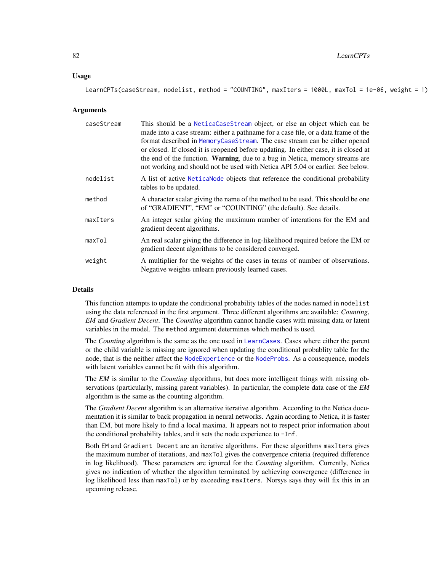## Usage

LearnCPTs(caseStream, nodelist, method = "COUNTING", maxIters = 1000L, maxTol = 1e-06, weight = 1)

#### Arguments

| caseStream | This should be a NeticaCaseStream object, or else an object which can be<br>made into a case stream: either a pathname for a case file, or a data frame of the<br>format described in MemoryCaseStream. The case stream can be either opened<br>or closed. If closed it is reopened before updating. In either case, it is closed at<br>the end of the function. Warning, due to a bug in Netica, memory streams are<br>not working and should not be used with Netica API 5.04 or earlier. See below. |
|------------|--------------------------------------------------------------------------------------------------------------------------------------------------------------------------------------------------------------------------------------------------------------------------------------------------------------------------------------------------------------------------------------------------------------------------------------------------------------------------------------------------------|
| nodelist   | A list of active Netical ode objects that reference the conditional probability<br>tables to be updated.                                                                                                                                                                                                                                                                                                                                                                                               |
| method     | A character scalar giving the name of the method to be used. This should be one<br>of "GRADIENT", "EM" or "COUNTING" (the default). See details.                                                                                                                                                                                                                                                                                                                                                       |
| maxIters   | An integer scalar giving the maximum number of interations for the EM and<br>gradient decent algorithms.                                                                                                                                                                                                                                                                                                                                                                                               |
| maxTol     | An real scalar giving the difference in log-likelihood required before the EM or<br>gradient decent algorithms to be considered converged.                                                                                                                                                                                                                                                                                                                                                             |
| weight     | A multiplier for the weights of the cases in terms of number of observations.<br>Negative weights unlearn previously learned cases.                                                                                                                                                                                                                                                                                                                                                                    |

# Details

This function attempts to update the conditional probability tables of the nodes named in nodelist using the data referenced in the first argument. Three different algorithms are available: *Counting*, *EM* and *Gradient Decent*. The *Counting* algorithm cannot handle cases with missing data or latent variables in the model. The method argument determines which method is used.

The *Counting* algorithm is the same as the one used in [LearnCases](#page-78-0). Cases where either the parent or the child variable is missing are ignored when updating the conditional probablity table for the node, that is the neither affect the [NodeExperience](#page-137-0) or the [NodeProbs](#page-157-0). As a consequence, models with latent variables cannot be fit with this algorithm.

The *EM* is similar to the *Counting* algorithms, but does more intelligent things with missing observations (particularly, missing parent variables). In particular, the complete data case of the *EM* algorithm is the same as the counting algorithm.

The *Gradient Decent* algorithm is an alternative iterative algorithm. According to the Netica documentation it is similar to back propagation in neural networks. Again acording to Netica, it is faster than EM, but more likely to find a local maxima. It appears not to respect prior information about the conditional probability tables, and it sets the node experience to -Inf.

Both EM and Gradient Decent are an iterative algorithms. For these algorithms maxIters gives the maximum number of iterations, and maxTol gives the convergence criteria (required difference in log likelihood). These parameters are ignored for the *Counting* algorithm. Currently, Netica gives no indication of whether the algorithm terminated by achieving convergence (difference in log likelihood less than maxTol) or by exceeding maxIters. Norsys says they will fix this in an upcoming release.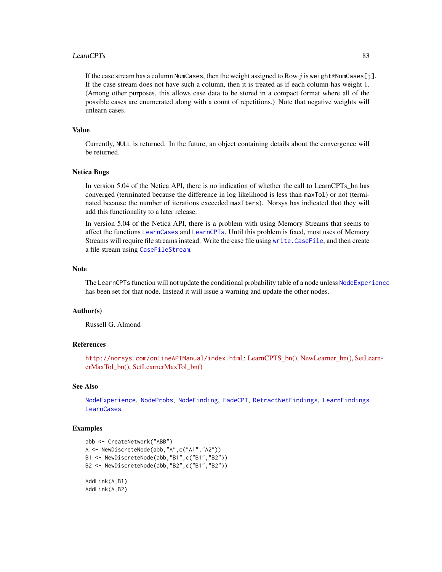## LearnCPTs 83

If the case stream has a column NumCases, then the weight assigned to Row j is weight \*NumCases[j]. If the case stream does not have such a column, then it is treated as if each column has weight 1. (Among other purposes, this allows case data to be stored in a compact format where all of the possible cases are enumerated along with a count of repetitions.) Note that negative weights will unlearn cases.

# Value

Currently, NULL is returned. In the future, an object containing details about the convergence will be returned.

## Netica Bugs

In version 5.04 of the Netica API, there is no indication of whether the call to LearnCPTs\_bn has converged (terminated because the difference in log likelihood is less than maxTol) or not (terminated because the number of iterations exceeded maxIters). Norsys has indicated that they will add this functionality to a later release.

In version 5.04 of the Netica API, there is a problem with using Memory Streams that seems to affect the functions [LearnCases](#page-78-0) and [LearnCPTs](#page-80-0). Until this problem is fixed, most uses of Memory Streams will require file streams instead. Write the case file using [write.CaseFile](#page-186-0), and then create a file stream using [CaseFileStream](#page-21-0).

## **Note**

The LearnCPTs function will not update the conditional probability table of a node unless [NodeExperience](#page-137-0) has been set for that node. Instead it will issue a warning and update the other nodes.

### Author(s)

Russell G. Almond

# References

<http://norsys.com/onLineAPIManual/index.html>: [LearnCPTS\\_bn\(\),](http://norsys.com/onLineAPIManual/functions/LearnCPTS_bn.html) [NewLearner\\_bn\(\),](http://norsys.com/onLineAPIManual/functions/NewLearner_bn.html) [SetLe](http://norsys.com/onLineAPIManual/functions/SetLearnerMaxTol_bn.html)arn[erMaxTol\\_bn\(\),](http://norsys.com/onLineAPIManual/functions/SetLearnerMaxTol_bn.html) [SetLearnerMaxTol\\_bn\(\)](http://norsys.com/onLineAPIManual/functions/SetLearnerMaxTol_bn.html)

# See Also

[NodeExperience](#page-137-0), [NodeProbs](#page-157-0), [NodeFinding](#page-139-0), [FadeCPT](#page-58-0), [RetractNetFindings](#page-179-0), [LearnFindings](#page-87-0) **[LearnCases](#page-78-0)** 

```
abb <- CreateNetwork("ABB")
A <- NewDiscreteNode(abb,"A",c("A1","A2"))
B1 <- NewDiscreteNode(abb,"B1",c("B1","B2"))
B2 <- NewDiscreteNode(abb,"B2",c("B1","B2"))
AddLink(A,B1)
AddLink(A,B2)
```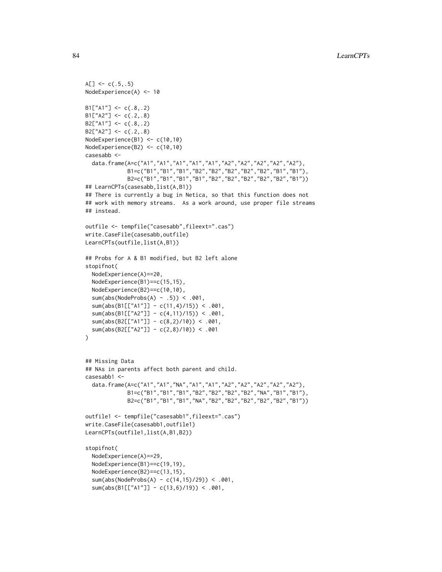```
A[\] <- c(.5,.5)
NodeExperience(A) <- 10
B1['A1"] \leftarrow c(.8,.2)B1['A2"] \leq C(.2,.8)B2['A1"] \leftarrow c(.8,.2)B2['A2"] \leq C(.2,.8)NodeExperience(B1) <- c(10,10)
NodeExperience(B2) <- c(10,10)
casesabb <-
  data.frame(A=c("A1","A1","A1","A1","A1","A2","A2","A2","A2","A2"),
             B1=c("B1","B1","B1","B2","B2","B2","B2","B2","B1","B1"),
             B2=c("B1","B1","B1","B1","B2","B2","B2","B2","B2","B1"))
## LearnCPTs(casesabb,list(A,B1))
## There is currently a bug in Netica, so that this function does not
## work with memory streams. As a work around, use proper file streams
## instead.
outfile <- tempfile("casesabb",fileext=".cas")
write.CaseFile(casesabb,outfile)
LearnCPTs(outfile,list(A,B1))
## Probs for A & B1 modified, but B2 left alone
stopifnot(
  NodeExperience(A)==20,
  NodeExperience(B1)==c(15,15),
  NodeExperience(B2)==c(10,10),
  sum(abs(NodeProbs(A) - .5)) < .001,
  sum(abs(B1[["A1"]] - c(11,4)/15)) < .001,
  sum(abs(B1[["A2"]] - c(4,11)/15)) < .001,
  sum(abs(B2[["A1"]] - c(8,2)/10) < .001,
  sum(abs(B2[["A2"]] - c(2,8)/10)) < .001
)
## Missing Data
## NAs in parents affect both parent and child.
casesabb1 <-
  data.frame(A=c("A1","A1","NA","A1","A1","A2","A2","A2","A2","A2"),
             B1=c("B1","B1","B1","B2","B2","B2","B2","NA","B1","B1"),
             B2=c("B1","B1","B1","NA","B2","B2","B2","B2","B2","B1"))
outfile1 <- tempfile("casesabb1",fileext=".cas")
write.CaseFile(casesabb1,outfile1)
LearnCPTs(outfile1,list(A,B1,B2))
stopifnot(
  NodeExperience(A)==29,
  NodeExperience(B1)==c(19,19),
  NodeExperience(B2)==c(13,15),
  sum(abs(NodeProbs(A) - c(14,15)/29) < .001,
  sum(abs(B1[["A1"]] - c(13,6)/19)) < .001,
```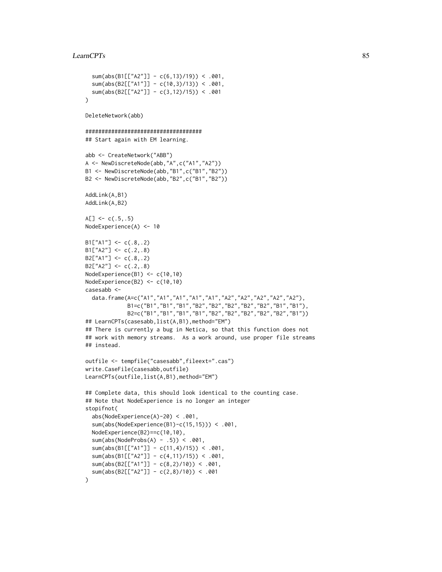## LearnCPTs 85

```
sum(abs(B1[["A2"]] - c(6,13)/19) < .001,
  sum(abs(B2[["A1"]] - c(10,3)/13)) < .001,
  sum(abs(B2[["A2"]] - c(3,12)/15)) < .001
)
DeleteNetwork(abb)
####################################
## Start again with EM learning.
abb <- CreateNetwork("ABB")
A <- NewDiscreteNode(abb,"A",c("A1","A2"))
B1 <- NewDiscreteNode(abb,"B1",c("B1","B2"))
B2 <- NewDiscreteNode(abb,"B2",c("B1","B2"))
AddLink(A,B1)
AddLink(A,B2)
A[\] <- c(.5,.5)
NodeExperience(A) <- 10
B1['A1''] \leftarrow c(.8,.2)B1['A2"] \leftarrow c(.2,.8)B2[''A1"] \leftarrow c(.8,.2)B2['A2"] \leftarrow c(.2,.8)NodeExperience(B1) <- c(10,10)
NodeExperience(B2) <- c(10,10)
casesabb <-
  data.frame(A=c("A1","A1","A1","A1","A1","A2","A2","A2","A2","A2"),
             B1=c("B1","B1","B1","B2","B2","B2","B2","B2","B1","B1"),
             B2=c("B1","B1","B1","B1","B2","B2","B2","B2","B2","B1"))
## LearnCPTs(casesabb,list(A,B1),method="EM")
## There is currently a bug in Netica, so that this function does not
## work with memory streams. As a work around, use proper file streams
## instead.
outfile <- tempfile("casesabb",fileext=".cas")
write.CaseFile(casesabb,outfile)
LearnCPTs(outfile,list(A,B1),method="EM")
## Complete data, this should look identical to the counting case.
## Note that NodeExperience is no longer an integer
stopifnot(
  abs(NodeExperience(A)-20) < .001,
  sum(abs(NodeExperience(B1)-c(15,15))) < .001,
  NodeExperience(B2)==c(10,10),
  sum(abs(NodeProbs(A) - .5)) < .001,
  sum(abs(B1[["A1"]] - c(11,4)/15)) < .001,
  sum(abs(B1[["A2"]] - c(4,11)/15)) < .001,
  sum(abs(B2[["A1"]] - c(8,2)/10)) < .001,
  sum(abs(B2[["A2"]] - c(2,8)/10) < .001
)
```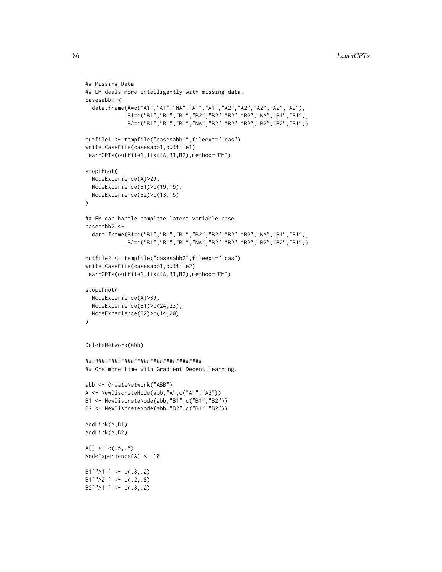```
## Missing Data
## EM deals more intelligently with missing data.
casesabb1 <-
  data.frame(A=c("A1","A1","NA","A1","A1","A2","A2","A2","A2","A2"),
             B1=c("B1","B1","B1","B2","B2","B2","B2","NA","B1","B1"),
             B2=c("B1","B1","B1","NA","B2","B2","B2","B2","B2","B1"))
outfile1 <- tempfile("casesabb1",fileext=".cas")
write.CaseFile(casesabb1,outfile1)
LearnCPTs(outfile1,list(A,B1,B2),method="EM")
stopifnot(
  NodeExperience(A)>29,
  NodeExperience(B1)>c(19,19),
  NodeExperience(B2)>c(13,15)
)
## EM can handle complete latent variable case.
casesabb2 <-
  data.frame(B1=c("B1","B1","B1","B2","B2","B2","B2","NA","B1","B1"),
             B2=c("B1","B1","B1","NA","B2","B2","B2","B2","B2","B1"))
outfile2 <- tempfile("casesabb2",fileext=".cas")
write.CaseFile(casesabb1,outfile2)
LearnCPTs(outfile1,list(A,B1,B2),method="EM")
stopifnot(
  NodeExperience(A)>39,
  NodeExperience(B1)>c(24,23),
  NodeExperience(B2)>c(14,20)
)
DeleteNetwork(abb)
####################################
## One more time with Gradient Decent learning.
abb <- CreateNetwork("ABB")
A <- NewDiscreteNode(abb,"A",c("A1","A2"))
B1 <- NewDiscreteNode(abb,"B1",c("B1","B2"))
B2 <- NewDiscreteNode(abb,"B2",c("B1","B2"))
AddLink(A,B1)
AddLink(A,B2)
A[\] <- c(.5,.5)
NodeExperience(A) <- 10
B1['A1"] \leftarrow c(.8,.2)B1['A2"] \leftarrow c(.2,.8)B2['A1"] \leftarrow c(.8,.2)
```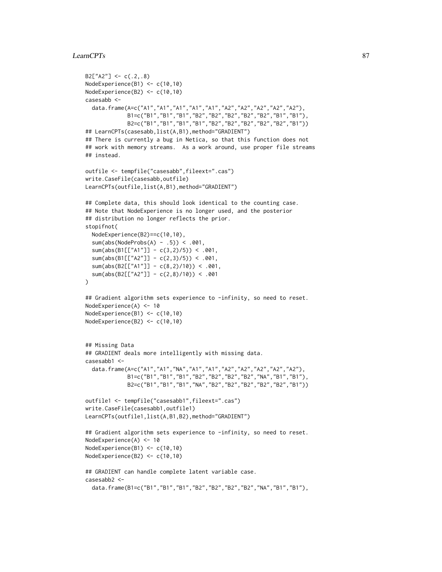## LearnCPTs 87

```
B2['A2"] \leq C(.2,.8)NodeExperience(B1) <- c(10,10)
NodeExperience(B2) <- c(10,10)
casesabb <-
  data.frame(A=c("A1","A1","A1","A1","A1","A2","A2","A2","A2","A2"),
             B1=c("B1","B1","B1","B2","B2","B2","B2","B2","B1","B1"),
             B2=c("B1","B1","B1","B1","B2","B2","B2","B2","B2","B1"))
## LearnCPTs(casesabb,list(A,B1),method="GRADIENT")
## There is currently a bug in Netica, so that this function does not
## work with memory streams. As a work around, use proper file streams
## instead.
outfile <- tempfile("casesabb",fileext=".cas")
write.CaseFile(casesabb,outfile)
LearnCPTs(outfile,list(A,B1),method="GRADIENT")
## Complete data, this should look identical to the counting case.
## Note that NodeExperience is no longer used, and the posterior
## distribution no longer reflects the prior.
stopifnot(
  NodeExperience(B2)==c(10,10),
  sum(abs(NodeProbs(A) - .5)) < .001,
  sum(abs(B1[["A1"]] - c(3,2)/5)) < .001,
  sum(abs(B1[["A2"]] - c(2,3)/5)) < .001,
  sum(abs(B2[["A1"]] - c(8,2)/10)) < .001,
  sum(abs(B2[["A2"]] - c(2,8)/10)) < .001
)
## Gradient algorithm sets experience to -infinity, so need to reset.
NodeExperience(A) <- 10
NodeExperience(B1) <- c(10,10)
NodeExperience(B2) <- c(10,10)
## Missing Data
## GRADIENT deals more intelligently with missing data.
casesabb1 <-
  data.frame(A=c("A1","A1","NA","A1","A1","A2","A2","A2","A2","A2"),
             B1=c("B1","B1","B1","B2","B2","B2","B2","NA","B1","B1"),
             B2=c("B1","B1","B1","NA","B2","B2","B2","B2","B2","B1"))
outfile1 <- tempfile("casesabb1",fileext=".cas")
write.CaseFile(casesabb1,outfile1)
LearnCPTs(outfile1,list(A,B1,B2),method="GRADIENT")
## Gradient algorithm sets experience to -infinity, so need to reset.
NodeExperience(A) <- 10
NodeExperience(B1) <- c(10,10)
NodeExperience(B2) <- c(10,10)
## GRADIENT can handle complete latent variable case.
casesabb2 <-
  data.frame(B1=c("B1","B1","B1","B2","B2","B2","B2","NA","B1","B1"),
```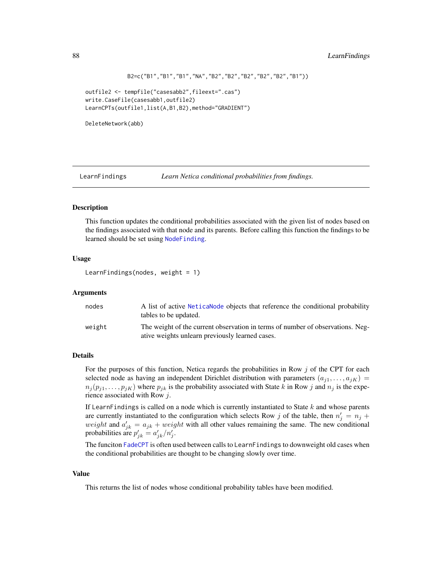```
B2=c("B1","B1","B1","NA","B2","B2","B2","B2","B2","B1"))
```

```
outfile2 <- tempfile("casesabb2",fileext=".cas")
write.CaseFile(casesabb1,outfile2)
LearnCPTs(outfile1,list(A,B1,B2),method="GRADIENT")
```
DeleteNetwork(abb)

<span id="page-87-0"></span>LearnFindings *Learn Netica conditional probabilities from findings.*

# Description

This function updates the conditional probabilities associated with the given list of nodes based on the findings associated with that node and its parents. Before calling this function the findings to be learned should be set using [NodeFinding](#page-139-0).

# Usage

```
LearnFindings(nodes, weight = 1)
```
## Arguments

| nodes  | A list of active Netical ode objects that reference the conditional probability<br>tables to be updated.                          |
|--------|-----------------------------------------------------------------------------------------------------------------------------------|
| weight | The weight of the current observation in terms of number of observations. Neg-<br>ative weights unlearn previously learned cases. |

## Details

For the purposes of this function, Netica regards the probabilities in Row  $j$  of the CPT for each selected node as having an independent Dirichlet distribution with parameters  $(a_{i1}, \ldots, a_{iK})$  =  $n_j(p_{j1}, \ldots, p_{jK})$  where  $p_{jk}$  is the probability associated with State k in Row j and  $n_j$  is the experience associated with Row j.

If LearnFindings is called on a node which is currently instantiated to State  $k$  and whose parents are currently instantiated to the configuration which selects Row j of the table, then  $n'_j = n_j +$ weight and  $a'_{jk} = a_{jk} + weight$  with all other values remaining the same. The new conditional probabilities are  $p'_{jk} = a'_{jk}/n'_{j}$ .

The funciton [FadeCPT](#page-58-0) is often used between calls to LearnFindings to downweight old cases when the conditional probabilities are thought to be changing slowly over time.

# Value

This returns the list of nodes whose conditional probability tables have been modified.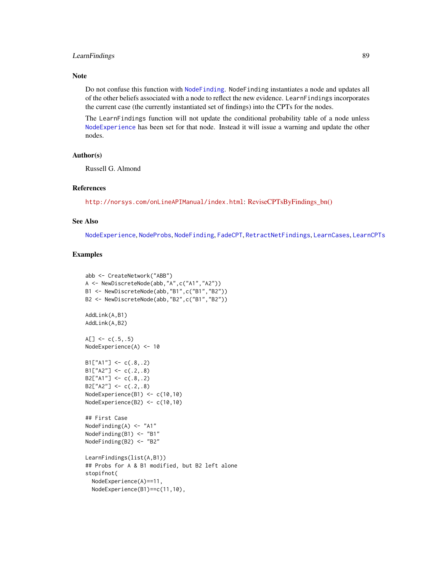# LearnFindings 89

# Note

Do not confuse this function with [NodeFinding](#page-139-0). NodeFinding instantiates a node and updates all of the other beliefs associated with a node to reflect the new evidence. LearnFindings incorporates the current case (the currently instantiated set of findings) into the CPTs for the nodes.

The LearnFindings function will not update the conditional probability table of a node unless [NodeExperience](#page-137-0) has been set for that node. Instead it will issue a warning and update the other nodes.

# Author(s)

Russell G. Almond

## References

<http://norsys.com/onLineAPIManual/index.html>: [ReviseCPTsByFindings\\_bn\(\)](http://norsys.com/onLineAPIManual/functions/ReviseCPTsByFindings_bn.html)

# See Also

[NodeExperience](#page-137-0), [NodeProbs](#page-157-0), [NodeFinding](#page-139-0), [FadeCPT](#page-58-0), [RetractNetFindings](#page-179-0), [LearnCases](#page-78-0), [LearnCPTs](#page-80-0)

```
abb <- CreateNetwork("ABB")
A <- NewDiscreteNode(abb,"A",c("A1","A2"))
B1 <- NewDiscreteNode(abb,"B1",c("B1","B2"))
B2 <- NewDiscreteNode(abb,"B2",c("B1","B2"))
AddLink(A,B1)
AddLink(A,B2)
A[\] <- c(.5,.5)
NodeExperience(A) <- 10
B1['A1''] \leftarrow c(.8,.2)B1['A2"] \leftarrow c(.2,.8)B2['A1"] \leftarrow c(.8,.2)B2['A2"] \leftarrow c(.2,.8)NodeExperience(B1) <- c(10,10)
NodeExperience(B2) <- c(10,10)
## First Case
NodeFinding(A) <- "A1"
NodeFinding(B1) <- "B1"
NodeFinding(B2) <- "B2"
LearnFindings(list(A,B1))
## Probs for A & B1 modified, but B2 left alone
stopifnot(
  NodeExperience(A)==11,
  NodeExperience(B1)==c(11,10),
```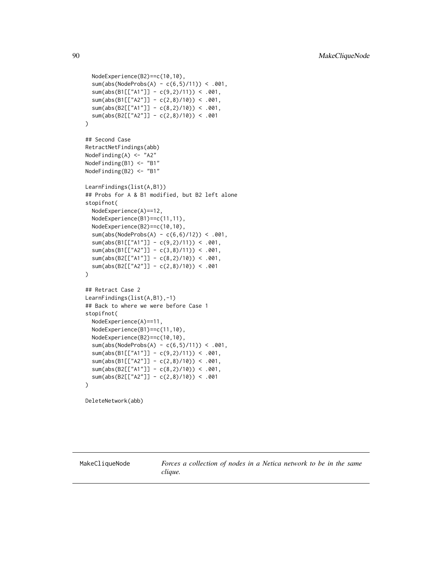```
NodeExperience(B2)==c(10,10),
 sum(abs(NodeProbs(A) - c(6,5)/11)) < .001,
 sum(abs(B1[["A1"]] - c(9,2)/11)) < .001,
 sum(abs(B1[["A2"]] - c(2,8)/10)) < .001,
 sum(abs(B2[["A1"]] - c(8,2)/10) < .001,
 sum(abs(B2[["A2"]] - c(2,8)/10)) < .001
)
## Second Case
RetractNetFindings(abb)
NodeFinding(A) <- "A2"
NodeFinding(B1) <- "B1"
NodeFinding(B2) <- "B1"
LearnFindings(list(A,B1))
## Probs for A & B1 modified, but B2 left alone
stopifnot(
 NodeExperience(A)==12,
 NodeExperience(B1)==c(11,11),
 NodeExperience(B2)==c(10,10),
 sum(abs(NodeProbs(A) - c(6,6)/12) < .001,
 sum(abs(B1[["A1"]] - c(9,2)/11)) < .001,
 sum(abs(B1[["A2"]] - c(3,8)/11)) < .001,
 sum(abs(B2[["A1"]] - c(8,2)/10)) < .001,
 sum(abs(B2[["A2"]] - c(2,8)/10)) < .001
)
## Retract Case 2
LearnFindings(list(A,B1),-1)
## Back to where we were before Case 1
stopifnot(
 NodeExperience(A)==11,
 NodeExperience(B1)==c(11,10),
 NodeExperience(B2)==c(10,10),
 sum(abs(NodeProbs(A) - c(6,5)/11)) < .001,
 sum(abs(B1[["A1"]] - c(9,2)/11)) < .001,
 sum(abs(B1[["A2"]] - c(2,8)/10)) < .001,
 sum(abs(B2[["A1"]] - c(8,2)/10)) < .001,
 sum(abs(B2[["A2"]] - c(2,8)/10)) < .001
)
```
DeleteNetwork(abb)

<span id="page-89-0"></span>MakeCliqueNode *Forces a collection of nodes in a Netica network to be in the same clique.*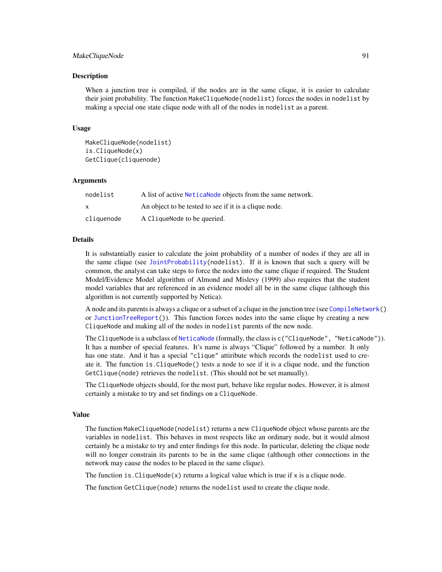## MakeCliqueNode 91

## Description

When a junction tree is compiled, if the nodes are in the same clique, it is easier to calculate their joint probability. The function MakeCliqueNode(nodelist) forces the nodes in nodelist by making a special one state clique node with all of the nodes in nodelist as a parent.

## Usage

MakeCliqueNode(nodelist) is.CliqueNode(x) GetClique(cliquenode)

#### Arguments

| nodelist     | A list of active Netica Node objects from the same network. |
|--------------|-------------------------------------------------------------|
| $\mathsf{x}$ | An object to be tested to see if it is a clique node.       |
| cliquenode   | A Clique Node to be queried.                                |

#### Details

It is substantially easier to calculate the joint probability of a number of nodes if they are all in the same clique (see [JointProbability\(](#page-75-0)nodelist). If it is known that such a query will be common, the analyst can take steps to force the nodes into the same clique if required. The Student Model/Evidence Model algorithm of Almond and Mislevy (1999) also requires that the student model variables that are referenced in an evidence model all be in the same clique (although this algorithm is not currently supported by Netica).

A node and its parents is always a clique or a subset of a clique in the junction tree (see [CompileNetwork\(](#page-23-0)) or [JunctionTreeReport\(](#page-77-0))). This function forces nodes into the same clique by creating a new CliqueNode and making all of the nodes in nodelist parents of the new node.

The CliqueNode is a subclass of [NeticaNode](#page-106-0) (formally, the class is c("CliqueNode", "NeticaNode")). It has a number of special features. It's name is always "Clique" followed by a number. It only has one state. And it has a special "clique" attiribute which records the nodelist used to create it. The function is.CliqueNode() tests a node to see if it is a clique node, and the function GetClique(node) retrieves the nodelist. (This should not be set manually).

The CliqueNode objects should, for the most part, behave like regular nodes. However, it is almost certainly a mistake to try and set findings on a CliqueNode.

### Value

The function MakeCliqueNode(nodelist) returns a new CliqueNode object whose parents are the variables in nodelist. This behaves in most respects like an ordinary node, but it would almost certainly be a mistake to try and enter findings for this node. In particular, deleting the clique node will no longer constrain its parents to be in the same clique (although other connections in the network may cause the nodes to be placed in the same clique).

The function is. CliqueNode(x) returns a logical value which is true if x is a clique node.

The function GetClique(node) returns the nodelist used to create the clique node.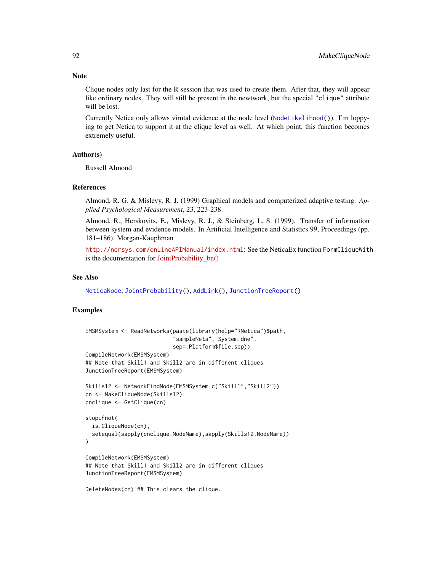Clique nodes only last for the R session that was used to create them. After that, they will appear like ordinary nodes. They will still be present in the newtwork, but the special "clique" attribute will be lost.

Currently Netica only allows virutal evidence at the node level ([NodeLikelihood\(](#page-149-0))). I'm loppying to get Netica to support it at the clique level as well. At which point, this function becomes extremely useful.

## Author(s)

Russell Almond

# References

Almond, R. G. & Mislevy, R. J. (1999) Graphical models and computerized adaptive testing. *Applied Psychological Measurement*, 23, 223-238.

Almond, R., Herskovits, E., Mislevy, R. J., & Steinberg, L. S. (1999). Transfer of information between system and evidence models. In Artificial Intelligence and Statistics 99, Proceedings (pp. 181–186). Morgan-Kauphman

<http://norsys.com/onLineAPIManual/index.html>: See the NeticaEx function FormCliqueWith is the documentation for [JointProbability\\_bn\(\)](http://norsys.com/onLineAPIManual/functions/JointProbability_bn.html)

## See Also

[NeticaNode](#page-106-0), [JointProbability\(](#page-75-0)), [AddLink\(](#page-12-0)), [JunctionTreeReport\(](#page-77-0))

# Examples

```
EMSMSystem <- ReadNetworks(paste(library(help="RNetica")$path,
                            "sampleNets","System.dne",
                           sep=.Platform$file.sep))
CompileNetwork(EMSMSystem)
## Note that Skill1 and Skill2 are in different cliques
JunctionTreeReport(EMSMSystem)
Skills12 <- NetworkFindNode(EMSMSystem,c("Skill1","Skill2"))
cn <- MakeCliqueNode(Skills12)
cnclique <- GetClique(cn)
stopifnot(
 is.CliqueNode(cn),
 setequal(sapply(cnclique,NodeName),sapply(Skills12,NodeName))
\mathcal{L}CompileNetwork(EMSMSystem)
## Note that Skill1 and Skill2 are in different cliques
JunctionTreeReport(EMSMSystem)
DeleteNodes(cn) ## This clears the clique.
```
# **Note**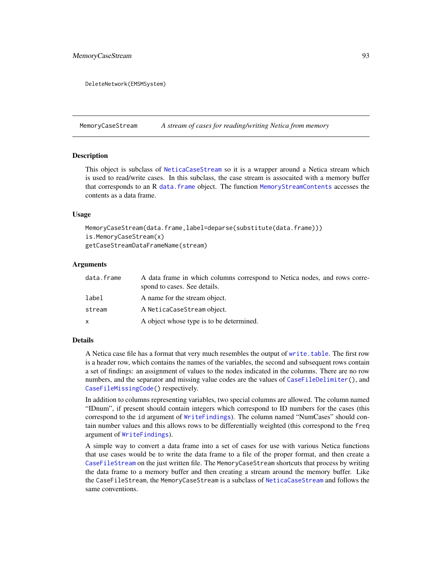# MemoryCaseStream 93

DeleteNetwork(EMSMSystem)

<span id="page-92-0"></span>MemoryCaseStream *A stream of cases for reading/writing Netica from memory*

## **Description**

This object is subclass of [NeticaCaseStream](#page-103-0) so it is a wrapper around a Netica stream which is used to read/write cases. In this subclass, the case stream is assocaited with a memory buffer that corresponds to an R [data.frame](#page-0-0) object. The function [MemoryStreamContents](#page-95-0) accesses the contents as a data frame.

# Usage

```
MemoryCaseStream(data.frame,label=deparse(substitute(data.frame)))
is.MemoryCaseStream(x)
getCaseStreamDataFrameName(stream)
```
#### Arguments

| data.frame | A data frame in which columns correspond to Netica nodes, and rows corre-<br>spond to cases. See details. |
|------------|-----------------------------------------------------------------------------------------------------------|
| label      | A name for the stream object.                                                                             |
| stream     | A NeticaCaseStream object.                                                                                |
| x          | A object whose type is to be determined.                                                                  |

## **Details**

A Netica case file has a format that very much resembles the output of [write.table](#page-0-0). The first row is a header row, which contains the names of the variables, the second and subsequent rows contain a set of findings: an assignment of values to the nodes indicated in the columns. There are no row numbers, and the separator and missing value codes are the values of [CaseFileDelimiter\(](#page-19-0)), and [CaseFileMissingCode\(](#page-19-1)) respectively.

In addition to columns representing variables, two special columns are allowed. The column named "IDnum", if present should contain integers which correspond to ID numbers for the cases (this correspond to the id argument of [WriteFindings](#page-188-0)). The column named "NumCases" should contain number values and this allows rows to be differentially weighted (this correspond to the freq argument of [WriteFindings](#page-188-0)).

A simple way to convert a data frame into a set of cases for use with various Netica functions that use cases would be to write the data frame to a file of the proper format, and then create a [CaseFileStream](#page-21-0) on the just written file. The MemoryCaseStream shortcuts that process by writing the data frame to a memory buffer and then creating a stream around the memory buffer. Like the CaseFileStream, the MemoryCaseStream is a subclass of [NeticaCaseStream](#page-103-0) and follows the same conventions.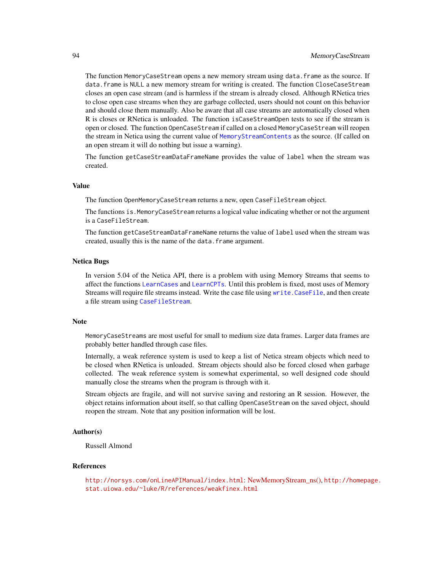The function MemoryCaseStream opens a new memory stream using data.frame as the source. If data.frame is NULL a new memory stream for writing is created. The function CloseCaseStream closes an open case stream (and is harmless if the stream is already closed. Although RNetica tries to close open case streams when they are garbage collected, users should not count on this behavior and should close them manually. Also be aware that all case streams are automatically closed when R is closes or RNetica is unloaded. The function isCaseStreamOpen tests to see if the stream is open or closed. The function OpenCaseStream if called on a closed MemoryCaseStream will reopen the stream in Netica using the current value of [MemoryStreamContents](#page-95-0) as the source. (If called on an open stream it will do nothing but issue a warning).

The function getCaseStreamDataFrameName provides the value of label when the stream was created.

# Value

The function OpenMemoryCaseStream returns a new, open CaseFileStream object.

The functions is.MemoryCaseStream returns a logical value indicating whether or not the argument is a CaseFileStream.

The function getCaseStreamDataFrameName returns the value of label used when the stream was created, usually this is the name of the data.frame argument.

## Netica Bugs

In version 5.04 of the Netica API, there is a problem with using Memory Streams that seems to affect the functions [LearnCases](#page-78-0) and [LearnCPTs](#page-80-0). Until this problem is fixed, most uses of Memory Streams will require file streams instead. Write the case file using [write.CaseFile](#page-186-0), and then create a file stream using [CaseFileStream](#page-21-0).

# **Note**

MemoryCaseStreams are most useful for small to medium size data frames. Larger data frames are probably better handled through case files.

Internally, a weak reference system is used to keep a list of Netica stream objects which need to be closed when RNetica is unloaded. Stream objects should also be forced closed when garbage collected. The weak reference system is somewhat experimental, so well designed code should manually close the streams when the program is through with it.

Stream objects are fragile, and will not survive saving and restoring an R session. However, the object retains information about itself, so that calling OpenCaseStream on the saved object, should reopen the stream. Note that any position information will be lost.

# Author(s)

Russell Almond

#### References

<http://norsys.com/onLineAPIManual/index.html>: [NewMemoryStream\\_ns\(\),](http://norsys.com/onLineAPIManual/functions/NewMemoryStream_ns.html) [http://homepa](http://homepage.stat.uiowa.edu/~luke/R/references/weakfinex.html)ge. [stat.uiowa.edu/~luke/R/references/weakfinex.html](http://homepage.stat.uiowa.edu/~luke/R/references/weakfinex.html)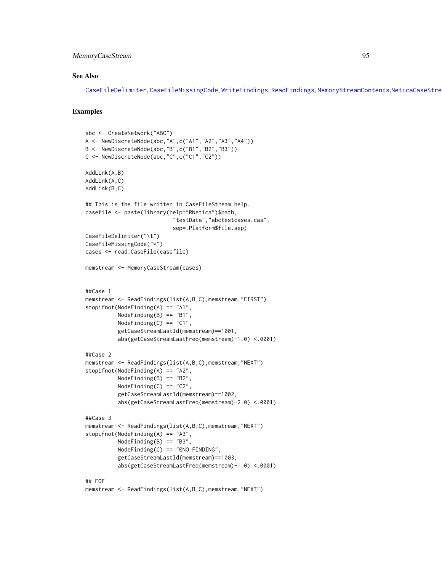# MemoryCaseStream 95

# See Also

[CaseFileDelimiter](#page-19-0), [CaseFileMissingCode](#page-19-1), [WriteFindings](#page-188-0), [ReadFindings](#page-176-0), [MemoryStreamContents](#page-95-0),[NeticaCaseStream](#page-103-0)

```
abc <- CreateNetwork("ABC")
A <- NewDiscreteNode(abc,"A",c("A1","A2","A3","A4"))
B <- NewDiscreteNode(abc,"B",c("B1","B2","B3"))
C <- NewDiscreteNode(abc,"C",c("C1","C2"))
AddLink(A,B)
AddLink(A,C)
AddLink(B,C)
## This is the file written in CaseFileStream help.
casefile <- paste(library(help="RNetica")$path,
                           "testData","abctestcases.cas",
                           sep=.Platform$file.sep)
CaseFileDelimiter("\t")
CaseFileMissingCode("*")
cases <- read.CaseFile(casefile)
memstream <- MemoryCaseStream(cases)
##Case 1
memstream <- ReadFindings(list(A,B,C),memstream,"FIRST")
stopifnot(NodeFinding(A) == "A1",NodeFinding(B) == "B1",NodeFinding(C) == "C1",getCaseStreamLastId(memstream)==1001,
          abs(getCaseStreamLastFreq(memstream)-1.0) <.0001)
##Case 2
memstream <- ReadFindings(list(A,B,C),memstream,"NEXT")
stopifnot(NodeFinding(A) == "A2",
          NodeFinding(B) == "B2",
          NodeFinding(C) == "C2",
          getCaseStreamLastId(memstream)==1002,
          abs(getCaseStreamLastFreq(memstream)-2.0) <.0001)
##Case 3
memstream <- ReadFindings(list(A,B,C),memstream,"NEXT")
stopifnot(NodeFinding(A) == "A3",
          NodeFinding(B) == "B3"NodeFinding(C) == "@NO FINDING",
          getCaseStreamLastId(memstream)==1003,
          abs(getCaseStreamLastFreq(memstream)-1.0) <.0001)
## EOF
memstream <- ReadFindings(list(A,B,C),memstream,"NEXT")
```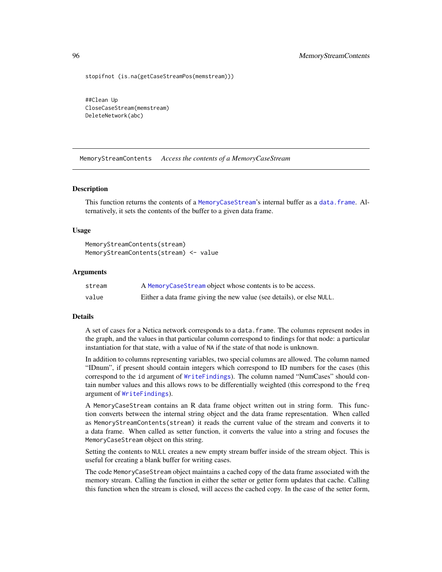stopifnot (is.na(getCaseStreamPos(memstream)))

##Clean Up CloseCaseStream(memstream) DeleteNetwork(abc)

<span id="page-95-0"></span>MemoryStreamContents *Access the contents of a MemoryCaseStream*

### **Description**

This function returns the contents of a [MemoryCaseStream](#page-92-0)'s internal buffer as a [data.frame](#page-0-0). Alternatively, it sets the contents of the buffer to a given data frame.

## Usage

```
MemoryStreamContents(stream)
MemoryStreamContents(stream) <- value
```
#### Arguments

| stream | A MemoryCaseStream object whose contents is to be access.             |
|--------|-----------------------------------------------------------------------|
| value  | Either a data frame giving the new value (see details), or else NULL. |

### Details

A set of cases for a Netica network corresponds to a data.frame. The columns represent nodes in the graph, and the values in that particular column correspond to findings for that node: a particular instantiation for that state, with a value of NA if the state of that node is unknown.

In addition to columns representing variables, two special columns are allowed. The column named "IDnum", if present should contain integers which correspond to ID numbers for the cases (this correspond to the id argument of [WriteFindings](#page-188-0)). The column named "NumCases" should contain number values and this allows rows to be differentially weighted (this correspond to the freq argument of [WriteFindings](#page-188-0)).

A MemoryCaseStream contains an R data frame object written out in string form. This function converts between the internal string object and the data frame representation. When called as MemoryStreamContents(stream) it reads the current value of the stream and converts it to a data frame. When called as setter function, it converts the value into a string and focuses the MemoryCaseStream object on this string.

Setting the contents to NULL creates a new empty stream buffer inside of the stream object. This is useful for creating a blank buffer for writing cases.

The code MemoryCaseStream object maintains a cached copy of the data frame associated with the memory stream. Calling the function in either the setter or getter form updates that cache. Calling this function when the stream is closed, will access the cached copy. In the case of the setter form,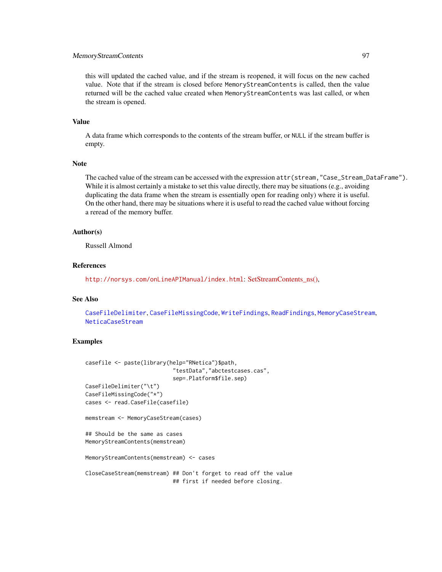# MemoryStreamContents 97

this will updated the cached value, and if the stream is reopened, it will focus on the new cached value. Note that if the stream is closed before MemoryStreamContents is called, then the value returned will be the cached value created when MemoryStreamContents was last called, or when the stream is opened.

# Value

A data frame which corresponds to the contents of the stream buffer, or NULL if the stream buffer is empty.

## Note

The cached value of the stream can be accessed with the expression attr(stream,"Case\_Stream\_DataFrame"). While it is almost certainly a mistake to set this value directly, there may be situations (e.g., avoiding duplicating the data frame when the stream is essentially open for reading only) where it is useful. On the other hand, there may be situations where it is useful to read the cached value without forcing a reread of the memory buffer.

### Author(s)

Russell Almond

# References

<http://norsys.com/onLineAPIManual/index.html>: [SetStreamContents\\_ns\(\),](http://norsys.com/onLineAPIManual/functions/SetStreamContents_ns.html)

### See Also

[CaseFileDelimiter](#page-19-0), [CaseFileMissingCode](#page-19-1), [WriteFindings](#page-188-0), [ReadFindings](#page-176-0), [MemoryCaseStream](#page-92-0), [NeticaCaseStream](#page-103-0)

```
casefile <- paste(library(help="RNetica")$path,
                           "testData","abctestcases.cas",
                           sep=.Platform$file.sep)
CaseFileDelimiter("\t")
CaseFileMissingCode("*")
cases <- read.CaseFile(casefile)
memstream <- MemoryCaseStream(cases)
## Should be the same as cases
MemoryStreamContents(memstream)
MemoryStreamContents(memstream) <- cases
CloseCaseStream(memstream) ## Don't forget to read off the value
                           ## first if needed before closing.
```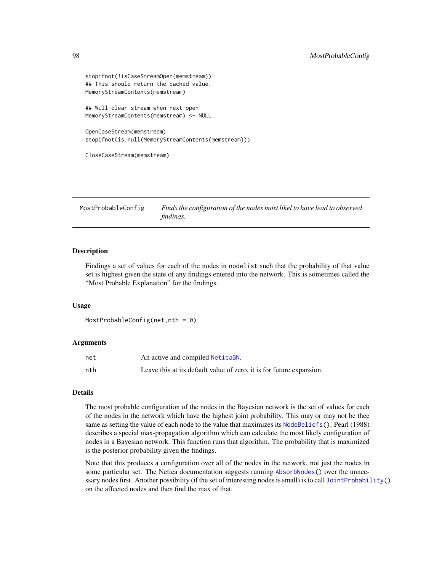```
stopifnot(!isCaseStreamOpen(memstream))
## This should return the cached value.
MemoryStreamContents(memstream)
## Will clear stream when next open
MemoryStreamContents(memstream) <- NULL
OpenCaseStream(memstream)
stopifnot(is.null(MemoryStreamContents(memstream)))
CloseCaseStream(memstream)
```
<span id="page-97-0"></span>MostProbableConfig *Finds the configuration of the nodes most likel to have lead to observed findings.*

# **Description**

Findings a set of values for each of the nodes in nodelist such that the probability of that value set is highest given the state of any findings entered into the network. This is sometimes called the "Most Probable Explanation" for the findings.

## Usage

```
MostProbableConfig(net,nth = 0)
```
# Arguments

| net | An active and compiled NeticaBN.                                     |
|-----|----------------------------------------------------------------------|
| nth | Leave this at its default value of zero, it is for future expansion. |

## Details

The most probable configuration of the nodes in the Bayesian network is the set of values for each of the nodes in the network which have the highest joint probability. This may or may not be thee same as setting the value of each node to the value that maximizes its [NodeBeliefs\(](#page-128-0)). Pearl (1988) describes a special max-propagation algorithm which can calculate the most likely configuration of nodes in a Bayesian network. This function runs that algorithm. The probability that is maximized is the posterior probability given the findings.

Note that this produces a configuration over all of the nodes in the network, not just the nodes in some particular set. The Netica documentation suggests running [AbsorbNodes\(](#page-10-0)) over the unnec-ssary nodes first. Another possibility (if the set of interesting nodes is small) is to call [JointProbability\(](#page-75-0)) on the affected nodes and then find the max of that.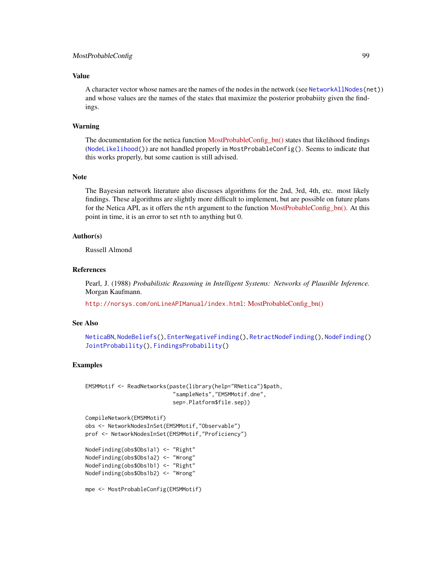# MostProbableConfig 99

# Value

A character vector whose names are the names of the nodes in the network (see [NetworkAllNodes\(](#page-110-0)net)) and whose values are the names of the states that maximize the posterior probabiity given the findings.

# Warning

The documentation for the netica function MostProbableConfig bn() states that likelihood findings ([NodeLikelihood\(](#page-149-0))) are not handled properly in MostProbableConfig(). Seems to indicate that this works properly, but some caution is still advised.

#### Note

The Bayesian network literature also discusses algorithms for the 2nd, 3rd, 4th, etc. most likely findings. These algorithms are slightly more difficult to implement, but are possible on future plans for the Netica API, as it offers the nth argument to the function MostProbableConfig bn(). At this point in time, it is an error to set nth to anything but 0.

# Author(s)

Russell Almond

# References

Pearl, J. (1988) *Probabilistic Reasoning in Intelligent Systems: Networks of Plausible Inference.* Morgan Kaufmann.

<http://norsys.com/onLineAPIManual/index.html>: [MostProbableConfig\\_bn\(\)](http://norsys.com/onLineAPIManual/functions/MostProbableConfig_bn.html)

# See Also

```
NeticaBN, NodeBeliefs(), EnterNegativeFinding(), RetractNodeFinding(), NodeFinding()
JointProbability(), FindingsProbability()
```

```
EMSMMotif <- ReadNetworks(paste(library(help="RNetica")$path,
                           "sampleNets","EMSMMotif.dne",
                           sep=.Platform$file.sep))
```

```
CompileNetwork(EMSMMotif)
obs <- NetworkNodesInSet(EMSMMotif,"Observable")
prof <- NetworkNodesInSet(EMSMMotif,"Proficiency")
```

```
NodeFinding(obs$Obs1a1) <- "Right"
NodeFinding(obs$Obs1a2) <- "Wrong"
NodeFinding(obs$Obs1b1) <- "Right"
NodeFinding(obs$Obs1b2) <- "Wrong"
```

```
mpe <- MostProbableConfig(EMSMMotif)
```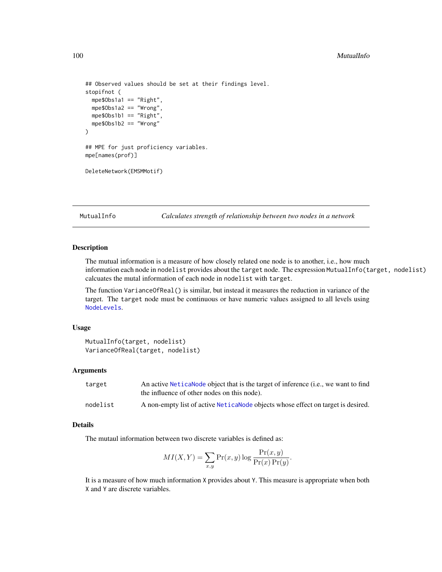```
## Observed values should be set at their findings level.
stopifnot (
 mpe$Obs1a1 == "Right",
 mpe$Obs1a2 == "Wrong",
 mpe$Obs1b1 == "Right",
 mpe$Obs1b2 == "Wrong"
)
## MPE for just proficiency variables.
mpe[names(prof)]
DeleteNetwork(EMSMMotif)
```
MutualInfo *Calculates strength of relationship between two nodes in a network*

## Description

The mutual information is a measure of how closely related one node is to another, i.e., how much information each node in nodelist provides about the target node. The expression MutualInfo(target, nodelist) calcuates the mutal information of each node in nodelist with target.

The function VarianceOfReal() is similar, but instead it measures the reduction in variance of the target. The target node must be continuous or have numeric values assigned to all levels using [NodeLevels](#page-146-0).

### Usage

```
MutualInfo(target, nodelist)
VarianceOfReal(target, nodelist)
```
# Arguments

| target   | An active Netical Node object that is the target of inference (i.e., we want to find |
|----------|--------------------------------------------------------------------------------------|
|          | the influence of other nodes on this node).                                          |
| nodelist | A non-empty list of active Nettica Node objects whose effect on target is desired.   |

## Details

The mutaul information between two discrete variables is defined as:

$$
MI(X,Y) = \sum_{x,y} \Pr(x,y) \log \frac{\Pr(x,y)}{\Pr(x)\Pr(y)}.
$$

It is a measure of how much information X provides about Y. This measure is appropriate when both X and Y are discrete variables.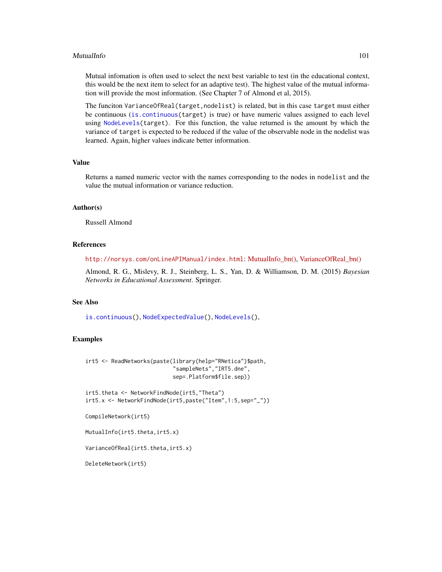## MutualInfo 101

Mutual infomation is often used to select the next best variable to test (in the educational context, this would be the next item to select for an adaptive test). The highest value of the mutual information will provide the most information. (See Chapter 7 of Almond et al, 2015).

The funciton VarianceOfReal(target,nodelist) is related, but in this case target must either be continuous ([is.continuous\(](#page-70-0)target) is true) or have numeric values assigned to each level using [NodeLevels\(](#page-146-0)target). For this function, the value returned is the amount by which the variance of target is expected to be reduced if the value of the observable node in the nodelist was learned. Again, higher values indicate better information.

# Value

Returns a named numeric vector with the names corresponding to the nodes in nodelist and the value the mutual information or variance reduction.

# Author(s)

Russell Almond

# **References**

<http://norsys.com/onLineAPIManual/index.html>: [MutualInfo\\_bn\(\),](http://norsys.com/onLineAPIManual/functions/MutualInfo_bn.html) [VarianceOfReal\\_bn\(\)](http://norsys.com/onLineAPIManual/functions/VarianceOfReal_bn.html)

Almond, R. G., Mislevy, R. J., Steinberg, L. S., Yan, D. & Williamson, D. M. (2015) *Bayesian Networks in Educational Assessment*. Springer.

# See Also

[is.continuous\(](#page-70-0)), [NodeExpectedValue\(](#page-136-0)), [NodeLevels\(](#page-146-0)),

```
irt5 <- ReadNetworks(paste(library(help="RNetica")$path,
                           "sampleNets","IRT5.dne",
                           sep=.Platform$file.sep))
```

```
irt5.theta <- NetworkFindNode(irt5,"Theta")
irt5.x <- NetworkFindNode(irt5,paste("Item",1:5,sep="_"))
```

```
CompileNetwork(irt5)
```

```
MutualInfo(irt5.theta,irt5.x)
```

```
VarianceOfReal(irt5.theta,irt5.x)
```

```
DeleteNetwork(irt5)
```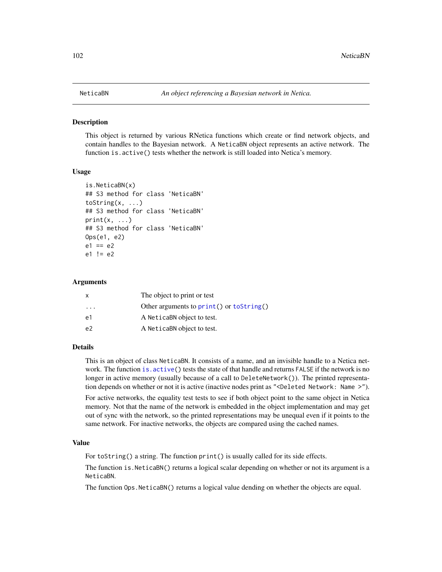## <span id="page-101-0"></span>Description

This object is returned by various RNetica functions which create or find network objects, and contain handles to the Bayesian network. A NeticaBN object represents an active network. The function is.active() tests whether the network is still loaded into Netica's memory.

## Usage

```
is.NeticaBN(x)
## S3 method for class 'NeticaBN'
toString(x, ...)
## S3 method for class 'NeticaBN'
print(x, \ldots)## S3 method for class 'NeticaBN'
Ops(e1, e2)
e1 == e2e1 != e2
```
# Arguments

| X                       | The object to print or test              |
|-------------------------|------------------------------------------|
| $\cdot$ $\cdot$ $\cdot$ | Other arguments to print() or toString() |
| e1                      | A NeticaBN object to test.               |
| e <sub>2</sub>          | A NeticaBN object to test.               |

# Details

This is an object of class NeticaBN. It consists of a name, and an invisible handle to a Netica network. The function is. active() tests the state of that handle and returns FALSE if the network is no longer in active memory (usually because of a call to DeleteNetwork()). The printed representation depends on whether or not it is active (inactive nodes print as "<Deleted Network: Name >").

For active networks, the equality test tests to see if both object point to the same object in Netica memory. Not that the name of the network is embedded in the object implementation and may get out of sync with the network, so the printed representations may be unequal even if it points to the same network. For inactive networks, the objects are compared using the cached names.

# Value

For toString() a string. The function print() is usually called for its side effects.

The function is.NeticaBN() returns a logical scalar depending on whether or not its argument is a NeticaBN.

The function Ops.NeticaBN() returns a logical value dending on whether the objects are equal.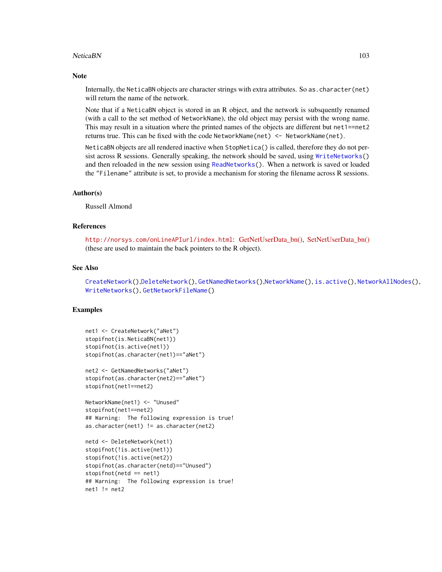# NeticaBN 103

## **Note**

Internally, the NeticaBN objects are character strings with extra attributes. So as.character(net) will return the name of the network.

Note that if a NeticaBN object is stored in an R object, and the network is subsquently renamed (with a call to the set method of NetworkName), the old object may persist with the wrong name. This may result in a situation where the printed names of the objects are different but net1==net2 returns true. This can be fixed with the code NetworkName(net) <- NetworkName(net).

NeticaBN objects are all rendered inactive when StopNetica() is called, therefore they do not persist across R sessions. Generally speaking, the network should be saved, using [WriteNetworks\(](#page-190-0)) and then reloaded in the new session using [ReadNetworks\(](#page-190-1)). When a network is saved or loaded the "Filename" attribute is set, to provide a mechanism for storing the filename across R sessions.

# Author(s)

Russell Almond

# References

<http://norsys.com/onLineAPIurl/index.html>: GetNetUserData bn(), SetNetUserData bn() (these are used to maintain the back pointers to the R object).

# See Also

[CreateNetwork\(](#page-33-0)),[DeleteNetwork\(](#page-33-1)), [GetNamedNetworks\(](#page-61-0)),[NetworkName\(](#page-113-0)), [is.active\(](#page-69-0)), [NetworkAllNodes\(](#page-110-0)), [WriteNetworks\(](#page-190-0)), [GetNetworkFileName\(](#page-190-1))

```
net1 <- CreateNetwork("aNet")
stopifnot(is.NeticaBN(net1))
stopifnot(is.active(net1))
stopifnot(as.character(net1)=="aNet")
net2 <- GetNamedNetworks("aNet")
stopifnot(as.character(net2)=="aNet")
stopifnot(net1==net2)
NetworkName(net1) <- "Unused"
stopifnot(net1==net2)
## Warning: The following expression is true!
as.character(net1) != as.character(net2)
netd <- DeleteNetwork(net1)
stopifnot(!is.active(net1))
```

```
stopifnot(!is.active(net2))
stopifnot(as.character(netd)=="Unused")
stopifnot(netd == net1)
## Warning: The following expression is true!
net1 != net2
```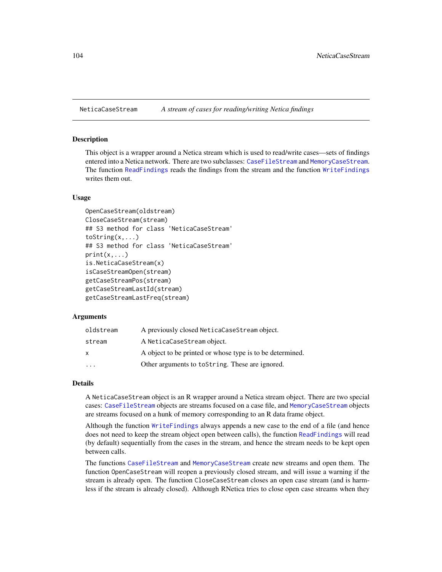<span id="page-103-0"></span>NeticaCaseStream *A stream of cases for reading/writing Netica findings*

# Description

This object is a wrapper around a Netica stream which is used to read/write cases—sets of findings entered into a Netica network. There are two subclasses: [CaseFileStream](#page-21-0) and [MemoryCaseStream](#page-92-0). The function [ReadFindings](#page-176-0) reads the findings from the stream and the function [WriteFindings](#page-188-0) writes them out.

## Usage

```
OpenCaseStream(oldstream)
CloseCaseStream(stream)
## S3 method for class 'NeticaCaseStream'
toString(x,...)
## S3 method for class 'NeticaCaseStream'
print(x, \ldots)is.NeticaCaseStream(x)
isCaseStreamOpen(stream)
getCaseStreamPos(stream)
getCaseStreamLastId(stream)
getCaseStreamLastFreq(stream)
```
## Arguments

| oldstream               | A previously closed NeticaCaseStream object.              |
|-------------------------|-----------------------------------------------------------|
| stream                  | A NeticaCaseStream object.                                |
| x                       | A object to be printed or whose type is to be determined. |
| $\cdot$ $\cdot$ $\cdot$ | Other arguments to to String. These are ignored.          |

# Details

A NeticaCaseStream object is an R wrapper around a Netica stream object. There are two special cases: [CaseFileStream](#page-21-0) objects are streams focused on a case file, and [MemoryCaseStream](#page-92-0) objects are streams focused on a hunk of memory corresponding to an R data frame object.

Although the function [WriteFindings](#page-188-0) always appends a new case to the end of a file (and hence does not need to keep the stream object open between calls), the function [ReadFindings](#page-176-0) will read (by default) sequentially from the cases in the stream, and hence the stream needs to be kept open between calls.

The functions [CaseFileStream](#page-21-0) and [MemoryCaseStream](#page-92-0) create new streams and open them. The function OpenCaseStream will reopen a previously closed stream, and will issue a warning if the stream is already open. The function CloseCaseStream closes an open case stream (and is harmless if the stream is already closed). Although RNetica tries to close open case streams when they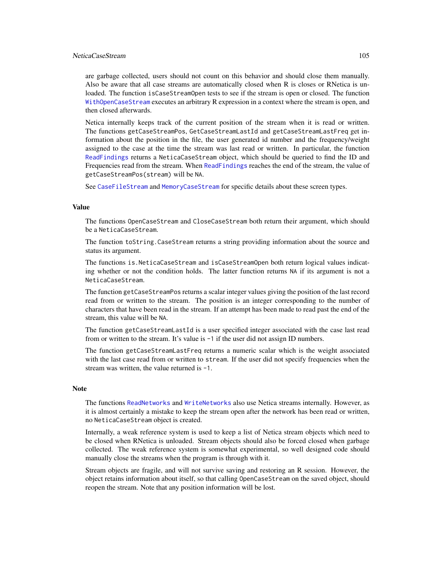# NeticaCaseStream 105

are garbage collected, users should not count on this behavior and should close them manually. Also be aware that all case streams are automatically closed when R is closes or RNetica is unloaded. The function isCaseStreamOpen tests to see if the stream is open or closed. The function [WithOpenCaseStream](#page-185-0) executes an arbitrary R expression in a context where the stream is open, and then closed afterwards.

Netica internally keeps track of the current position of the stream when it is read or written. The functions getCaseStreamPos, GetCaseStreamLastId and getCaseStreamLastFreq get information about the position in the file, the user generated id number and the frequency/weight assigned to the case at the time the stream was last read or written. In particular, the function [ReadFindings](#page-176-0) returns a NeticaCaseStream object, which should be queried to find the ID and Frequencies read from the stream. When [ReadFindings](#page-176-0) reaches the end of the stream, the value of getCaseStreamPos(stream) will be NA.

See [CaseFileStream](#page-21-0) and [MemoryCaseStream](#page-92-0) for specific details about these screen types.

# Value

The functions OpenCaseStream and CloseCaseStream both return their argument, which should be a NeticaCaseStream.

The function toString.CaseStream returns a string providing information about the source and status its argument.

The functions is.NeticaCaseStream and isCaseStreamOpen both return logical values indicating whether or not the condition holds. The latter function returns NA if its argument is not a NeticaCaseStream.

The function getCaseStreamPos returns a scalar integer values giving the position of the last record read from or written to the stream. The position is an integer corresponding to the number of characters that have been read in the stream. If an attempt has been made to read past the end of the stream, this value will be NA.

The function getCaseStreamLastId is a user specified integer associated with the case last read from or written to the stream. It's value is -1 if the user did not assign ID numbers.

The function getCaseStreamLastFreq returns a numeric scalar which is the weight associated with the last case read from or written to stream. If the user did not specify frequencies when the stream was written, the value returned is -1.

### Note

The functions [ReadNetworks](#page-190-1) and [WriteNetworks](#page-190-0) also use Netica streams internally. However, as it is almost certainly a mistake to keep the stream open after the network has been read or written, no NeticaCaseStream object is created.

Internally, a weak reference system is used to keep a list of Netica stream objects which need to be closed when RNetica is unloaded. Stream objects should also be forced closed when garbage collected. The weak reference system is somewhat experimental, so well designed code should manually close the streams when the program is through with it.

Stream objects are fragile, and will not survive saving and restoring an R session. However, the object retains information about itself, so that calling OpenCaseStream on the saved object, should reopen the stream. Note that any position information will be lost.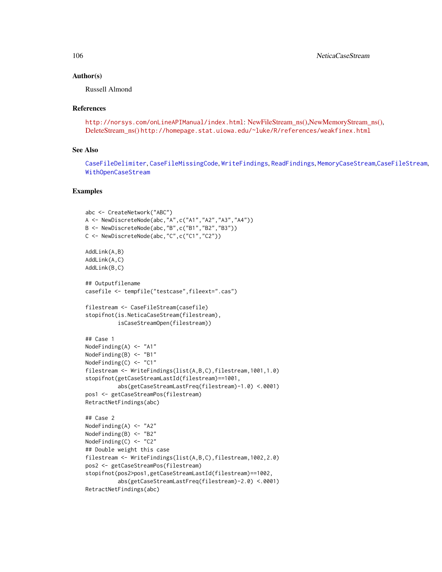# Author(s)

Russell Almond

# References

```
http://norsys.com/onLineAPIManual/index.html: NewFileStream_ns(),NewMemoryStream_ns(),
DeleteStream_ns() http://homepage.stat.uiowa.edu/~luke/R/references/weakfinex.html
```
# See Also

[CaseFileDelimiter](#page-19-0), [CaseFileMissingCode](#page-19-1), [WriteFindings](#page-188-0), [ReadFindings](#page-176-0), [MemoryCaseStream](#page-92-0),[CaseFileStream](#page-21-0), [WithOpenCaseStream](#page-185-0)

```
abc <- CreateNetwork("ABC")
A <- NewDiscreteNode(abc,"A",c("A1","A2","A3","A4"))
B <- NewDiscreteNode(abc,"B",c("B1","B2","B3"))
C <- NewDiscreteNode(abc,"C",c("C1","C2"))
AddLink(A,B)
AddLink(A,C)
AddLink(B,C)
## Outputfilename
casefile <- tempfile("testcase",fileext=".cas")
filestream <- CaseFileStream(casefile)
stopifnot(is.NeticaCaseStream(filestream),
          isCaseStreamOpen(filestream))
## Case 1
NodeFinding(A) <- "A1"
NodeFinding(B) <- "B1"
NodeFinding(C) <- "C1"
filestream <- WriteFindings(list(A,B,C),filestream,1001,1.0)
stopifnot(getCaseStreamLastId(filestream)==1001,
          abs(getCaseStreamLastFreq(filestream)-1.0) <.0001)
pos1 <- getCaseStreamPos(filestream)
RetractNetFindings(abc)
## Case 2
NodeFinding(A) <- "A2"
NodeFinding(B) <- "B2"
NodeFinding(C) <- "C2"
## Double weight this case
filestream <- WriteFindings(list(A,B,C),filestream,1002,2.0)
pos2 <- getCaseStreamPos(filestream)
stopifnot(pos2>pos1,getCaseStreamLastId(filestream)==1002,
          abs(getCaseStreamLastFreq(filestream)-2.0) <.0001)
RetractNetFindings(abc)
```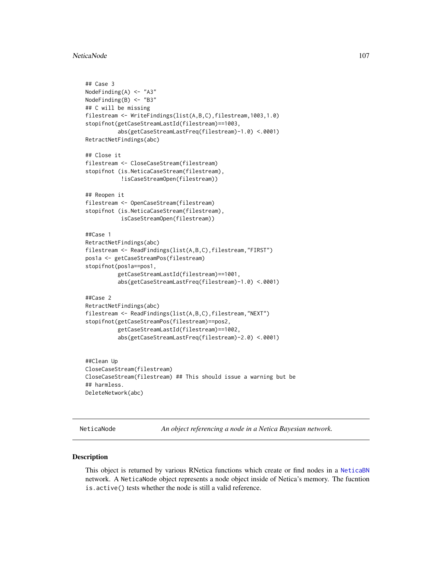## NeticaNode 107

```
## Case 3
NodeFinding(A) <- "A3"
NodeFinding(B) <- "B3"
## C will be missing
filestream <- WriteFindings(list(A,B,C),filestream,1003,1.0)
stopifnot(getCaseStreamLastId(filestream)==1003,
          abs(getCaseStreamLastFreq(filestream)-1.0) <.0001)
RetractNetFindings(abc)
## Close it
filestream <- CloseCaseStream(filestream)
stopifnot (is.NeticaCaseStream(filestream),
           !isCaseStreamOpen(filestream))
## Reopen it
filestream <- OpenCaseStream(filestream)
stopifnot (is.NeticaCaseStream(filestream),
           isCaseStreamOpen(filestream))
##Case 1
RetractNetFindings(abc)
filestream <- ReadFindings(list(A,B,C),filestream,"FIRST")
pos1a <- getCaseStreamPos(filestream)
stopifnot(pos1a==pos1,
          getCaseStreamLastId(filestream)==1001,
          abs(getCaseStreamLastFreq(filestream)-1.0) <.0001)
##Case 2
RetractNetFindings(abc)
filestream <- ReadFindings(list(A,B,C),filestream,"NEXT")
stopifnot(getCaseStreamPos(filestream)==pos2,
          getCaseStreamLastId(filestream)==1002,
          abs(getCaseStreamLastFreq(filestream)-2.0) <.0001)
##Clean Up
CloseCaseStream(filestream)
CloseCaseStream(filestream) ## This should issue a warning but be
## harmless.
```
DeleteNetwork(abc)

<span id="page-106-0"></span>NeticaNode *An object referencing a node in a Netica Bayesian network.*

## Description

This object is returned by various RNetica functions which create or find nodes in a [NeticaBN](#page-101-0) network. A NeticaNode object represents a node object inside of Netica's memory. The fucntion is.active() tests whether the node is still a valid reference.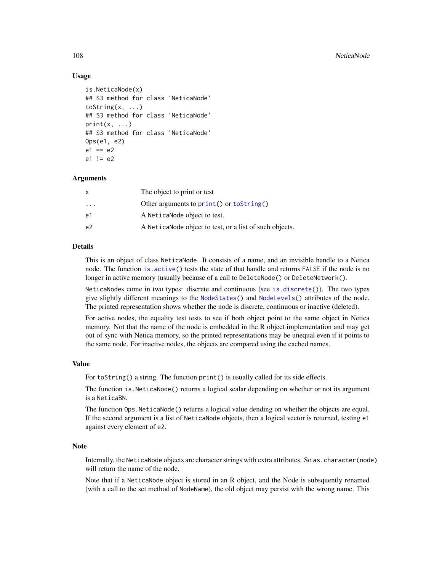# Usage

```
is.NeticaNode(x)
## S3 method for class 'NeticaNode'
toString(x, ...)
## S3 method for class 'NeticaNode'
print(x, \ldots)## S3 method for class 'NeticaNode'
Ops(e1, e2)
e1 == e2e1 != e2
```
# **Arguments**

| x         | The object to print or test                              |
|-----------|----------------------------------------------------------|
| $\ddotsc$ | Other arguments to $print()$ or $toString()$             |
| e1        | A Netica Node object to test.                            |
| e2        | A Netica Node object to test, or a list of such objects. |

# Details

This is an object of class NeticaNode. It consists of a name, and an invisible handle to a Netica node. The function [is.active\(](#page-69-0)) tests the state of that handle and returns FALSE if the node is no longer in active memory (usually because of a call to DeleteNode() or DeleteNetwork().

NeticaNodes come in two types: discrete and continuous (see [is.discrete\(](#page-70-1))). The two types give slightly different meanings to the [NodeStates\(](#page-161-0)) and [NodeLevels\(](#page-146-0)) attributes of the node. The printed representation shows whether the node is discrete, continuous or inactive (deleted).

For active nodes, the equality test tests to see if both object point to the same object in Netica memory. Not that the name of the node is embedded in the R object implementation and may get out of sync with Netica memory, so the printed representations may be unequal even if it points to the same node. For inactive nodes, the objects are compared using the cached names.

#### Value

For toString() a string. The function print() is usually called for its side effects.

The function is.NeticaNode() returns a logical scalar depending on whether or not its argument is a NeticaBN.

The function Ops.NeticaNode() returns a logical value dending on whether the objects are equal. If the second argument is a list of NeticaNode objects, then a logical vector is returned, testing e1 against every element of e2.

# **Note**

Internally, the NeticaNode objects are character strings with extra attributes. So as.character(node) will return the name of the node.

Note that if a NeticaNode object is stored in an R object, and the Node is subsquently renamed (with a call to the set method of NodeName), the old object may persist with the wrong name. This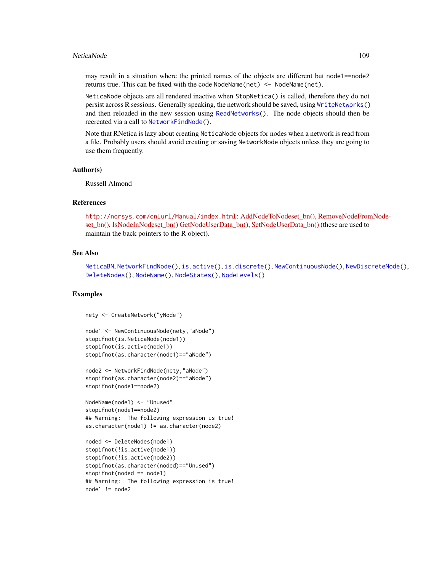#### NeticaNode 2009 109 and 2009 109 and 2009 109 and 2009 109 and 2009 109 and 2009 109 and 2009 109 and 2009 109

may result in a situation where the printed names of the objects are different but node1==node2 returns true. This can be fixed with the code NodeName(net) <- NodeName(net).

NeticaNode objects are all rendered inactive when StopNetica() is called, therefore they do not persist across R sessions. Generally speaking, the network should be saved, using [WriteNetworks\(](#page-190-0)) and then reloaded in the new session using [ReadNetworks\(](#page-190-1)). The node objects should then be recreated via a call to [NetworkFindNode\(](#page-110-0)).

Note that RNetica is lazy about creating NeticaNode objects for nodes when a network is read from a file. Probably users should avoid creating or saving NetworkNode objects unless they are going to use them frequently.

## Author(s)

Russell Almond

# References

<http://norsys.com/onLurl/Manual/index.html>: [AddNodeToNodeset\\_bn\(\),](http://norsys.com/onLineAPIManual/functions/AddNodeToNodeset_bn.html) [RemoveNodeFrom](http://norsys.com/onLineAPIManual/functions/RemoveNodeFromNodeset_bn.html)Node[set\\_bn\(\),](http://norsys.com/onLineAPIManual/functions/RemoveNodeFromNodeset_bn.html) [IsNodeInNodeset\\_bn\(\)](http://norsys.com/onLineAPIManual/functions/IsNodeInNodeset_bn.html) [GetNodeUserData\\_bn\(\),](http://norsys.com/onLineAPIManual/functions/GetNodeUserData_bn.html) [SetNodeUserData\\_bn\(\)](http://norsys.com/onLineAPIManual/functions/SetNodeUserData_bn.html) (these are used to maintain the back pointers to the R object).

## See Also

[NeticaBN](#page-101-0), [NetworkFindNode\(](#page-110-0)), [is.active\(](#page-69-0)), [is.discrete\(](#page-70-0)), [NewContinuousNode\(](#page-126-0)), [NewDiscreteNode\(](#page-126-1)), [DeleteNodes\(](#page-126-0)), [NodeName\(](#page-151-0)), [NodeStates\(](#page-161-0)), [NodeLevels\(](#page-146-0))

```
nety <- CreateNetwork("yNode")
```

```
node1 <- NewContinuousNode(nety,"aNode")
stopifnot(is.NeticaNode(node1))
stopifnot(is.active(node1))
stopifnot(as.character(node1)=="aNode")
```

```
node2 <- NetworkFindNode(nety,"aNode")
stopifnot(as.character(node2)=="aNode")
stopifnot(node1==node2)
```

```
NodeName(node1) <- "Unused"
stopifnot(node1==node2)
## Warning: The following expression is true!
as.character(node1) != as.character(node2)
```

```
noded <- DeleteNodes(node1)
stopifnot(!is.active(node1))
stopifnot(!is.active(node2))
stopifnot(as.character(noded)=="Unused")
stopifnot(noded == node1)
## Warning: The following expression is true!
node1 := node2
```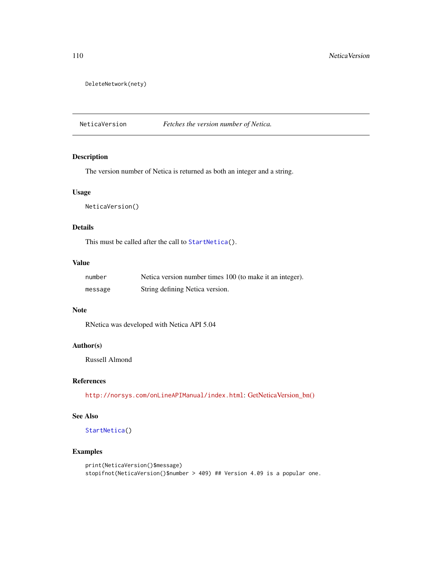```
DeleteNetwork(nety)
```
NeticaVersion *Fetches the version number of Netica.*

# Description

The version number of Netica is returned as both an integer and a string.

## Usage

```
NeticaVersion()
```
# Details

This must be called after the call to [StartNetica\(](#page-183-0)).

## Value

| number  | Netica version number times 100 (to make it an integer). |
|---------|----------------------------------------------------------|
| message | String defining Netica version.                          |

# Note

RNetica was developed with Netica API 5.04

## Author(s)

Russell Almond

## References

<http://norsys.com/onLineAPIManual/index.html>: [GetNeticaVersion\\_bn\(\)](http://norsys.com/onLineAPIManual/functions/GetNeticaVersion_bn.html)

## See Also

[StartNetica\(](#page-183-0))

```
print(NeticaVersion()$message)
stopifnot(NeticaVersion()$number > 409) ## Version 4.09 is a popular one.
```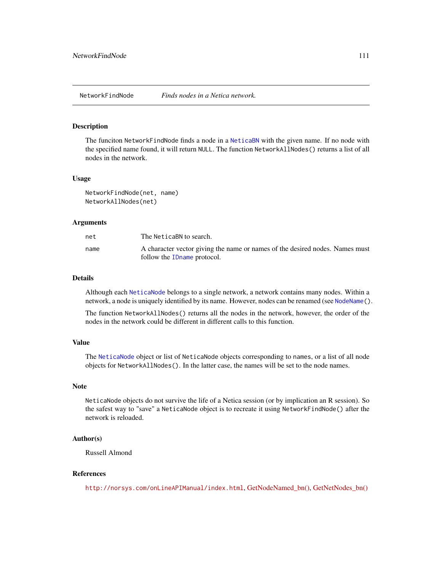# <span id="page-110-0"></span>Description

The funciton NetworkFindNode finds a node in a [NeticaBN](#page-101-0) with the given name. If no node with the specified name found, it will return NULL. The function NetworkAllNodes() returns a list of all nodes in the network.

## Usage

NetworkFindNode(net, name) NetworkAllNodes(net)

## Arguments

| net  | The NeticaBN to search.                                                      |
|------|------------------------------------------------------------------------------|
| name | A character vector giving the name or names of the desired nodes. Names must |
|      | follow the ID name protocol.                                                 |

#### Details

Although each [NeticaNode](#page-106-0) belongs to a single network, a network contains many nodes. Within a network, a node is uniquely identified by its name. However, nodes can be renamed (see [NodeName\(](#page-151-0)).

The function NetworkAllNodes() returns all the nodes in the network, however, the order of the nodes in the network could be different in different calls to this function.

# Value

The [NeticaNode](#page-106-0) object or list of NeticaNode objects corresponding to names, or a list of all node objects for NetworkAllNodes(). In the latter case, the names will be set to the node names.

## Note

NeticaNode objects do not survive the life of a Netica session (or by implication an R session). So the safest way to "save" a NeticaNode object is to recreate it using NetworkFindNode() after the network is reloaded.

## Author(s)

Russell Almond

## References

<http://norsys.com/onLineAPIManual/index.html>, [GetNodeNamed\\_bn\(\),](http://norsys.com/onLineAPIManual/functions/GetNodeNamed_bn.html) [GetNetNodes\\_bn\(\)](http://norsys.com/onLineAPIManual/functions/GetNetNodes_bn.html)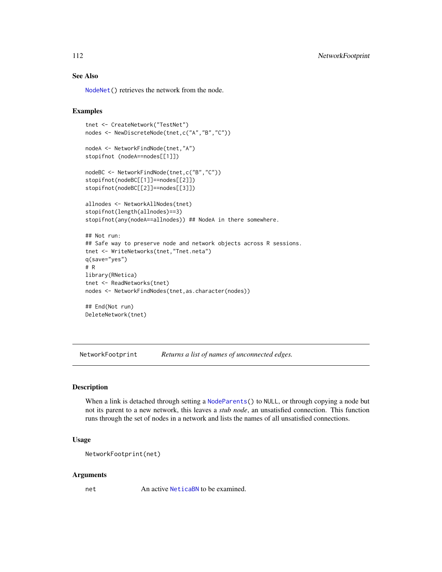# See Also

[NodeNet\(](#page-153-0)) retrieves the network from the node.

# Examples

```
tnet <- CreateNetwork("TestNet")
nodes <- NewDiscreteNode(tnet,c("A","B","C"))
nodeA <- NetworkFindNode(tnet,"A")
stopifnot (nodeA==nodes[[1]])
nodeBC <- NetworkFindNode(tnet,c("B","C"))
stopifnot(nodeBC[[1]]==nodes[[2]])
stopifnot(nodeBC[[2]]==nodes[[3]])
allnodes <- NetworkAllNodes(tnet)
stopifnot(length(allnodes)==3)
stopifnot(any(nodeA==allnodes)) ## NodeA in there somewhere.
## Not run:
## Safe way to preserve node and network objects across R sessions.
tnet <- WriteNetworks(tnet,"Tnet.neta")
q(save="yes")
# R
library(RNetica)
tnet <- ReadNetworks(tnet)
nodes <- NetworkFindNodes(tnet,as.character(nodes))
## End(Not run)
```
DeleteNetwork(tnet)

NetworkFootprint *Returns a list of names of unconnected edges.*

## Description

When a link is detached through setting a [NodeParents\(](#page-155-0)) to NULL, or through copying a node but not its parent to a new network, this leaves a *stub node*, an unsatisfied connection. This function runs through the set of nodes in a network and lists the names of all unsatisfied connections.

#### Usage

```
NetworkFootprint(net)
```
#### Arguments

net An active [NeticaBN](#page-101-0) to be examined.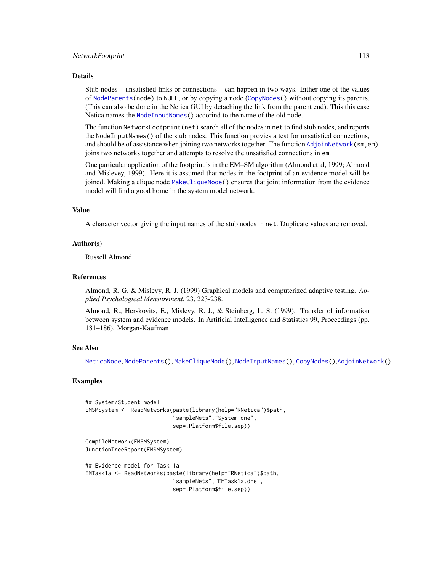#### NetworkFootprint 113

#### Details

Stub nodes – unsatisfied links or connections – can happen in two ways. Either one of the values of [NodeParents\(](#page-155-0)node) to NULL, or by copying a node ([CopyNodes\(](#page-26-0)) without copying its parents. (This can also be done in the Netica GUI by detaching the link from the parent end). This this case Netica names the [NodeInputNames\(](#page-142-0)) accorind to the name of the old node.

The function NetworkFootprint(net) search all of the nodes in net to find stub nodes, and reports the NodeInputNames() of the stub nodes. This function provies a test for unsatisfied connections, and should be of assistance when joining two networks together. The function [AdjoinNetwork\(](#page-14-0)sm, em) joins two networks together and attempts to resolve the unsatisfied connections in em.

One particular application of the footprint is in the EM–SM algorithm (Almond et al, 1999; Almond and Mislevey, 1999). Here it is assumed that nodes in the footprint of an evidence model will be joined. Making a clique node [MakeCliqueNode\(](#page-89-0)) ensures that joint information from the evidence model will find a good home in the system model network.

## Value

A character vector giving the input names of the stub nodes in net. Duplicate values are removed.

#### Author(s)

Russell Almond

## **References**

Almond, R. G. & Mislevy, R. J. (1999) Graphical models and computerized adaptive testing. *Applied Psychological Measurement*, 23, 223-238.

Almond, R., Herskovits, E., Mislevy, R. J., & Steinberg, L. S. (1999). Transfer of information between system and evidence models. In Artificial Intelligence and Statistics 99, Proceedings (pp. 181–186). Morgan-Kaufman

## See Also

[NeticaNode](#page-106-0), [NodeParents\(](#page-155-0)), [MakeCliqueNode\(](#page-89-0)), [NodeInputNames\(](#page-142-0)), [CopyNodes\(](#page-26-0)),[AdjoinNetwork\(](#page-14-0))

# Examples

```
## System/Student model
EMSMSystem <- ReadNetworks(paste(library(help="RNetica")$path,
                           "sampleNets","System.dne",
                           sep=.Platform$file.sep))
```
CompileNetwork(EMSMSystem) JunctionTreeReport(EMSMSystem)

```
## Evidence model for Task 1a
EMTask1a <- ReadNetworks(paste(library(help="RNetica")$path,
                           "sampleNets","EMTask1a.dne",
                           sep=.Platform$file.sep))
```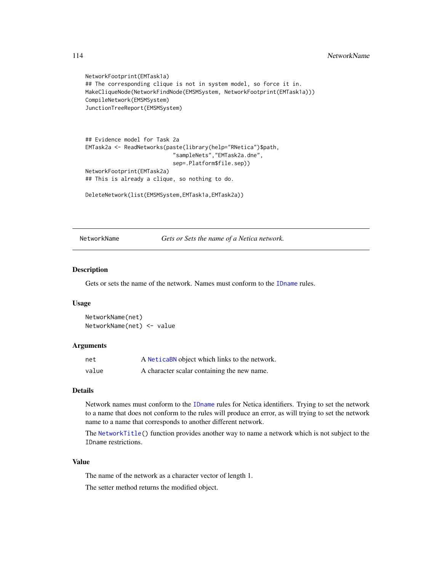```
NetworkFootprint(EMTask1a)
## The corresponding clique is not in system model, so force it in.
MakeCliqueNode(NetworkFindNode(EMSMSystem, NetworkFootprint(EMTask1a)))
CompileNetwork(EMSMSystem)
JunctionTreeReport(EMSMSystem)
```

```
## Evidence model for Task 2a
EMTask2a <- ReadNetworks(paste(library(help="RNetica")$path,
                           "sampleNets","EMTask2a.dne",
                           sep=.Platform$file.sep))
NetworkFootprint(EMTask2a)
## This is already a clique, so nothing to do.
```

```
DeleteNetwork(list(EMSMSystem,EMTask1a,EMTask2a))
```
<span id="page-113-0"></span>NetworkName *Gets or Sets the name of a Netica network.*

## Description

Gets or sets the name of the network. Names must conform to the [IDname](#page-67-0) rules.

#### Usage

NetworkName(net) NetworkName(net) <- value

## Arguments

| net   | A NeticaBN object which links to the network. |
|-------|-----------------------------------------------|
| value | A character scalar containing the new name.   |

#### Details

Network names must conform to the [IDname](#page-67-0) rules for Netica identifiers. Trying to set the network to a name that does not conform to the rules will produce an error, as will trying to set the network name to a name that corresponds to another different network.

The [NetworkTitle\(](#page-122-0)) function provides another way to name a network which is not subject to the IDname restrictions.

## Value

The name of the network as a character vector of length 1.

The setter method returns the modified object.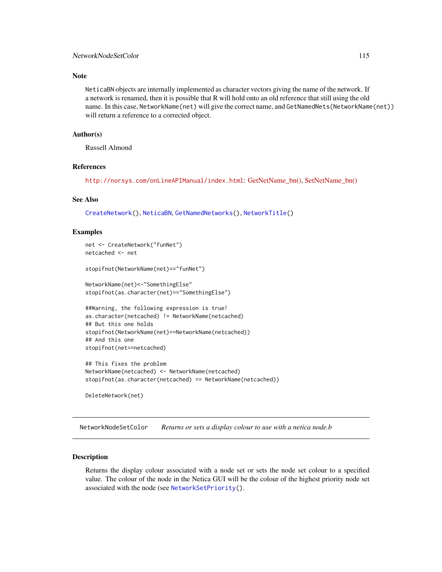## Note

NeticaBN objects are internally implemented as character vectors giving the name of the network. If a network is renamed, then it is possible that R will hold onto an old reference that still using the old name. In this case, NetworkName(net) will give the correct name, and GetNamedNets(NetworkName(net)) will return a reference to a corrected object.

## Author(s)

Russell Almond

## References

<http://norsys.com/onLineAPIManual/index.html>: [GetNetName\\_bn\(\),](http://norsys.com/onLineAPIManual/functions/GetNetName_bn.html) [SetNetName\\_bn\(\)](http://norsys.com/onLineAPIManual/functions/SetNetName_bn.html)

#### See Also

[CreateNetwork\(](#page-33-0)), [NeticaBN](#page-101-0), [GetNamedNetworks\(](#page-61-0)), [NetworkTitle\(](#page-122-0))

#### Examples

```
net <- CreateNetwork("funNet")
netcached <- net
stopifnot(NetworkName(net)=="funNet")
NetworkName(net)<-"SomethingElse"
stopifnot(as.character(net)=="SomethingElse")
##Warning, the following expression is true!
as.character(netcached) != NetworkName(netcached)
## But this one holds
stopifnot(NetworkName(net)==NetworkName(netcached))
## And this one
```
stopifnot(net==netcached)

```
## This fixes the problem
NetworkName(netcached) <- NetworkName(netcached)
stopifnot(as.character(netcached) == NetworkName(netcached))
```
DeleteNetwork(net)

<span id="page-114-0"></span>NetworkNodeSetColor *Returns or sets a display colour to use with a netica node.b*

## Description

Returns the display colour associated with a node set or sets the node set colour to a specified value. The colour of the node in the Netica GUI will be the colour of the highest priority node set associated with the node (see [NetworkSetPriority\(](#page-120-0)).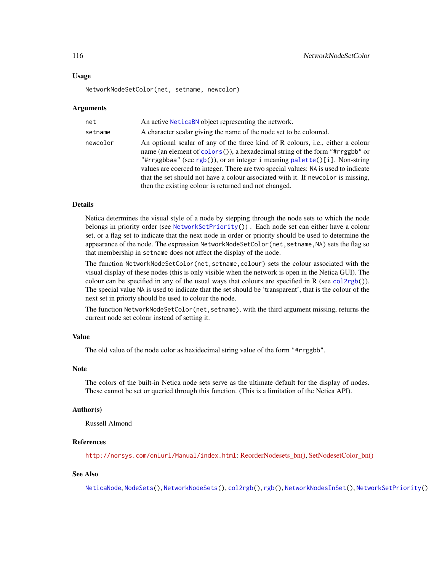#### Usage

NetworkNodeSetColor(net, setname, newcolor)

### Arguments

| net      | An active NeticaBN object representing the network.                                                                                                                                                                                                                                                                                                                                                                                                                               |
|----------|-----------------------------------------------------------------------------------------------------------------------------------------------------------------------------------------------------------------------------------------------------------------------------------------------------------------------------------------------------------------------------------------------------------------------------------------------------------------------------------|
| setname  | A character scalar giving the name of the node set to be coloured.                                                                                                                                                                                                                                                                                                                                                                                                                |
| newcolor | An optional scalar of any of the three kind of R colours, i.e., either a colour<br>name (an element of colors()), a hexadecimal string of the form "#rrggbb" or<br>"#rrggbbaa" (see rgb()), or an integer i meaning palette()[i]. Non-string<br>values are coerced to integer. There are two special values: NA is used to indicate<br>that the set should not have a colour associated with it. If newcolor is missing,<br>then the existing colour is returned and not changed. |

# **Details**

Netica determines the visual style of a node by stepping through the node sets to which the node belongs in priority order (see [NetworkSetPriority\(](#page-120-0))) . Each node set can either have a colour set, or a flag set to indicate that the next node in order or priority should be used to determine the appearance of the node. The expression NetworkNodeSetColor(net, setname, NA) sets the flag so that membership in setname does not affect the display of the node.

The function NetworkNodeSetColor(net,setname,colour) sets the colour associated with the visual display of these nodes (this is only visible when the network is open in the Netica GUI). The colour can be specified in any of the usual ways that colours are specified in R (see  $col2rgb()$  $col2rgb()$ ). The special value NA is used to indicate that the set should be 'transparent', that is the colour of the next set in priorty should be used to colour the node.

The function NetworkNodeSetColor(net, setname), with the third argument missing, returns the current node set colour instead of setting it.

## Value

The old value of the node color as hexidecimal string value of the form "#rrggbb".

# Note

The colors of the built-in Netica node sets serve as the ultimate default for the display of nodes. These cannot be set or queried through this function. (This is a limitation of the Netica API).

## Author(s)

Russell Almond

## References

<http://norsys.com/onLurl/Manual/index.html>: [ReorderNodesets\\_bn\(\),](http://norsys.com/onLineAPIManual/functions/ReorderNodesets_bn.html) [SetNodesetColor\\_bn\(\)](http://norsys.com/onLineAPIManual/functions/SetNodesetColor_bn.html)

## See Also

[NeticaNode](#page-106-0), [NodeSets\(](#page-159-0)), [NetworkNodeSets\(](#page-116-0)), [col2rgb\(](#page-0-0)), [rgb\(](#page-0-0)), [NetworkNodesInSet\(](#page-118-0)), [NetworkSetPriority\(](#page-120-0))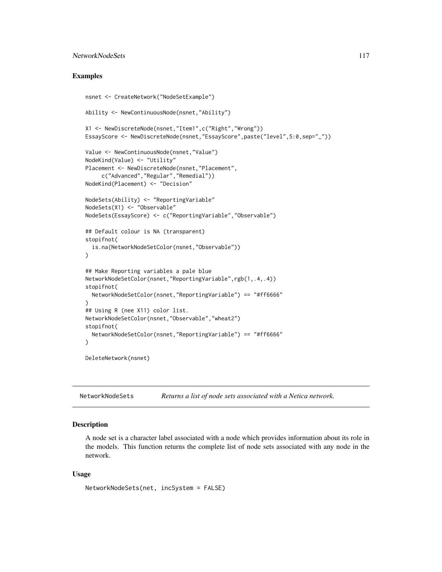# NetworkNodeSets 117

## Examples

```
nsnet <- CreateNetwork("NodeSetExample")
Ability <- NewContinuousNode(nsnet,"Ability")
X1 <- NewDiscreteNode(nsnet,"Item1",c("Right","Wrong"))
EssayScore <- NewDiscreteNode(nsnet,"EssayScore",paste("level",5:0,sep="_"))
Value <- NewContinuousNode(nsnet,"Value")
NodeKind(Value) <- "Utility"
Placement <- NewDiscreteNode(nsnet,"Placement",
     c("Advanced","Regular","Remedial"))
NodeKind(Placement) <- "Decision"
NodeSets(Ability) <- "ReportingVariable"
NodeSets(X1) <- "Observable"
NodeSets(EssayScore) <- c("ReportingVariable","Observable")
## Default colour is NA (transparent)
stopifnot(
  is.na(NetworkNodeSetColor(nsnet,"Observable"))
)
## Make Reporting variables a pale blue
NetworkNodeSetColor(nsnet,"ReportingVariable",rgb(1,.4,.4))
stopifnot(
  NetworkNodeSetColor(nsnet,"ReportingVariable") == "#ff6666"
)
## Using R (nee X11) color list.
NetworkNodeSetColor(nsnet,"Observable","wheat2")
stopifnot(
  NetworkNodeSetColor(nsnet,"ReportingVariable") == "#ff6666"
)
```
DeleteNetwork(nsnet)

<span id="page-116-0"></span>NetworkNodeSets *Returns a list of node sets associated with a Netica network.*

# **Description**

A node set is a character label associated with a node which provides information about its role in the models. This function returns the complete list of node sets associated with any node in the network.

#### Usage

```
NetworkNodeSets(net, incSystem = FALSE)
```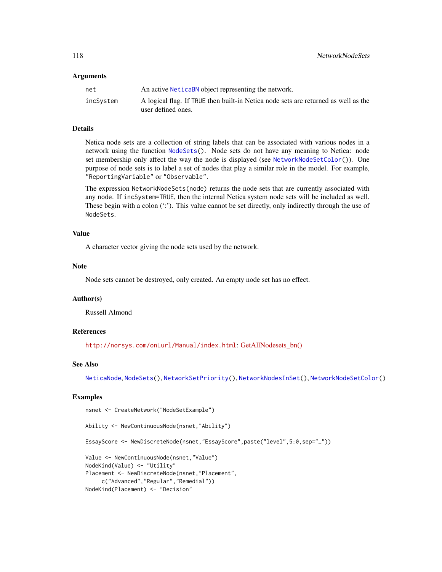#### Arguments

| net       | An active NeticaBN object representing the network.                                                      |
|-----------|----------------------------------------------------------------------------------------------------------|
| incSystem | A logical flag. If TRUE then built-in Netica node sets are returned as well as the<br>user defined ones. |

## Details

Netica node sets are a collection of string labels that can be associated with various nodes in a network using the function [NodeSets\(](#page-159-0)). Node sets do not have any meaning to Netica: node set membership only affect the way the node is displayed (see [NetworkNodeSetColor\(](#page-114-0))). One purpose of node sets is to label a set of nodes that play a similar role in the model. For example, "ReportingVariable" or "Observable".

The expression NetworkNodeSets(node) returns the node sets that are currently associated with any node. If incSystem=TRUE, then the internal Netica system node sets will be included as well. These begin with a colon (':'). This value cannot be set directly, only indirectly through the use of NodeSets.

## Value

A character vector giving the node sets used by the network.

## Note

Node sets cannot be destroyed, only created. An empty node set has no effect.

#### Author(s)

Russell Almond

## References

<http://norsys.com/onLurl/Manual/index.html>: [GetAllNodesets\\_bn\(\)](http://norsys.com/onLineAPIManual/functions/GetAllNodesets_bn.html)

## See Also

[NeticaNode](#page-106-0), [NodeSets\(](#page-159-0)), [NetworkSetPriority\(](#page-120-0)), [NetworkNodesInSet\(](#page-118-0)), [NetworkNodeSetColor\(](#page-114-0))

```
nsnet <- CreateNetwork("NodeSetExample")
```

```
Ability <- NewContinuousNode(nsnet,"Ability")
EssayScore <- NewDiscreteNode(nsnet,"EssayScore",paste("level",5:0,sep="_"))
Value <- NewContinuousNode(nsnet,"Value")
NodeKind(Value) <- "Utility"
Placement <- NewDiscreteNode(nsnet, "Placement",
    c("Advanced","Regular","Remedial"))
```

```
NodeKind(Placement) <- "Decision"
```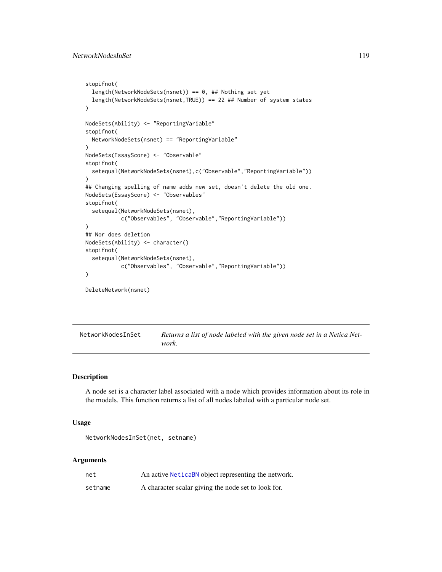```
stopifnot(
 length(NetworkNodeSets(nsnet)) == 0, ## Nothing set yet
 length(NetworkNodeSets(nsnet,TRUE)) == 22 ## Number of system states
)
NodeSets(Ability) <- "ReportingVariable"
stopifnot(
 NetworkNodeSets(nsnet) == "ReportingVariable"
\lambdaNodeSets(EssayScore) <- "Observable"
stopifnot(
 setequal(NetworkNodeSets(nsnet),c("Observable","ReportingVariable"))
)
## Changing spelling of name adds new set, doesn't delete the old one.
NodeSets(EssayScore) <- "Observables"
stopifnot(
 setequal(NetworkNodeSets(nsnet),
           c("Observables", "Observable","ReportingVariable"))
)
## Nor does deletion
NodeSets(Ability) <- character()
stopifnot(
 setequal(NetworkNodeSets(nsnet),
           c("Observables", "Observable","ReportingVariable"))
)
DeleteNetwork(nsnet)
```
<span id="page-118-0"></span>NetworkNodesInSet *Returns a list of node labeled with the given node set in a Netica Network.*

## Description

A node set is a character label associated with a node which provides information about its role in the models. This function returns a list of all nodes labeled with a particular node set.

#### Usage

```
NetworkNodesInSet(net, setname)
```
## Arguments

| net     | An active NeticaBN object representing the network. |
|---------|-----------------------------------------------------|
| setname | A character scalar giving the node set to look for. |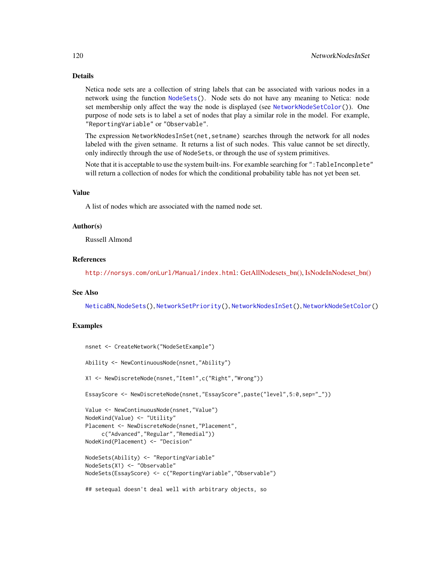# Details

Netica node sets are a collection of string labels that can be associated with various nodes in a network using the function [NodeSets\(](#page-159-0)). Node sets do not have any meaning to Netica: node set membership only affect the way the node is displayed (see [NetworkNodeSetColor\(](#page-114-0))). One purpose of node sets is to label a set of nodes that play a similar role in the model. For example, "ReportingVariable" or "Observable".

The expression NetworkNodesInSet(net,setname) searches through the network for all nodes labeled with the given setname. It returns a list of such nodes. This value cannot be set directly, only indirectly through the use of NodeSets, or through the use of system primitives.

Note that it is acceptable to use the system built-ins. For examble searching for ":TableIncomplete" will return a collection of nodes for which the conditional probability table has not yet been set.

## Value

A list of nodes which are associated with the named node set.

## Author(s)

Russell Almond

## References

<http://norsys.com/onLurl/Manual/index.html>: [GetAllNodesets\\_bn\(\),](http://norsys.com/onLineAPIManual/functions/GetAllNodesets_bn.html) [IsNodeInNodeset\\_bn\(\)](http://norsys.com/onLineAPIManual/functions/IsNodeInNodeset_bn.html)

## See Also

[NeticaBN](#page-101-0), [NodeSets\(](#page-159-0)), [NetworkSetPriority\(](#page-120-0)), [NetworkNodesInSet\(](#page-118-0)), [NetworkNodeSetColor\(](#page-114-0))

```
nsnet <- CreateNetwork("NodeSetExample")
Ability <- NewContinuousNode(nsnet,"Ability")
X1 <- NewDiscreteNode(nsnet,"Item1",c("Right","Wrong"))
EssayScore <- NewDiscreteNode(nsnet,"EssayScore",paste("level",5:0,sep="_"))
Value <- NewContinuousNode(nsnet,"Value")
NodeKind(Value) <- "Utility"
Placement <- NewDiscreteNode(nsnet, "Placement",
     c("Advanced","Regular","Remedial"))
NodeKind(Placement) <- "Decision"
NodeSets(Ability) <- "ReportingVariable"
NodeSets(X1) <- "Observable"
NodeSets(EssayScore) <- c("ReportingVariable","Observable")
## setequal doesn't deal well with arbitrary objects, so
```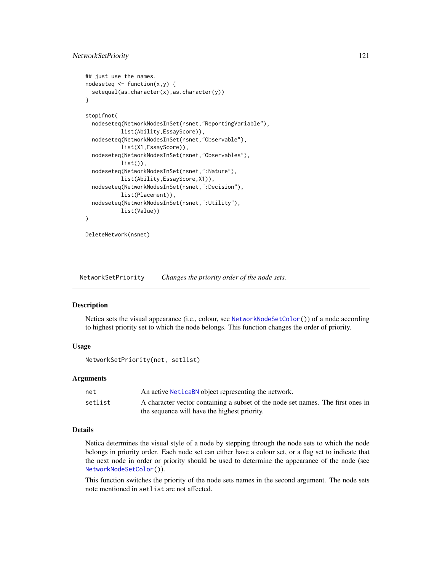# NetworkSetPriority 121

```
## just use the names.
nodeseteq \leq function(x,y) {
 setequal(as.character(x),as.character(y))
}
stopifnot(
 nodeseteq(NetworkNodesInSet(nsnet,"ReportingVariable"),
           list(Ability,EssayScore)),
 nodeseteq(NetworkNodesInSet(nsnet,"Observable"),
           list(X1,EssayScore)),
 nodeseteq(NetworkNodesInSet(nsnet,"Observables"),
           list(),
 nodeseteq(NetworkNodesInSet(nsnet,":Nature"),
           list(Ability,EssayScore,X1)),
 nodeseteq(NetworkNodesInSet(nsnet,":Decision"),
           list(Placement)),
 nodeseteq(NetworkNodesInSet(nsnet,":Utility"),
           list(Value))
)
```
DeleteNetwork(nsnet)

<span id="page-120-0"></span>NetworkSetPriority *Changes the priority order of the node sets.*

# **Description**

Netica sets the visual appearance (i.e., colour, see [NetworkNodeSetColor\(](#page-114-0))) of a node according to highest priority set to which the node belongs. This function changes the order of priority.

# Usage

NetworkSetPriority(net, setlist)

## Arguments

| net     | An active NeticaBN object representing the network.                             |
|---------|---------------------------------------------------------------------------------|
| setlist | A character vector containing a subset of the node set names. The first ones in |
|         | the sequence will have the highest priority.                                    |

# Details

Netica determines the visual style of a node by stepping through the node sets to which the node belongs in priority order. Each node set can either have a colour set, or a flag set to indicate that the next node in order or priority should be used to determine the appearance of the node (see [NetworkNodeSetColor\(](#page-114-0))).

This function switches the priority of the node sets names in the second argument. The node sets note mentioned in setlist are not affected.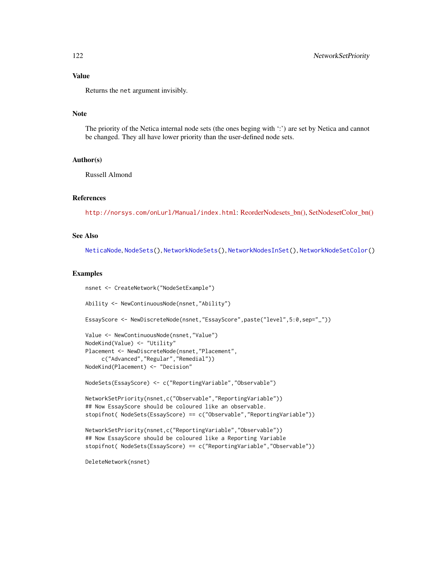# Value

Returns the net argument invisibly.

## Note

The priority of the Netica internal node sets (the ones beging with ':') are set by Netica and cannot be changed. They all have lower priority than the user-defined node sets.

## Author(s)

Russell Almond

## References

<http://norsys.com/onLurl/Manual/index.html>: [ReorderNodesets\\_bn\(\),](http://norsys.com/onLineAPIManual/functions/ReorderNodesets_bn.html) [SetNodesetColor\\_bn\(\)](http://norsys.com/onLineAPIManual/functions/SetNodesetColor_bn.html)

# See Also

[NeticaNode](#page-106-0), [NodeSets\(](#page-159-0)), [NetworkNodeSets\(](#page-116-0)), [NetworkNodesInSet\(](#page-118-0)), [NetworkNodeSetColor\(](#page-114-0))

```
nsnet <- CreateNetwork("NodeSetExample")
Ability <- NewContinuousNode(nsnet,"Ability")
EssayScore <- NewDiscreteNode(nsnet,"EssayScore",paste("level",5:0,sep="_"))
Value <- NewContinuousNode(nsnet,"Value")
NodeKind(Value) <- "Utility"
Placement <- NewDiscreteNode(nsnet,"Placement",
     c("Advanced","Regular","Remedial"))
NodeKind(Placement) <- "Decision"
NodeSets(EssayScore) <- c("ReportingVariable","Observable")
NetworkSetPriority(nsnet,c("Observable","ReportingVariable"))
## Now EssayScore should be coloured like an observable.
stopifnot( NodeSets(EssayScore) == c("Observable","ReportingVariable"))
NetworkSetPriority(nsnet,c("ReportingVariable","Observable"))
## Now EssayScore should be coloured like a Reporting Variable
stopifnot( NodeSets(EssayScore) == c("ReportingVariable","Observable"))
DeleteNetwork(nsnet)
```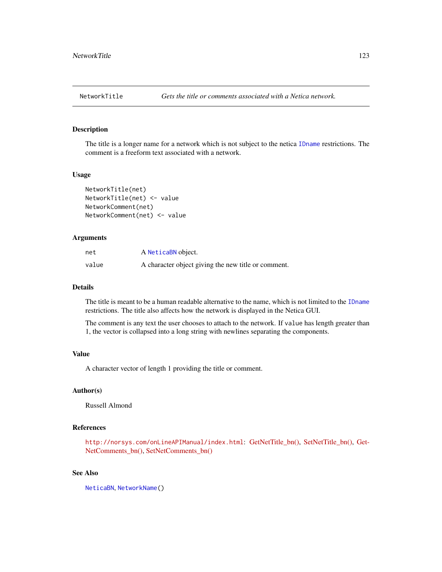<span id="page-122-0"></span>

## <span id="page-122-1"></span>Description

The title is a longer name for a network which is not subject to the netica [IDname](#page-67-0) restrictions. The comment is a freeform text associated with a network.

## Usage

```
NetworkTitle(net)
NetworkTitle(net) <- value
NetworkComment(net)
NetworkComment(net) <- value
```
# Arguments

| net   | A NeticaBN object.                                  |
|-------|-----------------------------------------------------|
| value | A character object giving the new title or comment. |

## Details

The title is meant to be a human readable alternative to the name, which is not limited to the [IDname](#page-67-0) restrictions. The title also affects how the network is displayed in the Netica GUI.

The comment is any text the user chooses to attach to the network. If value has length greater than 1, the vector is collapsed into a long string with newlines separating the components.

## Value

A character vector of length 1 providing the title or comment.

## Author(s)

Russell Almond

# References

<http://norsys.com/onLineAPIManual/index.html>: [GetNetTitle\\_bn\(\),](http://norsys.com/onLineAPIManual/functions/GetNetTitle_bn.html) [SetNetTitle\\_bn\(\),](http://norsys.com/onLineAPIManual/functions/SetNetTitle_bn.html) [Get-](http://norsys.com/onLineAPIManual/functions/GetNetComments_bn.html)[NetComments\\_bn\(\),](http://norsys.com/onLineAPIManual/functions/GetNetComments_bn.html) [SetNetComments\\_bn\(\)](http://norsys.com/onLineAPIManual/functions/SetNetComments_bn.html)

# See Also

[NeticaBN](#page-101-0), [NetworkName\(](#page-113-0))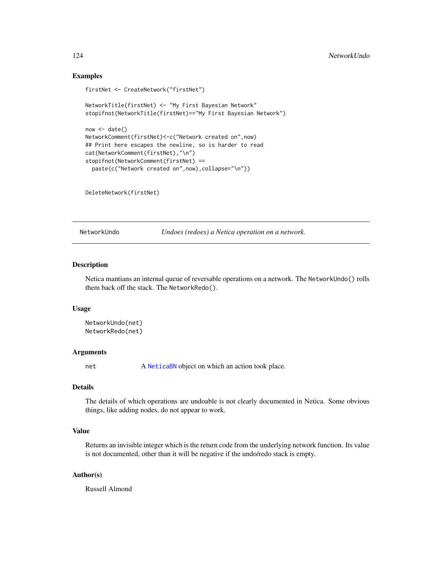## Examples

```
firstNet <- CreateNetwork("firstNet")
NetworkTitle(firstNet) <- "My First Bayesian Network"
stopifnot(NetworkTitle(firstNet)=="My First Bayesian Network")
now < - date()NetworkComment(firstNet)<-c("Network created on",now)
## Print here escapes the newline, so is harder to read
cat(NetworkComment(firstNet),"\n")
stopifnot(NetworkComment(firstNet) ==
 paste(c("Network created on",now),collapse="\n"))
```
DeleteNetwork(firstNet)

NetworkUndo *Undoes (redoes) a Netica operation on a network.*

#### Description

Netica mantians an internal queue of reversable operations on a network. The NetworkUndo() rolls them back off the stack. The NetworkRedo().

#### Usage

```
NetworkUndo(net)
NetworkRedo(net)
```
## Arguments

net A [NeticaBN](#page-101-0) object on which an action took place.

## Details

The details of which operations are undoable is not clearly documented in Netica. Some obvious things, like adding nodes, do not appear to work.

## Value

Returns an invisible integer which is the return code from the underlying network function. Its value is not documented, other than it will be negative if the undo/redo stack is empty.

## Author(s)

Russell Almond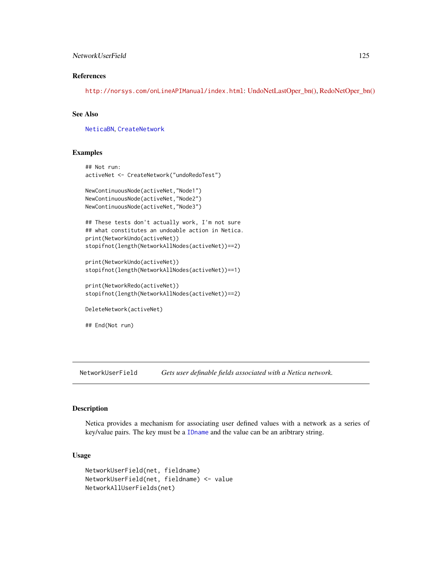## NetworkUserField 125

# References

<http://norsys.com/onLineAPIManual/index.html>: [UndoNetLastOper\\_bn\(\),](http://norsys.com/onLineAPIManual/functions/UndoNetLastOper_bn.html) [RedoNetOper\\_bn\(\)](http://norsys.com/onLineAPIManual/functions/RedoNetOper_bn.html)

## See Also

[NeticaBN](#page-101-0), [CreateNetwork](#page-33-0)

## Examples

```
## Not run:
activeNet <- CreateNetwork("undoRedoTest")
```

```
NewContinuousNode(activeNet,"Node1")
NewContinuousNode(activeNet,"Node2")
NewContinuousNode(activeNet,"Node3")
```

```
## These tests don't actually work, I'm not sure
## what constitutes an undoable action in Netica.
print(NetworkUndo(activeNet))
stopifnot(length(NetworkAllNodes(activeNet))==2)
```

```
print(NetworkUndo(activeNet))
stopifnot(length(NetworkAllNodes(activeNet))==1)
```

```
print(NetworkRedo(activeNet))
stopifnot(length(NetworkAllNodes(activeNet))==2)
```
DeleteNetwork(activeNet)

## End(Not run)

NetworkUserField *Gets user definable fields associated with a Netica network.*

# Description

Netica provides a mechanism for associating user defined values with a network as a series of key/value pairs. The key must be a [IDname](#page-67-0) and the value can be an aribtrary string.

#### Usage

```
NetworkUserField(net, fieldname)
NetworkUserField(net, fieldname) <- value
NetworkAllUserFields(net)
```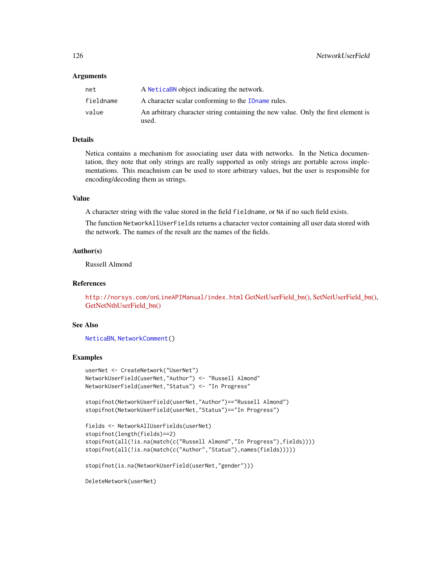#### Arguments

| net       | A Netical book object indicating the network.                                              |
|-----------|--------------------------------------------------------------------------------------------|
| fieldname | A character scalar conforming to the ID name rules.                                        |
| value     | An arbitrary character string containing the new value. Only the first element is<br>used. |

# Details

Netica contains a mechanism for associating user data with networks. In the Netica documentation, they note that only strings are really supported as only strings are portable across implementations. This meachnism can be used to store arbitrary values, but the user is responsible for encoding/decoding them as strings.

## Value

A character string with the value stored in the field fieldname, or NA if no such field exists.

The function NetworkAllUserFields returns a character vector containing all user data stored with the network. The names of the result are the names of the fields.

## Author(s)

Russell Almond

#### References

<http://norsys.com/onLineAPIManual/index.html> [GetNetUserField\\_bn\(\),](http://norsys.com/onLineAPIManual/functions/GetNetUserField_bn.html) [SetNetUserField\\_bn\(\),](http://norsys.com/onLineAPIManual/functions/SetNetUserField_bn.html) [GetNetNthUserField\\_bn\(\)](http://norsys.com/onLineAPIManual/functions/GetNetNthUserField_bn.html)

#### See Also

```
NeticaBN, NetworkComment()
```
# Examples

```
userNet <- CreateNetwork("UserNet")
NetworkUserField(userNet,"Author") <- "Russell Almond"
NetworkUserField(userNet,"Status") <- "In Progress"
```

```
stopifnot(NetworkUserField(userNet,"Author")=="Russell Almond")
stopifnot(NetworkUserField(userNet,"Status")=="In Progress")
```

```
fields <- NetworkAllUserFields(userNet)
stopifnot(length(fields)==2)
stopifnot(all(!is.na(match(c("Russell Almond","In Progress"),fields))))
stopifnot(all(!is.na(match(c("Author","Status"),names(fields)))))
```
stopifnot(is.na(NetworkUserField(userNet,"gender")))

DeleteNetwork(userNet)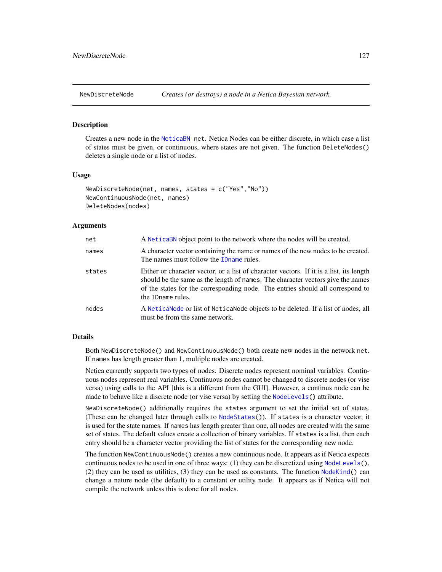<span id="page-126-1"></span>

#### <span id="page-126-0"></span>Description

Creates a new node in the [NeticaBN](#page-101-0) net. Netica Nodes can be either discrete, in which case a list of states must be given, or continuous, where states are not given. The function DeleteNodes() deletes a single node or a list of nodes.

#### Usage

```
NewDiscreteNode(net, names, states = c("Yes","No"))
NewContinuousNode(net, names)
DeleteNodes(nodes)
```
## Arguments

| net    | A NeticaBN object point to the network where the nodes will be created.                                                                                                                                                                                                            |
|--------|------------------------------------------------------------------------------------------------------------------------------------------------------------------------------------------------------------------------------------------------------------------------------------|
| names  | A character vector containing the name or names of the new nodes to be created.<br>The names must follow the ID name rules.                                                                                                                                                        |
| states | Either or character vector, or a list of character vectors. If it is a list, its length<br>should be the same as the length of names. The character vectors give the names<br>of the states for the corresponding node. The entries should all correspond to<br>the ID name rules. |
| nodes  | A NeticaNode or list of NeticaNode objects to be deleted. If a list of nodes, all<br>must be from the same network.                                                                                                                                                                |

## Details

Both NewDiscreteNode() and NewContinuousNode() both create new nodes in the network net. If names has length greater than 1, multiple nodes are created.

Netica currently supports two types of nodes. Discrete nodes represent nominal variables. Continuous nodes represent real variables. Continuous nodes cannot be changed to discrete nodes (or vise versa) using calls to the API [this is a different from the GUI]. However, a continus node can be made to behave like a discrete node (or vise versa) by setting the [NodeLevels\(](#page-146-0)) attribute.

NewDiscreteNode() additionally requires the states argument to set the initial set of states. (These can be changed later through calls to [NodeStates\(](#page-161-0))). If states is a character vector, it is used for the state names. If names has length greater than one, all nodes are created with the same set of states. The default values create a collection of binary variables. If states is a list, then each entry should be a character vector providing the list of states for the corresponding new node.

The function NewContinuousNode() creates a new continuous node. It appears as if Netica expects continuous nodes to be used in one of three ways: (1) they can be discretized using  $\text{NodeLevels}()$ , (2) they can be used as utilities,  $(3)$  they can be used as constants. The function NodeKind $()$  can change a nature node (the default) to a constant or utility node. It appears as if Netica will not compile the network unless this is done for all nodes.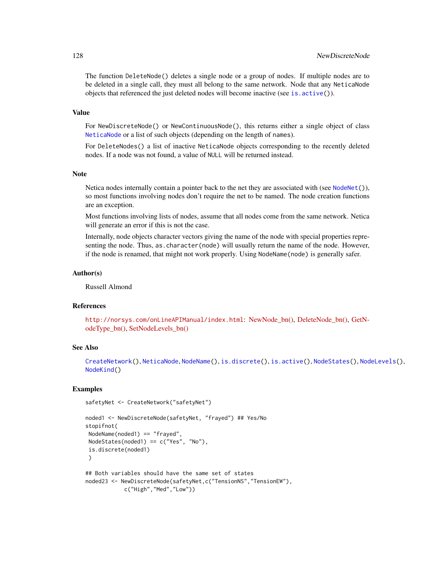The function DeleteNode() deletes a single node or a group of nodes. If multiple nodes are to be deleted in a single call, they must all belong to the same network. Node that any NeticaNode objects that referenced the just deleted nodes will become inactive (see is.  $active()$ ).

#### Value

For NewDiscreteNode() or NewContinuousNode(), this returns either a single object of class [NeticaNode](#page-106-0) or a list of such objects (depending on the length of names).

For DeleteNodes() a list of inactive NeticaNode objects corresponding to the recently deleted nodes. If a node was not found, a value of NULL will be returned instead.

## Note

Netica nodes internally contain a pointer back to the net they are associated with (see [NodeNet\(](#page-153-0))), so most functions involving nodes don't require the net to be named. The node creation functions are an exception.

Most functions involving lists of nodes, assume that all nodes come from the same network. Netica will generate an error if this is not the case.

Internally, node objects character vectors giving the name of the node with special properties representing the node. Thus, as.character(node) will usually return the name of the node. However, if the node is renamed, that might not work properly. Using NodeName(node) is generally safer.

## Author(s)

Russell Almond

## References

<http://norsys.com/onLineAPIManual/index.html>: [NewNode\\_bn\(\),](http://norsys.com/onLineAPIManual/functions/NewNode_bn.html) [DeleteNode\\_bn\(\),](http://norsys.com/onLineAPIManual/functions/DeleteNode_bn.html) [GetN](http://norsys.com/onLineAPIManual/functions/GetNodeType_bn.html)[odeType\\_bn\(\),](http://norsys.com/onLineAPIManual/functions/GetNodeType_bn.html) [SetNodeLevels\\_bn\(\)](http://norsys.com/onLineAPIManual/functions/SetNodeLevels_bn.html)

## See Also

[CreateNetwork\(](#page-33-0)), [NeticaNode](#page-106-0), [NodeName\(](#page-151-0)), [is.discrete\(](#page-70-0)), [is.active\(](#page-69-0)), [NodeStates\(](#page-161-0)), [NodeLevels\(](#page-146-0)), [NodeKind\(](#page-144-0))

```
safetyNet <- CreateNetwork("safetyNet")
```

```
noded1 <- NewDiscreteNode(safetyNet, "frayed") ## Yes/No
stopifnot(
NodeName(noded1) == "frayed",
NodeStates(noded1) == c("Yes", "No"),
is.discrete(noded1)
\lambda## Both variables should have the same set of states
noded23 <- NewDiscreteNode(safetyNet,c("TensionNS","TensionEW"),
```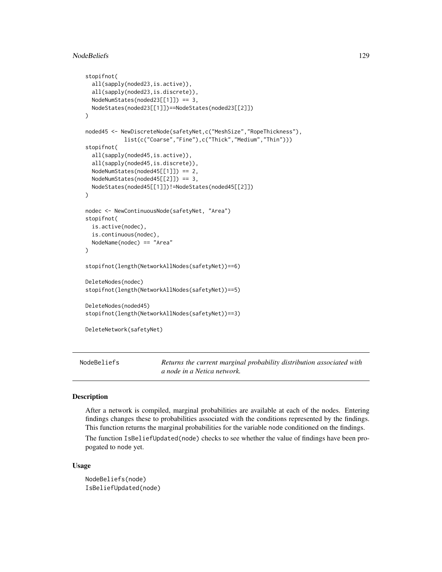## NodeBeliefs 129

```
stopifnot(
 all(sapply(noded23,is.active)),
 all(sapply(noded23,is.discrete)),
 NodeNumStates(noded23[[1]]) == 3,
 NodeStates(noded23[[1]])==NodeStates(noded23[[2]])
)
noded45 <- NewDiscreteNode(safetyNet,c("MeshSize","RopeThickness"),
            list(c("Coarse","Fine"),c("Thick","Medium","Thin")))
stopifnot(
 all(sapply(noded45,is.active)),
 all(sapply(noded45,is.discrete)),
 NodeNumStates(noded45[[1]]) == 2,
 NodeNumStates(noded45[[2]]) == 3,
 NodeStates(noded45[[1]])!=NodeStates(noded45[[2]])
)
nodec <- NewContinuousNode(safetyNet, "Area")
stopifnot(
 is.active(nodec),
 is.continuous(nodec),
 NodeName(nodec) == "Area"
\mathcal{L}stopifnot(length(NetworkAllNodes(safetyNet))==6)
DeleteNodes(nodec)
stopifnot(length(NetworkAllNodes(safetyNet))==5)
DeleteNodes(noded45)
stopifnot(length(NetworkAllNodes(safetyNet))==3)
DeleteNetwork(safetyNet)
```
<span id="page-128-0"></span>NodeBeliefs *Returns the current marginal probability distribution associated with a node in a Netica network.*

# **Description**

After a network is compiled, marginal probabilities are available at each of the nodes. Entering findings changes these to probabilities associated with the conditions represented by the findings. This function returns the marginal probabilities for the variable node conditioned on the findings.

The function IsBeliefUpdated(node) checks to see whether the value of findings have been propogated to node yet.

## Usage

NodeBeliefs(node) IsBeliefUpdated(node)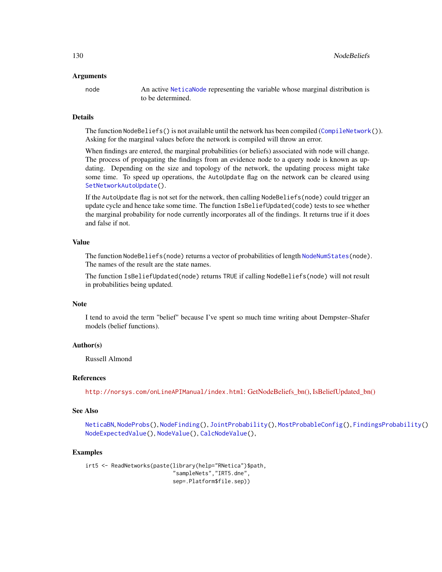#### Arguments

node An active [NeticaNode](#page-106-0) representing the variable whose marginal distribution is to be determined.

## Details

The function NodeBeliefs() is not available until the network has been compiled ([CompileNetwork\(](#page-23-0))). Asking for the marginal values before the network is compiled will throw an error.

When findings are entered, the marginal probabilities (or beliefs) associated with node will change. The process of propagating the findings from an evidence node to a query node is known as updating. Depending on the size and topology of the network, the updating process might take some time. To speed up operations, the AutoUpdate flag on the network can be cleared using [SetNetworkAutoUpdate\(](#page-63-0)).

If the AutoUpdate flag is not set for the network, then calling NodeBeliefs(node) could trigger an update cycle and hence take some time. The function IsBeliefUpdated(code) tests to see whether the marginal probability for node currently incorporates all of the findings. It returns true if it does and false if not.

# Value

The function NodeBeliefs(node) returns a vector of probabilities of length [NodeNumStates\(](#page-161-1)node). The names of the result are the state names.

The function IsBeliefUpdated(node) returns TRUE if calling NodeBeliefs(node) will not result in probabilities being updated.

## Note

I tend to avoid the term "belief" because I've spent so much time writing about Dempster–Shafer models (belief functions).

## Author(s)

Russell Almond

## References

<http://norsys.com/onLineAPIManual/index.html>: [GetNodeBeliefs\\_bn\(\),](http://norsys.com/onLineAPIManual/functions/GetNodeBeliefs_bn.html) [IsBeliefUpdated\\_bn\(\)](http://norsys.com/onLineAPIManual/functions/IsBeliefUpdated_bn.html)

## See Also

[NeticaBN](#page-101-0), [NodeProbs\(](#page-157-0)), [NodeFinding\(](#page-139-0)), [JointProbability\(](#page-75-0)), [MostProbableConfig\(](#page-97-0)), [FindingsProbability\(](#page-60-0)) [NodeExpectedValue\(](#page-136-0)), [NodeValue\(](#page-168-0)), [CalcNodeValue\(](#page-17-0)),

```
irt5 <- ReadNetworks(paste(library(help="RNetica")$path,
                           "sampleNets","IRT5.dne",
                           sep=.Platform$file.sep))
```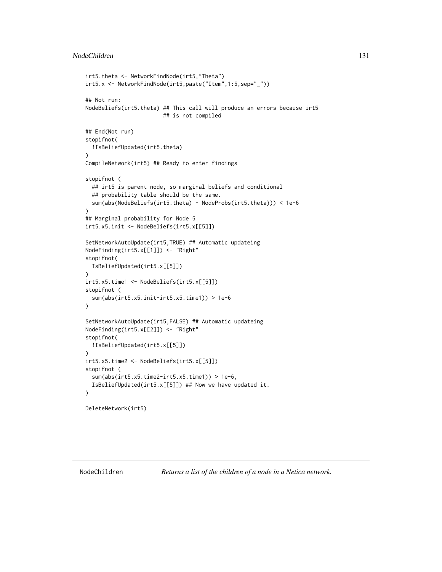## NodeChildren 131

```
irt5.theta <- NetworkFindNode(irt5,"Theta")
irt5.x <- NetworkFindNode(irt5,paste("Item",1:5,sep="_"))
## Not run:
NodeBeliefs(irt5.theta) ## This call will produce an errors because irt5
                        ## is not compiled
## End(Not run)
stopifnot(
 !IsBeliefUpdated(irt5.theta)
)
CompileNetwork(irt5) ## Ready to enter findings
stopifnot (
 ## irt5 is parent node, so marginal beliefs and conditional
 ## probability table should be the same.
 sum(abs(NodeBeliefs(irt5.theta) - NodeProbs(irt5.theta))) < 1e-6
)
## Marginal probability for Node 5
irt5.x5.init <- NodeBeliefs(irt5.x[[5]])
SetNetworkAutoUpdate(irt5,TRUE) ## Automatic updateing
NodeFinding(irt5.x[[1]]) <- "Right"
stopifnot(
 IsBeliefUpdated(irt5.x[[5]])
)
irt5.x5.time1 <- NodeBeliefs(irt5.x[[5]])
stopifnot (
 sum(abs(irt5.x5.init-irt5.x5.time1)) > 1e-6
)
SetNetworkAutoUpdate(irt5,FALSE) ## Automatic updateing
NodeFinding(irt5.x[[2]]) <- "Right"
stopifnot(
 !IsBeliefUpdated(irt5.x[[5]])
\lambdairt5.x5.time2 <- NodeBeliefs(irt5.x[[5]])
stopifnot (
  sum(abs(irt5.x5.time2-irt5.x5.time1)) > 1e-6,
 IsBeliefUpdated(irt5.x[[5]]) ## Now we have updated it.
)
DeleteNetwork(irt5)
```
NodeChildren *Returns a list of the children of a node in a Netica network.*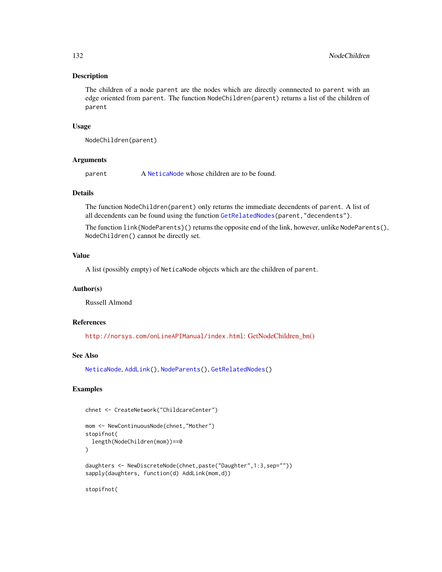## Description

The children of a node parent are the nodes which are directly connnected to parent with an edge oriented from parent. The function NodeChildren(parent) returns a list of the children of parent

## Usage

```
NodeChildren(parent)
```
## **Arguments**

parent A [NeticaNode](#page-106-0) whose children are to be found.

## Details

The function NodeChildren(parent) only returns the immediate decendents of parent. A list of all decendents can be found using the function [GetRelatedNodes\(](#page-71-0)parent,"decendents").

The function link{NodeParents}() returns the opposite end of the link, however, unlike NodeParents(), NodeChildren() cannot be directly set.

## Value

A list (possibly empty) of NeticaNode objects which are the children of parent.

#### Author(s)

Russell Almond

## References

<http://norsys.com/onLineAPIManual/index.html>: [GetNodeChildren\\_bn\(\)](http://norsys.com/onLineAPIManual/functions/GetNodeChildren_bn.html)

# See Also

[NeticaNode](#page-106-0), [AddLink\(](#page-12-0)), [NodeParents\(](#page-155-0)), [GetRelatedNodes\(](#page-71-0))

## Examples

```
chnet <- CreateNetwork("ChildcareCenter")
```

```
mom <- NewContinuousNode(chnet,"Mother")
stopifnot(
 length(NodeChildren(mom))==0
)
daughters <- NewDiscreteNode(chnet,paste("Daughter",1:3,sep=""))
sapply(daughters, function(d) AddLink(mom,d))
```
stopifnot(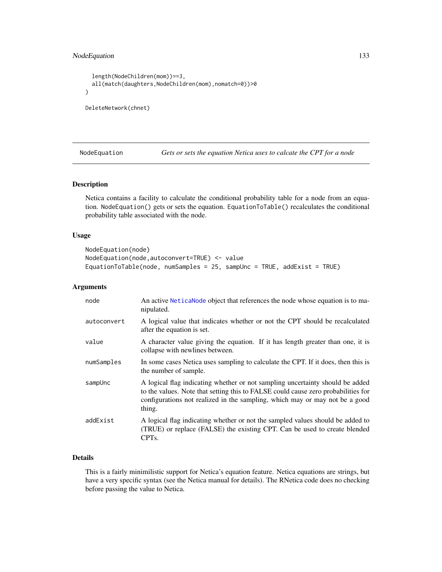# NodeEquation 133

```
length(NodeChildren(mom))==3,
 all(match(daughters,NodeChildren(mom),nomatch=0))>0
)
DeleteNetwork(chnet)
```
NodeEquation *Gets or sets the equation Netica uses to calcate the CPT for a node*

## Description

Netica contains a facility to calculate the conditional probability table for a node from an equation. NodeEquation() gets or sets the equation. EquationToTable() recalculates the conditional probability table associated with the node.

## Usage

```
NodeEquation(node)
NodeEquation(node,autoconvert=TRUE) <- value
EquationToTable(node, numSamples = 25, sampUnc = TRUE, addExist = TRUE)
```
## Arguments

| node        | An active Netical Node object that references the node whose equation is to ma-<br>nipulated.                                                                                                                                                               |
|-------------|-------------------------------------------------------------------------------------------------------------------------------------------------------------------------------------------------------------------------------------------------------------|
| autoconvert | A logical value that indicates whether or not the CPT should be recalculated<br>after the equation is set.                                                                                                                                                  |
| value       | A character value giving the equation. If it has length greater than one, it is<br>collapse with newlines between.                                                                                                                                          |
| numSamples  | In some cases Netica uses sampling to calculate the CPT. If it does, then this is<br>the number of sample.                                                                                                                                                  |
| sampUnc     | A logical flag indicating whether or not sampling uncertainty should be added<br>to the values. Note that setting this to FALSE could cause zero probabilities for<br>configurations not realized in the sampling, which may or may not be a good<br>thing. |
| addExist    | A logical flag indicating whether or not the sampled values should be added to<br>(TRUE) or replace (FALSE) the existing CPT. Can be used to create blended<br>CPT <sub>s</sub> .                                                                           |

# Details

This is a fairly minimilistic support for Netica's equation feature. Netica equations are strings, but have a very specific syntax (see the Netica manual for details). The RNetica code does no checking before passing the value to Netica.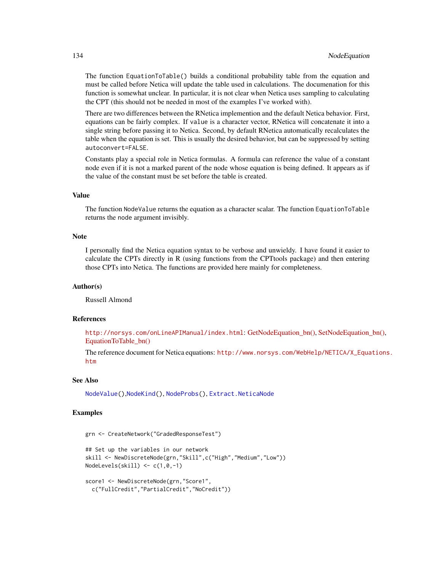The function EquationToTable() builds a conditional probability table from the equation and must be called before Netica will update the table used in calculations. The documenation for this function is somewhat unclear. In particular, it is not clear when Netica uses sampling to calculating the CPT (this should not be needed in most of the examples I've worked with).

There are two differences between the RNetica implemention and the default Netica behavior. First, equations can be fairly complex. If value is a character vector, RNetica will concatenate it into a single string before passing it to Netica. Second, by default RNetica automatically recalculates the table when the equation is set. This is usually the desired behavior, but can be suppressed by setting autoconvert=FALSE.

Constants play a special role in Netica formulas. A formula can reference the value of a constant node even if it is not a marked parent of the node whose equation is being defined. It appears as if the value of the constant must be set before the table is created.

# Value

The function NodeValue returns the equation as a character scalar. The function EquationToTable returns the node argument invisibly.

#### **Note**

I personally find the Netica equation syntax to be verbose and unwieldy. I have found it easier to calculate the CPTs directly in R (using functions from the CPTtools package) and then entering those CPTs into Netica. The functions are provided here mainly for completeness.

## Author(s)

Russell Almond

## References

<http://norsys.com/onLineAPIManual/index.html>: [GetNodeEquation\\_bn\(\),](http://norsys.com/onLineAPIManual/functions/GetNodeEquation_bn.html) [SetNodeEquation\\_bn\(\),](http://norsys.com/onLineAPIManual/functions/SetNodeEquation_bn.html) [EquationToTable\\_bn\(\)](http://norsys.com/onLineAPIManual/functions/EquationToTable_bn.html)

The reference document for Netica equations: [http://www.norsys.com/WebHelp/NETICA/X\\_Equa](http://www.norsys.com/WebHelp/NETICA/X_Equations.htm)tions. [htm](http://www.norsys.com/WebHelp/NETICA/X_Equations.htm)

## See Also

[NodeValue\(](#page-168-0)),[NodeKind\(](#page-144-0)), [NodeProbs\(](#page-157-0)), [Extract.NeticaNode](#page-44-0)

```
grn <- CreateNetwork("GradedResponseTest")
```

```
## Set up the variables in our network
skill <- NewDiscreteNode(grn,"Skill",c("High","Medium","Low"))
NodeLevels(skill) <- c(1,0,-1)
score1 <- NewDiscreteNode(grn,"Score1",
```

```
c("FullCredit","PartialCredit","NoCredit"))
```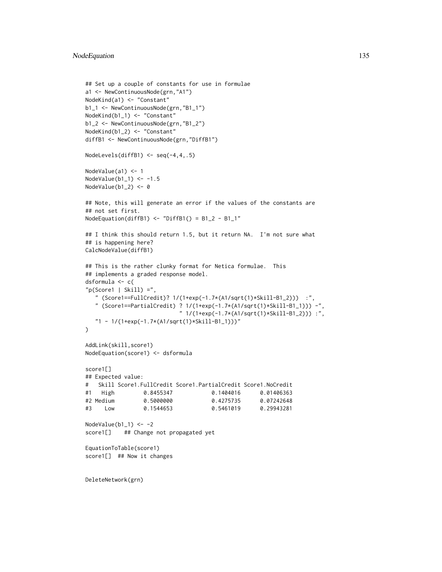```
## Set up a couple of constants for use in formulae
a1 <- NewContinuousNode(grn,"A1")
NodeKind(a1) <- "Constant"
b1_1 <- NewContinuousNode(grn,"B1_1")
NodeKind(b1_1) <- "Constant"
b1_2 <- NewContinuousNode(grn,"B1_2")
NodeKind(b1_2) <- "Constant"
diffB1 <- NewContinuousNode(grn,"DiffB1")
NodeLevels(diffB1) \leq seq(-4,4,.5)
NodeValue(a1) <- 1
NodeValue(b1_1) <- -1.5
NodeValue(b1_2) <- 0
## Note, this will generate an error if the values of the constants are
## not set first.
NodeEquation(diffB1) \le "DiffB1() = B1_2 - B1_1"
## I think this should return 1.5, but it return NA. I'm not sure what
## is happening here?
CalcNodeValue(diffB1)
## This is the rather clunky format for Netica formulae. This
## implements a graded response model.
dsformula <- c(
"p(Score1 | Skill) ="." (Score1==FullCredit)? 1/(1+exp(-1.7*(A1/sqrt(1)*Skill-B1_2))) :",
   " (Score1==PartialCredit) ? 1/(1+exp(-1.7*(A1/sqrt(1)*Skill-B1_1))) -",
                           " 1/(1+exp(-1.7*(A1/sqrt(1)*Skill-B1_2))) :",
   "1 - 1/(1+exp(-1.7*(A1/sqrt(1)*Skill-B1_1)))"
\lambdaAddLink(skill,score1)
NodeEquation(score1) <- dsformula
score1[]
## Expected value:
# Skill Score1.FullCredit Score1.PartialCredit Score1.NoCredit
#1 High 0.8455347 0.1404016 0.01406363
#2 Medium 0.5000000 0.4275735 0.07242648
#3 Low 0.1544653 0.5461019 0.29943281
NodeValue(b1_1) <- -2
score1[] ## Change not propagated yet
EquationToTable(score1)
score1[] ## Now it changes
```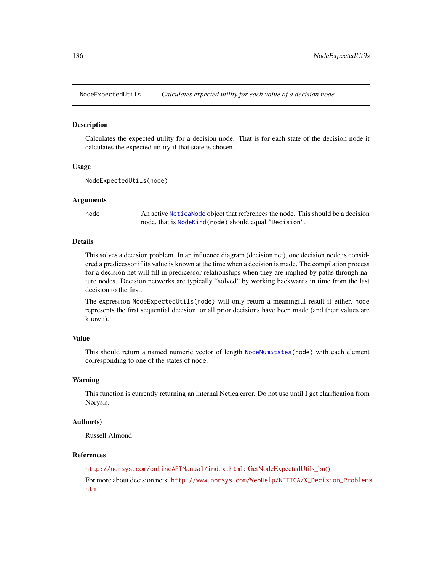## **Description**

Calculates the expected utility for a decision node. That is for each state of the decision node it calculates the expected utility if that state is chosen.

#### Usage

```
NodeExpectedUtils(node)
```
### Arguments

node An active [NeticaNode](#page-106-0) object that references the node. This should be a decision node, that is [NodeKind\(](#page-144-0)node) should equal "Decision".

## Details

This solves a decision problem. In an influence diagram (decision net), one decision node is considered a predicessor if its value is known at the time when a decision is made. The compilation process for a decision net will fill in predicessor relationships when they are implied by paths through nature nodes. Decision networks are typically "solved" by working backwards in time from the last decision to the first.

The expression NodeExpectedUtils(node) will only return a meaningful result if either, node represents the first sequential decision, or all prior decisions have been made (and their values are known).

# Value

This should return a named numeric vector of length [NodeNumStates\(](#page-161-1)node) with each element corresponding to one of the states of node.

#### Warning

This function is currently returning an internal Netica error. Do not use until I get clarification from Norysis.

## Author(s)

Russell Almond

#### References

<http://norsys.com/onLineAPIManual/index.html>: [GetNodeExpectedUtils\\_bn\(\)](http://norsys.com/onLineAPIManual/functions/GetNodeExpectedUtils_bn.html)

For more about decision nets: [http://www.norsys.com/WebHelp/NETICA/X\\_Decision\\_Problems](http://www.norsys.com/WebHelp/NETICA/X_Decision_Problems.htm). [htm](http://www.norsys.com/WebHelp/NETICA/X_Decision_Problems.htm)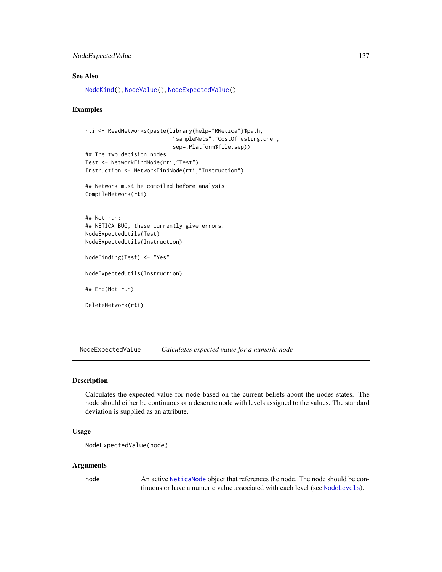# NodeExpectedValue 137

# See Also

[NodeKind\(](#page-144-0)), [NodeValue\(](#page-168-0)), [NodeExpectedValue\(](#page-136-0))

## Examples

```
rti <- ReadNetworks(paste(library(help="RNetica")$path,
                           "sampleNets","CostOfTesting.dne",
                           sep=.Platform$file.sep))
## The two decision nodes
Test <- NetworkFindNode(rti,"Test")
Instruction <- NetworkFindNode(rti,"Instruction")
## Network must be compiled before analysis:
CompileNetwork(rti)
## Not run:
## NETICA BUG, these currently give errors.
NodeExpectedUtils(Test)
```
NodeExpectedUtils(Instruction)

NodeFinding(Test) <- "Yes"

NodeExpectedUtils(Instruction)

## End(Not run)

DeleteNetwork(rti)

<span id="page-136-0"></span>NodeExpectedValue *Calculates expected value for a numeric node*

#### Description

Calculates the expected value for node based on the current beliefs about the nodes states. The node should either be continuous or a descrete node with levels assigned to the values. The standard deviation is supplied as an attribute.

## Usage

```
NodeExpectedValue(node)
```
## Arguments

node An active [NeticaNode](#page-106-0) object that references the node. The node should be continuous or have a numeric value associated with each level (see [NodeLevels](#page-146-0)).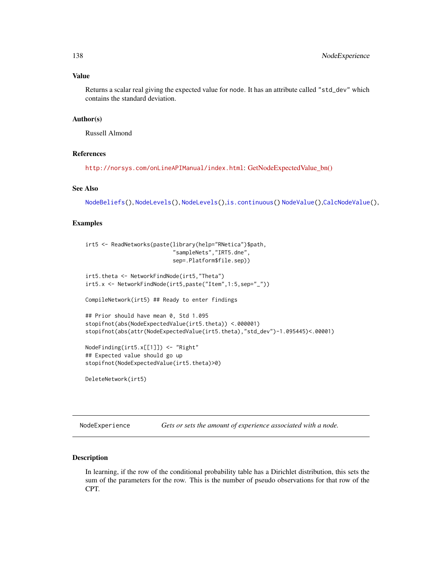## Value

Returns a scalar real giving the expected value for node. It has an attribute called "std\_dev" which contains the standard deviation.

## Author(s)

Russell Almond

## References

<http://norsys.com/onLineAPIManual/index.html>: [GetNodeExpectedValue\\_bn\(\)](http://norsys.com/onLineAPIManual/functions/GetNodeExpectedValue_bn.html)

# See Also

```
NodeBeliefs(), NodeLevels(), NodeLevels(),is.continuous() NodeValue(),CalcNodeValue(),
```
## Examples

```
irt5 <- ReadNetworks(paste(library(help="RNetica")$path,
                           "sampleNets","IRT5.dne",
                           sep=.Platform$file.sep))
```

```
irt5.theta <- NetworkFindNode(irt5,"Theta")
irt5.x <- NetworkFindNode(irt5,paste("Item",1:5,sep="_"))
```
CompileNetwork(irt5) ## Ready to enter findings

```
## Prior should have mean 0, Std 1.095
stopifnot(abs(NodeExpectedValue(irt5.theta)) <.000001)
stopifnot(abs(attr(NodeExpectedValue(irt5.theta),"std_dev")-1.095445)<.00001)
```

```
NodeFinding(irt5.x[[1]]) <- "Right"
## Expected value should go up
stopifnot(NodeExpectedValue(irt5.theta)>0)
```

```
DeleteNetwork(irt5)
```
NodeExperience *Gets or sets the amount of experience associated with a node.*

#### **Description**

In learning, if the row of the conditional probability table has a Dirichlet distribution, this sets the sum of the parameters for the row. This is the number of pseudo observations for that row of the CPT.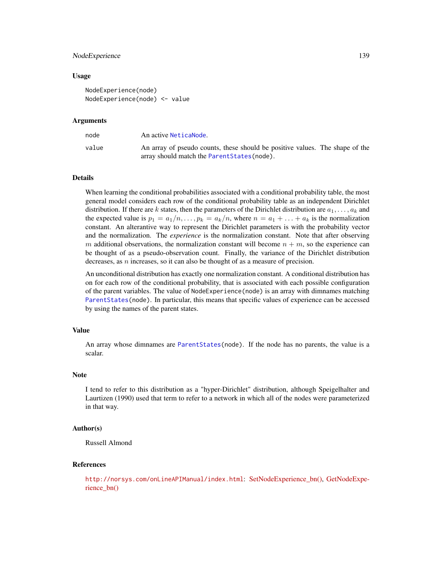#### NodeExperience 139

#### Usage

```
NodeExperience(node)
NodeExperience(node) <- value
```
#### Arguments

| node  | An active NeticaNode.                                                                                                        |  |
|-------|------------------------------------------------------------------------------------------------------------------------------|--|
| value | An array of pseudo counts, these should be positive values. The shape of the<br>array should match the Parent States (node). |  |

# Details

When learning the conditional probabilities associated with a conditional probability table, the most general model considers each row of the conditional probability table as an independent Dirichlet distribution. If there are k states, then the parameters of the Dirichlet distribution are  $a_1, \ldots, a_k$  and the expected value is  $p_1 = a_1/n, \ldots, p_k = a_k/n$ , where  $n = a_1 + \ldots + a_k$  is the normalization constant. An alterantive way to represent the Dirichlet parameters is with the probability vector and the normalization. The *experience* is the normalization constant. Note that after observing m additional observations, the normalization constant will become  $n + m$ , so the experience can be thought of as a pseudo-observation count. Finally, the variance of the Dirichlet distribution decreases, as  $n$  increases, so it can also be thought of as a measure of precision.

An unconditional distribution has exactly one normalization constant. A conditional distribution has on for each row of the conditional probability, that is associated with each possible configuration of the parent variables. The value of NodeExperience(node) is an array with dimnames matching [ParentStates\(](#page-175-0)node). In particular, this means that specific values of experience can be accessed by using the names of the parent states.

## Value

An array whose dimnames are [ParentStates\(](#page-175-0)node). If the node has no parents, the value is a scalar.

#### Note

I tend to refer to this distribution as a "hyper-Dirichlet" distribution, although Speigelhalter and Laurtizen (1990) used that term to refer to a network in which all of the nodes were parameterized in that way.

## Author(s)

Russell Almond

## References

<http://norsys.com/onLineAPIManual/index.html>: [SetNodeExperience\\_bn\(\),](http://norsys.com/onLineAPIManual/functions/SetNodeExperience_bn.html) [GetNodeExpe](http://norsys.com/onLineAPIManual/functions/GetNodeExperience_bn.html)[rience\\_bn\(\)](http://norsys.com/onLineAPIManual/functions/GetNodeExperience_bn.html)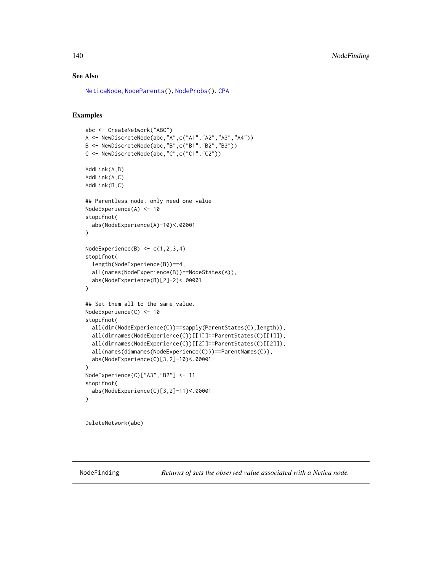# See Also

[NeticaNode](#page-106-0), [NodeParents\(](#page-155-0)), [NodeProbs\(](#page-157-0)), [CPA](#page-29-0)

# Examples

```
abc <- CreateNetwork("ABC")
A <- NewDiscreteNode(abc,"A",c("A1","A2","A3","A4"))
B <- NewDiscreteNode(abc,"B",c("B1","B2","B3"))
C <- NewDiscreteNode(abc,"C",c("C1","C2"))
AddLink(A,B)
AddLink(A,C)
AddLink(B,C)
## Parentless node, only need one value
NodeExperience(A) <- 10
stopifnot(
  abs(NodeExperience(A)-10)<.00001
)
NodeExperience(B) \leq c(1,2,3,4)
stopifnot(
  length(NodeExperience(B))==4,
  all(names(NodeExperience(B))==NodeStates(A)),
  abs(NodeExperience(B)[2]-2)<.00001
)
## Set them all to the same value.
NodeExperience(C) <- 10
stopifnot(
  all(dim(NodeExperience(C))==sapply(ParentStates(C),length)),
  all(dimnames(NodeExperience(C))[[1]]==ParentStates(C)[[1]]),
  all(dimnames(NodeExperience(C))[[2]]==ParentStates(C)[[2]]),
  all(names(dimnames(NodeExperience(C)))==ParentNames(C)),
  abs(NodeExperience(C)[3,2]-10)<.00001
)
NodeExperience(C)["A3","B2"] <- 11
stopifnot(
  abs(NodeExperience(C)[3,2]-11)<.00001
\lambda
```
DeleteNetwork(abc)

<span id="page-139-0"></span>NodeFinding *Returns of sets the observed value associated with a Netica node.*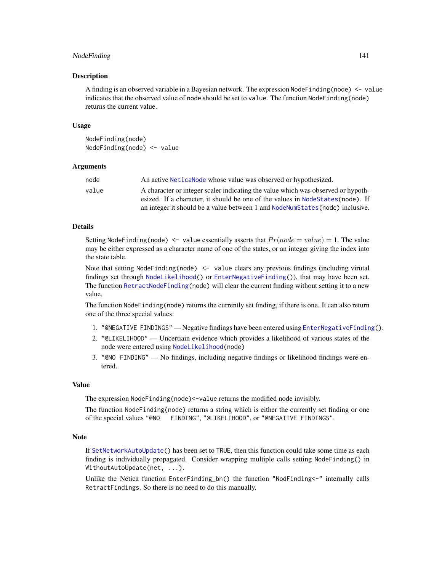# NodeFinding 141

#### Description

A finding is an observed variable in a Bayesian network. The expression Node Finding (node)  $\leq$  value indicates that the observed value of node should be set to value. The function NodeFinding(node) returns the current value.

#### Usage

```
NodeFinding(node)
NodeFinding(node) <- value
```
#### **Arguments**

| node  | An active Netical Node whose value was observed or hypothesized.                 |
|-------|----------------------------------------------------------------------------------|
| value | A character or integer scaler indicating the value which was observed or hypoth- |
|       | esized. If a character, it should be one of the values in Node States (node). If |
|       | an integer it should be a value between 1 and NodeNum States (node) inclusive.   |

## Details

Setting NodeFinding(node)  $\leq$  value essentially asserts that  $Pr(node = value) = 1$ . The value may be either expressed as a character name of one of the states, or an integer giving the index into the state table.

Note that setting NodeFinding(node) <- value clears any previous findings (including virutal findings set through [NodeLikelihood\(](#page-149-0)) or [EnterNegativeFinding\(](#page-42-0))), that may have been set. The function [RetractNodeFinding\(](#page-179-0)node) will clear the current finding without setting it to a new value.

The function NodeFinding(node) returns the currently set finding, if there is one. It can also return one of the three special values:

- 1. "@NEGATIVE FINDINGS" Negative findings have been entered using [EnterNegativeFinding\(](#page-42-0)).
- 2. "@LIKELIHOOD" Uncertiain evidence which provides a likelihood of various states of the node were entered using [NodeLikelihood\(](#page-149-0)node)
- 3. "@NO FINDING" No findings, including negative findings or likelihood findings were entered.

## Value

The expression NodeFinding(node)<-value returns the modified node invisibly.

The function NodeFinding(node) returns a string which is either the currently set finding or one of the special values "@NO FINDING", "@LIKELIHOOD", or "@NEGATIVE FINDINGS".

## Note

If [SetNetworkAutoUpdate\(](#page-63-0)) has been set to TRUE, then this function could take some time as each finding is individually propagated. Consider wrapping multiple calls setting NodeFinding() in WithoutAutoUpdate(net, ...).

Unlike the Netica function EnterFinding\_bn() the function "NodFinding<-" internally calls RetractFindings. So there is no need to do this manually.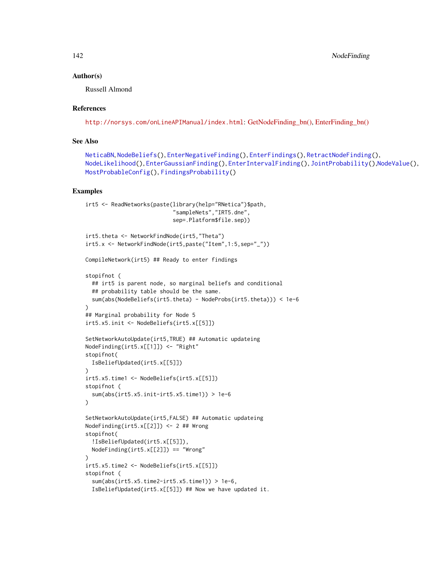## Author(s)

Russell Almond

## References

<http://norsys.com/onLineAPIManual/index.html>: [GetNodeFinding\\_bn\(\),](http://norsys.com/onLineAPIManual/functions/GetNodeFinding_bn.html) [EnterFinding\\_bn\(\)](http://norsys.com/onLineAPIManual/functions/EnterFinding_bn.html)

## See Also

```
NeticaBN, NodeBeliefs(), EnterNegativeFinding(), EnterFindings(), RetractNodeFinding(),
NodeLikelihood(), EnterGaussianFinding(), EnterIntervalFinding(), JointProbability(),NodeValue(),
MostProbableConfig(), FindingsProbability()
```

```
irt5 <- ReadNetworks(paste(library(help="RNetica")$path,
                           "sampleNets","IRT5.dne",
                           sep=.Platform$file.sep))
irt5.theta <- NetworkFindNode(irt5,"Theta")
irt5.x <- NetworkFindNode(irt5,paste("Item",1:5,sep="_"))
CompileNetwork(irt5) ## Ready to enter findings
stopifnot (
 ## irt5 is parent node, so marginal beliefs and conditional
 ## probability table should be the same.
 sum(abs(NodeBeliefs(irt5.theta) - NodeProbs(irt5.theta))) < 1e-6
)
## Marginal probability for Node 5
irt5.x5.init <- NodeBeliefs(irt5.x[[5]])
SetNetworkAutoUpdate(irt5,TRUE) ## Automatic updateing
NodeFinding(irt5.x[[1]]) <- "Right"
stopifnot(
 IsBeliefUpdated(irt5.x[[5]])
)
irt5.x5.time1 <- NodeBeliefs(irt5.x[[5]])
stopifnot (
 sum(abs(irt5.x5.init-irt5.x5.time1)) > 1e-6
)
SetNetworkAutoUpdate(irt5,FALSE) ## Automatic updateing
NodeFinding(irt5.x[[2]]) <- 2 ## Wrong
stopifnot(
 !IsBeliefUpdated(irt5.x[[5]]),
 NodeFinding(irt5.x[[2]]) == "Wrong"
)
irt5.x5.time2 <- NodeBeliefs(irt5.x[[5]])
stopifnot (
 sum(abs(irt5.x5.time2-irt5.x5.time1)) > 1e-6,
 IsBeliefUpdated(irt5.x[[5]]) ## Now we have updated it.
```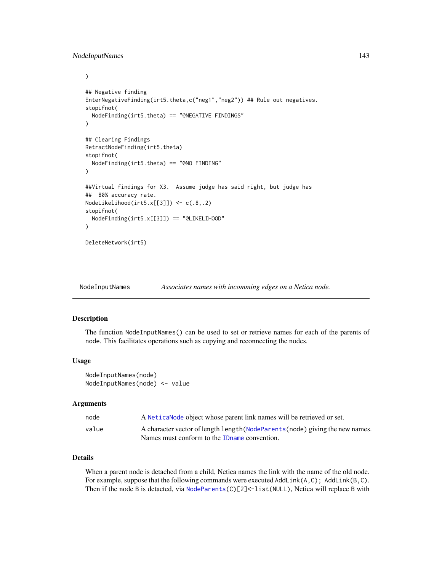# NodeInputNames 143

```
)
## Negative finding
EnterNegativeFinding(irt5.theta,c("neg1","neg2")) ## Rule out negatives.
stopifnot(
  NodeFinding(irt5.theta) == "@NEGATIVE FINDINGS"
)
## Clearing Findings
RetractNodeFinding(irt5.theta)
stopifnot(
  NodeFinding(irt5.theta) == "@NO FINDING"
)
##Virtual findings for X3. Assume judge has said right, but judge has
## 80% accuracy rate.
NodeLikelihood(irt5.x[[3]]) <- c(.8,.2)
stopifnot(
  NodeFinding(irt5.x[[3]]) == "@LIKELIHOOD"
)
DeleteNetwork(irt5)
```
<span id="page-142-0"></span>NodeInputNames *Associates names with incomming edges on a Netica node.*

## Description

The function NodeInputNames() can be used to set or retrieve names for each of the parents of node. This facilitates operations such as copying and reconnecting the nodes.

#### Usage

```
NodeInputNames(node)
NodeInputNames(node) <- value
```
#### Arguments

| node  | A Netical Node object whose parent link names will be retrieved or set.       |
|-------|-------------------------------------------------------------------------------|
| value | A character vector of length length (NodeParents (node) giving the new names. |
|       | Names must conform to the IDname convention.                                  |

# Details

When a parent node is detached from a child, Netica names the link with the name of the old node. For example, suppose that the following commands were executed  $AddLink(A,C)$ ;  $AddLink(B,C)$ . Then if the node B is detacted, via [NodeParents\(](#page-155-0)C)[2]<-list(NULL), Netica will replace B with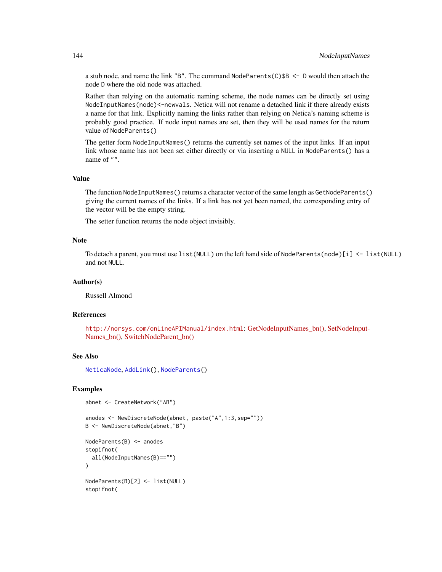a stub node, and name the link "B". The command NodeParents(C)\$B <- D would then attach the node D where the old node was attached.

Rather than relying on the automatic naming scheme, the node names can be directly set using NodeInputNames(node)<-newvals. Netica will not rename a detached link if there already exists a name for that link. Explicitly naming the links rather than relying on Netica's naming scheme is probably good practice. If node input names are set, then they will be used names for the return value of NodeParents()

The getter form NodeInputNames() returns the currently set names of the input links. If an input link whose name has not been set either directly or via inserting a NULL in NodeParents() has a name of "".

#### Value

The function NodeInputNames() returns a character vector of the same length as GetNodeParents() giving the current names of the links. If a link has not yet been named, the corresponding entry of the vector will be the empty string.

The setter function returns the node object invisibly.

## Note

To detach a parent, you must use list(NULL) on the left hand side of NodeParents(node)[i] <- list(NULL) and not NULL.

## Author(s)

Russell Almond

## References

<http://norsys.com/onLineAPIManual/index.html>: [GetNodeInputNames\\_bn\(\),](http://norsys.com/onLineAPIManual/functions/GetNodeInputNames_bn.html) [SetNodeInput-](http://norsys.com/onLineAPIManual/functions/SetNodeInputNames_bn.html)[Names\\_bn\(\),](http://norsys.com/onLineAPIManual/functions/SetNodeInputNames_bn.html) [SwitchNodeParent\\_bn\(\)](http://norsys.com/onLineAPIManual/functions/SwitchNodeParent_bn.html)

### See Also

[NeticaNode](#page-106-0), [AddLink\(](#page-12-0)), [NodeParents\(](#page-155-0))

## Examples

```
abnet <- CreateNetwork("AB")
```

```
anodes <- NewDiscreteNode(abnet, paste("A",1:3,sep=""))
B <- NewDiscreteNode(abnet,"B")
NodeParents(B) <- anodes
```

```
stopifnot(
 all(NodeInputNames(B)=="")
)
```
NodeParents(B)[2] <- list(NULL) stopifnot(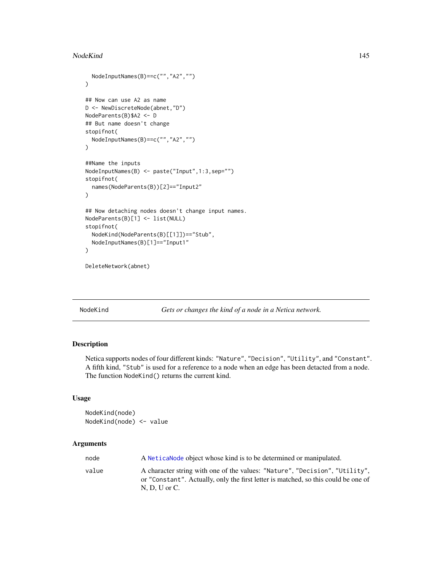### NodeKind 145

```
NodeInputNames(B)==c("","A2","")
\mathcal{L}## Now can use A2 as name
D <- NewDiscreteNode(abnet,"D")
NodeParents(B)$A2 <- D
## But name doesn't change
stopifnot(
 NodeInputNames(B)==c("","A2","")
)
##Name the inputs
NodeInputNames(B) <- paste("Input",1:3,sep="")
stopifnot(
 names(NodeParents(B))[2]=="Input2"
)
## Now detaching nodes doesn't change input names.
NodeParents(B)[1] <- list(NULL)
stopifnot(
 NodeKind(NodeParents(B)[[1]])=="Stub",
 NodeInputNames(B)[1]=="Input1"
\mathcal{L}
```
DeleteNetwork(abnet)

<span id="page-144-0"></span>NodeKind *Gets or changes the kind of a node in a Netica network.*

# Description

Netica supports nodes of four different kinds: "Nature", "Decision", "Utility", and "Constant". A fifth kind, "Stub" is used for a reference to a node when an edge has been detacted from a node. The function NodeKind() returns the current kind.

# Usage

NodeKind(node) NodeKind(node) <- value

# Arguments

| node  | A Netical Node object whose kind is to be determined or manipulated.                                                                                                                   |
|-------|----------------------------------------------------------------------------------------------------------------------------------------------------------------------------------------|
| value | A character string with one of the values: "Nature", "Decision", "Utility",<br>or "Constant". Actually, only the first letter is matched, so this could be one of<br>$N. D. U$ or $C.$ |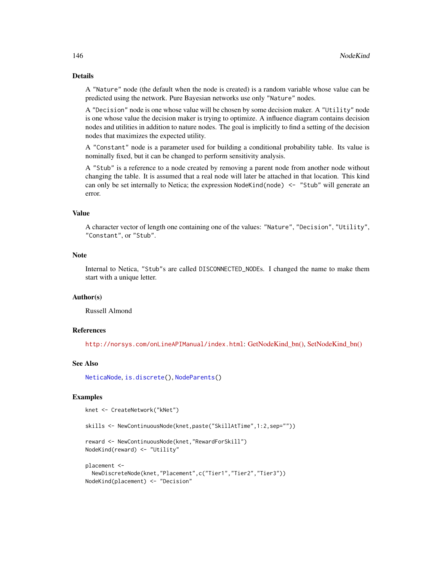### Details

A "Nature" node (the default when the node is created) is a random variable whose value can be predicted using the network. Pure Bayesian networks use only "Nature" nodes.

A "Decision" node is one whose value will be chosen by some decision maker. A "Utility" node is one whose value the decision maker is trying to optimize. A influence diagram contains decision nodes and utilities in addition to nature nodes. The goal is implicitly to find a setting of the decision nodes that maximizes the expected utility.

A "Constant" node is a parameter used for building a conditional probability table. Its value is nominally fixed, but it can be changed to perform sensitivity analysis.

A "Stub" is a reference to a node created by removing a parent node from another node without changing the table. It is assumed that a real node will later be attached in that location. This kind can only be set internally to Netica; the expression NodeKind(node) <- "Stub" will generate an error.

### Value

A character vector of length one containing one of the values: "Nature", "Decision", "Utility", "Constant", or "Stub".

### **Note**

Internal to Netica, "Stub"s are called DISCONNECTED\_NODEs. I changed the name to make them start with a unique letter.

#### Author(s)

Russell Almond

#### References

<http://norsys.com/onLineAPIManual/index.html>: [GetNodeKind\\_bn\(\),](http://norsys.com/onLineAPIManual/functions/GetNodeKind_bn.html) [SetNodeKind\\_bn\(\)](http://norsys.com/onLineAPIManual/functions/SetNodeKind_bn.html)

#### See Also

[NeticaNode](#page-106-0), [is.discrete\(](#page-70-0)), [NodeParents\(](#page-155-0))

### Examples

```
knet <- CreateNetwork("kNet")
```
skills <- NewContinuousNode(knet,paste("SkillAtTime",1:2,sep=""))

```
reward <- NewContinuousNode(knet,"RewardForSkill")
NodeKind(reward) <- "Utility"
```

```
placement <-
 NewDiscreteNode(knet,"Placement",c("Tier1","Tier2","Tier3"))
NodeKind(placement) <- "Decision"
```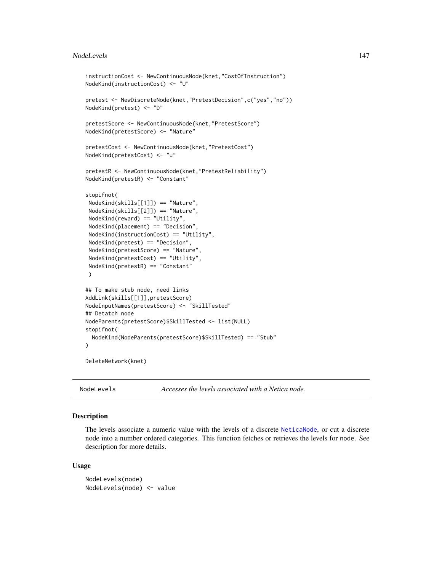#### NodeLevels 147

```
instructionCost <- NewContinuousNode(knet,"CostOfInstruction")
NodeKind(instructionCost) <- "U"
pretest <- NewDiscreteNode(knet,"PretestDecision",c("yes","no"))
NodeKind(pretest) <- "D"
pretestScore <- NewContinuousNode(knet,"PretestScore")
NodeKind(pretestScore) <- "Nature"
pretestCost <- NewContinuousNode(knet,"PretestCost")
NodeKind(pretestCost) <- "u"
pretestR <- NewContinuousNode(knet,"PretestReliability")
NodeKind(pretestR) <- "Constant"
stopifnot(
NodeKind(skills[[1]]) == "Nature",
NodeKind(skills[[2]]) == "Nature",
NodeKind(reward) == "Utility",
NodeKind(placement) == "Decision",
NodeKind(instructionCost) == "Utility",
NodeKind(pretest) == "Decision",
NodeKind(pretestScore) == "Nature",
NodeKind(pretestCost) == "Utility",
NodeKind(pretestR) == "Constant"
 )
## To make stub node, need links
AddLink(skills[[1]],pretestScore)
NodeInputNames(pretestScore) <- "SkillTested"
## Detatch node
NodeParents(pretestScore)$SkillTested <- list(NULL)
stopifnot(
 NodeKind(NodeParents(pretestScore)$SkillTested) == "Stub"
\mathcal{L}
```
DeleteNetwork(knet)

<span id="page-146-0"></span>NodeLevels *Accesses the levels associated with a Netica node.*

### Description

The levels associate a numeric value with the levels of a discrete [NeticaNode](#page-106-0), or cut a discrete node into a number ordered categories. This function fetches or retrieves the levels for node. See description for more details.

#### Usage

NodeLevels(node) NodeLevels(node) <- value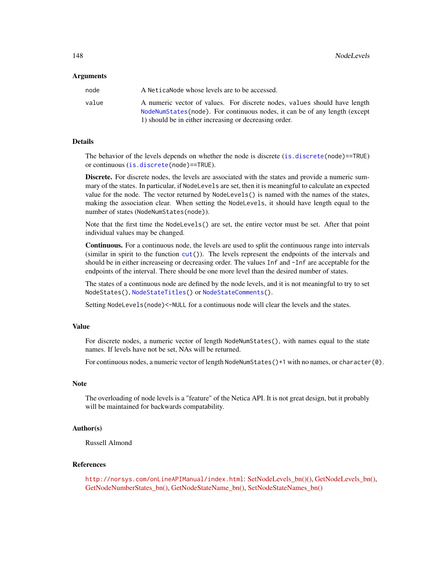#### Arguments

| node  | A NeticaNode whose levels are to be accessed.                                                                                                           |
|-------|---------------------------------------------------------------------------------------------------------------------------------------------------------|
| value | A numeric vector of values. For discrete nodes, values should have length<br>NodeNumStates(node). For continuous nodes, it can be of any length (except |
|       | 1) should be in either increasing or decreasing order.                                                                                                  |

#### Details

The behavior of the levels depends on whether the node is discrete ([is.discrete\(](#page-70-0)node)==TRUE) or continuous ([is.discrete\(](#page-70-0)node)==TRUE).

Discrete. For discrete nodes, the levels are associated with the states and provide a numeric summary of the states. In particular, if NodeLevels are set, then it is meaningful to calculate an expected value for the node. The vector returned by NodeLevels() is named with the names of the states, making the association clear. When setting the NodeLevels, it should have length equal to the number of states (NodeNumStates(node)).

Note that the first time the NodeLevels() are set, the entire vector must be set. After that point individual values may be changed.

Continuous. For a continuous node, the levels are used to split the continuous range into intervals (similar in spirit to the function  $cut()$  $cut()$ ). The levels represent the endpoints of the intervals and should be in either increaseing or decreasing order. The values Inf and -Inf are acceptable for the endpoints of the interval. There should be one more level than the desired number of states.

The states of a continuous node are defined by the node levels, and it is not meaningful to try to set NodeStates(), [NodeStateTitles\(](#page-163-0)) or [NodeStateComments\(](#page-163-1)).

Setting NodeLevels(node)<-NULL for a continuous node will clear the levels and the states.

# Value

For discrete nodes, a numeric vector of length NodeNumStates(), with names equal to the state names. If levels have not be set, NAs will be returned.

For continuous nodes, a numeric vector of length NodeNumStates()+1 with no names, or character(0).

### **Note**

The overloading of node levels is a "feature" of the Netica API. It is not great design, but it probably will be maintained for backwards compatability.

# Author(s)

Russell Almond

# References

<http://norsys.com/onLineAPIManual/index.html>: [SetNodeLevels\\_bn\(\)\(\),](http://norsys.com/onLineAPIManual/functions/SetNodeLevels_bn().html) [GetNodeLevels\\_bn\(\),](http://norsys.com/onLineAPIManual/functions/GetNodeLevels_bn.html) [GetNodeNumberStates\\_bn\(\),](http://norsys.com/onLineAPIManual/functions/GetNodeNumberStates_bn.html) [GetNodeStateName\\_bn\(\),](http://norsys.com/onLineAPIManual/functions/GetNodeStateName_bn.html) [SetNodeStateNames\\_bn\(\)](http://norsys.com/onLineAPIManual/functions/SetNodeStateNames_bn.html)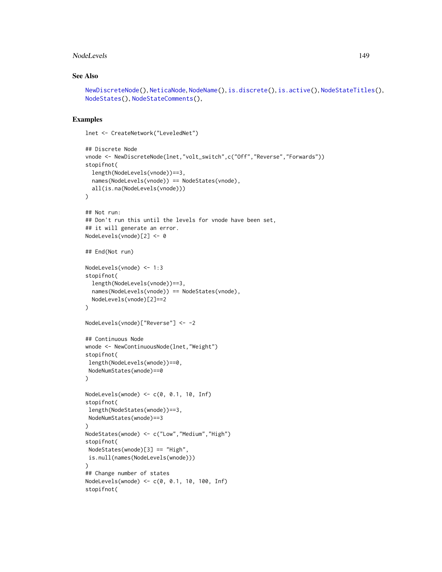### NodeLevels 149

# See Also

```
NewDiscreteNode(), NeticaNode, NodeName(), is.discrete(), is.active(), NodeStateTitles(),
NodeStates(), NodeStateComments(),
```
### Examples

lnet <- CreateNetwork("LeveledNet")

```
## Discrete Node
vnode <- NewDiscreteNode(lnet,"volt_switch",c("Off","Reverse","Forwards"))
stopifnot(
  length(NodeLevels(vnode))==3,
  names(NodeLevels(vnode)) == NodeStates(vnode),
  all(is.na(NodeLevels(vnode)))
\lambda## Not run:
## Don't run this until the levels for vnode have been set,
## it will generate an error.
NodeLevels(vnode)[2] <- 0
## End(Not run)
NodeLevels(vnode) <- 1:3
stopifnot(
 length(NodeLevels(vnode))==3,
  names(NodeLevels(vnode)) == NodeStates(vnode),
  NodeLevels(vnode)[2]==2
\mathcal{L}NodeLevels(vnode)["Reverse"] <- -2
## Continuous Node
wnode <- NewContinuousNode(lnet,"Weight")
stopifnot(
length(NodeLevels(wnode))==0,
NodeNumStates(wnode)==0
)
NodeLevels(wnode) \leq c(0, 0.1, 10, Inf)
stopifnot(
length(NodeStates(wnode))==3,
 NodeNumStates(wnode)==3
\lambdaNodeStates(wnode) <- c("Low","Medium","High")
stopifnot(
 NodeStates(wnode)[3] == "High",
is.null(names(NodeLevels(wnode)))
\mathcal{L}## Change number of states
NodeLevels(wnode) <- c(0, 0.1, 10, 100, Inf)
stopifnot(
```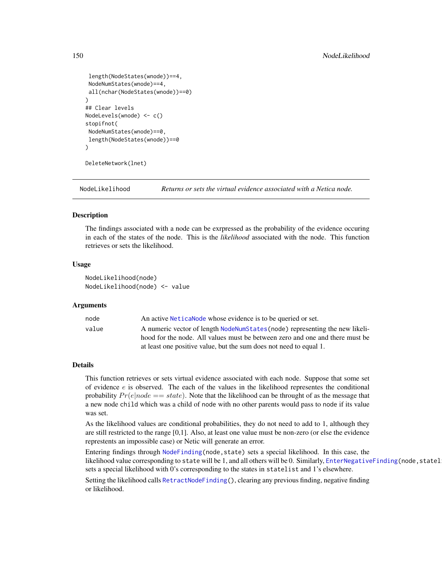```
length(NodeStates(wnode))==4,
 NodeNumStates(wnode)==4,
all(nchar(NodeStates(wnode))==0)
\lambda## Clear levels
NodeLevels(wnode) <- c()
stopifnot(
NodeNumStates(wnode)==0,
length(NodeStates(wnode))==0
\mathcal{L}DeleteNetwork(lnet)
```
<span id="page-149-0"></span>NodeLikelihood *Returns or sets the virtual evidence associated with a Netica node.*

#### **Description**

The findings associated with a node can be exrpressed as the probability of the evidence occuring in each of the states of the node. This is the *likelihood* associated with the node. This function retrieves or sets the likelihood.

### Usage

NodeLikelihood(node) NodeLikelihood(node) <- value

# Arguments

| node  | An active Netica Node whose evidence is to be queried or set.                                                                                                |
|-------|--------------------------------------------------------------------------------------------------------------------------------------------------------------|
| value | A numeric vector of length NodeNumStates (node) representing the new likeli-<br>hood for the node. All values must be between zero and one and there must be |
|       | at least one positive value, but the sum does not need to equal 1.                                                                                           |

# Details

This function retrieves or sets virtual evidence associated with each node. Suppose that some set of evidence  $e$  is observed. The each of the values in the likelihood representes the conditional probability  $Pr(e|node == state)$ . Note that the likelihood can be throught of as the message that a new node child which was a child of node with no other parents would pass to node if its value was set.

As the likelihood values are conditional probabilities, they do not need to add to 1, although they are still restricted to the range [0,1]. Also, at least one value must be non-zero (or else the evidence represtents an impossible case) or Netic will generate an error.

Entering findings through [NodeFinding\(](#page-139-0)node,state) sets a special likelihood. In this case, the likelihood value corresponding to state will be 1, and all others will be 0. Similarly, [EnterNegativeFinding\(](#page-42-0)node, statel sets a special likelihood with 0's corresponding to the states in statelist and 1's elsewhere.

Setting the likelihood calls [RetractNodeFinding\(](#page-179-0)), clearing any previous finding, negative finding or likelihood.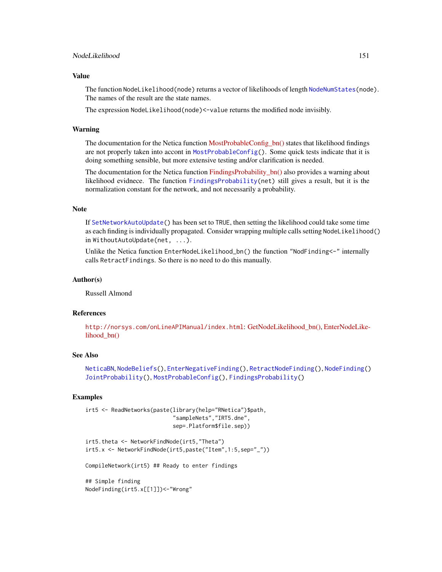# NodeLikelihood 151

### Value

The function NodeLikelihood(node) returns a vector of likelihoods of length [NodeNumStates\(](#page-161-0)node). The names of the result are the state names.

The expression NodeLikelihood(node)<-value returns the modified node invisibly.

#### Warning

The documentation for the Netica function [MostProbableConfig\\_bn\(\)](http://norsys.com/onLineAPIManual/functions/MostProbableConfig_bn.html) states that likelihood findings are not properly taken into accont in [MostProbableConfig\(](#page-97-0)). Some quick tests indicate that it is doing something sensible, but more extensive testing and/or clarification is needed.

The documentation for the Netica function [FindingsProbability\\_bn\(\)](http://norsys.com/onLineAPIManual/functions/FindingsProbability_bn.html) also provides a warning about likelihood evidnece. The function [FindingsProbability\(](#page-60-0)net) still gives a result, but it is the normalization constant for the network, and not necessarily a probability.

### Note

If [SetNetworkAutoUpdate\(](#page-63-0)) has been set to TRUE, then setting the likelihood could take some time as each finding is individually propagated. Consider wrapping multiple calls setting NodeLikelihood() in WithoutAutoUpdate(net, ...).

Unlike the Netica function EnterNodeLikelihood\_bn() the function "NodFinding<-" internally calls RetractFindings. So there is no need to do this manually.

### Author(s)

Russell Almond

# References

<http://norsys.com/onLineAPIManual/index.html>: [GetNodeLikelihood\\_bn\(\),](http://norsys.com/onLineAPIManual/functions/GetNodeLikelihood_bn.html) [EnterNodeLike](http://norsys.com/onLineAPIManual/functions/EnterNodeLikelihood_bn.html)[lihood\\_bn\(\)](http://norsys.com/onLineAPIManual/functions/EnterNodeLikelihood_bn.html)

# See Also

```
NeticaBN, NodeBeliefs(), EnterNegativeFinding(), RetractNodeFinding(), NodeFinding()
JointProbability(), MostProbableConfig(), FindingsProbability()
```
# Examples

```
irt5 <- ReadNetworks(paste(library(help="RNetica")$path,
                           "sampleNets","IRT5.dne",
                           sep=.Platform$file.sep))
```

```
irt5.theta <- NetworkFindNode(irt5,"Theta")
irt5.x <- NetworkFindNode(irt5,paste("Item",1:5,sep="_"))
```
CompileNetwork(irt5) ## Ready to enter findings

## Simple finding NodeFinding(irt5.x[[1]])<-"Wrong"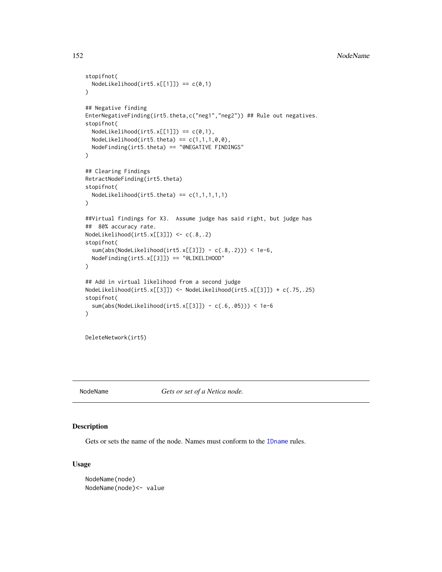```
stopifnot(
  NodeLikelihood(irt5.x[[1]]) == c(0,1))
## Negative finding
EnterNegativeFinding(irt5.theta,c("neg1","neg2")) ## Rule out negatives.
stopifnot(
  NodeLikelihood(irt5.x[[1]]) == c(0,1),
  NodeLikelihood(irt5.theta) == c(1,1,1,0,0),
  NodeFinding(irt5.theta) == "@NEGATIVE FINDINGS"
)
## Clearing Findings
RetractNodeFinding(irt5.theta)
stopifnot(
  NodeLikelihood(irt5.theta) == c(1,1,1,1,1))
##Virtual findings for X3. Assume judge has said right, but judge has
## 80% accuracy rate.
NodeLikelihood(irt5.x[[3]]) <- c(.8,.2)
stopifnot(
  sum(abs(NodeLikelihood(irt5.x[[3]]) - c(.8,.2))) < 1e-6,
  NodeFinding(irt5.x[[3]]) == "@LIKELIHOOD"
)
## Add in virtual likelihood from a second judge
NodeLikelihood(irt5.x[[3]]) <- NodeLikelihood(irt5.x[[3]]) * c(.75,.25)
stopifnot(
  sum(abs(NodeLikelihood(irt5.x[[3]]) - c(.6,.05))) < 1e-6
\mathcal{L}DeleteNetwork(irt5)
```
<span id="page-151-0"></span>

NodeName *Gets or set of a Netica node.*

### Description

Gets or sets the name of the node. Names must conform to the [IDname](#page-67-0) rules.

#### Usage

```
NodeName(node)
NodeName(node)<- value
```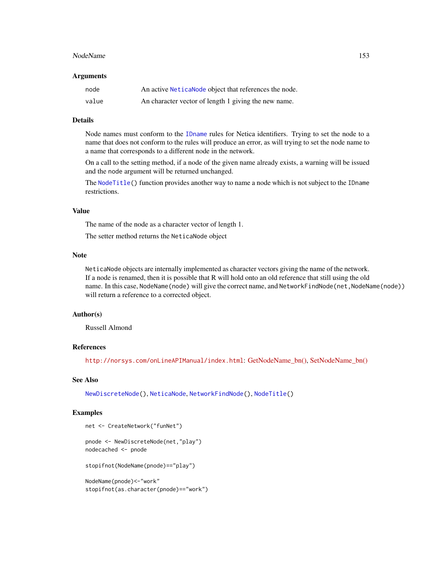#### NodeName 153

#### **Arguments**

| node  | An active Netica Node object that references the node. |
|-------|--------------------------------------------------------|
| value | An character vector of length 1 giving the new name.   |

# Details

Node names must conform to the [IDname](#page-67-0) rules for Netica identifiers. Trying to set the node to a name that does not conform to the rules will produce an error, as will trying to set the node name to a name that corresponds to a different node in the network.

On a call to the setting method, if a node of the given name already exists, a warning will be issued and the node argument will be returned unchanged.

The [NodeTitle\(](#page-165-0)) function provides another way to name a node which is not subject to the IDname restrictions.

# Value

The name of the node as a character vector of length 1.

The setter method returns the NeticaNode object

### Note

NeticaNode objects are internally implemented as character vectors giving the name of the network. If a node is renamed, then it is possible that R will hold onto an old reference that still using the old name. In this case, NodeName(node) will give the correct name, and NetworkFindNode(net, NodeName(node)) will return a reference to a corrected object.

### Author(s)

Russell Almond

### References

<http://norsys.com/onLineAPIManual/index.html>: [GetNodeName\\_bn\(\),](http://norsys.com/onLineAPIManual/functions/GetNodeName_bn.html) [SetNodeName\\_bn\(\)](http://norsys.com/onLineAPIManual/functions/SetNodeName_bn.html)

### See Also

[NewDiscreteNode\(](#page-126-0)), [NeticaNode](#page-106-0), [NetworkFindNode\(](#page-110-0)), [NodeTitle\(](#page-165-0))

### Examples

```
net <- CreateNetwork("funNet")
```
pnode <- NewDiscreteNode(net,"play") nodecached <- pnode

stopifnot(NodeName(pnode)=="play")

NodeName(pnode)<-"work" stopifnot(as.character(pnode)=="work")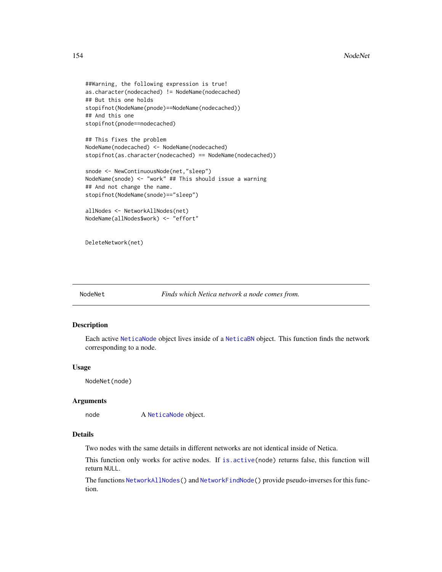```
##Warning, the following expression is true!
as.character(nodecached) != NodeName(nodecached)
## But this one holds
stopifnot(NodeName(pnode)==NodeName(nodecached))
## And this one
stopifnot(pnode==nodecached)
```

```
## This fixes the problem
NodeName(nodecached) <- NodeName(nodecached)
stopifnot(as.character(nodecached) == NodeName(nodecached))
```

```
snode <- NewContinuousNode(net,"sleep")
NodeName(snode) <- "work" ## This should issue a warning
## And not change the name.
stopifnot(NodeName(snode)=="sleep")
```

```
allNodes <- NetworkAllNodes(net)
NodeName(allNodes$work) <- "effort"
```

```
DeleteNetwork(net)
```

```
NodeNet Finds which Netica network a node comes from.
```
# Description

Each active [NeticaNode](#page-106-0) object lives inside of a [NeticaBN](#page-101-0) object. This function finds the network corresponding to a node.

#### Usage

NodeNet(node)

# Arguments

node A [NeticaNode](#page-106-0) object.

# Details

Two nodes with the same details in different networks are not identical inside of Netica.

This function only works for active nodes. If [is.active\(](#page-69-0)node) returns false, this function will return NULL.

The functions [NetworkAllNodes\(](#page-110-1)) and [NetworkFindNode\(](#page-110-0)) provide pseudo-inverses for this function.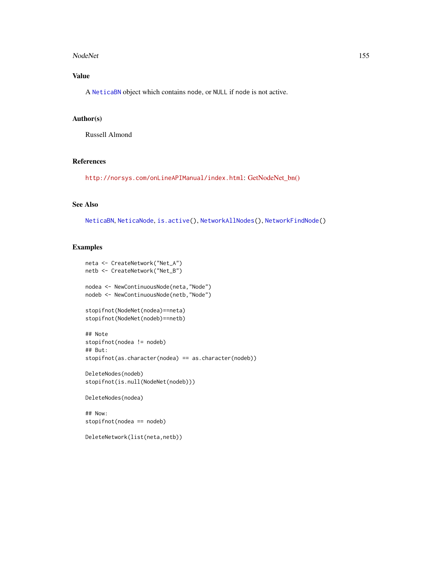#### NodeNet 155

# Value

A [NeticaBN](#page-101-0) object which contains node, or NULL if node is not active.

# Author(s)

Russell Almond

### References

<http://norsys.com/onLineAPIManual/index.html>: [GetNodeNet\\_bn\(\)](http://norsys.com/onLineAPIManual/functions/GetNodeNet_bn.html)

# See Also

[NeticaBN](#page-101-0), [NeticaNode](#page-106-0), [is.active\(](#page-69-0)), [NetworkAllNodes\(](#page-110-1)), [NetworkFindNode\(](#page-110-0))

# Examples

```
neta <- CreateNetwork("Net_A")
netb <- CreateNetwork("Net_B")
nodea <- NewContinuousNode(neta,"Node")
nodeb <- NewContinuousNode(netb,"Node")
stopifnot(NodeNet(nodea)==neta)
stopifnot(NodeNet(nodeb)==netb)
## Note
stopifnot(nodea != nodeb)
## But:
stopifnot(as.character(nodea) == as.character(nodeb))
DeleteNodes(nodeb)
stopifnot(is.null(NodeNet(nodeb)))
DeleteNodes(nodea)
## Now:
```
stopifnot(nodea == nodeb)

DeleteNetwork(list(neta,netb))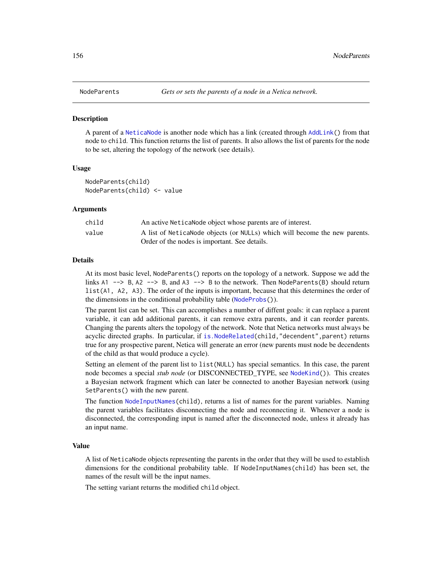<span id="page-155-0"></span>

#### Description

A parent of a [NeticaNode](#page-106-0) is another node which has a link (created through [AddLink\(](#page-12-0)) from that node to child. This function returns the list of parents. It also allows the list of parents for the node to be set, altering the topology of the network (see details).

### Usage

NodeParents(child) NodeParents(child) <- value

#### Arguments

| child | An active Netica Node object whose parents are of interest.                 |
|-------|-----------------------------------------------------------------------------|
| value | A list of Netica Node objects (or NULLs) which will become the new parents. |
|       | Order of the nodes is important. See details.                               |

#### Details

At its most basic level, NodeParents() reports on the topology of a network. Suppose we add the links  $A1 \rightarrow B$ ,  $A2 \rightarrow B$ , and  $A3 \rightarrow B$  to the network. Then NodeParents(B) should return list(A1, A2, A3). The order of the inputs is important, because that this determines the order of the dimensions in the conditional probability table ([NodeProbs\(](#page-157-0))).

The parent list can be set. This can accomplishes a number of diffent goals: it can replace a parent variable, it can add additional parents, it can remove extra parents, and it can reorder parents. Changing the parents alters the topology of the network. Note that Netica networks must always be acyclic directed graphs. In particular, if [is.NodeRelated\(](#page-71-0)child,"decendent", parent) returns true for any prospective parent, Netica will generate an error (new parents must node be decendents of the child as that would produce a cycle).

Setting an element of the parent list to list(NULL) has special semantics. In this case, the parent node becomes a special *stub node* (or DISCONNECTED\_TYPE, see [NodeKind\(](#page-144-0))). This creates a Bayesian network fragment which can later be connected to another Bayesian network (using SetParents() with the new parent.

The function [NodeInputNames\(](#page-142-0)child), returns a list of names for the parent variables. Naming the parent variables facilitates disconnecting the node and reconnecting it. Whenever a node is disconnected, the corresponding input is named after the disconnected node, unless it already has an input name.

# Value

A list of NeticaNode objects representing the parents in the order that they will be used to establish dimensions for the conditional probability table. If NodeInputNames(child) has been set, the names of the result will be the input names.

The setting variant returns the modified child object.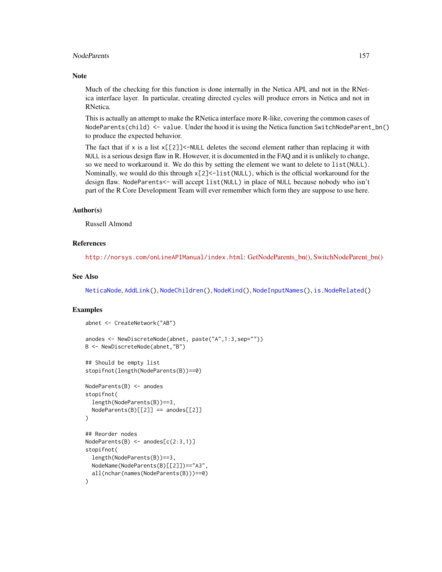### NodeParents 157

### **Note**

Much of the checking for this function is done internally in the Netica API, and not in the RNetica interface layer. In particular, creating directed cycles will produce errors in Netica and not in RNetica.

This is actually an attempt to make the RNetica interface more R-like, covering the common cases of NodeParents(child) <- value. Under the hood it is using the Netica function SwitchNodeParent\_bn() to produce the expected behavior.

The fact that if x is a list  $x[\frac{2}{3}]<$ -NULL deletes the second element rather than replacing it with NULL is a serious design flaw in R. However, it is documented in the FAQ and it is unlikely to change, so we need to workaround it. We do this by setting the element we want to delete to list(NULL). Nominally, we would do this through  $x[2] < -1$  ist(NULL), which is the official workaround for the design flaw. NodeParents<- will accept list(NULL) in place of NULL because nobody who isn't part of the R Core Development Team will ever remember which form they are suppose to use here.

### Author(s)

Russell Almond

## References

<http://norsys.com/onLineAPIManual/index.html>: [GetNodeParents\\_bn\(\),](http://norsys.com/onLineAPIManual/functions/GetNodeParents_bn.html) [SwitchNodeParent\\_bn\(\)](http://norsys.com/onLineAPIManual/functions/SwitchNodeParent_bn.html)

### See Also

[NeticaNode](#page-106-0), [AddLink\(](#page-12-0)), [NodeChildren\(](#page-130-0)), [NodeKind\(](#page-144-0)), [NodeInputNames\(](#page-142-0)), [is.NodeRelated\(](#page-71-0))

# Examples

```
abnet <- CreateNetwork("AB")
anodes <- NewDiscreteNode(abnet, paste("A",1:3,sep=""))
B <- NewDiscreteNode(abnet,"B")
## Should be empty list
stopifnot(length(NodeParents(B))==0)
NodeParents(B) <- anodes
stopifnot(
 length(NodeParents(B))==3,
 NodeParents(B)[[2]] == anodes[[2]])
## Reorder nodes
NodeParents(B) <- anodes[c(2:3,1)]
stopifnot(
 length(NodeParents(B))==3,
 NodeName(NodeParents(B)[[2]])=="A3",
 all(nchar(names(NodeParents(B)))==0)
)
```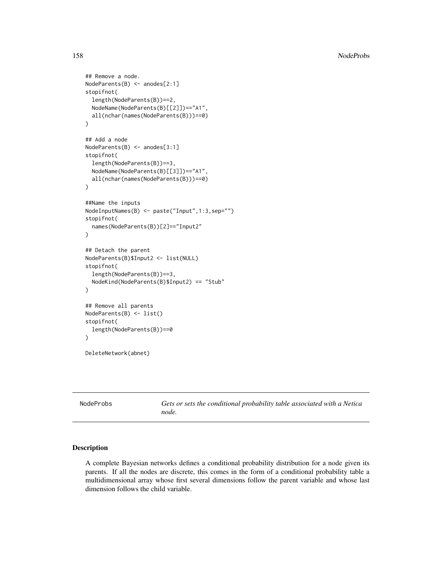```
## Remove a node.
NodeParents(B) <- anodes[2:1]
stopifnot(
 length(NodeParents(B))==2,
 NodeName(NodeParents(B)[[2]])=="A1",
 all(nchar(names(NodeParents(B)))==0)
\mathcal{L}## Add a node
NodeParents(B) <- anodes[3:1]
stopifnot(
 length(NodeParents(B))==3,
 NodeName(NodeParents(B)[[3]])=="A1",
 all(nchar(names(NodeParents(B)))==0)
)
##Name the inputs
NodeInputNames(B) <- paste("Input",1:3,sep="")
stopifnot(
 names(NodeParents(B))[2]=="Input2"
)
## Detach the parent
NodeParents(B)$Input2 <- list(NULL)
stopifnot(
 length(NodeParents(B))==3,
 NodeKind(NodeParents(B)$Input2) == "Stub"
)
## Remove all parents
NodeParents(B) <- list()
stopifnot(
 length(NodeParents(B))==0
)
DeleteNetwork(abnet)
```
<span id="page-157-0"></span>

NodeProbs *Gets or sets the conditional probability table associated with a Netica node.*

### Description

A complete Bayesian networks defines a conditional probability distribution for a node given its parents. If all the nodes are discrete, this comes in the form of a conditional probability table a multidimensional array whose first several dimensions follow the parent variable and whose last dimension follows the child variable.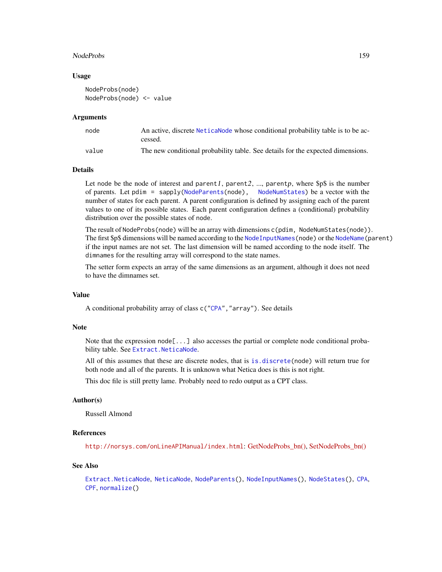#### NodeProbs 159

### Usage

```
NodeProbs(node)
NodeProbs(node) <- value
```
#### Arguments

| node  | An active, discrete NeticaNode whose conditional probability table is to be ac-<br>cessed. |
|-------|--------------------------------------------------------------------------------------------|
| value | The new conditional probability table. See details for the expected dimensions.            |

### Details

Let node be the node of interest and parent1, parent2, ..., parentp, where  $\beta p \$  is the number of parents. Let pdim = sapply[\(NodeParents\(](#page-155-0)node), [NodeNumStates\)](#page-161-0) be a vector with the number of states for each parent. A parent configuration is defined by assigning each of the parent values to one of its possible states. Each parent configuration defines a (conditional) probability distribution over the possible states of node.

The result of NodeProbs(node) will be an array with dimensions c(pdim, NodeNumStates(node)). The first \$p\$ dimensions will be named according to the [NodeInputNames\(](#page-142-0)node) or the [NodeName\(](#page-151-0)parent) if the input names are not set. The last dimension will be named according to the node itself. The dimnames for the resulting array will correspond to the state names.

The setter form expects an array of the same dimensions as an argument, although it does not need to have the dimnames set.

# Value

A conditional probability array of class c(["CPA"](#page-29-0),"array"). See details

### Note

Note that the expression node[...] also accesses the partial or complete node conditional probability table. See [Extract.NeticaNode](#page-44-0).

All of this assumes that these are discrete nodes, that is [is.discrete\(](#page-70-0)node) will return true for both node and all of the parents. It is unknown what Netica does is this is not right.

This doc file is still pretty lame. Probably need to redo output as a CPT class.

# Author(s)

Russell Almond

# References

<http://norsys.com/onLineAPIManual/index.html>: [GetNodeProbs\\_bn\(\),](http://norsys.com/onLineAPIManual/functions/GetNodeProbs_bn.html) [SetNodeProbs\\_bn\(\)](http://norsys.com/onLineAPIManual/functions/SetNodeProbs_bn.html)

# See Also

```
Extract.NeticaNode, NeticaNode, NodeParents(), NodeInputNames(), NodeStates(), CPA,
CPF, normalize()
```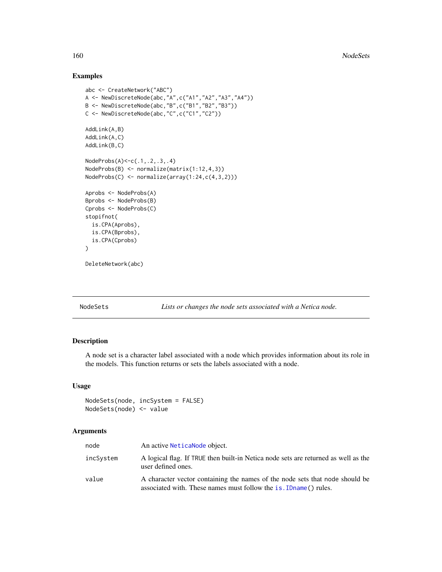# Examples

```
abc <- CreateNetwork("ABC")
A <- NewDiscreteNode(abc,"A",c("A1","A2","A3","A4"))
B <- NewDiscreteNode(abc,"B",c("B1","B2","B3"))
C <- NewDiscreteNode(abc,"C",c("C1","C2"))
AddLink(A,B)
AddLink(A,C)
AddLink(B,C)
NodeProbs(A)<-c(.1,.2,.3,.4)
NodeProbs(B) <- normalize(matrix(1:12,4,3))
NodeProbs(C) <- normalize(array(1:24,c(4,3,2)))
Aprobs <- NodeProbs(A)
Bprobs <- NodeProbs(B)
Cprobs <- NodeProbs(C)
stopifnot(
  is.CPA(Aprobs),
  is.CPA(Bprobs),
  is.CPA(Cprobs)
)
DeleteNetwork(abc)
```
NodeSets *Lists or changes the node sets associated with a Netica node.*

# Description

A node set is a character label associated with a node which provides information about its role in the models. This function returns or sets the labels associated with a node.

# Usage

NodeSets(node, incSystem = FALSE) NodeSets(node) <- value

#### Arguments

| node      | An active Netica Node object.                                                                                                                     |
|-----------|---------------------------------------------------------------------------------------------------------------------------------------------------|
| incSystem | A logical flag. If TRUE then built-in Netica node sets are returned as well as the<br>user defined ones.                                          |
| value     | A character vector containing the names of the node sets that node should be<br>associated with. These names must follow the is. IDname () rules. |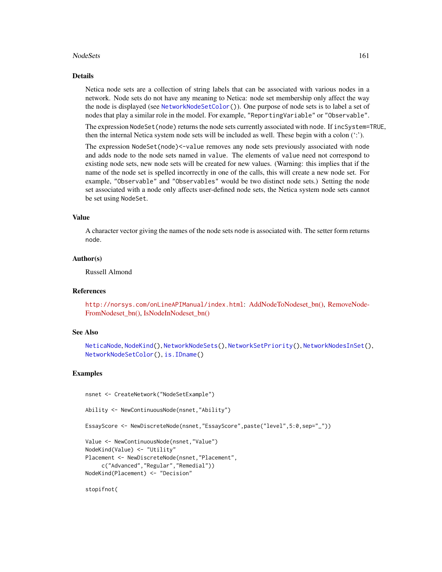#### NodeSets 161

#### Details

Netica node sets are a collection of string labels that can be associated with various nodes in a network. Node sets do not have any meaning to Netica: node set membership only affect the way the node is displayed (see [NetworkNodeSetColor\(](#page-114-0))). One purpose of node sets is to label a set of nodes that play a similar role in the model. For example, "ReportingVariable" or "Observable".

The expression NodeSet(node) returns the node sets currently associated with node. If incSystem=TRUE, then the internal Netica system node sets will be included as well. These begin with a colon (':').

The expression NodeSet(node)<-value removes any node sets previously associated with node and adds node to the node sets named in value. The elements of value need not correspond to existing node sets, new node sets will be created for new values. (Warning: this implies that if the name of the node set is spelled incorrectly in one of the calls, this will create a new node set. For example, "Observable" and "Observables" would be two distinct node sets.) Setting the node set associated with a node only affects user-defined node sets, the Netica system node sets cannot be set using NodeSet.

# Value

A character vector giving the names of the node sets node is associated with. The setter form returns node.

### Author(s)

Russell Almond

### References

<http://norsys.com/onLineAPIManual/index.html>: [AddNodeToNodeset\\_bn\(\),](http://norsys.com/onLineAPIManual/functions/AddNodeToNodeset_bn.html) [RemoveNode-](http://norsys.com/onLineAPIManual/functions/RemoveNodeFromNodeset_bn.html)[FromNodeset\\_bn\(\),](http://norsys.com/onLineAPIManual/functions/RemoveNodeFromNodeset_bn.html) [IsNodeInNodeset\\_bn\(\)](http://norsys.com/onLineAPIManual/functions/IsNodeInNodeset_bn.html)

# See Also

[NeticaNode](#page-106-0), [NodeKind\(](#page-144-0)), [NetworkNodeSets\(](#page-116-0)), [NetworkSetPriority\(](#page-120-0)), [NetworkNodesInSet\(](#page-118-0)), [NetworkNodeSetColor\(](#page-114-0)), [is.IDname\(](#page-67-1))

# Examples

```
nsnet <- CreateNetwork("NodeSetExample")
```

```
Ability <- NewContinuousNode(nsnet,"Ability")
```
EssayScore <- NewDiscreteNode(nsnet,"EssayScore",paste("level",5:0,sep="\_"))

Value <- NewContinuousNode(nsnet,"Value") NodeKind(Value) <- "Utility" Placement <- NewDiscreteNode(nsnet,"Placement", c("Advanced","Regular","Remedial")) NodeKind(Placement) <- "Decision"

stopifnot(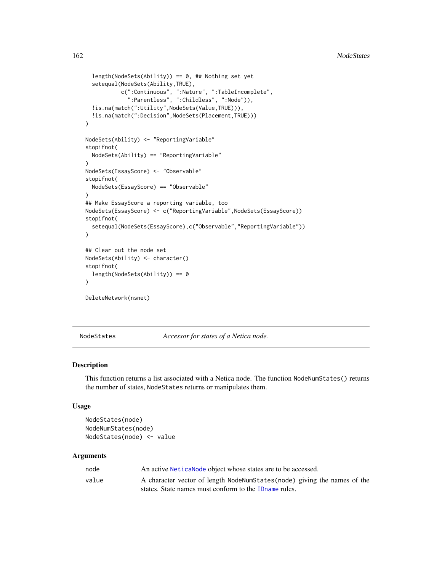```
length(NodeSets(Ability)) == 0, ## Nothing set yet
 setequal(NodeSets(Ability,TRUE),
           c(":Continuous", ":Nature", ":TableIncomplete",
             ":Parentless", ":Childless", ":Node")),
 !is.na(match(":Utility",NodeSets(Value,TRUE))),
 !is.na(match(":Decision",NodeSets(Placement,TRUE)))
)
NodeSets(Ability) <- "ReportingVariable"
stopifnot(
 NodeSets(Ability) == "ReportingVariable"
)
NodeSets(EssayScore) <- "Observable"
stopifnot(
 NodeSets(EssayScore) == "Observable"
)
## Make EssayScore a reporting variable, too
NodeSets(EssayScore) <- c("ReportingVariable",NodeSets(EssayScore))
stopifnot(
 setequal(NodeSets(EssayScore),c("Observable","ReportingVariable"))
)
## Clear out the node set
NodeSets(Ability) <- character()
stopifnot(
 length(NodeSets(Ability)) == 0
)
DeleteNetwork(nsnet)
```
<span id="page-161-1"></span>NodeStates *Accessor for states of a Netica node.*

# <span id="page-161-0"></span>Description

This function returns a list associated with a Netica node. The function NodeNumStates() returns the number of states, NodeStates returns or manipulates them.

#### Usage

```
NodeStates(node)
NodeNumStates(node)
NodeStates(node) <- value
```
### Arguments

| node  | An active Netica Node object whose states are to be accessed.             |
|-------|---------------------------------------------------------------------------|
| value | A character vector of length NodeNumStates (node) giving the names of the |
|       | states. State names must conform to the ID name rules.                    |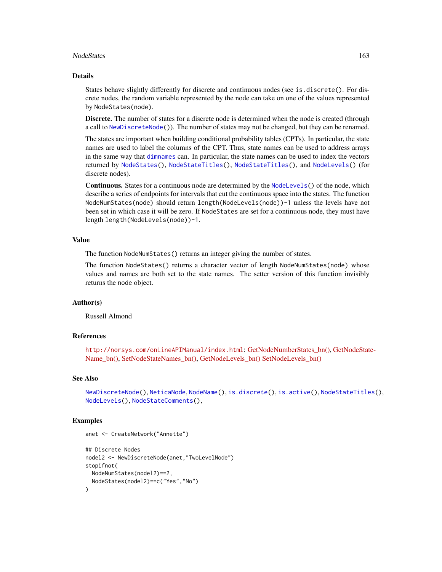#### NodeStates 163

#### Details

States behave slightly differently for discrete and continuous nodes (see is.discrete(). For discrete nodes, the random variable represented by the node can take on one of the values represented by NodeStates(node).

Discrete. The number of states for a discrete node is determined when the node is created (through a call to [NewDiscreteNode\(](#page-126-0))). The number of states may not be changed, but they can be renamed.

The states are important when building conditional probability tables (CPTs). In particular, the state names are used to label the columns of the CPT. Thus, state names can be used to address arrays in the same way that [dimnames](#page-0-0) can. In particular, the state names can be used to index the vectors returned by [NodeStates\(](#page-161-1)), [NodeStateTitles\(](#page-163-0)), [NodeStateTitles\(](#page-163-0)), and [NodeLevels\(](#page-146-0)) (for discrete nodes).

Continuous. States for a continuous node are determined by the [NodeLevels\(](#page-146-0)) of the node, which describe a series of endpoints for intervals that cut the continuous space into the states. The function NodeNumStates(node) should return length(NodeLevels(node))-1 unless the levels have not been set in which case it will be zero. If NodeStates are set for a continuous node, they must have length length(NodeLevels(node))-1.

### Value

The function NodeNumStates() returns an integer giving the number of states.

The function NodeStates() returns a character vector of length NodeNumStates(node) whose values and names are both set to the state names. The setter version of this function invisibly returns the node object.

# Author(s)

Russell Almond

### References

<http://norsys.com/onLineAPIManual/index.html>: [GetNodeNumberStates\\_bn\(\),](http://norsys.com/onLineAPIManual/functions/GetNodeNumberStates_bn.html) [GetNodeStat](http://norsys.com/onLineAPIManual/functions/GetNodeStateName_bn.html)e-[Name\\_bn\(\),](http://norsys.com/onLineAPIManual/functions/GetNodeStateName_bn.html) [SetNodeStateNames\\_bn\(\),](http://norsys.com/onLineAPIManual/functions/SetNodeStateNames_bn.html) [GetNodeLevels\\_bn\(\)](http://norsys.com/onLineAPIManual/functions/GetNodeLevels_bn.html) [SetNodeLevels\\_bn\(\)](http://norsys.com/onLineAPIManual/functions/SetNodeLevels_bn.html)

### See Also

```
NewDiscreteNode(), NeticaNode, NodeName(), is.discrete(), is.active(), NodeStateTitles(),
NodeLevels(), NodeStateComments(),
```
# Examples

```
anet <- CreateNetwork("Annette")
## Discrete Nodes
nodel2 <- NewDiscreteNode(anet,"TwoLevelNode")
stopifnot(
 NodeNumStates(nodel2)==2,
 NodeStates(nodel2)==c("Yes","No")
)
```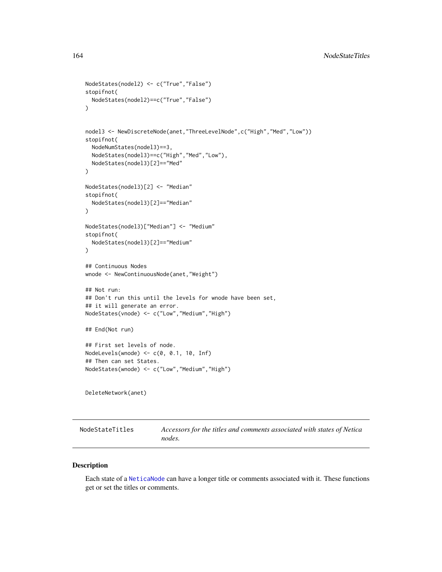```
NodeStates(nodel2) <- c("True","False")
stopifnot(
  NodeStates(nodel2)==c("True","False")
)
nodel3 <- NewDiscreteNode(anet,"ThreeLevelNode",c("High","Med","Low"))
stopifnot(
  NodeNumStates(nodel3)==3,
  NodeStates(nodel3)==c("High","Med","Low"),
  NodeStates(nodel3)[2]=="Med"
)
NodeStates(nodel3)[2] <- "Median"
stopifnot(
  NodeStates(nodel3)[2]=="Median"
)
NodeStates(nodel3)["Median"] <- "Medium"
stopifnot(
  NodeStates(nodel3)[2]=="Medium"
\mathcal{L}## Continuous Nodes
wnode <- NewContinuousNode(anet,"Weight")
## Not run:
## Don't run this until the levels for wnode have been set,
## it will generate an error.
NodeStates(vnode) <- c("Low","Medium","High")
## End(Not run)
## First set levels of node.
NodeLevels(wnode) <- c(0, 0.1, 10, Inf)
## Then can set States.
NodeStates(wnode) <- c("Low","Medium","High")
DeleteNetwork(anet)
```
<span id="page-163-0"></span>NodeStateTitles *Accessors for the titles and comments associated with states of Netica nodes.*

# <span id="page-163-1"></span>Description

Each state of a [NeticaNode](#page-106-0) can have a longer title or comments associated with it. These functions get or set the titles or comments.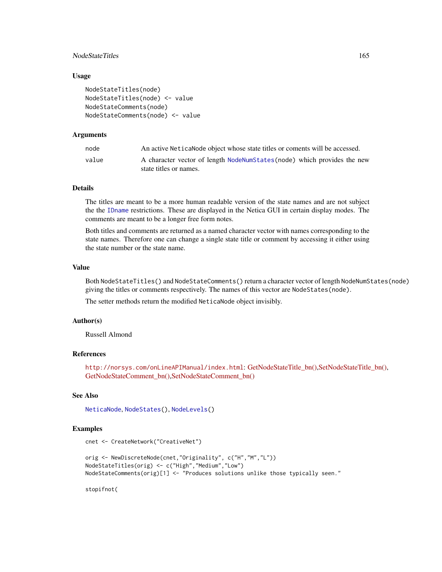# NodeStateTitles 165

#### Usage

```
NodeStateTitles(node)
NodeStateTitles(node) <- value
NodeStateComments(node)
NodeStateComments(node) <- value
```
### Arguments

| node  | An active Netica Node object whose state titles or coments will be accessed.                      |
|-------|---------------------------------------------------------------------------------------------------|
| value | A character vector of length NodeNumStates(node) which provides the new<br>state titles or names. |

# Details

The titles are meant to be a more human readable version of the state names and are not subject the the [IDname](#page-67-0) restrictions. These are displayed in the Netica GUI in certain display modes. The comments are meant to be a longer free form notes.

Both titles and comments are returned as a named character vector with names corresponding to the state names. Therefore one can change a single state title or comment by accessing it either using the state number or the state name.

### Value

Both NodeStateTitles() and NodeStateComments() return a character vector of length NodeNumStates(node) giving the titles or comments respectively. The names of this vector are NodeStates(node).

The setter methods return the modified NeticaNode object invisibly.

# Author(s)

Russell Almond

# References

<http://norsys.com/onLineAPIManual/index.html>: [GetNodeStateTitle\\_bn\(\),](http://norsys.com/onLineAPIManual/functions/GetNodeStateTitle_bn.html)[SetNodeStateTitle\\_bn\(\),](http://norsys.com/onLineAPIManual/functions/SetNodeStateTitle_bn.html) [GetNodeStateComment\\_bn\(\),](http://norsys.com/onLineAPIManual/functions/GetNodeStateComment_bn.html)[SetNodeStateComment\\_bn\(\)](http://norsys.com/onLineAPIManual/functions/SetNodeStateComment_bn.html)

### See Also

[NeticaNode](#page-106-0), [NodeStates\(](#page-161-1)), [NodeLevels\(](#page-146-0))

### Examples

```
cnet <- CreateNetwork("CreativeNet")
```

```
orig <- NewDiscreteNode(cnet,"Originality", c("H","M","L"))
NodeStateTitles(orig) <- c("High","Medium","Low")
NodeStateComments(orig)[1] <- "Produces solutions unlike those typically seen."
```
stopifnot(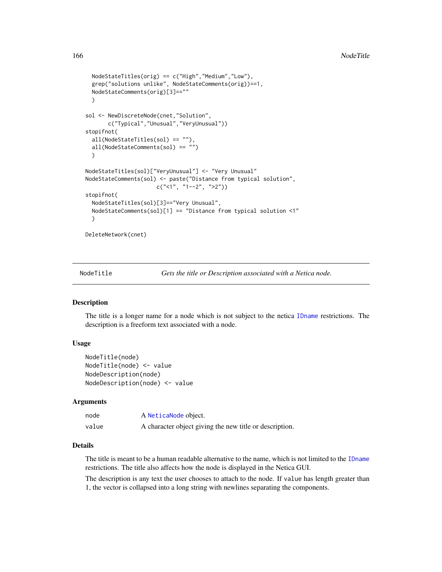```
NodeStateTitles(orig) == c("High","Medium","Low"),
 grep("solutions unlike", NodeStateComments(orig))==1,
 NodeStateComments(orig)[3]==""
 )
sol <- NewDiscreteNode(cnet,"Solution",
      c("Typical","Unusual","VeryUnusual"))
stopifnot(
 all(NodeStateTitles(sol) == ""),
 all(NodeStateComments(sol) == "")
 )
NodeStateTitles(sol)["VeryUnusual"] <- "Very Unusual"
NodeStateComments(sol) <- paste("Distance from typical solution",
                      c("<1", "1--2", ">2"))
stopifnot(
 NodeStateTitles(sol)[3]=="Very Unusual",
 NodeStateComments(sol)[1] == "Distance from typical solution <1"
 )
DeleteNetwork(cnet)
```
<span id="page-165-0"></span>NodeTitle *Gets the title or Description associated with a Netica node.*

# <span id="page-165-1"></span>Description

The title is a longer name for a node which is not subject to the netica [IDname](#page-67-0) restrictions. The description is a freeform text associated with a node.

# Usage

```
NodeTitle(node)
NodeTitle(node) <- value
NodeDescription(node)
NodeDescription(node) <- value
```
#### Arguments

| node  | A NeticaNode object.                                    |
|-------|---------------------------------------------------------|
| value | A character object giving the new title or description. |

# Details

The title is meant to be a human readable alternative to the name, which is not limited to the [IDname](#page-67-0) restrictions. The title also affects how the node is displayed in the Netica GUI.

The description is any text the user chooses to attach to the node. If value has length greater than 1, the vector is collapsed into a long string with newlines separating the components.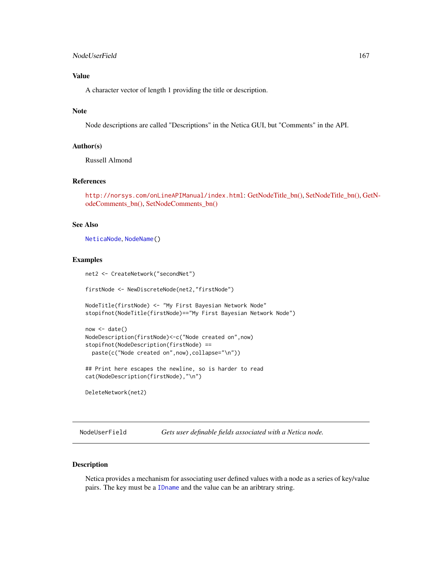# Value

A character vector of length 1 providing the title or description.

# Note

Node descriptions are called "Descriptions" in the Netica GUI, but "Comments" in the API.

# Author(s)

Russell Almond

# References

<http://norsys.com/onLineAPIManual/index.html>: [GetNodeTitle\\_bn\(\),](http://norsys.com/onLineAPIManual/functions/GetNodeTitle_bn.html) [SetNodeTitle\\_bn\(\),](http://norsys.com/onLineAPIManual/functions/SetNodeTitle_bn.html) [Ge](http://norsys.com/onLineAPIManual/functions/GetNodeComments_bn.html)tN[odeComments\\_bn\(\),](http://norsys.com/onLineAPIManual/functions/GetNodeComments_bn.html) [SetNodeComments\\_bn\(\)](http://norsys.com/onLineAPIManual/functions/SetNodeComments_bn.html)

### See Also

[NeticaNode](#page-106-0), [NodeName\(](#page-151-0))

### Examples

net2 <- CreateNetwork("secondNet")

firstNode <- NewDiscreteNode(net2,"firstNode")

NodeTitle(firstNode) <- "My First Bayesian Network Node" stopifnot(NodeTitle(firstNode)=="My First Bayesian Network Node")

```
now <- date()
NodeDescription(firstNode)<-c("Node created on",now)
stopifnot(NodeDescription(firstNode) ==
 paste(c("Node created on",now),collapse="\n"))
```
## Print here escapes the newline, so is harder to read cat(NodeDescription(firstNode),"\n")

DeleteNetwork(net2)

NodeUserField *Gets user definable fields associated with a Netica node.*

# Description

Netica provides a mechanism for associating user defined values with a node as a series of key/value pairs. The key must be a [IDname](#page-67-0) and the value can be an aribtrary string.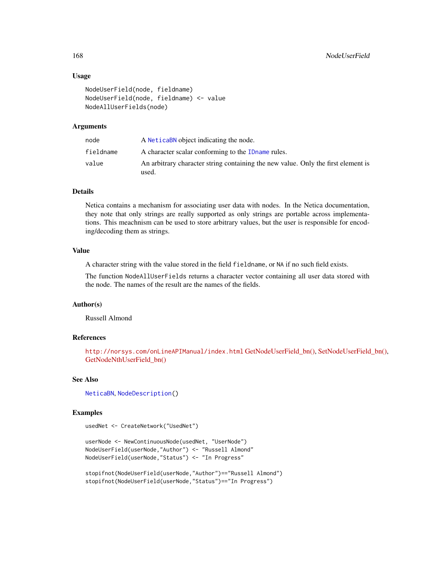### Usage

```
NodeUserField(node, fieldname)
NodeUserField(node, fieldname) <- value
NodeAllUserFields(node)
```
# Arguments

| node      | A NeticaBN object indicating the node.                                                     |
|-----------|--------------------------------------------------------------------------------------------|
| fieldname | A character scalar conforming to the ID name rules.                                        |
| value     | An arbitrary character string containing the new value. Only the first element is<br>used. |

# Details

Netica contains a mechanism for associating user data with nodes. In the Netica documentation, they note that only strings are really supported as only strings are portable across implementations. This meachnism can be used to store arbitrary values, but the user is responsible for encoding/decoding them as strings.

# Value

A character string with the value stored in the field fieldname, or NA if no such field exists.

The function NodeAllUserFields returns a character vector containing all user data stored with the node. The names of the result are the names of the fields.

# Author(s)

Russell Almond

# References

<http://norsys.com/onLineAPIManual/index.html> [GetNodeUserField\\_bn\(\),](http://norsys.com/onLineAPIManual/functions/GetNodeUserField_bn.html) [SetNodeUserField\\_bn\(\),](http://norsys.com/onLineAPIManual/functions/SetNodeUserField_bn.html) [GetNodeNthUserField\\_bn\(\)](http://norsys.com/onLineAPIManual/functions/GetNodeNthUserField_bn.html)

### See Also

[NeticaBN](#page-101-0), [NodeDescription\(](#page-165-1))

### Examples

usedNet <- CreateNetwork("UsedNet")

```
userNode <- NewContinuousNode(usedNet, "UserNode")
NodeUserField(userNode,"Author") <- "Russell Almond"
NodeUserField(userNode,"Status") <- "In Progress"
```
stopifnot(NodeUserField(userNode,"Author")=="Russell Almond") stopifnot(NodeUserField(userNode,"Status")=="In Progress")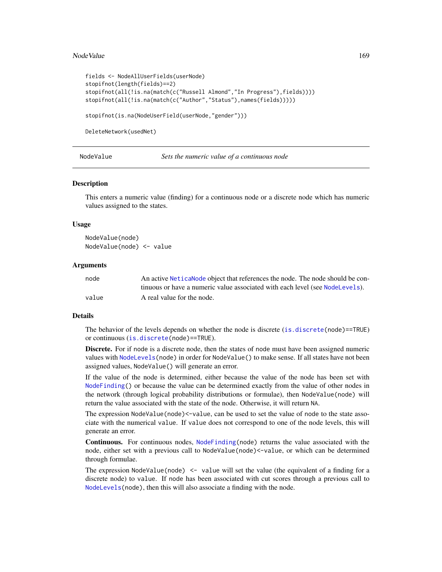#### Node Value 2008 and 2009 and 2009 and 2009 and 2009 and 2009 and 2009 and 2009 and 2009 and 2009 and 2009 and 2009 and 2009 and 2009 and 2009 and 2009 and 2009 and 2009 and 2009 and 2009 and 2009 and 2009 and 2009 and 2009

```
fields <- NodeAllUserFields(userNode)
stopifnot(length(fields)==2)
stopifnot(all(!is.na(match(c("Russell Almond","In Progress"),fields))))
stopifnot(all(!is.na(match(c("Author","Status"),names(fields)))))
```
stopifnot(is.na(NodeUserField(userNode,"gender")))

DeleteNetwork(usedNet)

| NodeValue |
|-----------|
|-----------|

Sets the numeric value of a continuous node

#### **Description**

This enters a numeric value (finding) for a continuous node or a discrete node which has numeric values assigned to the states.

#### Usage

NodeValue(node) NodeValue(node) <- value

### Arguments

| node  | An active Netical Node object that references the node. The node should be con- |
|-------|---------------------------------------------------------------------------------|
|       | tinuous or have a numeric value associated with each level (see NodeLevels).    |
| value | A real value for the node.                                                      |

#### Details

The behavior of the levels depends on whether the node is discrete ([is.discrete\(](#page-70-0)node)==TRUE) or continuous ([is.discrete\(](#page-70-0)node)==TRUE).

Discrete. For if node is a discrete node, then the states of node must have been assigned numeric values with [NodeLevels\(](#page-146-0)node) in order for NodeValue() to make sense. If all states have not been assigned values, NodeValue() will generate an error.

If the value of the node is determined, either because the value of the node has been set with [NodeFinding\(](#page-139-0)) or because the value can be determined exactly from the value of other nodes in the network (through logical probability distributions or formulae), then NodeValue(node) will return the value associated with the state of the node. Otherwise, it will return NA.

The expression NodeValue(node)<-value, can be used to set the value of node to the state associate with the numerical value. If value does not correspond to one of the node levels, this will generate an error.

**Continuous.** For continuous nodes, [NodeFinding\(](#page-139-0)node) returns the value associated with the node, either set with a previous call to NodeValue(node)<-value, or which can be determined through formulae.

The expression NodeValue(node)  $\leq$  value will set the value (the equivalent of a finding for a discrete node) to value. If node has been associated with cut scores through a previous call to [NodeLevels\(](#page-146-0)node), then this will also associate a finding with the node.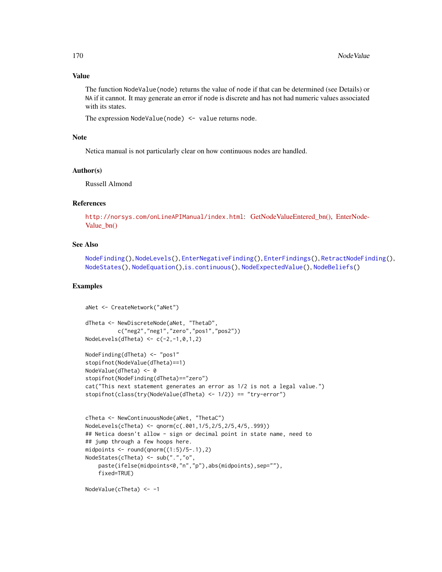# Value

The function NodeValue(node) returns the value of node if that can be determined (see Details) or NA if it cannot. It may generate an error if node is discrete and has not had numeric values associated with its states.

The expression NodeValue(node) <- value returns node.

### **Note**

Netica manual is not particularly clear on how continuous nodes are handled.

### Author(s)

Russell Almond

### References

```
http://norsys.com/onLineAPIManual/index.htmlGetNodeValueEntered_bn(),EnterNode-
Value_bn()
```
### See Also

```
NodeFinding(), NodeLevels(), EnterNegativeFinding(), EnterFindings(), RetractNodeFinding(),
NodeStates(), NodeEquation(),is.continuous(), NodeExpectedValue(), NodeBeliefs()
```
# Examples

```
aNet <- CreateNetwork("aNet")
dTheta <- NewDiscreteNode(aNet, "ThetaD",
          c("neg2","neg1","zero","pos1","pos2"))
NodeLevels(dTheta) <- c(-2,-1,0,1,2)
NodeFinding(dTheta) <- "pos1"
stopifnot(NodeValue(dTheta)==1)
NodeValue(dTheta) <- 0
stopifnot(NodeFinding(dTheta)=="zero")
cat("This next statement generates an error as 1/2 is not a legal value.")
stopifnot(class(try(NodeValue(dTheta) <- 1/2)) == "try-error")
```

```
cTheta <- NewContinuousNode(aNet, "ThetaC")
NodeLevels(cTheta) <- qnorm(c(.001,1/5,2/5,2/5,4/5,.999))
## Netica doesn't allow - sign or decimal point in state name, need to
## jump through a few hoops here.
midpoints \le round(qnorm((1:5)/5-.1),2)
NodeStates(cTheta) <- sub(".","o",
    paste(ifelse(midpoints<0,"n","p"),abs(midpoints),sep=""),
    fixed=TRUE)
```

```
NodeValue(cTheta) <- -1
```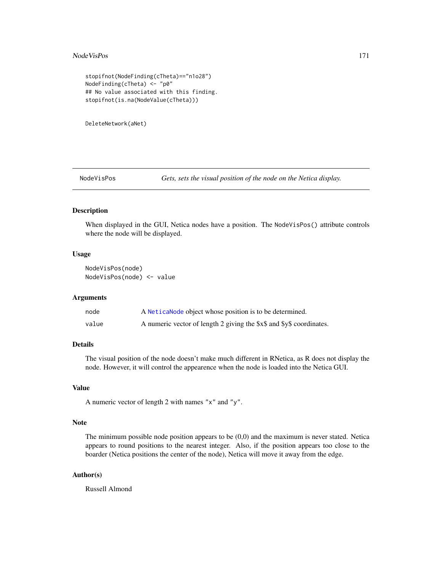#### NodeVisPos 171

```
stopifnot(NodeFinding(cTheta)=="n1o28")
NodeFinding(cTheta) <- "p0"
## No value associated with this finding.
stopifnot(is.na(NodeValue(cTheta)))
```
DeleteNetwork(aNet)

<span id="page-170-0"></span>NodeVisPos *Gets, sets the visual position of the node on the Netica display.*

# Description

When displayed in the GUI, Netica nodes have a position. The NodeVisPos() attribute controls where the node will be displayed.

### Usage

NodeVisPos(node) NodeVisPos(node) <- value

# Arguments

| node  | A Netica Node object whose position is to be determined.             |
|-------|----------------------------------------------------------------------|
| value | A numeric vector of length 2 giving the \$x\$ and \$y\$ coordinates. |

#### Details

The visual position of the node doesn't make much different in RNetica, as R does not display the node. However, it will control the appearence when the node is loaded into the Netica GUI.

# Value

A numeric vector of length 2 with names "x" and "y".

### Note

The minimum possible node position appears to be  $(0,0)$  and the maximum is never stated. Netica appears to round positions to the nearest integer. Also, if the position appears too close to the boarder (Netica positions the center of the node), Netica will move it away from the edge.

# Author(s)

Russell Almond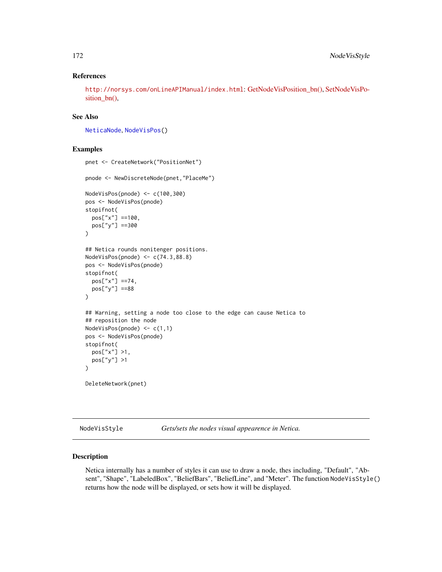# References

<http://norsys.com/onLineAPIManual/index.html>: [GetNodeVisPosition\\_bn\(\),](http://norsys.com/onLineAPIManual/functions/GetNodeVisPosition_bn.html) [SetNodeVisPo](http://norsys.com/onLineAPIManual/functions/SetNodeVisPosition_bn.html)[sition\\_bn\(\),](http://norsys.com/onLineAPIManual/functions/SetNodeVisPosition_bn.html)

# See Also

[NeticaNode](#page-106-0), [NodeVisPos\(](#page-170-0))

# Examples

```
pnet <- CreateNetwork("PositionNet")
pnode <- NewDiscreteNode(pnet,"PlaceMe")
NodeVisPos(pnode) <- c(100,300)
pos <- NodeVisPos(pnode)
stopifnot(
  pos["x"] ==100,
  pos["y"] ==300
)
## Netica rounds nonitenger positions.
NodeVisPos(pnode) <- c(74.3,88.8)
pos <- NodeVisPos(pnode)
stopifnot(
  pos["x"] ==74,
  pos["y"] ==88
)
## Warning, setting a node too close to the edge can cause Netica to
## reposition the node
NodeVisPos(pnode) <- c(1,1)
pos <- NodeVisPos(pnode)
stopifnot(
  pos["x"] >1,
  pos["y"] >1
)
DeleteNetwork(pnet)
```
NodeVisStyle *Gets/sets the nodes visual appearence in Netica.*

# **Description**

Netica internally has a number of styles it can use to draw a node, thes including, "Default", "Absent", "Shape", "LabeledBox", "BeliefBars", "BeliefLine", and "Meter". The function NodeVisStyle() returns how the node will be displayed, or sets how it will be displayed.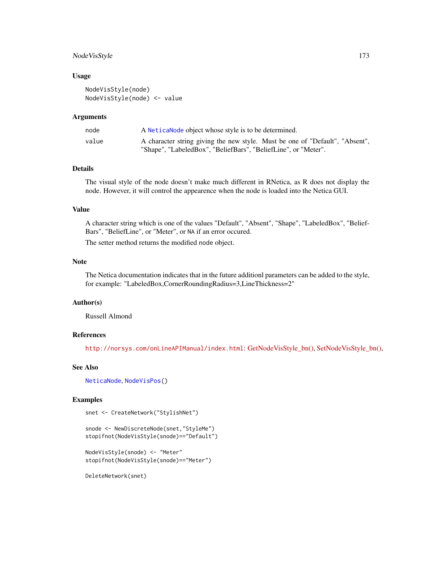# Node VisStyle 173

### Usage

NodeVisStyle(node) NodeVisStyle(node) <- value

#### Arguments

| node  | A Netica Node object whose style is to be determined.                        |
|-------|------------------------------------------------------------------------------|
| value | A character string giving the new style. Must be one of "Default", "Absent", |
|       | "Shape", "LabeledBox", "BeliefBars", "BeliefLine", or "Meter".               |

# Details

The visual style of the node doesn't make much different in RNetica, as R does not display the node. However, it will control the appearence when the node is loaded into the Netica GUI.

# Value

A character string which is one of the values "Default", "Absent", "Shape", "LabeledBox", "Belief-Bars", "BeliefLine", or "Meter", or NA if an error occured.

The setter method returns the modified node object.

# Note

The Netica documentation indicates that in the future additionl parameters can be added to the style, for example: "LabeledBox,CornerRoundingRadius=3,LineThickness=2"

# Author(s)

Russell Almond

### References

<http://norsys.com/onLineAPIManual/index.html>: [GetNodeVisStyle\\_bn\(\),](http://norsys.com/onLineAPIManual/functions/GetNodeVisStyle_bn.html) [SetNodeVisStyle\\_bn\(\),](http://norsys.com/onLineAPIManual/functions/SetNodeVisStyle_bn.html)

# See Also

[NeticaNode](#page-106-0), [NodeVisPos\(](#page-170-0))

### Examples

```
snet <- CreateNetwork("StylishNet")
```
snode <- NewDiscreteNode(snet,"StyleMe") stopifnot(NodeVisStyle(snode)=="Default")

```
NodeVisStyle(snode) <- "Meter"
stopifnot(NodeVisStyle(snode)=="Meter")
```
DeleteNetwork(snet)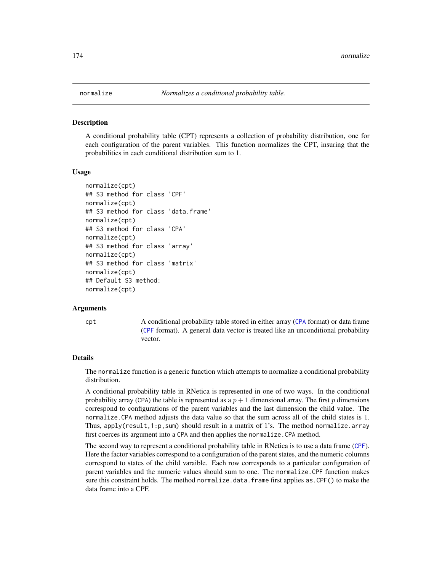#### <span id="page-173-0"></span>**Description**

A conditional probability table (CPT) represents a collection of probability distribution, one for each configuration of the parent variables. This function normalizes the CPT, insuring that the probabilities in each conditional distribution sum to 1.

#### Usage

```
normalize(cpt)
## S3 method for class 'CPF'
normalize(cpt)
## S3 method for class 'data.frame'
normalize(cpt)
## S3 method for class 'CPA'
normalize(cpt)
## S3 method for class 'array'
normalize(cpt)
## S3 method for class 'matrix'
normalize(cpt)
## Default S3 method:
normalize(cpt)
```
#### Arguments

cpt A conditional probability table stored in either array ([CPA](#page-29-0) format) or data frame ([CPF](#page-31-0) format). A general data vector is treated like an unconditional probability vector.

# Details

The normalize function is a generic function which attempts to normalize a conditional probability distribution.

A conditional probability table in RNetica is represented in one of two ways. In the conditional probability array (CPA) the table is represented as a  $p + 1$  dimensional array. The first p dimensions correspond to configurations of the parent variables and the last dimension the child value. The normalize.CPA method adjusts the data value so that the sum across all of the child states is 1. Thus, apply( $result,1:p,sum)$  should result in a matrix of 1's. The method normalize.array first coerces its argument into a CPA and then applies the normalize.CPA method.

The second way to represent a conditional probability table in RNetica is to use a data frame ([CPF](#page-31-0)). Here the factor variables correspond to a configuration of the parent states, and the numeric columns correspond to states of the child varaible. Each row corresponds to a particular configuration of parent variables and the numeric values should sum to one. The normalize.CPF function makes sure this constraint holds. The method normalize.data.frame first applies as.CPF() to make the data frame into a CPF.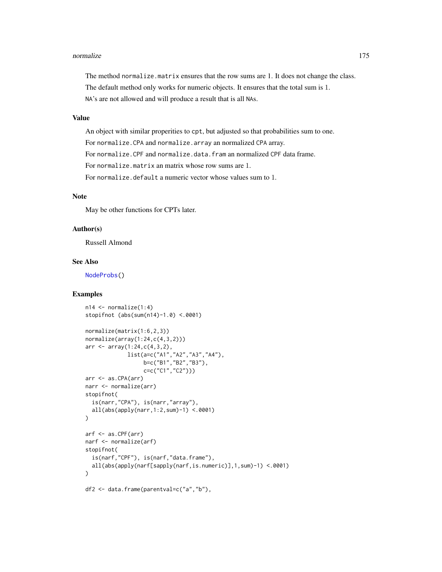#### normalize the contract of the contract of the contract of the contract of the contract of the contract of the contract of the contract of the contract of the contract of the contract of the contract of the contract of the

The method normalize.matrix ensures that the row sums are 1. It does not change the class. The default method only works for numeric objects. It ensures that the total sum is 1. NA's are not allowed and will produce a result that is all NAs.

### Value

An object with similar properities to cpt, but adjusted so that probabilities sum to one.

For normalize.CPA and normalize.array an normalized CPA array.

For normalize.CPF and normalize.data.fram an normalized CPF data frame.

For normalize.matrix an matrix whose row sums are 1.

For normalize.default a numeric vector whose values sum to 1.

### Note

May be other functions for CPTs later.

### Author(s)

Russell Almond

# See Also

[NodeProbs\(](#page-157-0))

# Examples

```
n14 \le normalize(1:4)
stopifnot (abs(sum(n14)-1.0) <.0001)
normalize(matrix(1:6,2,3))
normalize(array(1:24,c(4,3,2)))
arr < -array(1:24, c(4,3,2)),
             list(a=c("A1","A2","A3","A4"),
                  b=c("B1","B2","B3"),
                  c=c("C1","C2")))
arr <- as.CPA(arr)
narr <- normalize(arr)
stopifnot(
  is(narr,"CPA"), is(narr,"array"),
  all(abs(apply(narr,1:2,sum)-1) <.0001)
)
arf <- as.CPF(arr)
narf <- normalize(arf)
stopifnot(
  is(narf,"CPF"), is(narf,"data.frame"),
  all(abs(apply(narf[sapply(narf,is.numeric)],1,sum)-1) <.0001)
)
df2 <- data.frame(parentval=c("a","b"),
```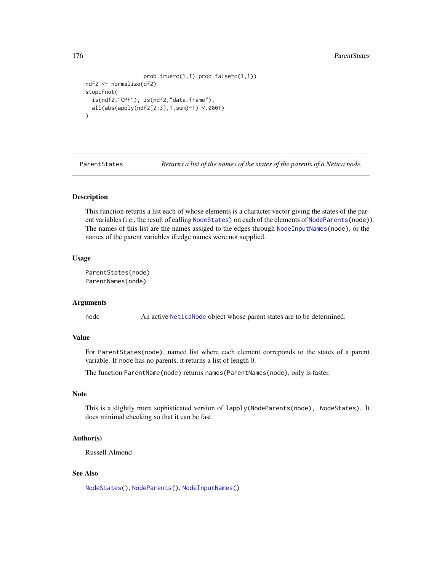#### 176 **ParentStates**

```
prob.true=c(1,1),prob.false=c(1,1))
ndf2 <- normalize(df2)
stopifnot(
 is(ndf2,"CPF"), is(ndf2,"data.frame"),
 all(abs(apply(ndf2[2:3],1,sum)-1) <.0001)
)
```
ParentStates *Returns a list of the names of the states of the parents of a Netica node.*

# Description

This function returns a list each of whose elements is a character vector giving the states of the par-ent variables (i.e., the result of calling [NodeStates\)](#page-161-1) on each of the elements of NodeParents (node)). The names of this list are the names assiged to the edges through [NodeInputNames\(](#page-142-0)node), or the names of the parent variables if edge names were not supplied.

# Usage

ParentStates(node) ParentNames(node)

### Arguments

node An active [NeticaNode](#page-106-0) object whose parent states are to be determined.

# Value

For ParentStates(node), named list where each element correponds to the states of a parent variable. If node has no parents, it returns a list of length 0.

The function ParentName(node) returns names(ParentNames(node), only is faster.

# Note

This is a slightly more sophisticated version of lapply(NodeParents(node), NodeStates). It does minimal checking so that it can be fast.

# Author(s)

Russell Almond

# See Also

[NodeStates\(](#page-161-1)), [NodeParents\(](#page-155-0)), [NodeInputNames\(](#page-142-0))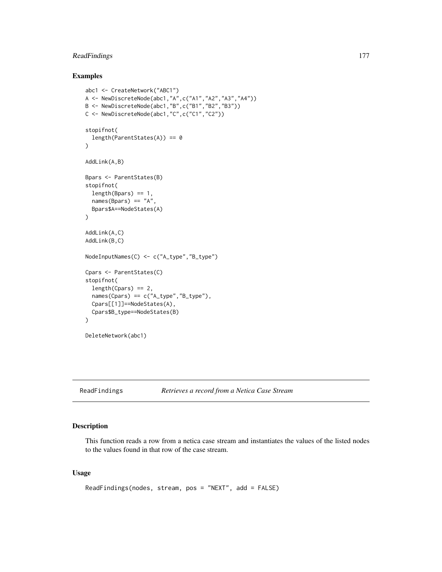# ReadFindings 177

# Examples

```
abc1 <- CreateNetwork("ABC1")
A <- NewDiscreteNode(abc1,"A",c("A1","A2","A3","A4"))
B <- NewDiscreteNode(abc1,"B",c("B1","B2","B3"))
C <- NewDiscreteNode(abc1,"C",c("C1","C2"))
stopifnot(
  length(ParentStates(A)) == 0
\mathcal{L}AddLink(A,B)
Bpars <- ParentStates(B)
stopifnot(
  length(Bpars) == 1,
  names(Bpars) == "A",
  Bpars$A==NodeStates(A)
\mathcal{L}AddLink(A,C)
AddLink(B,C)
NodeInputNames(C) <- c("A_type","B_type")
Cpars <- ParentStates(C)
stopifnot(
  length(Cpars) == 2,
  names(Cpars) == c("A_type","B_type"),
  Cpars[[1]]==NodeStates(A),
  Cpars$B_type==NodeStates(B)
\mathcal{L}DeleteNetwork(abc1)
```
<span id="page-176-0"></span>

ReadFindings *Retrieves a record from a Netica Case Stream*

# Description

This function reads a row from a netica case stream and instantiates the values of the listed nodes to the values found in that row of the case stream.

# Usage

```
ReadFindings(nodes, stream, pos = "NEXT", add = FALSE)
```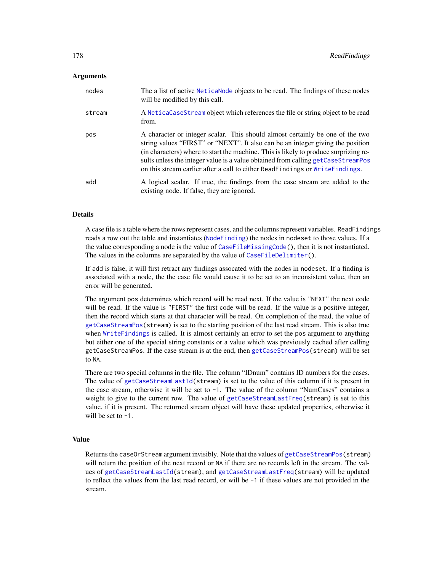### **Arguments**

| nodes  | The a list of active NeticaNode objects to be read. The findings of these nodes<br>will be modified by this call.                                                                                                                                                                                                                                                                                                           |
|--------|-----------------------------------------------------------------------------------------------------------------------------------------------------------------------------------------------------------------------------------------------------------------------------------------------------------------------------------------------------------------------------------------------------------------------------|
| stream | A NeticaCaseStream object which references the file or string object to be read<br>from.                                                                                                                                                                                                                                                                                                                                    |
| pos    | A character or integer scalar. This should almost certainly be one of the two<br>string values "FIRST" or "NEXT". It also can be an integer giving the position<br>(in characters) where to start the machine. This is likely to produce surprizing re-<br>sults unless the integer value is a value obtained from calling getCaseStreamPos<br>on this stream earlier after a call to either ReadFindings or WriteFindings. |
| add    | A logical scalar. If true, the findings from the case stream are added to the<br>existing node. If false, they are ignored.                                                                                                                                                                                                                                                                                                 |

# Details

A case file is a table where the rows represent cases, and the columns represent variables. ReadFindings reads a row out the table and instantiates ([NodeFinding](#page-139-0)) the nodes in nodeset to those values. If a the value corresponding a node is the value of [CaseFileMissingCode\(](#page-19-0)), then it is not instantiated. The values in the columns are separated by the value of [CaseFileDelimiter\(](#page-19-1)).

If add is false, it will first retract any findings assocated with the nodes in nodeset. If a finding is associated with a node, the the case file would cause it to be set to an inconsistent value, then an error will be generated.

The argument pos determines which record will be read next. If the value is "NEXT" the next code will be read. If the value is "FIRST" the first code will be read. If the value is a positive integer, then the record which starts at that character will be read. On completion of the read, the value of [getCaseStreamPos\(](#page-103-1)stream) is set to the starting position of the last read stream. This is also true when [WriteFindings](#page-188-0) is called. It is almost certainly an error to set the pos argument to anything but either one of the special string constants or a value which was previously cached after calling getCaseStreamPos. If the case stream is at the end, then [getCaseStreamPos\(](#page-103-1)stream) will be set to NA.

There are two special columns in the file. The column "IDnum" contains ID numbers for the cases. The value of [getCaseStreamLastId\(](#page-103-1)stream) is set to the value of this column if it is present in the case stream, otherwise it will be set to -1. The value of the column "NumCases" contains a weight to give to the current row. The value of [getCaseStreamLastFreq\(](#page-103-1)stream) is set to this value, if it is present. The returned stream object will have these updated properties, otherwise it will be set to  $-1$ .

#### Value

Returns the caseOrStream argument invisibly. Note that the values of [getCaseStreamPos\(](#page-103-1)stream) will return the position of the next record or NA if there are no records left in the stream. The values of [getCaseStreamLastId\(](#page-103-1)stream), and [getCaseStreamLastFreq\(](#page-103-1)stream) will be updated to reflect the values from the last read record, or will be -1 if these values are not provided in the stream.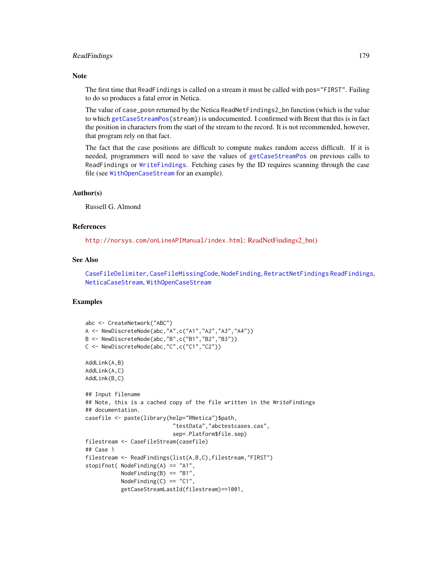# ReadFindings 179

### **Note**

The first time that ReadFindings is called on a stream it must be called with pos="FIRST". Failing to do so produces a fatal error in Netica.

The value of case\_posn returned by the Netica ReadNetFindings2\_bn function (which is the value to which [getCaseStreamPos\(](#page-103-1)stream)) is undocumented. I confirmed with Brent that this is in fact the position in characters from the start of the stream to the record. It is not recommended, however, that program rely on that fact.

The fact that the case positions are difficult to compute makes random access difficult. If it is needed, programmers will need to save the values of [getCaseStreamPos](#page-103-1) on previous calls to ReadFindings or [WriteFindings](#page-188-0). Fetching cases by the ID requires scanning through the case file (see [WithOpenCaseStream](#page-185-0) for an example).

# Author(s)

Russell G. Almond

### References

<http://norsys.com/onLineAPIManual/index.html>: [ReadNetFindings2\\_bn\(\)](http://norsys.com/onLineAPIManual/functions/ReadNetFindings2_bn.html)

### See Also

[CaseFileDelimiter](#page-19-1), [CaseFileMissingCode](#page-19-0), [NodeFinding](#page-139-0), [RetractNetFindings](#page-179-1) [ReadFindings](#page-176-0), [NeticaCaseStream](#page-103-0), [WithOpenCaseStream](#page-185-0)

# Examples

```
abc <- CreateNetwork("ABC")
A <- NewDiscreteNode(abc,"A",c("A1","A2","A3","A4"))
B <- NewDiscreteNode(abc,"B",c("B1","B2","B3"))
C <- NewDiscreteNode(abc,"C",c("C1","C2"))
AddLink(A,B)
AddLink(A,C)
AddLink(B,C)
## Input filename
## Note, this is a cached copy of the file written in the WriteFindings
## documentation.
casefile <- paste(library(help="RNetica")$path,
                           "testData","abctestcases.cas",
                           sep=.Platform$file.sep)
filestream <- CaseFileStream(casefile)
## Case 1
filestream <- ReadFindings(list(A,B,C),filestream,"FIRST")
stopifnot( NodeFinding(A) == "A1",NodeFinding(B) == "B1",
           NodeFinding(C) == "C1",
           getCaseStreamLastId(filestream)==1001,
```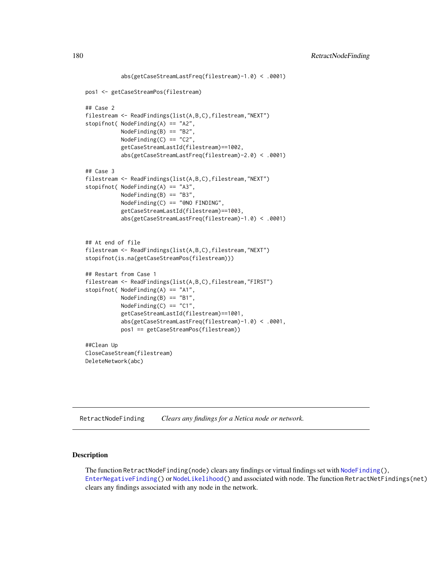```
abs(getCaseStreamLastFreq(filestream)-1.0) < .0001)
pos1 <- getCaseStreamPos(filestream)
## Case 2
filestream <- ReadFindings(list(A,B,C),filestream,"NEXT")
stopifnot( NodeFinding(A) == "A2",NodeFinding(B) == "B2",NodeFinding(C) == "C2",
           getCaseStreamLastId(filestream)==1002,
           abs(getCaseStreamLastFreq(filestream)-2.0) < .0001)
## Case 3
filestream <- ReadFindings(list(A,B,C),filestream,"NEXT")
stopifnot( NodeFinding(A) == "A3",
           NodeFinding(B) == "B3",
          NodeFinding(C) == "@NO FINDING",
           getCaseStreamLastId(filestream)==1003,
           abs(getCaseStreamLastFreq(filestream)-1.0) < .0001)
## At end of file
filestream <- ReadFindings(list(A,B,C),filestream,"NEXT")
stopifnot(is.na(getCaseStreamPos(filestream)))
## Restart from Case 1
filestream <- ReadFindings(list(A,B,C),filestream,"FIRST")
stopifnot( NodeFinding(A) == "A1",
          NodeFinding(B) == "B1",
          NodeFinding(C) == "C1",getCaseStreamLastId(filestream)==1001,
           abs(getCaseStreamLastFreq(filestream)-1.0) < .0001,
           pos1 == getCaseStreamPos(filestream))
##Clean Up
CloseCaseStream(filestream)
DeleteNetwork(abc)
```
<span id="page-179-0"></span>RetractNodeFinding *Clears any findings for a Netica node or network.*

# <span id="page-179-1"></span>Description

The function Retract[NodeFinding\(](#page-139-0)node) clears any findings or virtual findings set with NodeFinding(), [EnterNegativeFinding\(](#page-42-0)) or [NodeLikelihood\(](#page-149-0)) and associated with node. The function RetractNetFindings(net) clears any findings associated with any node in the network.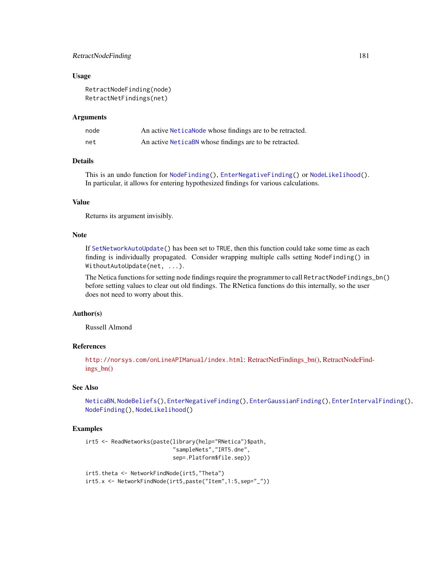# <span id="page-180-0"></span>RetractNodeFinding 181

#### Usage

```
RetractNodeFinding(node)
RetractNetFindings(net)
```
#### Arguments

| node | An active Netica Node whose findings are to be retracted. |
|------|-----------------------------------------------------------|
| net  | An active Netical BN whose findings are to be retracted.  |

# Details

This is an undo function for [NodeFinding\(](#page-139-0)), [EnterNegativeFinding\(](#page-42-0)) or [NodeLikelihood\(](#page-149-0)). In particular, it allows for entering hypothesized findings for various calculations.

# Value

Returns its argument invisibly.

# Note

If [SetNetworkAutoUpdate\(](#page-63-0)) has been set to TRUE, then this function could take some time as each finding is individually propagated. Consider wrapping multiple calls setting NodeFinding() in WithoutAutoUpdate(net, ...).

The Netica functions for setting node findings require the programmer to call RetractNodeFindings\_bn() before setting values to clear out old findings. The RNetica functions do this internally, so the user does not need to worry about this.

# Author(s)

Russell Almond

# References

<http://norsys.com/onLineAPIManual/index.html>: [RetractNetFindings\\_bn\(\),](http://norsys.com/onLineAPIManual/functions/RetractNetFindings_bn.html) [RetractNodeFind](http://norsys.com/onLineAPIManual/functions/RetractNodeFindings_bn.html)[ings\\_bn\(\)](http://norsys.com/onLineAPIManual/functions/RetractNodeFindings_bn.html)

# See Also

[NeticaBN](#page-101-0), [NodeBeliefs\(](#page-128-0)), [EnterNegativeFinding\(](#page-42-0)), [EnterGaussianFinding\(](#page-39-0)), [EnterIntervalFinding\(](#page-41-0)), [NodeFinding\(](#page-139-0)), [NodeLikelihood\(](#page-149-0))

# Examples

```
irt5 <- ReadNetworks(paste(library(help="RNetica")$path,
                           "sampleNets","IRT5.dne",
                           sep=.Platform$file.sep))
```

```
irt5.theta <- NetworkFindNode(irt5,"Theta")
irt5.x <- NetworkFindNode(irt5,paste("Item",1:5,sep="_"))
```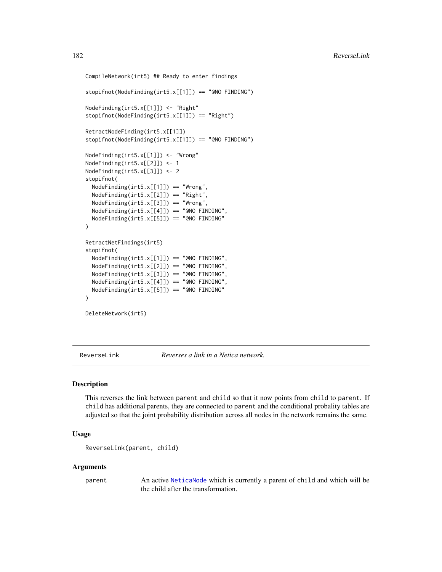```
CompileNetwork(irt5) ## Ready to enter findings
stopifnot(NodeFinding(irt5.x[[1]]) == "@NO FINDING")
NodeFinding(irt5.x[[1]]) <- "Right"
stopifnot(NodeFinding(irt5.x[[1]]) == "Right")
RetractNodeFinding(irt5.x[[1]])
stopifnot(NodeFinding(irt5.x[[1]]) == "@NO FINDING")
NodeFinding(irt5.x[[1]]) <- "Wrong"
NodeFinding(irt5.x[[2]]) <- 1
NodeFinding(irt5.x[[3]]) <- 2
stopifnot(
 NodeFinding(irt5.x[[1]]) == "Wrong",
 NodeFinding(irt5.x[[2]]) == "Right",
 NodeFinding(irt5.x[[3]]) == "Wrong",
 NodeFinding(irt5.x[[4]]) == "@NO FINDING",
 NodeFinding(irt5.x[[5]]) == "@NO FINDING"
)
RetractNetFindings(irt5)
stopifnot(
 NodeFinding(irt5.x[[1]]) == "@NO FINDING",
 NodeFinding(irt5.x[[2]]) == "@NO FINDING",
 NodeFinding(irt5.x[[3]]) == "@NO FINDING",
 NodeFinding(irt5.x[[4]]) == "@NO FINDING",
 NodeFinding(irt5.x[[5]]) == "@NO FINDING"
)
DeleteNetwork(irt5)
```
ReverseLink *Reverses a link in a Netica network.*

#### Description

This reverses the link between parent and child so that it now points from child to parent. If child has additional parents, they are connected to parent and the conditional probality tables are adjusted so that the joint probability distribution across all nodes in the network remains the same.

## Usage

```
ReverseLink(parent, child)
```
#### Arguments

parent An active [NeticaNode](#page-106-0) which is currently a parent of child and which will be the child after the transformation.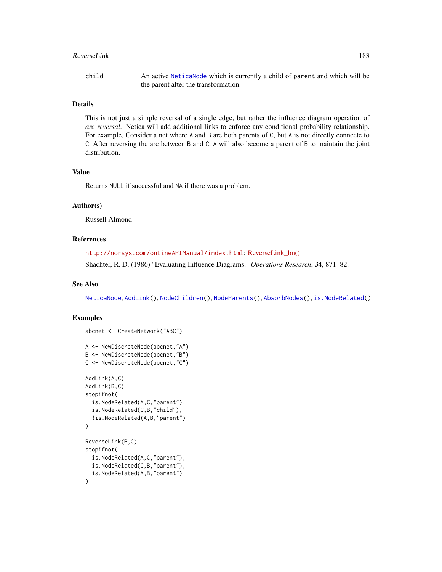#### <span id="page-182-0"></span>ReverseLink 183

#### Details

This is not just a simple reversal of a single edge, but rather the influence diagram operation of *arc reversal*. Netica will add additional links to enforce any conditional probability relationship. For example, Consider a net where A and B are both parents of C, but A is not directly connecte to C. After reversing the arc between B and C, A will also become a parent of B to maintain the joint distribution.

# Value

Returns NULL if successful and NA if there was a problem.

## Author(s)

Russell Almond

# References

<http://norsys.com/onLineAPIManual/index.html>: [ReverseLink\\_bn\(\)](http://norsys.com/onLineAPIManual/functions/ReverseLink_bn.html)

Shachter, R. D. (1986) "Evaluating Influence Diagrams." *Operations Research*, 34, 871–82.

# See Also

[NeticaNode](#page-106-0), [AddLink\(](#page-12-0)), [NodeChildren\(](#page-130-0)), [NodeParents\(](#page-155-0)), [AbsorbNodes\(](#page-10-0)), [is.NodeRelated\(](#page-71-0))

## Examples

```
abcnet <- CreateNetwork("ABC")
A <- NewDiscreteNode(abcnet,"A")
B <- NewDiscreteNode(abcnet,"B")
C <- NewDiscreteNode(abcnet,"C")
AddLink(A,C)
AddLink(B,C)
stopifnot(
  is.NodeRelated(A,C,"parent"),
  is.NodeRelated(C,B,"child"),
  !is.NodeRelated(A,B,"parent")
\mathcal{L}ReverseLink(B,C)
stopifnot(
  is.NodeRelated(A,C,"parent"),
  is.NodeRelated(C,B,"parent"),
  is.NodeRelated(A,B,"parent")
)
```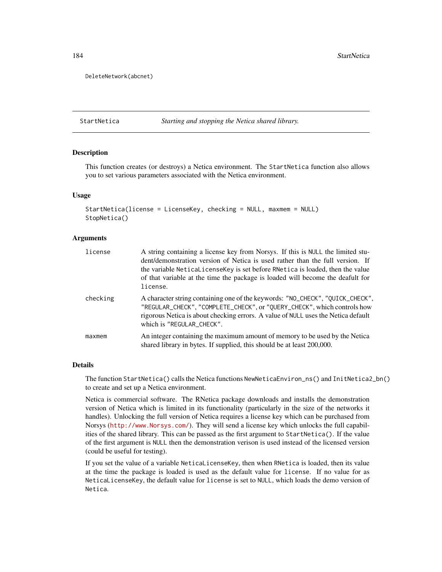DeleteNetwork(abcnet)

StartNetica *Starting and stopping the Netica shared library.*

#### **Description**

This function creates (or destroys) a Netica environment. The StartNetica function also allows you to set various parameters associated with the Netica environment.

#### Usage

```
StartNetica(license = LicenseKey, checking = NULL, maxmem = NULL)
StopNetica()
```
## Arguments

| license  | A string containing a license key from Norsys. If this is NULL the limited stu-<br>dent/demonstration version of Netica is used rather than the full version. If<br>the variable NeticaLicenseKey is set before RNetica is loaded, then the value<br>of that variable at the time the package is loaded will become the deafult for<br>license. |
|----------|-------------------------------------------------------------------------------------------------------------------------------------------------------------------------------------------------------------------------------------------------------------------------------------------------------------------------------------------------|
| checking | A character string containing one of the keywords: "NO_CHECK", "QUICK_CHECK",<br>"REGULAR_CHECK", "COMPLETE_CHECK", or "QUERY_CHECK", which controls how<br>rigorous Netica is about checking errors. A value of NULL uses the Netica default<br>which is "REGULAR_CHECK".                                                                      |
| maxmem   | An integer containing the maximum amount of memory to be used by the Netica<br>shared library in bytes. If supplied, this should be at least 200,000.                                                                                                                                                                                           |

# Details

The function StartNetica() calls the Netica functions NewNeticaEnviron\_ns() and InitNetica2\_bn() to create and set up a Netica environment.

Netica is commercial software. The RNetica package downloads and installs the demonstration version of Netica which is limited in its functionality (particularly in the size of the networks it handles). Unlocking the full version of Netica requires a license key which can be purchased from Norsys (<http://www.Norsys.com/>). They will send a license key which unlocks the full capabilities of the shared library. This can be passed as the first argument to StartNetica(). If the value of the first argument is NULL then the demonstration verison is used instead of the licensed version (could be useful for testing).

If you set the value of a variable NeticaLicenseKey, then when RNetica is loaded, then its value at the time the package is loaded is used as the default value for license. If no value for as NeticaLicenseKey, the default value for license is set to NULL, which loads the demo version of Netica.

<span id="page-183-0"></span>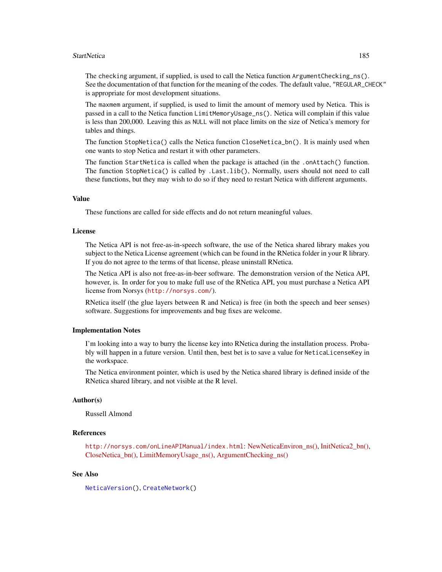#### <span id="page-184-0"></span>StartNetica 2008 and 2009 and 2008 and 2009 and 2009 and 2009 and 2009 and 2009 and 2009 and 2009 and 2009 and 2009 and 2009 and 2009 and 2009 and 2009 and 2009 and 2009 and 2009 and 2009 and 2009 and 2009 and 2009 and 200

The checking argument, if supplied, is used to call the Netica function ArgumentChecking\_ns(). See the documentation of that function for the meaning of the codes. The default value, "REGULAR\_CHECK" is appropriate for most development situations.

The maxmem argument, if supplied, is used to limit the amount of memory used by Netica. This is passed in a call to the Netica function LimitMemoryUsage\_ns(). Netica will complain if this value is less than 200,000. Leaving this as NULL will not place limits on the size of Netica's memory for tables and things.

The function StopNetica() calls the Netica function CloseNetica\_bn(). It is mainly used when one wants to stop Netica and restart it with other parameters.

The function StartNetica is called when the package is attached (in the .onAttach() function. The function StopNetica() is called by .Last.lib(), Normally, users should not need to call these functions, but they may wish to do so if they need to restart Netica with different arguments.

# Value

These functions are called for side effects and do not return meaningful values.

#### License

The Netica API is not free-as-in-speech software, the use of the Netica shared library makes you subject to the Netica License agreement (which can be found in the RNetica folder in your R library. If you do not agree to the terms of that license, please uninstall RNetica.

The Netica API is also not free-as-in-beer software. The demonstration version of the Netica API, however, is. In order for you to make full use of the RNetica API, you must purchase a Netica API license from Norsys (<http://norsys.com/>).

RNetica itself (the glue layers between R and Netica) is free (in both the speech and beer senses) software. Suggestions for improvements and bug fixes are welcome.

#### Implementation Notes

I'm looking into a way to burry the license key into RNetica during the installation process. Probably will happen in a future version. Until then, best bet is to save a value for NeticaLicenseKey in the workspace.

The Netica environment pointer, which is used by the Netica shared library is defined inside of the RNetica shared library, and not visible at the R level.

# Author(s)

Russell Almond

# References

<http://norsys.com/onLineAPIManual/index.html>: [NewNeticaEnviron\\_ns\(\),](http://norsys.com/onLineAPIManual/functions/NewNeticaEnviron_ns.html) [InitNetica2\\_bn\(\),](http://norsys.com/onLineAPIManual/functions/InitNetica2_bn.html) [CloseNetica\\_bn\(\),](http://norsys.com/onLineAPIManual/functions/CloseNetica_bn.html) [LimitMemoryUsage\\_ns\(\),](http://norsys.com/onLineAPIManual/functions/LimitMemoryUsage_ns.html) [ArgumentChecking\\_ns\(\)](http://norsys.com/onLineAPIManual/functions/ArgumentChecking_ns.html)

#### See Also

[NeticaVersion\(](#page-109-0)), [CreateNetwork\(](#page-33-0))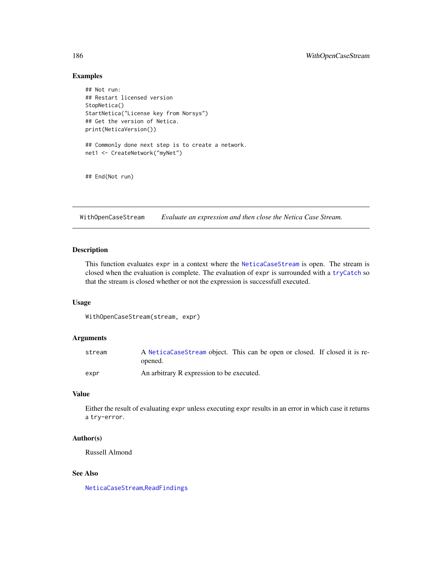# <span id="page-185-0"></span>Examples

```
## Not run:
## Restart licensed version
StopNetica()
StartNetica("License key from Norsys")
## Get the version of Netica.
print(NeticaVersion())
## Commonly done next step is to create a network.
net1 <- CreateNetwork("myNet")
## End(Not run)
```
WithOpenCaseStream *Evaluate an expression and then close the Netica Case Stream.*

# Description

This function evaluates expr in a context where the [NeticaCaseStream](#page-103-0) is open. The stream is closed when the evaluation is complete. The evaluation of expr is surrounded with a [tryCatch](#page-0-0) so that the stream is closed whether or not the expression is successfull executed.

#### Usage

```
WithOpenCaseStream(stream, expr)
```
# Arguments

| stream | A NeticaCaseStream object. This can be open or closed. If closed it is re-<br>opened. |  |
|--------|---------------------------------------------------------------------------------------|--|
| expr   | An arbitrary R expression to be executed.                                             |  |

# Value

Either the result of evaluating expr unless executing expr results in an error in which case it returns a try-error.

#### Author(s)

Russell Almond

# See Also

[NeticaCaseStream](#page-103-0),[ReadFindings](#page-176-0)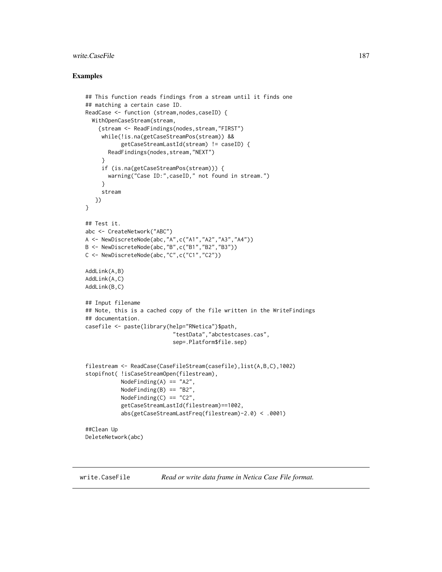# <span id="page-186-0"></span>write.CaseFile 187

#### Examples

```
## This function reads findings from a stream until it finds one
## matching a certain case ID.
ReadCase <- function (stream,nodes,caseID) {
  WithOpenCaseStream(stream,
    {stream <- ReadFindings(nodes,stream,"FIRST")
     while(!is.na(getCaseStreamPos(stream)) &&
           getCaseStreamLastId(stream) != caseID) {
       ReadFindings(nodes,stream,"NEXT")
     }
     if (is.na(getCaseStreamPos(stream))) {
       warning("Case ID:",caseID," not found in stream.")
     }
     stream
   })
}
## Test it.
abc <- CreateNetwork("ABC")
A <- NewDiscreteNode(abc,"A",c("A1","A2","A3","A4"))
B <- NewDiscreteNode(abc,"B",c("B1","B2","B3"))
C <- NewDiscreteNode(abc,"C",c("C1","C2"))
AddLink(A,B)
AddLink(A,C)
AddLink(B,C)
## Input filename
## Note, this is a cached copy of the file written in the WriteFindings
## documentation.
casefile <- paste(library(help="RNetica")$path,
                           "testData","abctestcases.cas",
                           sep=.Platform$file.sep)
filestream <- ReadCase(CaseFileStream(casefile),list(A,B,C),1002)
stopifnot( !isCaseStreamOpen(filestream),
           NodeFinding(A) == "A2",
           NodeFinding(B) == "B2",
           NodeFinding(C) == "C2",
           getCaseStreamLastId(filestream)==1002,
           abs(getCaseStreamLastFreq(filestream)-2.0) < .0001)
##Clean Up
DeleteNetwork(abc)
```
write.CaseFile *Read or write data frame in Netica Case File format.*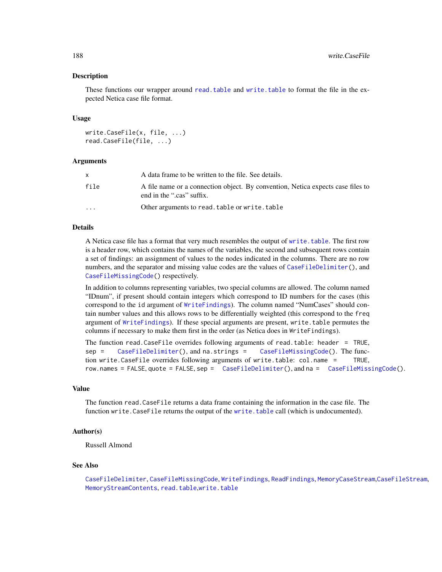#### **Description**

These functions our wrapper around [read.table](#page-0-0) and [write.table](#page-0-0) to format the file in the expected Netica case file format.

#### Usage

```
write.CaseFile(x, file, ...)
read.CaseFile(file, ...)
```
#### Arguments

| X       | A data frame to be written to the file. See details.                                                         |
|---------|--------------------------------------------------------------------------------------------------------------|
| file    | A file name or a connection object. By convention, Netica expects case files to<br>end in the ".cas" suffix. |
| $\cdot$ | Other arguments to read. table or write. table                                                               |

# Details

A Netica case file has a format that very much resembles the output of [write.table](#page-0-0). The first row is a header row, which contains the names of the variables, the second and subsequent rows contain a set of findings: an assignment of values to the nodes indicated in the columns. There are no row numbers, and the separator and missing value codes are the values of [CaseFileDelimiter\(](#page-19-0)), and [CaseFileMissingCode\(](#page-19-1)) respectively.

In addition to columns representing variables, two special columns are allowed. The column named "IDnum", if present should contain integers which correspond to ID numbers for the cases (this correspond to the id argument of [WriteFindings](#page-188-0)). The column named "NumCases" should contain number values and this allows rows to be differentially weighted (this correspond to the freq argument of [WriteFindings](#page-188-0)). If these special arguments are present, write.table permutes the columns if necessary to make them first in the order (as Netica does in WriteFindings).

```
The function read.CaseFile overrides following arguments of read.table: header = TRUE,
sep = CaseFileDelimiter(), and na.strings = CaseFileMissingCode(). The func-
tion write.CaseFile overrides following arguments of write.table: col.name = TRUE,
row.names = FALSE, quote = FALSE, sep = CaseFileDelimiter(), and na = CaseFileMissingCode().
```
#### Value

The function read.CaseFile returns a data frame containing the information in the case file. The function write.CaseFile returns the output of the [write.table](#page-0-0) call (which is undocumented).

# Author(s)

Russell Almond

#### See Also

[CaseFileDelimiter](#page-19-0), [CaseFileMissingCode](#page-19-1), [WriteFindings](#page-188-0), [ReadFindings](#page-176-0), [MemoryCaseStream](#page-92-0),[CaseFileStream](#page-21-0), [MemoryStreamContents](#page-95-0), [read.table](#page-0-0),[write.table](#page-0-0)

<span id="page-187-0"></span>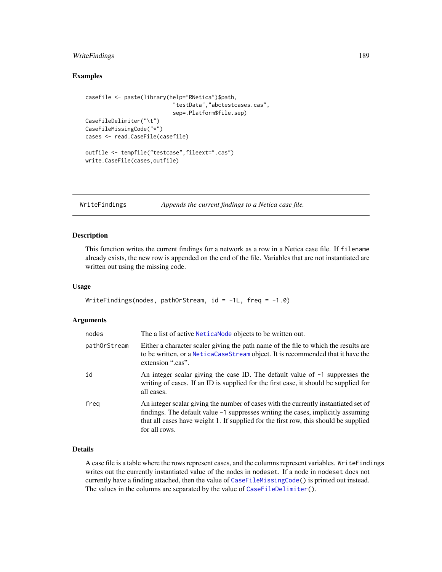# <span id="page-188-1"></span>WriteFindings 189

# Examples

```
casefile <- paste(library(help="RNetica")$path,
                           "testData","abctestcases.cas",
                           sep=.Platform$file.sep)
CaseFileDelimiter("\t")
CaseFileMissingCode("*")
cases <- read.CaseFile(casefile)
outfile <- tempfile("testcase",fileext=".cas")
write.CaseFile(cases,outfile)
```
<span id="page-188-0"></span>WriteFindings *Appends the current findings to a Netica case file.*

# Description

This function writes the current findings for a network as a row in a Netica case file. If filename already exists, the new row is appended on the end of the file. Variables that are not instantiated are written out using the missing code.

# Usage

```
WriteFindings(nodes, pathOrStream, id = -1L, freq = -1.0)
```
# Arguments

| nodes        | The a list of active <b>Netical objects</b> to be written out.                                                                                                                                                                                                                     |
|--------------|------------------------------------------------------------------------------------------------------------------------------------------------------------------------------------------------------------------------------------------------------------------------------------|
| pathOrStream | Either a character scaler giving the path name of the file to which the results are<br>to be written, or a NeticaCaseStream object. It is recommended that it have the<br>extension ".cas".                                                                                        |
| id           | An integer scalar giving the case ID. The default value of $-1$ suppresses the<br>writing of cases. If an ID is supplied for the first case, it should be supplied for<br>all cases.                                                                                               |
| freg         | An integer scalar giving the number of cases with the currently instantiated set of<br>findings. The default value $-1$ suppresses writing the cases, implicitly assuming<br>that all cases have weight 1. If supplied for the first row, this should be supplied<br>for all rows. |

# Details

A case file is a table where the rows represent cases, and the columns represent variables. WriteFindings writes out the currently instantiated value of the nodes in nodeset. If a node in nodeset does not currently have a finding attached, then the value of [CaseFileMissingCode\(](#page-19-1)) is printed out instead. The values in the columns are separated by the value of [CaseFileDelimiter\(](#page-19-0)).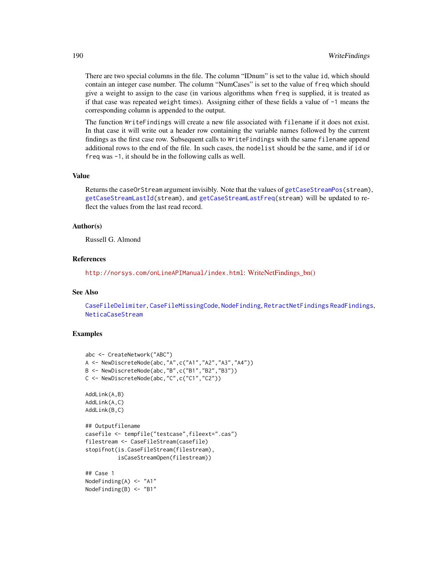<span id="page-189-0"></span>There are two special columns in the file. The column "IDnum" is set to the value id, which should contain an integer case number. The column "NumCases" is set to the value of freq which should give a weight to assign to the case (in various algorithms when freq is supplied, it is treated as if that case was repeated weight times). Assigning either of these fields a value of -1 means the corresponding column is appended to the output.

The function WriteFindings will create a new file associated with filename if it does not exist. In that case it will write out a header row containing the variable names followed by the current findings as the first case row. Subsequent calls to WriteFindings with the same filename append additional rows to the end of the file. In such cases, the nodelist should be the same, and if id or freq was -1, it should be in the following calls as well.

## Value

Returns the caseOrStream argument invisibly. Note that the values of [getCaseStreamPos\(](#page-103-1)stream), [getCaseStreamLastId\(](#page-103-1)stream), and [getCaseStreamLastFreq\(](#page-103-1)stream) will be updated to reflect the values from the last read record.

#### Author(s)

Russell G. Almond

#### References

<http://norsys.com/onLineAPIManual/index.html>: [WriteNetFindings\\_bn\(\)](http://norsys.com/onLineAPIManual/functions/WriteNetFindings_bn.html)

## See Also

[CaseFileDelimiter](#page-19-0), [CaseFileMissingCode](#page-19-1), [NodeFinding](#page-139-0), [RetractNetFindings](#page-179-0) [ReadFindings](#page-176-0), [NeticaCaseStream](#page-103-0)

#### Examples

```
abc <- CreateNetwork("ABC")
A <- NewDiscreteNode(abc,"A",c("A1","A2","A3","A4"))
B <- NewDiscreteNode(abc,"B",c("B1","B2","B3"))
C <- NewDiscreteNode(abc,"C",c("C1","C2"))
AddLink(A,B)
AddLink(A,C)
AddLink(B,C)
## Outputfilename
casefile <- tempfile("testcase",fileext=".cas")
filestream <- CaseFileStream(casefile)
stopifnot(is.CaseFileStream(filestream),
          isCaseStreamOpen(filestream))
## Case 1
NodeFinding(A) <- "A1"
NodeFinding(B) <- "B1"
```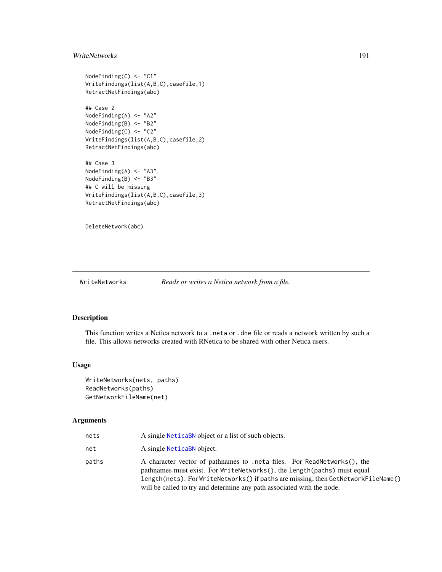# <span id="page-190-0"></span>WriteNetworks 191

```
NodeFinding(C) <- "C1"
WriteFindings(list(A,B,C),casefile,1)
RetractNetFindings(abc)
## Case 2
NodeFinding(A) <- "A2"
NodeFinding(B) <- "B2"
NodeFinding(C) <- "C2"
WriteFindings(list(A,B,C),casefile,2)
RetractNetFindings(abc)
## Case 3
NodeFinding(A) <- "A3"
NodeFinding(B) <- "B3"
## C will be missing
WriteFindings(list(A,B,C),casefile,3)
RetractNetFindings(abc)
```
DeleteNetwork(abc)

## WriteNetworks *Reads or writes a Netica network from a file.*

# Description

This function writes a Netica network to a .neta or .dne file or reads a network written by such a file. This allows networks created with RNetica to be shared with other Netica users.

# Usage

```
WriteNetworks(nets, paths)
ReadNetworks(paths)
GetNetworkFileName(net)
```
# Arguments

| nets  | A single NeticaBN object or a list of such objects.                                                                                                                                                                                                                                                               |
|-------|-------------------------------------------------------------------------------------------------------------------------------------------------------------------------------------------------------------------------------------------------------------------------------------------------------------------|
| net   | A single NeticaBN object.                                                                                                                                                                                                                                                                                         |
| paths | A character vector of pathnames to .neta files. For ReadNetworks(), the<br>pathnames must exist. For WriteNetworks(), the length(paths) must equal<br>length(nets). For WriteNetworks() if paths are missing, then GetNetworkFileName()<br>will be called to try and determine any path associated with the node. |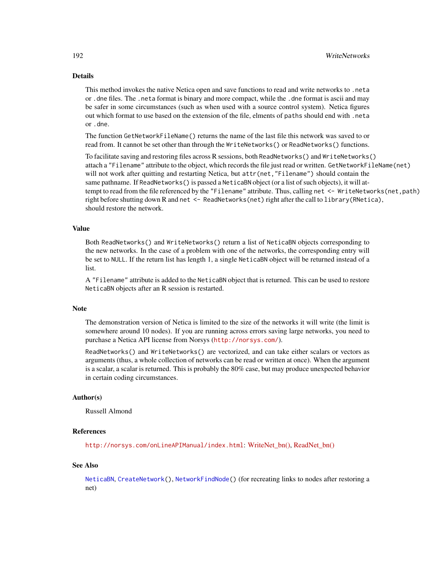# <span id="page-191-0"></span>Details

This method invokes the native Netica open and save functions to read and write networks to .neta or .dne files. The .neta format is binary and more compact, while the .dne format is ascii and may be safer in some circumstances (such as when used with a source control system). Netica figures out which format to use based on the extension of the file, elments of paths should end with .neta or .dne.

The function GetNetworkFileName() returns the name of the last file this network was saved to or read from. It cannot be set other than through the WriteNetworks() or ReadNetworks() functions.

To facilitate saving and restoring files across R sessions, both ReadNetworks() and WriteNetworks() attach a "Filename" attribute to the object, which records the file just read or written. GetNetworkFileName(net) will not work after quitting and restarting Netica, but attr(net, "Filename") should contain the same pathname. If ReadNetworks() is passed a NeticaBN object (or a list of such objects), it will attempt to read from the file referenced by the "Filename" attribute. Thus, calling net <- WriteNetworks(net, path) right before shutting down R and net <- ReadNetworks(net) right after the call to library(RNetica), should restore the network.

## Value

Both ReadNetworks() and WriteNetworks() return a list of NeticaBN objects corresponding to the new networks. In the case of a problem with one of the networks, the corresponding entry will be set to NULL. If the return list has length 1, a single NeticaBN object will be returned instead of a list.

A "Filename" attribute is added to the NeticaBN object that is returned. This can be used to restore NeticaBN objects after an R session is restarted.

#### Note

The demonstration version of Netica is limited to the size of the networks it will write (the limit is somewhere around 10 nodes). If you are running across errors saving large networks, you need to purchase a Netica API license from Norsys (<http://norsys.com/>).

ReadNetworks() and WriteNetworks() are vectorized, and can take either scalars or vectors as arguments (thus, a whole collection of networks can be read or written at once). When the argument is a scalar, a scalar is returned. This is probably the 80% case, but may produce unexpected behavior in certain coding circumstances.

#### Author(s)

Russell Almond

# References

<http://norsys.com/onLineAPIManual/index.html>: [WriteNet\\_bn\(\),](http://norsys.com/onLineAPIManual/functions/WriteNet_bn.html) [ReadNet\\_bn\(\)](http://norsys.com/onLineAPIManual/functions/ReadNet_bn.html)

#### See Also

[NeticaBN](#page-101-0), [CreateNetwork\(](#page-33-0)), [NetworkFindNode\(](#page-110-0)) (for recreating links to nodes after restoring a net)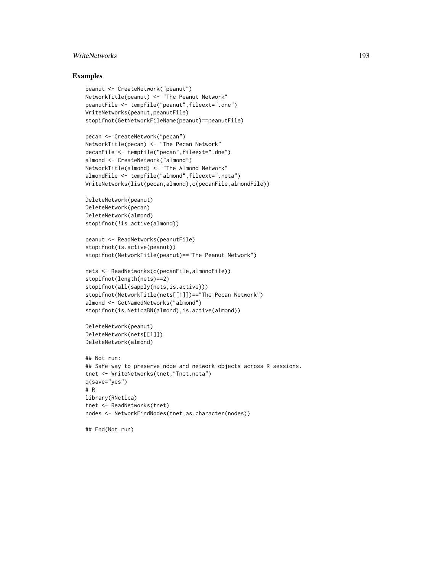# WriteNetworks 193

#### Examples

```
peanut <- CreateNetwork("peanut")
NetworkTitle(peanut) <- "The Peanut Network"
peanutFile <- tempfile("peanut",fileext=".dne")
WriteNetworks(peanut,peanutFile)
stopifnot(GetNetworkFileName(peanut)==peanutFile)
```

```
pecan <- CreateNetwork("pecan")
NetworkTitle(pecan) <- "The Pecan Network"
pecanFile <- tempfile("pecan",fileext=".dne")
almond <- CreateNetwork("almond")
NetworkTitle(almond) <- "The Almond Network"
almondFile <- tempfile("almond",fileext=".neta")
WriteNetworks(list(pecan,almond),c(pecanFile,almondFile))
```

```
DeleteNetwork(peanut)
DeleteNetwork(pecan)
DeleteNetwork(almond)
stopifnot(!is.active(almond))
```

```
peanut <- ReadNetworks(peanutFile)
stopifnot(is.active(peanut))
stopifnot(NetworkTitle(peanut)=="The Peanut Network")
```

```
nets <- ReadNetworks(c(pecanFile,almondFile))
stopifnot(length(nets)==2)
stopifnot(all(sapply(nets,is.active)))
stopifnot(NetworkTitle(nets[[1]])=="The Pecan Network")
almond <- GetNamedNetworks("almond")
stopifnot(is.NeticaBN(almond), is.active(almond))
```

```
DeleteNetwork(peanut)
DeleteNetwork(nets[[1]])
DeleteNetwork(almond)
```

```
## Not run:
## Safe way to preserve node and network objects across R sessions.
tnet <- WriteNetworks(tnet,"Tnet.neta")
q(save="yes")
# R
library(RNetica)
tnet <- ReadNetworks(tnet)
nodes <- NetworkFindNodes(tnet,as.character(nodes))
```
## End(Not run)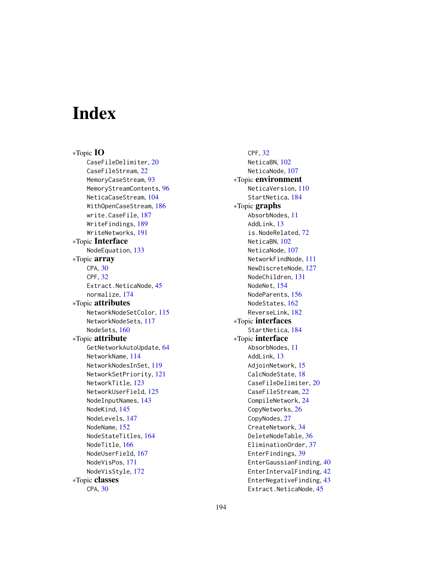# Index

∗Topic IO CaseFileDelimiter, [20](#page-19-2) CaseFileStream, [22](#page-21-1) MemoryCaseStream, [93](#page-92-1) MemoryStreamContents, [96](#page-95-1) NeticaCaseStream, [104](#page-103-2) WithOpenCaseStream, [186](#page-185-0) write.CaseFile, [187](#page-186-0) WriteFindings, [189](#page-188-1) WriteNetworks, [191](#page-190-0) ∗Topic Interface NodeEquation, [133](#page-132-0) ∗Topic array CPA, [30](#page-29-0) CPF, [32](#page-31-0) Extract.NeticaNode, [45](#page-44-0) normalize, [174](#page-173-0) ∗Topic attributes NetworkNodeSetColor, [115](#page-114-0) NetworkNodeSets, [117](#page-116-0) NodeSets, [160](#page-159-0) ∗Topic attribute GetNetworkAutoUpdate, [64](#page-63-1) NetworkName, [114](#page-113-0) NetworkNodesInSet, [119](#page-118-0) NetworkSetPriority, [121](#page-120-0) NetworkTitle, [123](#page-122-0) NetworkUserField, [125](#page-124-0) NodeInputNames, [143](#page-142-0) NodeKind, [145](#page-144-0) NodeLevels, [147](#page-146-0) NodeName, [152](#page-151-0) NodeStateTitles, [164](#page-163-0) NodeTitle, [166](#page-165-0) NodeUserField, [167](#page-166-0) NodeVisPos, [171](#page-170-0) NodeVisStyle, [172](#page-171-0) ∗Topic classes CPA, [30](#page-29-0)

CPF, [32](#page-31-0) NeticaBN, [102](#page-101-1) NeticaNode, [107](#page-106-1) ∗Topic environment NeticaVersion, [110](#page-109-1) StartNetica, [184](#page-183-0) ∗Topic graphs AbsorbNodes, [11](#page-10-1) AddLink, [13](#page-12-1) is.NodeRelated, [72](#page-71-1) NeticaBN, [102](#page-101-1) NeticaNode, [107](#page-106-1) NetworkFindNode, [111](#page-110-1) NewDiscreteNode, [127](#page-126-0) NodeChildren, [131](#page-130-1) NodeNet, [154](#page-153-0) NodeParents, [156](#page-155-1) NodeStates, [162](#page-161-0) ReverseLink, [182](#page-181-0) ∗Topic interfaces StartNetica, [184](#page-183-0) ∗Topic interface AbsorbNodes, [11](#page-10-1) AddLink, [13](#page-12-1) AdjoinNetwork, [15](#page-14-0) CalcNodeState, [18](#page-17-0) CaseFileDelimiter, [20](#page-19-2) CaseFileStream, [22](#page-21-1) CompileNetwork, [24](#page-23-0) CopyNetworks, [26](#page-25-0) CopyNodes, [27](#page-26-0) CreateNetwork, [34](#page-33-1) DeleteNodeTable, [36](#page-35-0) EliminationOrder, [37](#page-36-0) EnterFindings, [39](#page-38-0) EnterGaussianFinding, [40](#page-39-1) EnterIntervalFinding, [42](#page-41-1) EnterNegativeFinding, [43](#page-42-1) Extract.NeticaNode, [45](#page-44-0)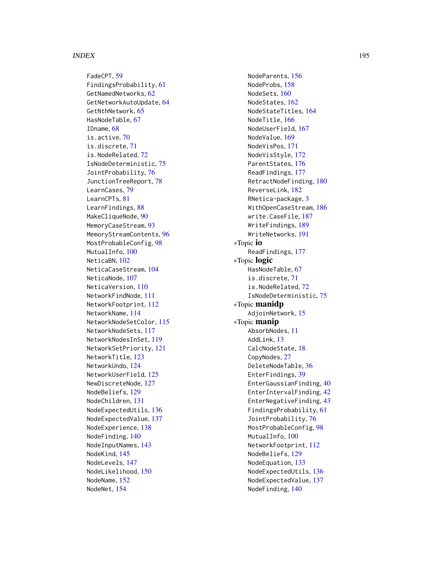FadeCPT, [59](#page-58-0) FindingsProbability , [61](#page-60-0) GetNamedNetworks , [62](#page-61-0) GetNetworkAutoUpdate , [64](#page-63-1) GetNthNetwork, [65](#page-64-0) HasNodeTable, [67](#page-66-0) IDname , [68](#page-67-0) is.active , [70](#page-69-0) is.discrete , [71](#page-70-0) is.NodeRelated , [72](#page-71-1) IsNodeDeterministic , [75](#page-74-0) JointProbability , [76](#page-75-0) JunctionTreeReport , [78](#page-77-0) LearnCases, [79](#page-78-0) LearnCPTs , [81](#page-80-0) LearnFindings, [88](#page-87-0) MakeCliqueNode , [90](#page-89-0) MemoryCaseStream , [93](#page-92-1) MemoryStreamContents , [96](#page-95-1) MostProbableConfig, [98](#page-97-0) MutualInfo,  $100\,$  $100\,$ NeticaBN, [102](#page-101-1) NeticaCaseStream , [104](#page-103-2) NeticaNode, [107](#page-106-1) NeticaVersion, [110](#page-109-1) NetworkFindNode , [111](#page-110-1) NetworkFootprint , [112](#page-111-0) NetworkName , [114](#page-113-0) NetworkNodeSetColor , [115](#page-114-0) NetworkNodeSets , [117](#page-116-0) NetworkNodesInSet , [119](#page-118-0) NetworkSetPriority , [121](#page-120-0) NetworkTitle, [123](#page-122-0) NetworkUndo , [124](#page-123-0) NetworkUserField , [125](#page-124-0) NewDiscreteNode , [127](#page-126-0) NodeBeliefs, [129](#page-128-1) NodeChildren , [131](#page-130-1) NodeExpectedUtils , [136](#page-135-0) NodeExpectedValue , [137](#page-136-0) NodeExperience , [138](#page-137-0) NodeFinding , [140](#page-139-1) NodeInputNames , [143](#page-142-0) NodeKind , [145](#page-144-0) NodeLevels , [147](#page-146-0) NodeLikelihood , [150](#page-149-1) NodeName , [152](#page-151-0) NodeNet , [154](#page-153-0)

NodeParents, [156](#page-155-1) NodeProbs , [158](#page-157-0) NodeSets, [160](#page-159-0) NodeStates , [162](#page-161-0) NodeStateTitles , [164](#page-163-0) NodeTitle, [166](#page-165-0) NodeUserField , [167](#page-166-0) NodeValue , [169](#page-168-0) NodeVisPos , [171](#page-170-0) NodeVisStyle , [172](#page-171-0) ParentStates , [176](#page-175-0) ReadFindings , [177](#page-176-1) RetractNodeFinding , [180](#page-179-1) ReverseLink , [182](#page-181-0) RNetica-package , [3](#page-2-0) WithOpenCaseStream, [186](#page-185-0) write.CaseFile , [187](#page-186-0) WriteFindings , [189](#page-188-1) WriteNetworks , [191](#page-190-0) ∗Topic io ReadFindings , [177](#page-176-1) ∗Topic logic HasNodeTable, [67](#page-66-0) is.discrete , [71](#page-70-0) is.NodeRelated , [72](#page-71-1) IsNodeDeterministic , [75](#page-74-0) ∗Topic manidp AdjoinNetwork , [15](#page-14-0) ∗Topic manip AbsorbNodes , [11](#page-10-1) AddLink , [13](#page-12-1) CalcNodeState , [18](#page-17-0) CopyNodes, [27](#page-26-0) DeleteNodeTable, [36](#page-35-0) EnterFindings , [39](#page-38-0) EnterGaussianFinding, [40](#page-39-1) EnterIntervalFinding , [42](#page-41-1) EnterNegativeFinding, [43](#page-42-1) FindingsProbability , [61](#page-60-0) JointProbability , [76](#page-75-0) MostProbableConfig, [98](#page-97-0) MutualInfo,  $100\,$  $100\,$ NetworkFootprint, [112](#page-111-0) NodeBeliefs, <mark>[129](#page-128-1)</mark> NodeEquation , [133](#page-132-0) NodeExpectedUtils , [136](#page-135-0) NodeExpectedValue , [137](#page-136-0) NodeFinding, [140](#page-139-1)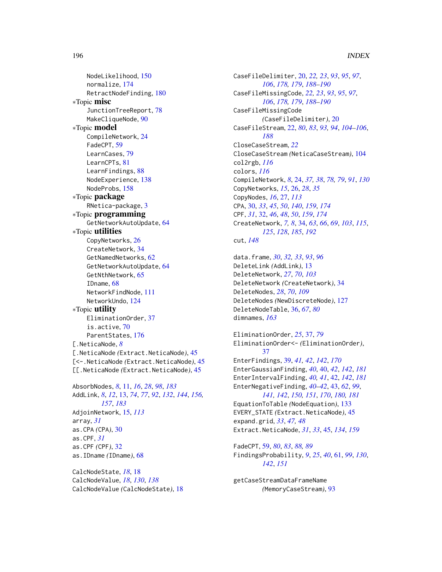NodeLikelihood, [150](#page-149-1) normalize, [174](#page-173-0) RetractNodeFinding, [180](#page-179-1) ∗Topic misc JunctionTreeReport, [78](#page-77-0) MakeCliqueNode, [90](#page-89-0) ∗Topic model CompileNetwork, [24](#page-23-0) FadeCPT, [59](#page-58-0) LearnCases, [79](#page-78-0) LearnCPTs, [81](#page-80-0) LearnFindings, [88](#page-87-0) NodeExperience, [138](#page-137-0) NodeProbs, [158](#page-157-0) ∗Topic package RNetica-package, [3](#page-2-0) ∗Topic programming GetNetworkAutoUpdate, [64](#page-63-1) ∗Topic utilities CopyNetworks, [26](#page-25-0) CreateNetwork, [34](#page-33-1) GetNamedNetworks, [62](#page-61-0) GetNetworkAutoUpdate, [64](#page-63-1) GetNthNetwork, [65](#page-64-0) IDname, [68](#page-67-0) NetworkFindNode, [111](#page-110-1) NetworkUndo, [124](#page-123-0) ∗Topic utility EliminationOrder, [37](#page-36-0) is.active, [70](#page-69-0) ParentStates, [176](#page-175-0) [.NeticaNode, *[8](#page-7-0)* [.NeticaNode *(*Extract.NeticaNode*)*, [45](#page-44-0) [<-.NeticaNode *(*Extract.NeticaNode*)*, [45](#page-44-0) [[.NeticaNode *(*Extract.NeticaNode*)*, [45](#page-44-0) AbsorbNodes, *[8](#page-7-0)*, [11,](#page-10-1) *[16](#page-15-0)*, *[28](#page-27-0)*, *[98](#page-97-0)*, *[183](#page-182-0)*

AddLink, *[8](#page-7-0)*, *[12](#page-11-0)*, [13,](#page-12-1) *[74](#page-73-0)*, *[77](#page-76-0)*, *[92](#page-91-0)*, *[132](#page-131-0)*, *[144](#page-143-0)*, *[156,](#page-155-1) [157](#page-156-0)*, *[183](#page-182-0)* AdjoinNetwork, [15,](#page-14-0) *[113](#page-112-0)* array, *[31](#page-30-0)* as.CPA *(*CPA*)*, [30](#page-29-0) as.CPF, *[31](#page-30-0)* as.CPF *(*CPF*)*, [32](#page-31-0) as.IDname *(*IDname*)*, [68](#page-67-0)

CalcNodeState, *[18](#page-17-0)*, [18](#page-17-0) CalcNodeValue, *[18](#page-17-0)*, *[130](#page-129-0)*, *[138](#page-137-0)* CalcNodeValue *(*CalcNodeState*)*, [18](#page-17-0) CaseFileDelimiter, [20,](#page-19-2) *[22,](#page-21-1) [23](#page-22-0)*, *[93](#page-92-1)*, *[95](#page-94-0)*, *[97](#page-96-0)*, *[106](#page-105-0)*, *[178,](#page-177-0) [179](#page-178-0)*, *[188](#page-187-0)[–190](#page-189-0)* CaseFileMissingCode, *[22,](#page-21-1) [23](#page-22-0)*, *[93](#page-92-1)*, *[95](#page-94-0)*, *[97](#page-96-0)*, *[106](#page-105-0)*, *[178,](#page-177-0) [179](#page-178-0)*, *[188](#page-187-0)[–190](#page-189-0)* CaseFileMissingCode *(*CaseFileDelimiter*)*, [20](#page-19-2) CaseFileStream, [22,](#page-21-1) *[80](#page-79-0)*, *[83](#page-82-0)*, *[93,](#page-92-1) [94](#page-93-0)*, *[104](#page-103-2)[–106](#page-105-0)*, *[188](#page-187-0)* CloseCaseStream, *[22](#page-21-1)* CloseCaseStream *(*NeticaCaseStream*)*, [104](#page-103-2) col2rgb, *[116](#page-115-0)* colors, *[116](#page-115-0)* CompileNetwork, *[8](#page-7-0)*, [24,](#page-23-0) *[37,](#page-36-0) [38](#page-37-0)*, *[78,](#page-77-0) [79](#page-78-0)*, *[91](#page-90-0)*, *[130](#page-129-0)* CopyNetworks, *[15](#page-14-0)*, [26,](#page-25-0) *[28](#page-27-0)*, *[35](#page-34-0)* CopyNodes, *[16](#page-15-0)*, [27,](#page-26-0) *[113](#page-112-0)* CPA, [30,](#page-29-0) *[33](#page-32-0)*, *[45](#page-44-0)*, *[50](#page-49-0)*, *[140](#page-139-1)*, *[159](#page-158-0)*, *[174](#page-173-0)* CPF, *[31](#page-30-0)*, [32,](#page-31-0) *[46](#page-45-0)*, *[48](#page-47-0)*, *[50](#page-49-0)*, *[159](#page-158-0)*, *[174](#page-173-0)* CreateNetwork, *[7,](#page-6-0) [8](#page-7-0)*, [34,](#page-33-1) *[63](#page-62-0)*, *[66](#page-65-0)*, *[69](#page-68-0)*, *[103](#page-102-0)*, *[115](#page-114-0)*, *[125](#page-124-0)*, *[128](#page-127-0)*, *[185](#page-184-0)*, *[192](#page-191-0)* cut, *[148](#page-147-0)*

data.frame, *[30](#page-29-0)*, *[32,](#page-31-0) [33](#page-32-0)*, *[93](#page-92-1)*, *[96](#page-95-1)* DeleteLink *(*AddLink*)*, [13](#page-12-1) DeleteNetwork, *[27](#page-26-0)*, *[70](#page-69-0)*, *[103](#page-102-0)* DeleteNetwork *(*CreateNetwork*)*, [34](#page-33-1) DeleteNodes, *[28](#page-27-0)*, *[70](#page-69-0)*, *[109](#page-108-0)* DeleteNodes *(*NewDiscreteNode*)*, [127](#page-126-0) DeleteNodeTable, [36,](#page-35-0) *[67](#page-66-0)*, *[80](#page-79-0)* dimnames, *[163](#page-162-0)*

EliminationOrder, *[25](#page-24-0)*, [37,](#page-36-0) *[79](#page-78-0)* EliminationOrder<- *(*EliminationOrder*)*, [37](#page-36-0) EnterFindings, [39,](#page-38-0) *[41,](#page-40-0) [42](#page-41-1)*, *[142](#page-141-0)*, *[170](#page-169-0)* EnterGaussianFinding, *[40](#page-39-1)*, [40,](#page-39-1) *[42](#page-41-1)*, *[142](#page-141-0)*, *[181](#page-180-0)* EnterIntervalFinding, *[40,](#page-39-1) [41](#page-40-0)*, [42,](#page-41-1) *[142](#page-141-0)*, *[181](#page-180-0)* EnterNegativeFinding, *[40](#page-39-1)[–42](#page-41-1)*, [43,](#page-42-1) *[62](#page-61-0)*, *[99](#page-98-0)*, *[141,](#page-140-0) [142](#page-141-0)*, *[150,](#page-149-1) [151](#page-150-0)*, *[170](#page-169-0)*, *[180,](#page-179-1) [181](#page-180-0)* EquationToTable *(*NodeEquation*)*, [133](#page-132-0) EVERY\_STATE *(*Extract.NeticaNode*)*, [45](#page-44-0) expand.grid, *[33](#page-32-0)*, *[47,](#page-46-0) [48](#page-47-0)* Extract.NeticaNode, *[31](#page-30-0)*, *[33](#page-32-0)*, [45,](#page-44-0) *[134](#page-133-0)*, *[159](#page-158-0)*

FadeCPT, [59,](#page-58-0) *[80](#page-79-0)*, *[83](#page-82-0)*, *[88,](#page-87-0) [89](#page-88-0)* FindingsProbability, *[9](#page-8-0)*, *[25](#page-24-0)*, *[40](#page-39-1)*, [61,](#page-60-0) *[99](#page-98-0)*, *[130](#page-129-0)*, *[142](#page-141-0)*, *[151](#page-150-0)*

getCaseStreamDataFrameName *(*MemoryCaseStream*)*, [93](#page-92-1)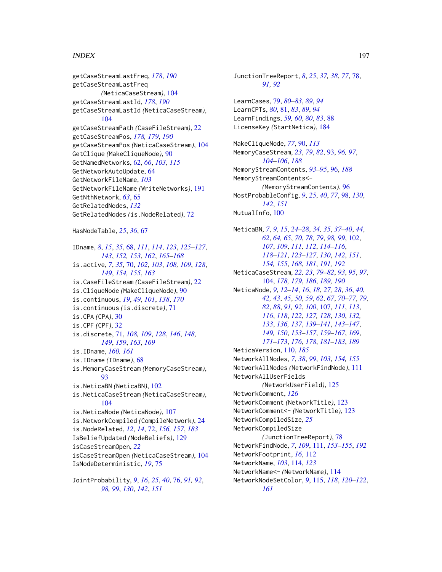getCaseStreamLastFreq, *[178](#page-177-0)*, *[190](#page-189-0)* getCaseStreamLastFreq *(*NeticaCaseStream*)*, [104](#page-103-2) getCaseStreamLastId, *[178](#page-177-0)*, *[190](#page-189-0)* getCaseStreamLastId *(*NeticaCaseStream*)*, [104](#page-103-2) getCaseStreamPath *(*CaseFileStream*)*, [22](#page-21-1) getCaseStreamPos, *[178,](#page-177-0) [179](#page-178-0)*, *[190](#page-189-0)* getCaseStreamPos *(*NeticaCaseStream*)*, [104](#page-103-2) GetClique *(*MakeCliqueNode*)*, [90](#page-89-0) GetNamedNetworks, [62,](#page-61-0) *[66](#page-65-0)*, *[103](#page-102-0)*, *[115](#page-114-0)* GetNetworkAutoUpdate, [64](#page-63-1) GetNetworkFileName, *[103](#page-102-0)* GetNetworkFileName *(*WriteNetworks*)*, [191](#page-190-0) GetNthNetwork, *[63](#page-62-0)*, [65](#page-64-0) GetRelatedNodes, *[132](#page-131-0)* GetRelatedNodes *(*is.NodeRelated*)*, [72](#page-71-1)

```
HasNodeTable, 25, 36, 67
```
IDname, *[8](#page-7-0)*, *[15](#page-14-0)*, *[35](#page-34-0)*, [68,](#page-67-0) *[111](#page-110-1)*, *[114](#page-113-0)*, *[123](#page-122-0)*, *[125–](#page-124-0)[127](#page-126-0)*, *[143](#page-142-0)*, *[152,](#page-151-0) [153](#page-152-0)*, *[162](#page-161-0)*, *[165–](#page-164-0)[168](#page-167-0)* is.active, *[7](#page-6-0)*, *[35](#page-34-0)*, [70,](#page-69-0) *[102,](#page-101-1) [103](#page-102-0)*, *[108,](#page-107-0) [109](#page-108-0)*, *[128](#page-127-0)*, *[149](#page-148-0)*, *[154,](#page-153-0) [155](#page-154-0)*, *[163](#page-162-0)* is.CaseFileStream *(*CaseFileStream*)*, [22](#page-21-1) is.CliqueNode *(*MakeCliqueNode*)*, [90](#page-89-0) is.continuous, *[19](#page-18-0)*, *[49](#page-48-0)*, *[101](#page-100-0)*, *[138](#page-137-0)*, *[170](#page-169-0)* is.continuous *(*is.discrete*)*, [71](#page-70-0) is.CPA *(*CPA*)*, [30](#page-29-0) is.CPF *(*CPF*)*, [32](#page-31-0) is.discrete, [71,](#page-70-0) *[108,](#page-107-0) [109](#page-108-0)*, *[128](#page-127-0)*, *[146](#page-145-0)*, *[148,](#page-147-0) [149](#page-148-0)*, *[159](#page-158-0)*, *[163](#page-162-0)*, *[169](#page-168-0)* is.IDname, *[160,](#page-159-0) [161](#page-160-0)* is.IDname *(*IDname*)*, [68](#page-67-0) is.MemoryCaseStream *(*MemoryCaseStream*)*, [93](#page-92-1) is.NeticaBN *(*NeticaBN*)*, [102](#page-101-1) is.NeticaCaseStream *(*NeticaCaseStream*)*, [104](#page-103-2) is.NeticaNode *(*NeticaNode*)*, [107](#page-106-1) is.NetworkCompiled *(*CompileNetwork*)*, [24](#page-23-0) is.NodeRelated, *[12](#page-11-0)*, *[14](#page-13-0)*, [72,](#page-71-1) *[156,](#page-155-1) [157](#page-156-0)*, *[183](#page-182-0)* IsBeliefUpdated *(*NodeBeliefs*)*, [129](#page-128-1) isCaseStreamOpen, *[22](#page-21-1)* isCaseStreamOpen *(*NeticaCaseStream*)*, [104](#page-103-2) IsNodeDeterministic, *[19](#page-18-0)*, [75](#page-74-0)

JointProbability, *[9](#page-8-0)*, *[16](#page-15-0)*, *[25](#page-24-0)*, *[40](#page-39-1)*, [76,](#page-75-0) *[91,](#page-90-0) [92](#page-91-0)*, *[98,](#page-97-0) [99](#page-98-0)*, *[130](#page-129-0)*, *[142](#page-141-0)*, *[151](#page-150-0)*

JunctionTreeReport, *[8](#page-7-0)*, *[25](#page-24-0)*, *[37,](#page-36-0) [38](#page-37-0)*, *[77](#page-76-0)*, [78,](#page-77-0) *[91,](#page-90-0) [92](#page-91-0)* LearnCases, [79,](#page-78-0) *[80](#page-79-0)[–83](#page-82-0)*, *[89](#page-88-0)*, *[94](#page-93-0)* LearnCPTs, *[80](#page-79-0)*, [81,](#page-80-0) *[83](#page-82-0)*, *[89](#page-88-0)*, *[94](#page-93-0)* LearnFindings, *[59,](#page-58-0) [60](#page-59-0)*, *[80](#page-79-0)*, *[83](#page-82-0)*, [88](#page-87-0) LicenseKey *(*StartNetica*)*, [184](#page-183-0) MakeCliqueNode, *[77](#page-76-0)*, [90,](#page-89-0) *[113](#page-112-0)* MemoryCaseStream, *[23](#page-22-0)*, *[79](#page-78-0)*, *[82](#page-81-0)*, [93,](#page-92-1) *[96,](#page-95-1) [97](#page-96-0)*, *[104](#page-103-2)[–106](#page-105-0)*, *[188](#page-187-0)* MemoryStreamContents, *[93](#page-92-1)[–95](#page-94-0)*, [96,](#page-95-1) *[188](#page-187-0)* MemoryStreamContents<- *(*MemoryStreamContents*)*, [96](#page-95-1) MostProbableConfig, *[9](#page-8-0)*, *[25](#page-24-0)*, *[40](#page-39-1)*, *[77](#page-76-0)*, [98,](#page-97-0) *[130](#page-129-0)*, *[142](#page-141-0)*, *[151](#page-150-0)* MutualInfo, [100](#page-99-0) NeticaBN, *[7](#page-6-0)*, *[9](#page-8-0)*, *[15](#page-14-0)*, *[24](#page-23-0)[–28](#page-27-0)*, *[34,](#page-33-1) [35](#page-34-0)*, *[37](#page-36-0)[–40](#page-39-1)*, *[44](#page-43-0)*,

*[62](#page-61-0)*, *[64,](#page-63-1) [65](#page-64-0)*, *[70](#page-69-0)*, *[78,](#page-77-0) [79](#page-78-0)*, *[98,](#page-97-0) [99](#page-98-0)*, [102,](#page-101-1) *[107](#page-106-1)*, *[109](#page-108-0)*, *[111,](#page-110-1) [112](#page-111-0)*, *[114](#page-113-0)[–116](#page-115-0)*, *[118](#page-117-0)[–121](#page-120-0)*, *[123](#page-122-0)[–127](#page-126-0)*, *[130](#page-129-0)*, *[142](#page-141-0)*, *[151](#page-150-0)*, *[154,](#page-153-0) [155](#page-154-0)*, *[168](#page-167-0)*, *[181](#page-180-0)*, *[191,](#page-190-0) [192](#page-191-0)* NeticaCaseStream, *[22,](#page-21-1) [23](#page-22-0)*, *[79](#page-78-0)[–82](#page-81-0)*, *[93](#page-92-1)*, *[95](#page-94-0)*, *[97](#page-96-0)*, [104,](#page-103-2) *[178,](#page-177-0) [179](#page-178-0)*, *[186](#page-185-0)*, *[189,](#page-188-1) [190](#page-189-0)* NeticaNode, *[9](#page-8-0)*, *[12](#page-11-0)[–14](#page-13-0)*, *[16](#page-15-0)*, *[18](#page-17-0)*, *[27,](#page-26-0) [28](#page-27-0)*, *[36](#page-35-0)*, *[40](#page-39-1)*, *[42,](#page-41-1) [43](#page-42-1)*, *[45](#page-44-0)*, *[50](#page-49-0)*, *[59](#page-58-0)*, *[62](#page-61-0)*, *[67](#page-66-0)*, *[70](#page-69-0)[–77](#page-76-0)*, *[79](#page-78-0)*, *[82](#page-81-0)*, *[88](#page-87-0)*, *[91,](#page-90-0) [92](#page-91-0)*, *[100](#page-99-0)*, [107,](#page-106-1) *[111](#page-110-1)*, *[113](#page-112-0)*, *[116](#page-115-0)*, *[118](#page-117-0)*, *[122](#page-121-0)*, *[127,](#page-126-0) [128](#page-127-0)*, *[130](#page-129-0)*, *[132,](#page-131-0) [133](#page-132-0)*, *[136,](#page-135-0) [137](#page-136-0)*, *[139](#page-138-0)[–141](#page-140-0)*, *[143](#page-142-0)[–147](#page-146-0)*, *[149,](#page-148-0) [150](#page-149-1)*, *[153](#page-152-0)[–157](#page-156-0)*, *[159](#page-158-0)[–167](#page-166-0)*, *[169](#page-168-0)*, *[171](#page-170-0)[–173](#page-172-0)*, *[176](#page-175-0)*, *[178](#page-177-0)*, *[181](#page-180-0)[–183](#page-182-0)*, *[189](#page-188-1)* NeticaVersion, [110,](#page-109-1) *[185](#page-184-0)* NetworkAllNodes, *[7](#page-6-0)*, *[38](#page-37-0)*, *[99](#page-98-0)*, *[103](#page-102-0)*, *[154,](#page-153-0) [155](#page-154-0)* NetworkAllNodes *(*NetworkFindNode*)*, [111](#page-110-1) NetworkAllUserFields *(*NetworkUserField*)*, [125](#page-124-0) NetworkComment, *[126](#page-125-0)* NetworkComment *(*NetworkTitle*)*, [123](#page-122-0) NetworkComment<- *(*NetworkTitle*)*, [123](#page-122-0) NetworkCompiledSize, *[25](#page-24-0)* NetworkCompiledSize *(*JunctionTreeReport*)*, [78](#page-77-0) NetworkFindNode, *[7](#page-6-0)*, *[109](#page-108-0)*, [111,](#page-110-1) *[153](#page-152-0)[–155](#page-154-0)*, *[192](#page-191-0)* NetworkFootprint, *[16](#page-15-0)*, [112](#page-111-0) NetworkName, *[103](#page-102-0)*, [114,](#page-113-0) *[123](#page-122-0)* NetworkName<- *(*NetworkName*)*, [114](#page-113-0) NetworkNodeSetColor, *[9](#page-8-0)*, [115,](#page-114-0) *[118](#page-117-0)*, *[120](#page-119-0)[–122](#page-121-0)*, *[161](#page-160-0)*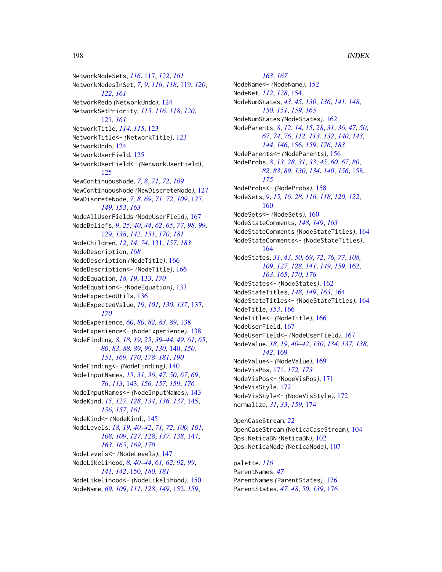NetworkNodeSets, *[116](#page-115-0)*, [117,](#page-116-0) *[122](#page-121-0)*, *[161](#page-160-0)* NetworkNodesInSet, *[7](#page-6-0)*, *[9](#page-8-0)*, *[116](#page-115-0)*, *[118](#page-117-0)*, [119,](#page-118-0) *[120](#page-119-0)*, *[122](#page-121-0)*, *[161](#page-160-0)* NetworkRedo *(*NetworkUndo*)*, [124](#page-123-0) NetworkSetPriority, *[115,](#page-114-0) [116](#page-115-0)*, *[118](#page-117-0)*, *[120](#page-119-0)*, [121,](#page-120-0) *[161](#page-160-0)* NetworkTitle, *[114,](#page-113-0) [115](#page-114-0)*, [123](#page-122-0) NetworkTitle<- *(*NetworkTitle*)*, [123](#page-122-0) NetworkUndo, [124](#page-123-0) NetworkUserField, [125](#page-124-0) NetworkUserField<- *(*NetworkUserField*)*, [125](#page-124-0) NewContinuousNode, *[7,](#page-6-0) [8](#page-7-0)*, *[71,](#page-70-0) [72](#page-71-1)*, *[109](#page-108-0)* NewContinuousNode *(*NewDiscreteNode*)*, [127](#page-126-0) NewDiscreteNode, *[7,](#page-6-0) [8](#page-7-0)*, *[69](#page-68-0)*, *[71,](#page-70-0) [72](#page-71-1)*, *[109](#page-108-0)*, [127,](#page-126-0) *[149](#page-148-0)*, *[153](#page-152-0)*, *[163](#page-162-0)* NodeAllUserFields *(*NodeUserField*)*, [167](#page-166-0) NodeBeliefs, *[9](#page-8-0)*, *[25](#page-24-0)*, *[40](#page-39-1)*, *[44](#page-43-0)*, *[62](#page-61-0)*, *[65](#page-64-0)*, *[77](#page-76-0)*, *[98,](#page-97-0) [99](#page-98-0)*, [129,](#page-128-1) *[138](#page-137-0)*, *[142](#page-141-0)*, *[151](#page-150-0)*, *[170](#page-169-0)*, *[181](#page-180-0)* NodeChildren, *[12](#page-11-0)*, *[14](#page-13-0)*, *[74](#page-73-0)*, [131,](#page-130-1) *[157](#page-156-0)*, *[183](#page-182-0)* NodeDescription, *[168](#page-167-0)* NodeDescription *(*NodeTitle*)*, [166](#page-165-0) NodeDescription<- *(*NodeTitle*)*, [166](#page-165-0) NodeEquation, *[18,](#page-17-0) [19](#page-18-0)*, [133,](#page-132-0) *[170](#page-169-0)* NodeEquation<- *(*NodeEquation*)*, [133](#page-132-0) NodeExpectedUtils, [136](#page-135-0) NodeExpectedValue, *[19](#page-18-0)*, *[101](#page-100-0)*, *[130](#page-129-0)*, *[137](#page-136-0)*, [137,](#page-136-0) *[170](#page-169-0)* NodeExperience, *[60](#page-59-0)*, *[80](#page-79-0)*, *[82,](#page-81-0) [83](#page-82-0)*, *[89](#page-88-0)*, [138](#page-137-0) NodeExperience<- *(*NodeExperience*)*, [138](#page-137-0) NodeFinding, *[8](#page-7-0)*, *[18,](#page-17-0) [19](#page-18-0)*, *[25](#page-24-0)*, *[39–](#page-38-0)[44](#page-43-0)*, *[49](#page-48-0)*, *[61](#page-60-0)*, *[65](#page-64-0)*, *[80](#page-79-0)*, *[83](#page-82-0)*, *[88,](#page-87-0) [89](#page-88-0)*, *[99](#page-98-0)*, *[130](#page-129-0)*, [140,](#page-139-1) *[150,](#page-149-1) [151](#page-150-0)*, *[169,](#page-168-0) [170](#page-169-0)*, *[178–](#page-177-0)[181](#page-180-0)*, *[190](#page-189-0)* NodeFinding<- *(*NodeFinding*)*, [140](#page-139-1) NodeInputNames, *[15](#page-14-0)*, *[31](#page-30-0)*, *[36](#page-35-0)*, *[47](#page-46-0)*, *[50](#page-49-0)*, *[67](#page-66-0)*, *[69](#page-68-0)*, *[76](#page-75-0)*, *[113](#page-112-0)*, [143,](#page-142-0) *[156,](#page-155-1) [157](#page-156-0)*, *[159](#page-158-0)*, *[176](#page-175-0)* NodeInputNames<- *(*NodeInputNames*)*, [143](#page-142-0) NodeKind, *[15](#page-14-0)*, *[127,](#page-126-0) [128](#page-127-0)*, *[134](#page-133-0)*, *[136,](#page-135-0) [137](#page-136-0)*, [145,](#page-144-0) *[156,](#page-155-1) [157](#page-156-0)*, *[161](#page-160-0)* NodeKind<- *(*NodeKind*)*, [145](#page-144-0) NodeLevels, *[18,](#page-17-0) [19](#page-18-0)*, *[40–](#page-39-1)[42](#page-41-1)*, *[71,](#page-70-0) [72](#page-71-1)*, *[100,](#page-99-0) [101](#page-100-0)*, *[108,](#page-107-0) [109](#page-108-0)*, *[127,](#page-126-0) [128](#page-127-0)*, *[137,](#page-136-0) [138](#page-137-0)*, [147,](#page-146-0) *[163](#page-162-0)*, *[165](#page-164-0)*, *[169,](#page-168-0) [170](#page-169-0)* NodeLevels<- *(*NodeLevels*)*, [147](#page-146-0) NodeLikelihood, *[8](#page-7-0)*, *[40–](#page-39-1)[44](#page-43-0)*, *[61,](#page-60-0) [62](#page-61-0)*, *[92](#page-91-0)*, *[99](#page-98-0)*, *[141,](#page-140-0) [142](#page-141-0)*, [150,](#page-149-1) *[180,](#page-179-1) [181](#page-180-0)* NodeLikelihood<- *(*NodeLikelihood*)*, [150](#page-149-1) NodeName, *[69](#page-68-0)*, *[109](#page-108-0)*, *[111](#page-110-1)*, *[128](#page-127-0)*, *[149](#page-148-0)*, [152,](#page-151-0) *[159](#page-158-0)*,

*[163](#page-162-0)*, *[167](#page-166-0)* NodeName<- *(*NodeName*)*, [152](#page-151-0) NodeNet, *[112](#page-111-0)*, *[128](#page-127-0)*, [154](#page-153-0) NodeNumStates, *[43](#page-42-1)*, *[45](#page-44-0)*, *[130](#page-129-0)*, *[136](#page-135-0)*, *[141](#page-140-0)*, *[148](#page-147-0)*, *[150,](#page-149-1) [151](#page-150-0)*, *[159](#page-158-0)*, *[165](#page-164-0)* NodeNumStates *(*NodeStates*)*, [162](#page-161-0) NodeParents, *[8](#page-7-0)*, *[12](#page-11-0)*, *[14,](#page-13-0) [15](#page-14-0)*, *[28](#page-27-0)*, *[31](#page-30-0)*, *[36](#page-35-0)*, *[47](#page-46-0)*, *[50](#page-49-0)*, *[67](#page-66-0)*, *[74](#page-73-0)*, *[76](#page-75-0)*, *[112,](#page-111-0) [113](#page-112-0)*, *[132](#page-131-0)*, *[140](#page-139-1)*, *[143,](#page-142-0) [144](#page-143-0)*, *[146](#page-145-0)*, [156,](#page-155-1) *[159](#page-158-0)*, *[176](#page-175-0)*, *[183](#page-182-0)* NodeParents<- *(*NodeParents*)*, [156](#page-155-1) NodeProbs, *[8](#page-7-0)*, *[13](#page-12-1)*, *[28](#page-27-0)*, *[31](#page-30-0)*, *[33](#page-32-0)*, *[45](#page-44-0)*, *[60](#page-59-0)*, *[67](#page-66-0)*, *[80](#page-79-0)*, *[82,](#page-81-0) [83](#page-82-0)*, *[89](#page-88-0)*, *[130](#page-129-0)*, *[134](#page-133-0)*, *[140](#page-139-1)*, *[156](#page-155-1)*, [158,](#page-157-0) *[175](#page-174-0)* NodeProbs<- *(*NodeProbs*)*, [158](#page-157-0) NodeSets, *[9](#page-8-0)*, *[15,](#page-14-0) [16](#page-15-0)*, *[28](#page-27-0)*, *[116](#page-115-0)*, *[118](#page-117-0)*, *[120](#page-119-0)*, *[122](#page-121-0)*, [160](#page-159-0) NodeSets<- *(*NodeSets*)*, [160](#page-159-0) NodeStateComments, *[148,](#page-147-0) [149](#page-148-0)*, *[163](#page-162-0)* NodeStateComments *(*NodeStateTitles*)*, [164](#page-163-0) NodeStateComments<- *(*NodeStateTitles*)*, [164](#page-163-0) NodeStates, *[31](#page-30-0)*, *[43](#page-42-1)*, *[50](#page-49-0)*, *[69](#page-68-0)*, *[72](#page-71-1)*, *[76,](#page-75-0) [77](#page-76-0)*, *[108,](#page-107-0) [109](#page-108-0)*, *[127,](#page-126-0) [128](#page-127-0)*, *[141](#page-140-0)*, *[149](#page-148-0)*, *[159](#page-158-0)*, [162,](#page-161-0) *[163](#page-162-0)*, *[165](#page-164-0)*, *[170](#page-169-0)*, *[176](#page-175-0)* NodeStates<- *(*NodeStates*)*, [162](#page-161-0) NodeStateTitles, *[148,](#page-147-0) [149](#page-148-0)*, *[163](#page-162-0)*, [164](#page-163-0) NodeStateTitles<- *(*NodeStateTitles*)*, [164](#page-163-0) NodeTitle, *[153](#page-152-0)*, [166](#page-165-0) NodeTitle<- *(*NodeTitle*)*, [166](#page-165-0) NodeUserField, [167](#page-166-0) NodeUserField<- *(*NodeUserField*)*, [167](#page-166-0) NodeValue, *[18,](#page-17-0) [19](#page-18-0)*, *[40](#page-39-1)[–42](#page-41-1)*, *[130](#page-129-0)*, *[134](#page-133-0)*, *[137,](#page-136-0) [138](#page-137-0)*, *[142](#page-141-0)*, [169](#page-168-0) NodeValue<- *(*NodeValue*)*, [169](#page-168-0) NodeVisPos, [171,](#page-170-0) *[172,](#page-171-0) [173](#page-172-0)* NodeVisPos<- *(*NodeVisPos*)*, [171](#page-170-0) NodeVisStyle, [172](#page-171-0) NodeVisStyle<- *(*NodeVisStyle*)*, [172](#page-171-0) normalize, *[31](#page-30-0)*, *[33](#page-32-0)*, *[159](#page-158-0)*, [174](#page-173-0)

OpenCaseStream, *[22](#page-21-1)* OpenCaseStream *(*NeticaCaseStream*)*, [104](#page-103-2) Ops.NeticaBN *(*NeticaBN*)*, [102](#page-101-1) Ops.NeticaNode *(*NeticaNode*)*, [107](#page-106-1)

palette, *[116](#page-115-0)* ParentNames, *[47](#page-46-0)* ParentNames *(*ParentStates*)*, [176](#page-175-0) ParentStates, *[47,](#page-46-0) [48](#page-47-0)*, *[50](#page-49-0)*, *[139](#page-138-0)*, [176](#page-175-0)